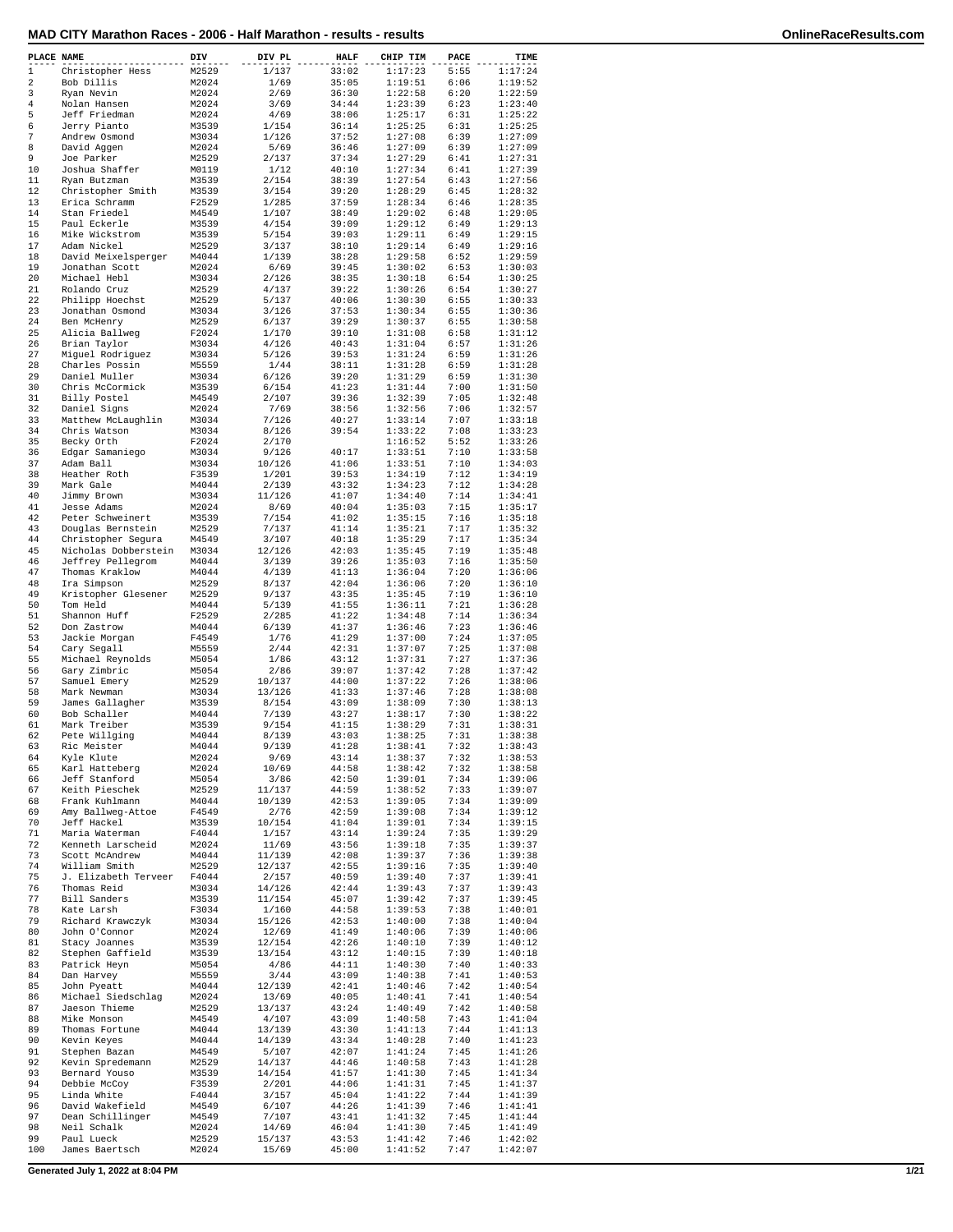|                  | PLACE NAME           | DIV   | DIV PL | <b>HALF</b> | CHIP TIM | PACE | TIME    |
|------------------|----------------------|-------|--------|-------------|----------|------|---------|
| $\mathbf{1}$     | Christopher Hess     | M2529 | 1/137  | 33:02       | 1:17:23  | 5:55 | 1:17:24 |
| $\overline{2}$   | Bob Dillis           | M2024 | 1/69   | 35:05       | 1:19:51  | 6:06 | 1:19:52 |
| 3                | Ryan Nevin           | M2024 | 2/69   | 36:30       | 1:22:58  | 6:20 | 1:22:59 |
| $\bf 4$          | Nolan Hansen         | M2024 | 3/69   | 34:44       | 1:23:39  | 6:23 | 1:23:40 |
| 5                | Jeff Friedman        | M2024 | 4/69   | 38:06       | 1:25:17  | 6:31 | 1:25:22 |
|                  |                      |       |        |             |          |      |         |
| 6                | Jerry Pianto         | M3539 | 1/154  | 36:14       | 1:25:25  | 6:31 | 1:25:25 |
| $\boldsymbol{7}$ | Andrew Osmond        | M3034 | 1/126  | 37:52       | 1:27:08  | 6:39 | 1:27:09 |
| 8                | David Aqqen          | M2024 | 5/69   | 36:46       | 1:27:09  | 6:39 | 1:27:09 |
| 9                | Joe Parker           | M2529 | 2/137  | 37:34       | 1:27:29  | 6:41 | 1:27:31 |
| 10               | Joshua Shaffer       | M0119 | 1/12   | 40:10       | 1:27:34  | 6:41 | 1:27:39 |
| 11               | Ryan Butzman         | M3539 | 2/154  | 38:39       | 1:27:54  | 6:43 | 1:27:56 |
| 12               | Christopher Smith    | M3539 | 3/154  | 39:20       | 1:28:29  | 6:45 | 1:28:32 |
| 13               | Erica Schramm        | F2529 | 1/285  | 37:59       | 1:28:34  | 6:46 | 1:28:35 |
|                  |                      |       |        |             |          |      |         |
| 14               | Stan Friedel         | M4549 | 1/107  | 38:49       | 1:29:02  | 6:48 | 1:29:05 |
| 15               | Paul Eckerle         | M3539 | 4/154  | 39:09       | 1:29:12  | 6:49 | 1:29:13 |
| 16               | Mike Wickstrom       | M3539 | 5/154  | 39:03       | 1:29:11  | 6:49 | 1:29:15 |
| 17               | Adam Nickel          | M2529 | 3/137  | 38:10       | 1:29:14  | 6:49 | 1:29:16 |
| 18               | David Meixelsperger  | M4044 | 1/139  | 38:28       | 1:29:58  | 6:52 | 1:29:59 |
| 19               | Jonathan Scott       | M2024 | 6/69   | 39:45       | 1:30:02  | 6:53 | 1:30:03 |
| 20               | Michael Hebl         | M3034 | 2/126  | 38:35       | 1:30:18  | 6:54 | 1:30:25 |
| 21               | Rolando Cruz         | M2529 | 4/137  | 39:22       | 1:30:26  | 6:54 | 1:30:27 |
|                  |                      |       |        |             |          |      |         |
| 22               | Philipp Hoechst      | M2529 | 5/137  | 40:06       | 1:30:30  | 6:55 | 1:30:33 |
| 23               | Jonathan Osmond      | M3034 | 3/126  | 37:53       | 1:30:34  | 6:55 | 1:30:36 |
| 24               | Ben McHenry          | M2529 | 6/137  | 39:29       | 1:30:37  | 6:55 | 1:30:58 |
| 25               | Alicia Ballweg       | F2024 | 1/170  | 39:10       | 1:31:08  | 6:58 | 1:31:12 |
| 26               | Brian Taylor         | M3034 | 4/126  | 40:43       | 1:31:04  | 6:57 | 1:31:26 |
| 27               | Miguel Rodriguez     | M3034 | 5/126  | 39:53       | 1:31:24  | 6:59 | 1:31:26 |
| 28               | Charles Possin       | M5559 | 1/44   | 38:11       | 1:31:28  | 6:59 | 1:31:28 |
| 29               | Daniel Muller        | M3034 | 6/126  | 39:20       | 1:31:29  | 6:59 | 1:31:30 |
| 30               | Chris McCormick      | M3539 | 6/154  | 41:23       | 1:31:44  | 7:00 | 1:31:50 |
|                  |                      |       |        |             |          |      |         |
| 31               | Billy Postel         | M4549 | 2/107  | 39:36       | 1:32:39  | 7:05 | 1:32:48 |
| 32               | Daniel Signs         | M2024 | 7/69   | 38:56       | 1:32:56  | 7:06 | 1:32:57 |
| 33               | Matthew McLaughlin   | M3034 | 7/126  | 40:27       | 1:33:14  | 7:07 | 1:33:18 |
| 34               | Chris Watson         | M3034 | 8/126  | 39:54       | 1:33:22  | 7:08 | 1:33:23 |
| 35               | Becky Orth           | F2024 | 2/170  |             | 1:16:52  | 5:52 | 1:33:26 |
| 36               | Edgar Samaniego      | M3034 | 9/126  | 40:17       | 1:33:51  | 7:10 | 1:33:58 |
| 37               | Adam Ball            | M3034 | 10/126 | 41:06       | 1:33:51  | 7:10 | 1:34:03 |
| 38               | Heather Roth         | F3539 | 1/201  | 39:53       | 1:34:19  | 7:12 | 1:34:19 |
|                  |                      | M4044 | 2/139  |             |          | 7:12 |         |
| 39               | Mark Gale            |       |        | 43:32       | 1:34:23  |      | 1:34:28 |
| 40               | Jimmy Brown          | M3034 | 11/126 | 41:07       | 1:34:40  | 7:14 | 1:34:41 |
| 41               | Jesse Adams          | M2024 | 8/69   | 40:04       | 1:35:03  | 7:15 | 1:35:17 |
| 42               | Peter Schweinert     | M3539 | 7/154  | 41:02       | 1:35:15  | 7:16 | 1:35:18 |
| 43               | Douglas Bernstein    | M2529 | 7/137  | 41:14       | 1:35:21  | 7:17 | 1:35:32 |
| 44               | Christopher Segura   | M4549 | 3/107  | 40:18       | 1:35:29  | 7:17 | 1:35:34 |
| 45               | Nicholas Dobberstein | M3034 | 12/126 | 42:03       | 1:35:45  | 7:19 | 1:35:48 |
| 46               | Jeffrey Pellegrom    | M4044 | 3/139  | 39:26       | 1:35:03  | 7:16 | 1:35:50 |
| 47               |                      |       |        |             |          |      |         |
|                  | Thomas Kraklow       | M4044 | 4/139  | 41:13       | 1:36:04  | 7:20 | 1:36:06 |
| 48               | Ira Simpson          | M2529 | 8/137  | 42:04       | 1:36:06  | 7:20 | 1:36:10 |
| 49               | Kristopher Glesener  | M2529 | 9/137  | 43:35       | 1:35:45  | 7:19 | 1:36:10 |
| 50               | Tom Held             | M4044 | 5/139  | 41:55       | 1:36:11  | 7:21 | 1:36:28 |
| 51               | Shannon Huff         | F2529 | 2/285  | 41:22       | 1:34:48  | 7:14 | 1:36:34 |
| 52               | Don Zastrow          | M4044 | 6/139  | 41:37       | 1:36:46  | 7:23 | 1:36:46 |
| 53               | Jackie Morgan        | F4549 | 1/76   | 41:29       | 1:37:00  | 7:24 | 1:37:05 |
| 54               | Cary Segall          | M5559 | 2/44   | 42:31       | 1:37:07  | 7:25 | 1:37:08 |
| 55               |                      | M5054 |        | 43:12       | 1:37:31  | 7:27 | 1:37:36 |
|                  | Michael Reynolds     |       | 1/86   |             |          |      |         |
| 56               | Gary Zimbric         | M5054 | 2/86   | 39:07       | 1:37:42  | 7:28 | 1:37:42 |
| 57               | Samuel Emery         | M2529 | 10/137 | 44:00       | 1:37:22  | 7:26 | 1:38:06 |
| 58               | Mark Newman          | M3034 | 13/126 | 41:33       | 1:37:46  | 7:28 | 1:38:08 |
| 59               | James Gallagher      | M3539 | 8/154  | 43:09       | 1:38:09  | 7:30 | 1:38:13 |
| 60               | Bob Schaller         | M4044 | 7/139  | 43:27       | 1:38:17  | 7:30 | 1:38:22 |
| 61               | Mark Treiber         | M3539 | 9/154  | 41:15       | 1:38:29  | 7:31 | 1:38:31 |
| 62               | Pete Willging        | M4044 | 8/139  | 43:03       | 1:38:25  | 7:31 | 1:38:38 |
| 63               | Ric Meister          | M4044 | 9/139  | 41:28       | 1:38:41  | 7:32 | 1:38:43 |
|                  |                      |       |        |             |          |      |         |
| 64               | Kyle Klute           | M2024 | 9/69   | 43:14       | 1:38:37  | 7:32 | 1:38:53 |
| 65               | Karl Hatteberg       | M2024 | 10/69  | 44:58       | 1:38:42  | 7:32 | 1:38:58 |
| 66               | Jeff Stanford        | M5054 | 3/86   | 42:50       | 1:39:01  | 7:34 | 1:39:06 |
| 67               | Keith Pieschek       | M2529 | 11/137 | 44:59       | 1:38:52  | 7:33 | 1:39:07 |
| 68               | Frank Kuhlmann       | M4044 | 10/139 | 42:53       | 1:39:05  | 7:34 | 1:39:09 |
| 69               | Amy Ballweg-Attoe    | F4549 | 2/76   | 42:59       | 1:39:08  | 7:34 | 1:39:12 |
| 70               | Jeff Hackel          | M3539 | 10/154 | 41:04       | 1:39:01  | 7:34 | 1:39:15 |
| 71               | Maria Waterman       | F4044 | 1/157  | 43:14       | 1:39:24  | 7:35 | 1:39:29 |
| 72               | Kenneth Larscheid    | M2024 | 11/69  | 43:56       | 1:39:18  | 7:35 | 1:39:37 |
|                  |                      |       |        |             |          |      |         |
| 73               | Scott McAndrew       | M4044 | 11/139 | 42:08       | 1:39:37  | 7:36 | 1:39:38 |
| 74               | William Smith        | M2529 | 12/137 | 42:55       | 1:39:16  | 7:35 | 1:39:40 |
| 75               | J. Elizabeth Terveer | F4044 | 2/157  | 40:59       | 1:39:40  | 7:37 | 1:39:41 |
| 76               | Thomas Reid          | M3034 | 14/126 | 42:44       | 1:39:43  | 7:37 | 1:39:43 |
| 77               | Bill Sanders         | M3539 | 11/154 | 45:07       | 1:39:42  | 7:37 | 1:39:45 |
| 78               | Kate Larsh           | F3034 | 1/160  | 44:58       | 1:39:53  | 7:38 | 1:40:01 |
| 79               | Richard Krawczyk     | M3034 | 15/126 | 42:53       | 1:40:00  | 7:38 | 1:40:04 |
| 80               | John O'Connor        | M2024 | 12/69  | 41:49       | 1:40:06  | 7:39 | 1:40:06 |
|                  |                      |       |        |             |          |      |         |
| 81               | Stacy Joannes        | M3539 | 12/154 | 42:26       | 1:40:10  | 7:39 | 1:40:12 |
| 82               | Stephen Gaffield     | M3539 | 13/154 | 43:12       | 1:40:15  | 7:39 | 1:40:18 |
| 83               | Patrick Heyn         | M5054 | 4/86   | 44:11       | 1:40:30  | 7:40 | 1:40:33 |
| 84               | Dan Harvey           | M5559 | 3/44   | 43:09       | 1:40:38  | 7:41 | 1:40:53 |
| 85               | John Pyeatt          | M4044 | 12/139 | 42:41       | 1:40:46  | 7:42 | 1:40:54 |
| 86               | Michael Siedschlag   | M2024 | 13/69  | 40:05       | 1:40:41  | 7:41 | 1:40:54 |
| 87               | Jaeson Thieme        | M2529 | 13/137 | 43:24       | 1:40:49  | 7:42 | 1:40:58 |
| 88               | Mike Monson          | M4549 | 4/107  | 43:09       | 1:40:58  | 7:43 | 1:41:04 |
|                  |                      |       |        |             |          |      |         |
| 89               | Thomas Fortune       | M4044 | 13/139 | 43:30       | 1:41:13  | 7:44 | 1:41:13 |
| 90               | Kevin Keyes          | M4044 | 14/139 | 43:34       | 1:40:28  | 7:40 | 1:41:23 |
| 91               | Stephen Bazan        | M4549 | 5/107  | 42:07       | 1:41:24  | 7:45 | 1:41:26 |
| 92               | Kevin Spredemann     | M2529 | 14/137 | 44:46       | 1:40:58  | 7:43 | 1:41:28 |
| 93               | Bernard Youso        | M3539 | 14/154 | 41:57       | 1:41:30  | 7:45 | 1:41:34 |
| 94               | Debbie McCoy         | F3539 | 2/201  | 44:06       | 1:41:31  | 7:45 | 1:41:37 |
| 95               | Linda White          | F4044 | 3/157  | 45:04       | 1:41:22  | 7:44 | 1:41:39 |
| 96               | David Wakefield      | M4549 | 6/107  | 44:26       | 1:41:39  | 7:46 | 1:41:41 |
|                  |                      |       |        |             |          |      |         |
| 97               | Dean Schillinger     | M4549 | 7/107  | 43:41       | 1:41:32  | 7:45 | 1:41:44 |
| 98               | Neil Schalk          | M2024 | 14/69  | 46:04       | 1:41:30  | 7:45 | 1:41:49 |
| 99               | Paul Lueck           | M2529 | 15/137 | 43:53       | 1:41:42  | 7:46 | 1:42:02 |
| 100              | James Baertsch       | M2024 | 15/69  | 45:00       | 1:41:52  | 7:47 | 1:42:07 |

**Generated July 1, 2022 at 8:04 PM 1/21**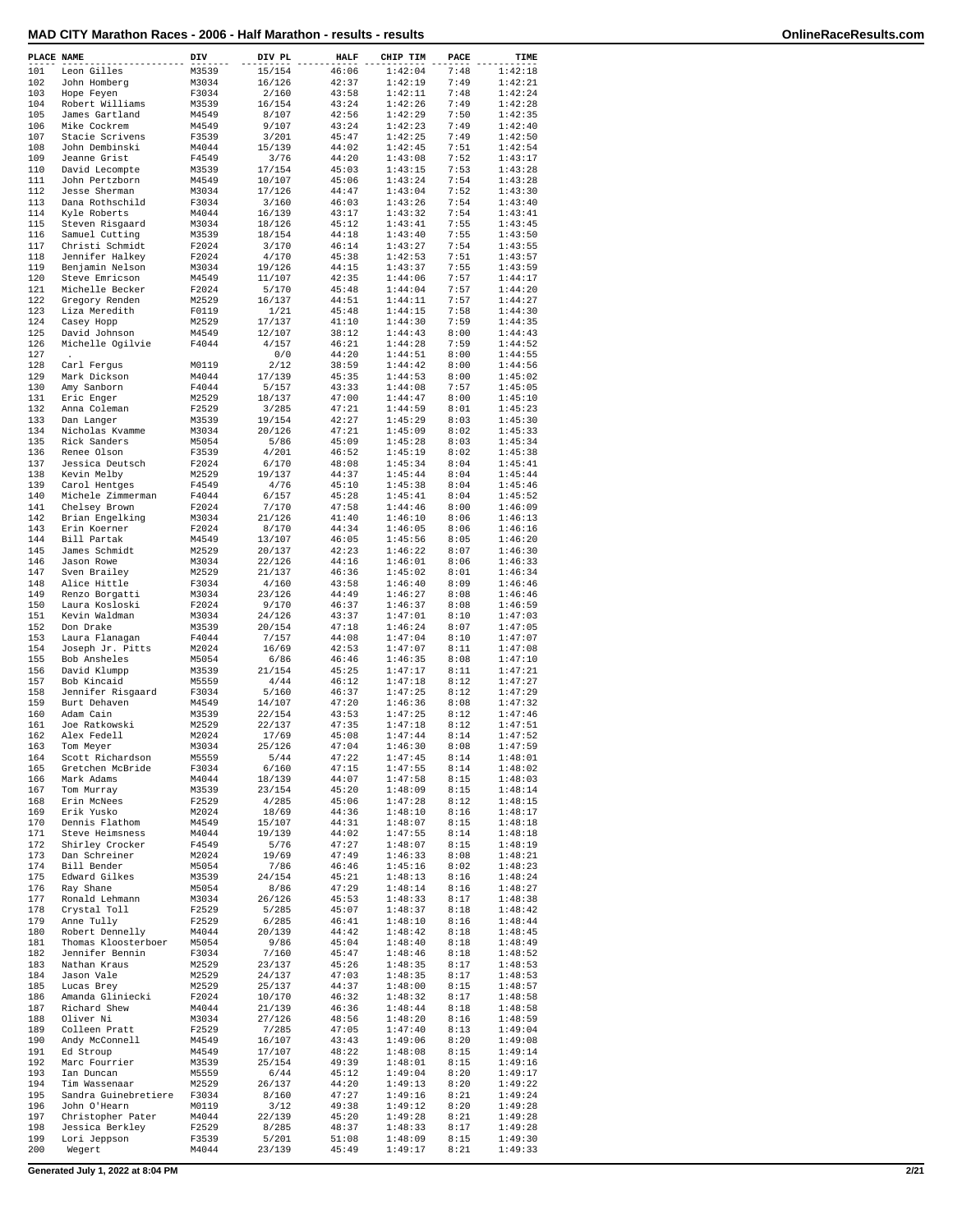| PLACE NAME |                          | DIV   | DIV PL | <b>HALF</b> | CHIP TIM | PACE | TIME    |
|------------|--------------------------|-------|--------|-------------|----------|------|---------|
| 101        | Leon Gilles              | M3539 | 15/154 | 46:06       | 1:42:04  | 7:48 | 1:42:18 |
| 102        | John Homberg             | M3034 | 16/126 | 42:37       | 1:42:19  | 7:49 | 1:42:21 |
| 103        | Hope Feyen               | F3034 | 2/160  | 43:58       | 1:42:11  | 7:48 | 1:42:24 |
| 104        | Robert Williams          | M3539 | 16/154 | 43:24       | 1:42:26  | 7:49 | 1:42:28 |
| 105        | James Gartland           | M4549 | 8/107  | 42:56       | 1:42:29  | 7:50 | 1:42:35 |
|            |                          |       |        |             |          |      |         |
| 106        | Mike Cockrem             | M4549 | 9/107  | 43:24       | 1:42:23  | 7:49 | 1:42:40 |
| 107        | Stacie Scrivens          | F3539 | 3/201  | 45:47       | 1:42:25  | 7:49 | 1:42:50 |
| 108        | John Dembinski           | M4044 | 15/139 | 44:02       | 1:42:45  | 7:51 | 1:42:54 |
| 109        | Jeanne Grist             | F4549 | 3/76   | 44:20       | 1:43:08  | 7:52 | 1:43:17 |
| 110        | David Lecompte           | M3539 | 17/154 | 45:03       | 1:43:15  | 7:53 | 1:43:28 |
| 111        | John Pertzborn           | M4549 | 10/107 | 45:06       | 1:43:24  | 7:54 | 1:43:28 |
| 112        | Jesse Sherman            | M3034 | 17/126 | 44:47       | 1:43:04  | 7:52 | 1:43:30 |
| 113        | Dana Rothschild          | F3034 |        |             | 1:43:26  | 7:54 | 1:43:40 |
|            |                          |       | 3/160  | 46:03       |          |      |         |
| 114        | Kyle Roberts             | M4044 | 16/139 | 43:17       | 1:43:32  | 7:54 | 1:43:41 |
| 115        | Steven Risgaard          | M3034 | 18/126 | 45:12       | 1:43:41  | 7:55 | 1:43:45 |
| 116        | Samuel Cutting           | M3539 | 18/154 | 44:18       | 1:43:40  | 7:55 | 1:43:50 |
| 117        | Christi Schmidt          | F2024 | 3/170  | 46:14       | 1:43:27  | 7:54 | 1:43:55 |
| 118        | Jennifer Halkey          | F2024 | 4/170  | 45:38       | 1:42:53  | 7:51 | 1:43:57 |
| 119        | Benjamin Nelson          | M3034 | 19/126 | 44:15       | 1:43:37  | 7:55 | 1:43:59 |
| 120        | Steve Emricson           | M4549 | 11/107 | 42:35       | 1:44:06  | 7:57 | 1:44:17 |
| 121        | Michelle Becker          | F2024 | 5/170  | 45:48       | 1:44:04  | 7:57 | 1:44:20 |
|            |                          |       |        |             |          |      |         |
| 122        | Gregory Renden           | M2529 | 16/137 | 44:51       | 1:44:11  | 7:57 | 1:44:27 |
| 123        | Liza Meredith            | F0119 | 1/21   | 45:48       | 1:44:15  | 7:58 | 1:44:30 |
| 124        | Casey Hopp               | M2529 | 17/137 | 41:10       | 1:44:30  | 7:59 | 1:44:35 |
| 125        | David Johnson            | M4549 | 12/107 | 38:12       | 1:44:43  | 8:00 | 1:44:43 |
| 126        | Michelle Ogilvie         | F4044 | 4/157  | 46:21       | 1:44:28  | 7:59 | 1:44:52 |
| 127        | $\overline{\phantom{a}}$ |       | 0/0    | 44:20       | 1:44:51  | 8:00 | 1:44:55 |
| 128        | Carl Fergus              | M0119 | 2/12   | 38:59       | 1:44:42  | 8:00 | 1:44:56 |
| 129        | Mark Dickson             | M4044 | 17/139 | 45:35       | 1:44:53  | 8:00 | 1:45:02 |
|            |                          |       |        | 43:33       |          |      |         |
| 130        | Amy Sanborn              | F4044 | 5/157  |             | 1:44:08  | 7:57 | 1:45:05 |
| 131        | Eric Enger               | M2529 | 18/137 | 47:00       | 1:44:47  | 8:00 | 1:45:10 |
| 132        | Anna Coleman             | F2529 | 3/285  | 47:21       | 1:44:59  | 8:01 | 1:45:23 |
| 133        | Dan Langer               | M3539 | 19/154 | 42:27       | 1:45:29  | 8:03 | 1:45:30 |
| 134        | Nicholas Kvamme          | M3034 | 20/126 | 47:21       | 1:45:09  | 8:02 | 1:45:33 |
| 135        | Rick Sanders             | M5054 | 5/86   | 45:09       | 1:45:28  | 8:03 | 1:45:34 |
|            |                          |       |        |             | 1:45:19  |      |         |
| 136        | Renee Olson              | F3539 | 4/201  | 46:52       |          | 8:02 | 1:45:38 |
| 137        | Jessica Deutsch          | F2024 | 6/170  | 48:08       | 1:45:34  | 8:04 | 1:45:41 |
| 138        | Kevin Melby              | M2529 | 19/137 | 44:37       | 1:45:44  | 8:04 | 1:45:44 |
| 139        | Carol Hentges            | F4549 | 4/76   | 45:10       | 1:45:38  | 8:04 | 1:45:46 |
| 140        | Michele Zimmerman        | F4044 | 6/157  | 45:28       | 1:45:41  | 8:04 | 1:45:52 |
| 141        |                          |       |        |             |          |      | 1:46:09 |
|            | Chelsey Brown            | F2024 | 7/170  | 47:58       | 1:44:46  | 8:00 |         |
| 142        | Brian Engelking          | M3034 | 21/126 | 41:40       | 1:46:10  | 8:06 | 1:46:13 |
| 143        | Erin Koerner             | F2024 | 8/170  | 44:34       | 1:46:05  | 8:06 | 1:46:16 |
| 144        | Bill Partak              | M4549 | 13/107 | 46:05       | 1:45:56  | 8:05 | 1:46:20 |
| 145        | James Schmidt            | M2529 | 20/137 | 42:23       | 1:46:22  | 8:07 | 1:46:30 |
| 146        | Jason Rowe               | M3034 | 22/126 | 44:16       | 1:46:01  | 8:06 | 1:46:33 |
| 147        | Sven Brailey             | M2529 | 21/137 | 46:36       | 1:45:02  | 8:01 | 1:46:34 |
| 148        | Alice Hittle             | F3034 | 4/160  | 43:58       | 1:46:40  | 8:09 | 1:46:46 |
|            |                          |       |        |             |          |      |         |
| 149        | Renzo Borgatti           | M3034 | 23/126 | 44:49       | 1:46:27  | 8:08 | 1:46:46 |
| 150        | Laura Kosloski           | F2024 | 9/170  | 46:37       | 1:46:37  | 8:08 | 1:46:59 |
| 151        | Kevin Waldman            | M3034 | 24/126 | 43:37       | 1:47:01  | 8:10 | 1:47:03 |
| 152        | Don Drake                | M3539 | 20/154 | 47:18       | 1:46:24  | 8:07 | 1:47:05 |
| 153        | Laura Flanagan           | F4044 | 7/157  | 44:08       | 1:47:04  | 8:10 | 1:47:07 |
| 154        | Joseph Jr. Pitts         | M2024 | 16/69  | 42:53       | 1:47:07  | 8:11 | 1:47:08 |
| 155        | Bob Ansheles             | M5054 | 6/86   | 46:46       | 1:46:35  | 8:08 | 1:47:10 |
|            |                          |       |        |             |          |      |         |
| 156        | David Klumpp             | M3539 | 21/154 | 45:25       | 1:47:17  | 8:11 | 1:47:21 |
| 157        | Bob Kincaid              | M5559 | 4/44   | 46:12       | 1:47:18  | 8:12 | 1:47:27 |
| 158        | Jennifer Risgaard        | F3034 | 5/160  | 46:37       | 1:47:25  | 8:12 | 1:47:29 |
| 159        | Burt Dehaven             | M4549 | 14/107 | 47:20       | 1:46:36  | 8:08 | 1:47:32 |
| 160        | Adam Cain                | M3539 | 22/154 | 43:53       | 1:47:25  | 8:12 | 1:47:46 |
| 161        | Joe Ratkowski            | M2529 | 22/137 | 47:35       | 1:47:18  | 8:12 | 1:47:51 |
| 162        | Alex Fedell              | M2024 | 17/69  | 45:08       | 1:47:44  | 8:14 | 1:47:52 |
|            |                          |       |        |             |          |      |         |
| 163        | Tom Meyer                | M3034 | 25/126 | 47:04       | 1:46:30  | 8:08 | 1:47:59 |
| 164        | Scott Richardson         | M5559 | 5/44   | 47:22       | 1:47:45  | 8:14 | 1:48:01 |
| 165        | Gretchen McBride         | F3034 | 6/160  | 47:15       | 1:47:55  | 8:14 | 1:48:02 |
| 166        | Mark Adams               | M4044 | 18/139 | 44:07       | 1:47:58  | 8:15 | 1:48:03 |
| 167        | Tom Murray               | M3539 | 23/154 | 45:20       | 1:48:09  | 8:15 | 1:48:14 |
| 168        | Erin McNees              | F2529 | 4/285  | 45:06       | 1:47:28  | 8:12 | 1:48:15 |
| 169        | Erik Yusko               | M2024 | 18/69  | 44:36       | 1:48:10  | 8:16 | 1:48:17 |
| 170        | Dennis Flathom           | M4549 | 15/107 | 44:31       | 1:48:07  | 8:15 | 1:48:18 |
|            |                          | M4044 |        |             |          |      |         |
| 171        | Steve Heimsness          |       | 19/139 | 44:02       | 1:47:55  | 8:14 | 1:48:18 |
| 172        | Shirley Crocker          | F4549 | 5/76   | 47:27       | 1:48:07  | 8:15 | 1:48:19 |
| 173        | Dan Schreiner            | M2024 | 19/69  | 47:49       | 1:46:33  | 8:08 | 1:48:21 |
| 174        | Bill Bender              | M5054 | 7/86   | 46:46       | 1:45:16  | 8:02 | 1:48:23 |
| 175        | Edward Gilkes            | M3539 | 24/154 | 45:21       | 1:48:13  | 8:16 | 1:48:24 |
| 176        | Ray Shane                | M5054 | 8/86   | 47:29       | 1:48:14  | 8:16 | 1:48:27 |
| 177        | Ronald Lehmann           | M3034 | 26/126 | 45:53       | 1:48:33  | 8:17 | 1:48:38 |
|            |                          |       |        |             |          |      |         |
| 178        | Crystal Toll             | F2529 | 5/285  | 45:07       | 1:48:37  | 8:18 | 1:48:42 |
| 179        | Anne Tully               | F2529 | 6/285  | 46:41       | 1:48:10  | 8:16 | 1:48:44 |
| 180        | Robert Dennelly          | M4044 | 20/139 | 44:42       | 1:48:42  | 8:18 | 1:48:45 |
| 181        | Thomas Kloosterboer      | M5054 | 9/86   | 45:04       | 1:48:40  | 8:18 | 1:48:49 |
| 182        | Jennifer Bennin          | F3034 | 7/160  | 45:47       | 1:48:46  | 8:18 | 1:48:52 |
| 183        | Nathan Kraus             | M2529 | 23/137 | 45:26       | 1:48:35  | 8:17 | 1:48:53 |
|            |                          |       |        |             |          |      |         |
| 184        | Jason Vale               | M2529 | 24/137 | 47:03       | 1:48:35  | 8:17 | 1:48:53 |
| 185        | Lucas Brey               | M2529 | 25/137 | 44:37       | 1:48:00  | 8:15 | 1:48:57 |
| 186        | Amanda Gliniecki         | F2024 | 10/170 | 46:32       | 1:48:32  | 8:17 | 1:48:58 |
| 187        | Richard Shew             | M4044 | 21/139 | 46:36       | 1:48:44  | 8:18 | 1:48:58 |
| 188        | Oliver Ni                | M3034 | 27/126 | 48:56       | 1:48:20  | 8:16 | 1:48:59 |
| 189        | Colleen Pratt            | F2529 | 7/285  | 47:05       | 1:47:40  | 8:13 | 1:49:04 |
| 190        | Andy McConnell           | M4549 | 16/107 | 43:43       | 1:49:06  | 8:20 | 1:49:08 |
|            |                          |       |        |             |          |      |         |
| 191        | Ed Stroup                | M4549 | 17/107 | 48:22       | 1:48:08  | 8:15 | 1:49:14 |
| 192        | Marc Fourrier            | M3539 | 25/154 | 49:39       | 1:48:01  | 8:15 | 1:49:16 |
| 193        | Ian Duncan               | M5559 | 6/44   | 45:12       | 1:49:04  | 8:20 | 1:49:17 |
| 194        | Tim Wassenaar            | M2529 | 26/137 | 44:20       | 1:49:13  | 8:20 | 1:49:22 |
| 195        | Sandra Guinebretiere     | F3034 | 8/160  | 47:27       | 1:49:16  | 8:21 | 1:49:24 |
| 196        | John O'Hearn             | M0119 | 3/12   | 49:38       | 1:49:12  | 8:20 | 1:49:28 |
|            |                          |       |        |             |          |      |         |
| 197        | Christopher Pater        | M4044 | 22/139 | 45:20       | 1:49:28  | 8:21 | 1:49:28 |
| 198        | Jessica Berkley          | F2529 | 8/285  | 48:37       | 1:48:33  | 8:17 | 1:49:28 |
| 199        | Lori Jeppson             | F3539 | 5/201  | 51:08       | 1:48:09  | 8:15 | 1:49:30 |
| 200        | Wegert                   | M4044 | 23/139 | 45:49       | 1:49:17  | 8:21 | 1:49:33 |

**Generated July 1, 2022 at 8:04 PM 2/21**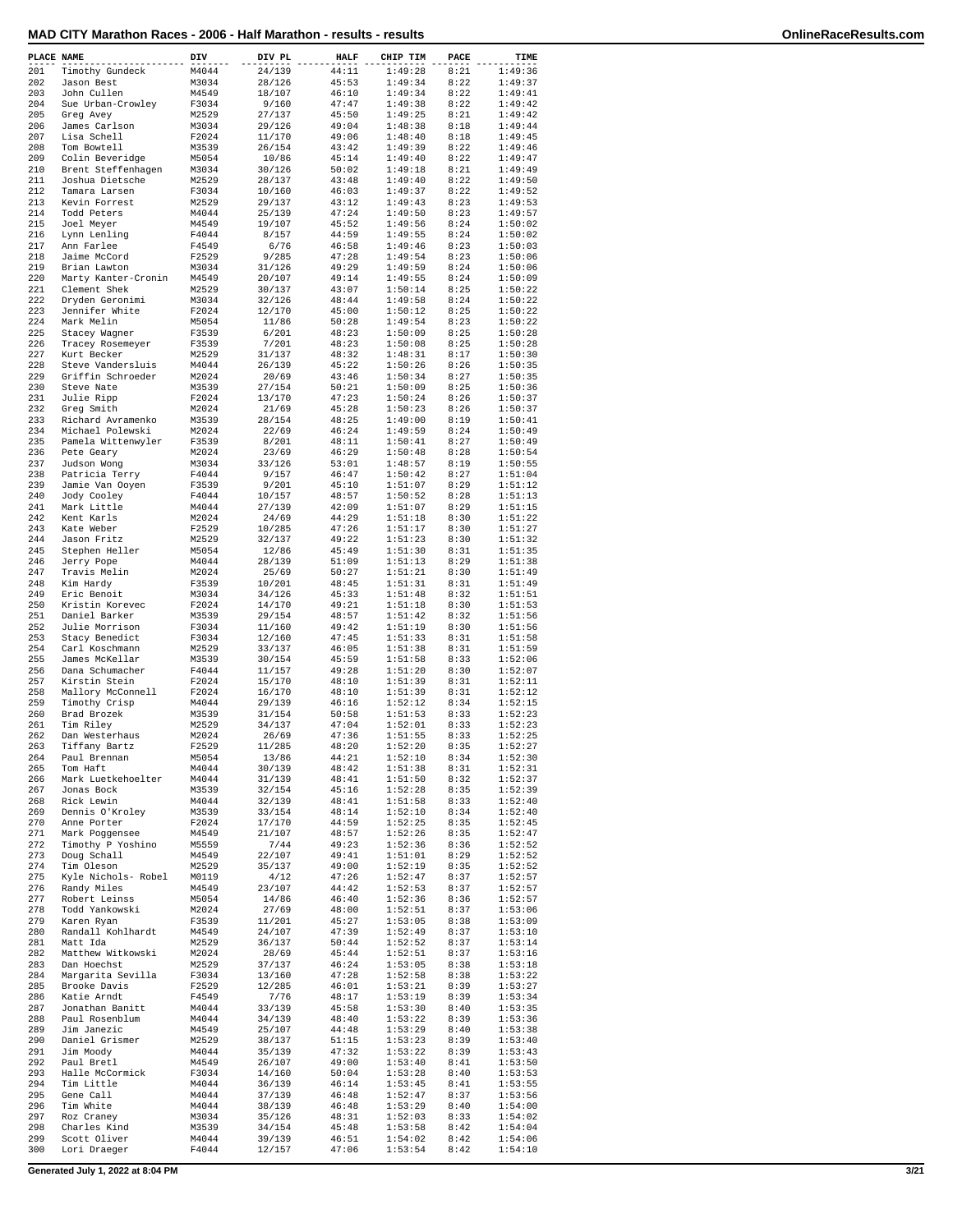| PLACE NAME |                                     | DIV            | DIV PL           | <b>HALF</b>    | CHIP TIM           | PACE         | TIME               |
|------------|-------------------------------------|----------------|------------------|----------------|--------------------|--------------|--------------------|
| 201        | Timothy Gundeck                     | M4044          | 24/139           | 44:11          | 1:49:28            | 8:21         | 1:49:36            |
| 202        | Jason Best                          | M3034          | 28/126           | 45:53          | 1:49:34            | 8:22         | 1:49:37            |
| 203        | John Cullen                         | M4549          | 18/107           | 46:10          | 1:49:34            | 8:22         | 1:49:41            |
| 204        | Sue Urban-Crowley                   | F3034          | 9/160            | 47:47          | 1:49:38            | 8:22         | 1:49:42            |
| 205        | Greg Avey                           | M2529          | 27/137           | 45:50          | 1:49:25            | 8:21         | 1:49:42            |
| 206        | James Carlson                       | M3034          | 29/126           | 49:04          | 1:48:38            | 8:18         | 1:49:44            |
| 207<br>208 | Lisa Schell                         | F2024<br>M3539 | 11/170           | 49:06          | 1:48:40<br>1:49:39 | 8:18         | 1:49:45<br>1:49:46 |
| 209        | Tom Bowtell<br>Colin Beveridge      | M5054          | 26/154<br>10/86  | 43:42<br>45:14 | 1:49:40            | 8:22<br>8:22 | 1:49:47            |
| 210        | Brent Steffenhagen                  | M3034          | 30/126           | 50:02          | 1:49:18            | 8:21         | 1:49:49            |
| 211        | Joshua Dietsche                     | M2529          | 28/137           | 43:48          | 1:49:40            | 8:22         | 1:49:50            |
| 212        | Tamara Larsen                       | F3034          | 10/160           | 46:03          | 1:49:37            | 8:22         | 1:49:52            |
| 213        | Kevin Forrest                       | M2529          | 29/137           | 43:12          | 1:49:43            | 8:23         | 1:49:53            |
| 214        | Todd Peters                         | M4044          | 25/139           | 47:24          | 1:49:50            | 8:23         | 1:49:57            |
| 215        | Joel Meyer                          | M4549          | 19/107           | 45:52          | 1:49:56            | 8:24         | 1:50:02            |
| 216        | Lynn Lenling                        | F4044          | 8/157            | 44:59          | 1:49:55            | 8:24         | 1:50:02            |
| 217        | Ann Farlee                          | F4549          | 6/76             | 46:58          | 1:49:46            | 8:23         | 1:50:03            |
| 218        | Jaime McCord                        | F2529          | 9/285            | 47:28          | 1:49:54            | 8:23         | 1:50:06            |
| 219        | Brian Lawton                        | M3034          | 31/126           | 49:29          | 1:49:59            | 8:24         | 1:50:06            |
| 220<br>221 | Marty Kanter-Cronin<br>Clement Shek | M4549<br>M2529 | 20/107<br>30/137 | 49:14<br>43:07 | 1:49:55<br>1:50:14 | 8:24<br>8:25 | 1:50:09<br>1:50:22 |
| 222        | Dryden Geronimi                     | M3034          | 32/126           | 48:44          | 1:49:58            | 8:24         | 1:50:22            |
| 223        | Jennifer White                      | F2024          | 12/170           | 45:00          | 1:50:12            | 8:25         | 1:50:22            |
| 224        | Mark Melin                          | M5054          | 11/86            | 50:28          | 1:49:54            | 8:23         | 1:50:22            |
| 225        | Stacey Wagner                       | F3539          | 6/201            | 48:23          | 1:50:09            | 8:25         | 1:50:28            |
| 226        | Tracey Rosemeyer                    | F3539          | 7/201            | 48:23          | 1:50:08            | 8:25         | 1:50:28            |
| 227        | Kurt Becker                         | M2529          | 31/137           | 48:32          | 1:48:31            | 8:17         | 1:50:30            |
| 228        | Steve Vandersluis                   | M4044          | 26/139           | 45:22          | 1:50:26            | 8:26         | 1:50:35            |
| 229        | Griffin Schroeder                   | M2024          | 20/69            | 43:46          | 1:50:34            | 8:27         | 1:50:35            |
| 230        | Steve Nate                          | M3539          | 27/154           | 50:21          | 1:50:09            | 8:25         | 1:50:36            |
| 231        | Julie Ripp                          | F2024          | 13/170           | 47:23          | 1:50:24            | 8:26         | 1:50:37            |
| 232<br>233 | Greg Smith<br>Richard Avramenko     | M2024<br>M3539 | 21/69<br>28/154  | 45:28<br>48:25 | 1:50:23            | 8:26<br>8:19 | 1:50:37            |
| 234        | Michael Polewski                    | M2024          | 22/69            | 46:24          | 1:49:00<br>1:49:59 | 8:24         | 1:50:41<br>1:50:49 |
| 235        | Pamela Wittenwyler                  | F3539          | 8/201            | 48:11          | 1:50:41            | 8:27         | 1:50:49            |
| 236        | Pete Geary                          | M2024          | 23/69            | 46:29          | 1:50:48            | 8:28         | 1:50:54            |
| 237        | Judson Wong                         | M3034          | 33/126           | 53:01          | 1:48:57            | 8:19         | 1:50:55            |
| 238        | Patricia Terry                      | F4044          | 9/157            | 46:47          | 1:50:42            | 8:27         | 1:51:04            |
| 239        | Jamie Van Ooyen                     | F3539          | 9/201            | 45:10          | 1:51:07            | 8:29         | 1:51:12            |
| 240        | Jody Cooley                         | F4044          | 10/157           | 48:57          | 1:50:52            | 8:28         | 1:51:13            |
| 241        | Mark Little                         | M4044          | 27/139           | 42:09          | 1:51:07            | 8:29         | 1:51:15            |
| 242<br>243 | Kent Karls<br>Kate Weber            | M2024<br>F2529 | 24/69            | 44:29<br>47:26 | 1:51:18<br>1:51:17 | 8:30<br>8:30 | 1:51:22<br>1:51:27 |
| 244        | Jason Fritz                         | M2529          | 10/285<br>32/137 | 49:22          | 1:51:23            | 8:30         | 1:51:32            |
| 245        | Stephen Heller                      | M5054          | 12/86            | 45:49          | 1:51:30            | 8:31         | 1:51:35            |
| 246        | Jerry Pope                          | M4044          | 28/139           | 51:09          | 1:51:13            | 8:29         | 1:51:38            |
| 247        | Travis Melin                        | M2024          | 25/69            | 50:27          | 1:51:21            | 8:30         | 1:51:49            |
| 248        | Kim Hardy                           | F3539          | 10/201           | 48:45          | 1:51:31            | 8:31         | 1:51:49            |
| 249<br>250 | Eric Benoit<br>Kristin Korevec      | M3034<br>F2024 | 34/126<br>14/170 | 45:33<br>49:21 | 1:51:48<br>1:51:18 | 8:32<br>8:30 | 1:51:51<br>1:51:53 |
| 251        | Daniel Barker                       | M3539          | 29/154           | 48:57          | 1:51:42            | 8:32         | 1:51:56            |
| 252        | Julie Morrison                      | F3034          | 11/160           | 49:42          | 1:51:19            | 8:30         | 1:51:56            |
| 253        | Stacy Benedict                      | F3034          | 12/160           | 47:45          | 1:51:33            | 8:31         | 1:51:58            |
| 254        | Carl Koschmann                      | M2529          | 33/137           | 46:05          | 1:51:38            | 8:31         | 1:51:59            |
| 255        | James McKellar                      | M3539          | 30/154           | 45:59          | 1:51:58            | 8:33         | 1:52:06            |
| 256        | Dana Schumacher                     | F4044          | 11/157           | 49:28          | 1:51:20            | 8:30         | 1:52:07            |
| 257<br>258 | Kirstin Stein<br>Mallory McConnell  | F2024<br>F2024 | 15/170<br>16/170 | 48:10<br>48:10 | 1:51:39<br>1:51:39 | 8:31<br>8:31 | 1:52:11<br>1:52:12 |
| 259        | Timothy Crisp                       | M4044          | 29/139           | 46:16          | 1:52:12            | 8:34         | 1:52:15            |
| 260        | Brad Brozek                         | M3539          | 31/154           | 50:58          | 1:51:53            | 8:33         | 1:52:23            |
| 261        | Tim Riley                           | M2529          | 34/137           | 47:04          | 1:52:01            | 8:33         | 1:52:23            |
| 262        | Dan Westerhaus                      | M2024          | 26/69            | 47:36          | 1:51:55            | 8:33         | 1:52:25            |
| 263        | Tiffany Bartz                       | F2529          | 11/285           | 48:20          | 1:52:20            | 8:35         | 1:52:27            |
| 264        | Paul Brennan                        | M5054          | 13/86            | 44:21          | 1:52:10            | 8:34         | 1:52:30            |
| 265        | Tom Haft                            | M4044          | 30/139           | 48:42          | 1:51:38            | 8:31         | 1:52:31            |
| 266        | Mark Luetkehoelter                  | M4044          | 31/139           | 48:41          | 1:51:50            | 8:32         | 1:52:37            |
| 267        | Jonas Bock                          | M3539          | 32/154           | 45:16          | 1:52:28            | 8:35         | 1:52:39            |
| 268<br>269 | Rick Lewin<br>Dennis O'Kroley       | M4044<br>M3539 | 32/139<br>33/154 | 48:41<br>48:14 | 1:51:58<br>1:52:10 | 8:33<br>8:34 | 1:52:40<br>1:52:40 |
| 270        | Anne Porter                         | F2024          | 17/170           | 44:59          | 1:52:25            | 8:35         | 1:52:45            |
| 271        | Mark Poggensee                      | M4549          | 21/107           | 48:57          | 1:52:26            | 8:35         | 1:52:47            |
| 272        | Timothy P Yoshino                   | M5559          | 7/44             | 49:23          | 1:52:36            | 8:36         | 1:52:52            |
| 273        | Doug Schall                         | M4549          | 22/107           | 49:41          | 1:51:01            | 8:29         | 1:52:52            |
| 274        | Tim Oleson                          | M2529          | 35/137           | 49:00          | 1:52:19            | 8:35         | 1:52:52            |
| 275        | Kyle Nichols- Robel                 | M0119          | 4/12             | 47:26          | 1:52:47            | 8:37         | 1:52:57            |
| 276        | Randy Miles                         | M4549          | 23/107           | 44:42          | 1:52:53            | 8:37         | 1:52:57            |
| 277<br>278 | Robert Leinss<br>Todd Yankowski     | M5054<br>M2024 | 14/86<br>27/69   | 46:40<br>48:00 | 1:52:36            | 8:36<br>8:37 | 1:52:57            |
| 279        | Karen Ryan                          | F3539          | 11/201           | 45:27          | 1:52:51<br>1:53:05 | 8:38         | 1:53:06<br>1:53:09 |
| 280        | Randall Kohlhardt                   | M4549          | 24/107           | 47:39          | 1:52:49            | 8:37         | 1:53:10            |
| 281        | Matt Ida                            | M2529          | 36/137           | 50:44          | 1:52:52            | 8:37         | 1:53:14            |
| 282        | Matthew Witkowski                   | M2024          | 28/69            | 45:44          | 1:52:51            | 8:37         | 1:53:16            |
| 283        | Dan Hoechst                         | M2529          | 37/137           | 46:24          | 1:53:05            | 8:38         | 1:53:18            |
| 284        | Margarita Sevilla                   | F3034          | 13/160           | 47:28          | 1:52:58            | 8:38         | 1:53:22            |
| 285        | Brooke Davis                        | F2529          | 12/285           | 46:01          | 1:53:21            | 8:39         | 1:53:27            |
| 286<br>287 | Katie Arndt<br>Jonathan Banitt      | F4549<br>M4044 | 7/76<br>33/139   | 48:17<br>45:58 | 1:53:19<br>1:53:30 | 8:39<br>8:40 | 1:53:34<br>1:53:35 |
| 288        | Paul Rosenblum                      | M4044          | 34/139           | 48:40          | 1:53:22            | 8:39         | 1:53:36            |
| 289        | Jim Janezic                         | M4549          | 25/107           | 44:48          | 1:53:29            | 8:40         | 1:53:38            |
| 290        | Daniel Grismer                      | M2529          | 38/137           | 51:15          | 1:53:23            | 8:39         | 1:53:40            |
| 291        | Jim Moody                           | M4044          | 35/139           | 47:32          | 1:53:22            | 8:39         | 1:53:43            |
| 292        | Paul Bretl                          | M4549          | 26/107           | 49:00          | 1:53:40            | 8:41         | 1:53:50            |
| 293        | Halle McCormick                     | F3034          | 14/160           | 50:04          | 1:53:28            | 8:40         | 1:53:53            |
| 294<br>295 | Tim Little<br>Gene Call             | M4044<br>M4044 | 36/139<br>37/139 | 46:14<br>46:48 | 1:53:45<br>1:52:47 | 8:41<br>8:37 | 1:53:55<br>1:53:56 |
| 296        | Tim White                           | M4044          | 38/139           | 46:48          | 1:53:29            | 8:40         | 1:54:00            |
| 297        | Roz Craney                          | M3034          | 35/126           | 48:31          | 1:52:03            | 8:33         | 1:54:02            |
| 298        | Charles Kind                        | M3539          | 34/154           | 45:48          | 1:53:58            | 8:42         | 1:54:04            |
| 299        | Scott Oliver                        | M4044          | 39/139           | 46:51          | 1:54:02            | 8:42         | 1:54:06            |
| 300        | Lori Draeger                        | F4044          | 12/157           | 47:06          | 1:53:54            | 8:42         | 1:54:10            |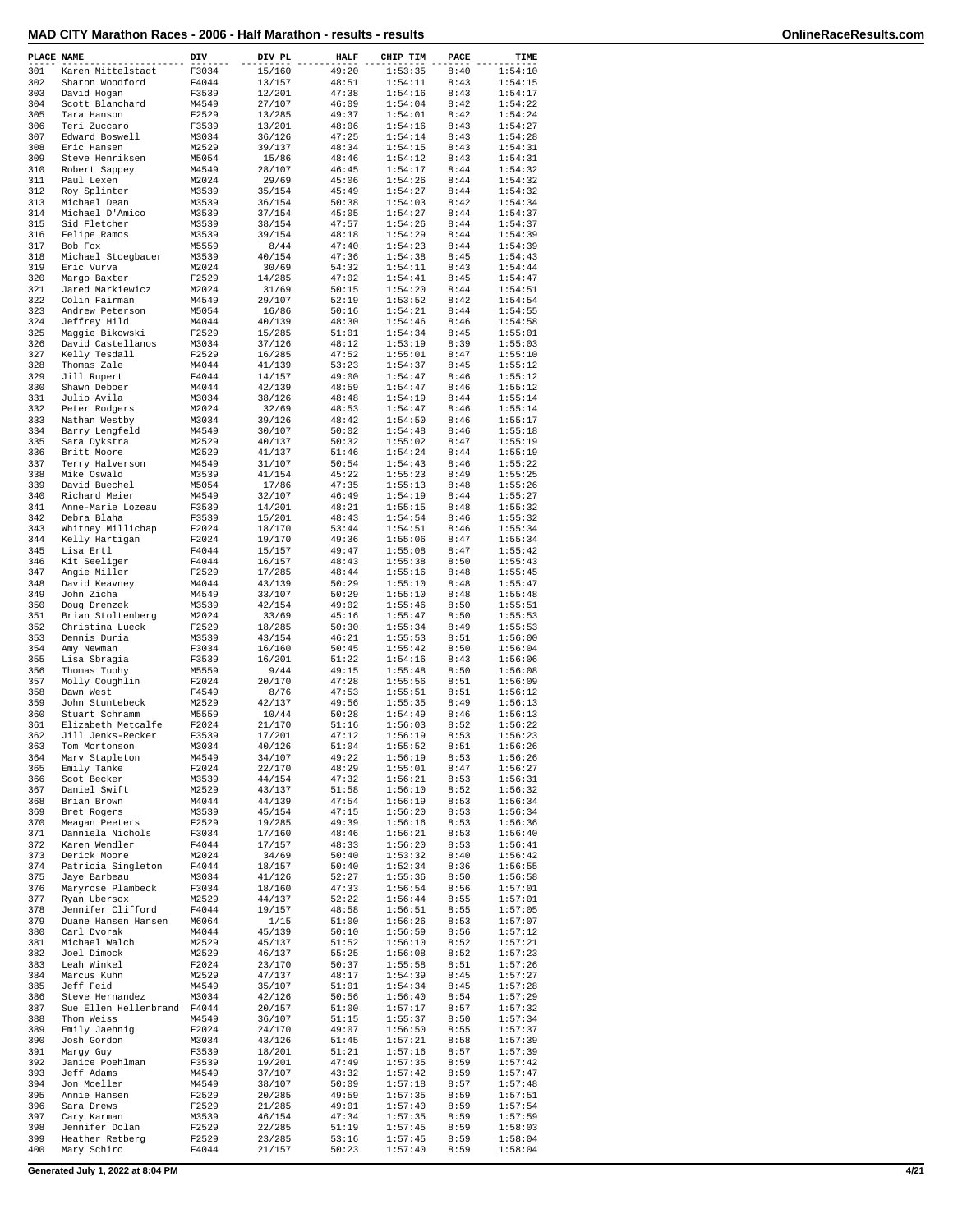| MAD CITY Marathon Races - 2006 - Half Marathon - results - results |  |  |  |  |
|--------------------------------------------------------------------|--|--|--|--|
|--------------------------------------------------------------------|--|--|--|--|

| PLACE NAME |                       | DIV            | DIV PL         | <b>HALF</b>    | CHIP TIM | PACE | TIME    |
|------------|-----------------------|----------------|----------------|----------------|----------|------|---------|
| 301        | Karen Mittelstadt     | F3034          | 15/160         | 49:20          | 1:53:35  | 8:40 | 1:54:10 |
| 302        | Sharon Woodford       | F4044          | 13/157         | 48:51          | 1:54:11  | 8:43 | 1:54:15 |
| 303        | David Hogan           | F3539          | 12/201         | 47:38          | 1:54:16  | 8:43 | 1:54:17 |
| 304        | Scott Blanchard       | M4549          | 27/107         | 46:09          | 1:54:04  | 8:42 | 1:54:22 |
| 305        | Tara Hanson           | F2529          | 13/285         | 49:37          | 1:54:01  | 8:42 | 1:54:24 |
| 306        | Teri Zuccaro          | F3539          | 13/201         | 48:06          | 1:54:16  | 8:43 | 1:54:27 |
| 307        | Edward Boswell        | M3034          | 36/126         | 47:25          | 1:54:14  | 8:43 | 1:54:28 |
| 308        | Eric Hansen           | M2529          | 39/137         | 48:34          | 1:54:15  | 8:43 | 1:54:31 |
| 309        | Steve Henriksen       | M5054          | 15/86          | 48:46          | 1:54:12  | 8:43 | 1:54:31 |
| 310        | Robert Sappey         | M4549          | 28/107         | 46:45          | 1:54:17  | 8:44 | 1:54:32 |
| 311        | Paul Lexen            | M2024          | 29/69          | 45:06          | 1:54:26  | 8:44 | 1:54:32 |
| 312        | Roy Splinter          | M3539          | 35/154         | 45:49          | 1:54:27  | 8:44 | 1:54:32 |
| 313        | Michael Dean          | M3539          | 36/154         | 50:38          | 1:54:03  | 8:42 | 1:54:34 |
| 314        | Michael D'Amico       | M3539          | 37/154         | 45:05          | 1:54:27  | 8:44 | 1:54:37 |
| 315        | Sid Fletcher          | M3539          | 38/154         | 47:57          | 1:54:26  | 8:44 | 1:54:37 |
| 316        | Felipe Ramos          | M3539          |                |                | 1:54:29  | 8:44 | 1:54:39 |
| 317        |                       |                | 39/154         | 48:18          | 1:54:23  | 8:44 | 1:54:39 |
| 318        | Bob Fox               | M5559<br>M3539 | 8/44<br>40/154 | 47:40<br>47:36 | 1:54:38  | 8:45 | 1:54:43 |
|            | Michael Stoegbauer    |                |                |                |          |      |         |
| 319        | Eric Vurva            | M2024          | 30/69          | 54:32          | 1:54:11  | 8:43 | 1:54:44 |
| 320        | Margo Baxter          | F2529          | 14/285         | 47:02          | 1:54:41  | 8:45 | 1:54:47 |
| 321        | Jared Markiewicz      | M2024          | 31/69          | 50:15          | 1:54:20  | 8:44 | 1:54:51 |
| 322        | Colin Fairman         | M4549          | 29/107         | 52:19          | 1:53:52  | 8:42 | 1:54:54 |
| 323        | Andrew Peterson       | M5054          | 16/86          | 50:16          | 1:54:21  | 8:44 | 1:54:55 |
| 324        | Jeffrey Hild          | M4044          | 40/139         | 48:30          | 1:54:46  | 8:46 | 1:54:58 |
| 325        | Maggie Bikowski       | F2529          | 15/285         | 51:01          | 1:54:34  | 8:45 | 1:55:01 |
| 326        | David Castellanos     | M3034          | 37/126         | 48:12          | 1:53:19  | 8:39 | 1:55:03 |
| 327        | Kelly Tesdall         | F2529          | 16/285         | 47:52          | 1:55:01  | 8:47 | 1:55:10 |
| 328        | Thomas Zale           | M4044          | 41/139         | 53:23          | 1:54:37  | 8:45 | 1:55:12 |
| 329        | Jill Rupert           | F4044          | 14/157         | 49:00          | 1:54:47  | 8:46 | 1:55:12 |
| 330        | Shawn Deboer          | M4044          | 42/139         | 48:59          | 1:54:47  | 8:46 | 1:55:12 |
| 331        | Julio Avila           | M3034          | 38/126         | 48:48          | 1:54:19  | 8:44 | 1:55:14 |
| 332        | Peter Rodgers         | M2024          | 32/69          | 48:53          | 1:54:47  | 8:46 | 1:55:14 |
| 333        | Nathan Westby         | M3034          | 39/126         | 48:42          | 1:54:50  | 8:46 | 1:55:17 |
| 334        | Barry Lengfeld        | M4549          | 30/107         | 50:02          | 1:54:48  | 8:46 | 1:55:18 |
| 335        | Sara Dykstra          | M2529          | 40/137         | 50:32          | 1:55:02  | 8:47 | 1:55:19 |
| 336        | Britt Moore           | M2529          | 41/137         | 51:46          | 1:54:24  | 8:44 | 1:55:19 |
| 337        | Terry Halverson       | M4549          | 31/107         | 50:54          | 1:54:43  | 8:46 | 1:55:22 |
| 338        | Mike Oswald           | M3539          | 41/154         | 45:22          | 1:55:23  | 8:49 | 1:55:25 |
| 339        | David Buechel         | M5054          | 17/86          | 47:35          | 1:55:13  | 8:48 | 1:55:26 |
| 340        | Richard Meier         | M4549          | 32/107         | 46:49          | 1:54:19  | 8:44 | 1:55:27 |
| 341        | Anne-Marie Lozeau     | F3539          | 14/201         | 48:21          | 1:55:15  | 8:48 | 1:55:32 |
| 342        | Debra Blaha           | F3539          | 15/201         | 48:43          | 1:54:54  | 8:46 | 1:55:32 |
| 343        | Whitney Millichap     | F2024          | 18/170         | 53:44          | 1:54:51  | 8:46 | 1:55:34 |
| 344        | Kelly Hartigan        | F2024          | 19/170         | 49:36          | 1:55:06  | 8:47 | 1:55:34 |
| 345        | Lisa Ertl             | F4044          | 15/157         | 49:47          | 1:55:08  | 8:47 | 1:55:42 |
| 346        | Kit Seeliger          | F4044          | 16/157         | 48:43          | 1:55:38  | 8:50 | 1:55:43 |
| 347        | Angie Miller          | F2529          | 17/285         | 48:44          | 1:55:16  | 8:48 | 1:55:45 |
| 348        | David Keavney         | M4044          | 43/139         | 50:29          | 1:55:10  | 8:48 | 1:55:47 |
| 349        | John Zicha            | M4549          | 33/107         | 50:29          | 1:55:10  | 8:48 | 1:55:48 |
| 350        | Doug Drenzek          | M3539          | 42/154         | 49:02          | 1:55:46  | 8:50 | 1:55:51 |
| 351        | Brian Stoltenberg     | M2024          | 33/69          | 45:16          | 1:55:47  | 8:50 | 1:55:53 |
| 352        | Christina Lueck       | F2529          | 18/285         | 50:30          | 1:55:34  | 8:49 | 1:55:53 |
| 353        | Dennis Duria          | M3539          | 43/154         | 46:21          | 1:55:53  | 8:51 | 1:56:00 |
| 354        | Amy Newman            | F3034          | 16/160         | 50:45          | 1:55:42  | 8:50 | 1:56:04 |
| 355        | Lisa Sbragia          | F3539          | 16/201         | 51:22          | 1:54:16  | 8:43 | 1:56:06 |
| 356        | Thomas Tuohy          | M5559          | 9/44           | 49:15          | 1:55:48  | 8:50 | 1:56:08 |
| 357        | Molly Coughlin        | F2024          | 20/170         | 47:28          | 1:55:56  | 8:51 | 1:56:09 |
| 358        | Dawn West             | F4549          | 8/76           | 47:53          | 1:55:51  | 8:51 | 1:56:12 |
| 359        | John Stuntebeck       | M2529          | 42/137         | 49:56          | 1:55:35  | 8:49 | 1:56:13 |
| 360        | Stuart Schramm        | M5559          | 10/44          | 50:28          | 1:54:49  | 8:46 | 1:56:13 |
| 361        | Elizabeth Metcalfe    | F2024          | 21/170         | 51:16          | 1:56:03  | 8:52 | 1:56:22 |
| 362        | Jill Jenks-Recker     | F3539          | 17/201         | 47:12          | 1:56:19  | 8:53 | 1:56:23 |
| 363        | Tom Mortonson         | M3034          | 40/126         | 51:04          | 1:55:52  | 8:51 | 1:56:26 |
| 364        | Marv Stapleton        | M4549          | 34/107         | 49:22          | 1:56:19  | 8:53 | 1:56:26 |
| 365        | Emily Tanke           | F2024          | 22/170         | 48:29          | 1:55:01  | 8:47 | 1:56:27 |
| 366        | Scot Becker           | M3539          | 44/154         | 47:32          | 1:56:21  | 8:53 | 1:56:31 |
| 367        | Daniel Swift          | M2529          | 43/137         | 51:58          | 1:56:10  | 8:52 | 1:56:32 |
| 368        | Brian Brown           | M4044          | 44/139         | 47:54          | 1:56:19  | 8:53 | 1:56:34 |
| 369        | Bret Rogers           | M3539          | 45/154         | 47:15          | 1:56:20  | 8:53 | 1:56:34 |
| 370        | Meagan Peeters        | F2529          | 19/285         | 49:39          | 1:56:16  | 8:53 | 1:56:36 |
| 371        | Danniela Nichols      | F3034          | 17/160         | 48:46          | 1:56:21  | 8:53 | 1:56:40 |
| 372        | Karen Wendler         | F4044          | 17/157         | 48:33          | 1:56:20  | 8:53 | 1:56:41 |
| 373        | Derick Moore          | M2024          | 34/69          | 50:40          | 1:53:32  | 8:40 | 1:56:42 |
| 374        | Patricia Singleton    | F4044          | 18/157         | 50:40          | 1:52:34  | 8:36 | 1:56:55 |
| 375        | Jaye Barbeau          | M3034          | 41/126         | 52:27          | 1:55:36  | 8:50 | 1:56:58 |
| 376        | Maryrose Plambeck     | F3034          | 18/160         | 47:33          | 1:56:54  | 8:56 | 1:57:01 |
| 377        | Ryan Ubersox          | M2529          | 44/137         | 52:22          | 1:56:44  | 8:55 | 1:57:01 |
| 378        | Jennifer Clifford     | F4044          | 19/157         | 48:58          | 1:56:51  | 8:55 | 1:57:05 |
| 379        | Duane Hansen Hansen   | M6064          | 1/15           | 51:00          | 1:56:26  | 8:53 | 1:57:07 |
| 380        | Carl Dvorak           | M4044          | 45/139         | 50:10          | 1:56:59  | 8:56 | 1:57:12 |
| 381        | Michael Walch         | M2529          | 45/137         | 51:52          | 1:56:10  | 8:52 | 1:57:21 |
| 382        | Joel Dimock           | M2529          | 46/137         | 55:25          | 1:56:08  | 8:52 | 1:57:23 |
| 383        | Leah Winkel           | F2024          | 23/170         | 50:37          | 1:55:58  | 8:51 | 1:57:26 |
| 384        | Marcus Kuhn           | M2529          | 47/137         | 48:17          | 1:54:39  | 8:45 | 1:57:27 |
| 385        | Jeff Feid             | M4549          | 35/107         | 51:01          | 1:54:34  | 8:45 | 1:57:28 |
| 386        | Steve Hernandez       | M3034          | 42/126         | 50:56          | 1:56:40  | 8:54 | 1:57:29 |
| 387        | Sue Ellen Hellenbrand | F4044          | 20/157         | 51:00          | 1:57:17  | 8:57 | 1:57:32 |
| 388        | Thom Weiss            | M4549          | 36/107         | 51:15          | 1:55:37  | 8:50 | 1:57:34 |
| 389        | Emily Jaehnig         | F2024          | 24/170         | 49:07          | 1:56:50  | 8:55 | 1:57:37 |
| 390        | Josh Gordon           | M3034          | 43/126         | 51:45          | 1:57:21  | 8:58 | 1:57:39 |
| 391        | Margy Guy             | F3539          | 18/201         | 51:21          | 1:57:16  | 8:57 | 1:57:39 |
| 392        | Janice Poehlman       | F3539          | 19/201         | 47:49          | 1:57:35  | 8:59 | 1:57:42 |
| 393        | Jeff Adams            | M4549          | 37/107         | 43:32          | 1:57:42  | 8:59 | 1:57:47 |
| 394        | Jon Moeller           | M4549          | 38/107         | 50:09          | 1:57:18  | 8:57 | 1:57:48 |
| 395        | Annie Hansen          | F2529          | 20/285         | 49:59          | 1:57:35  | 8:59 | 1:57:51 |
| 396        | Sara Drews            | F2529          | 21/285         | 49:01          | 1:57:40  | 8:59 | 1:57:54 |
| 397        | Cary Karman           | M3539          | 46/154         | 47:34          | 1:57:35  | 8:59 | 1:57:59 |
| 398        | Jennifer Dolan        | F2529          | 22/285         | 51:19          | 1:57:45  | 8:59 | 1:58:03 |
| 399        | Heather Retberg       | F2529          | 23/285         | 53:16          | 1:57:45  | 8:59 | 1:58:04 |
| 400        | Mary Schiro           | F4044          | 21/157         | 50:23          | 1:57:40  | 8:59 | 1:58:04 |
|            |                       |                |                |                |          |      |         |

**Generated July 1, 2022 at 8:04 PM 4/21**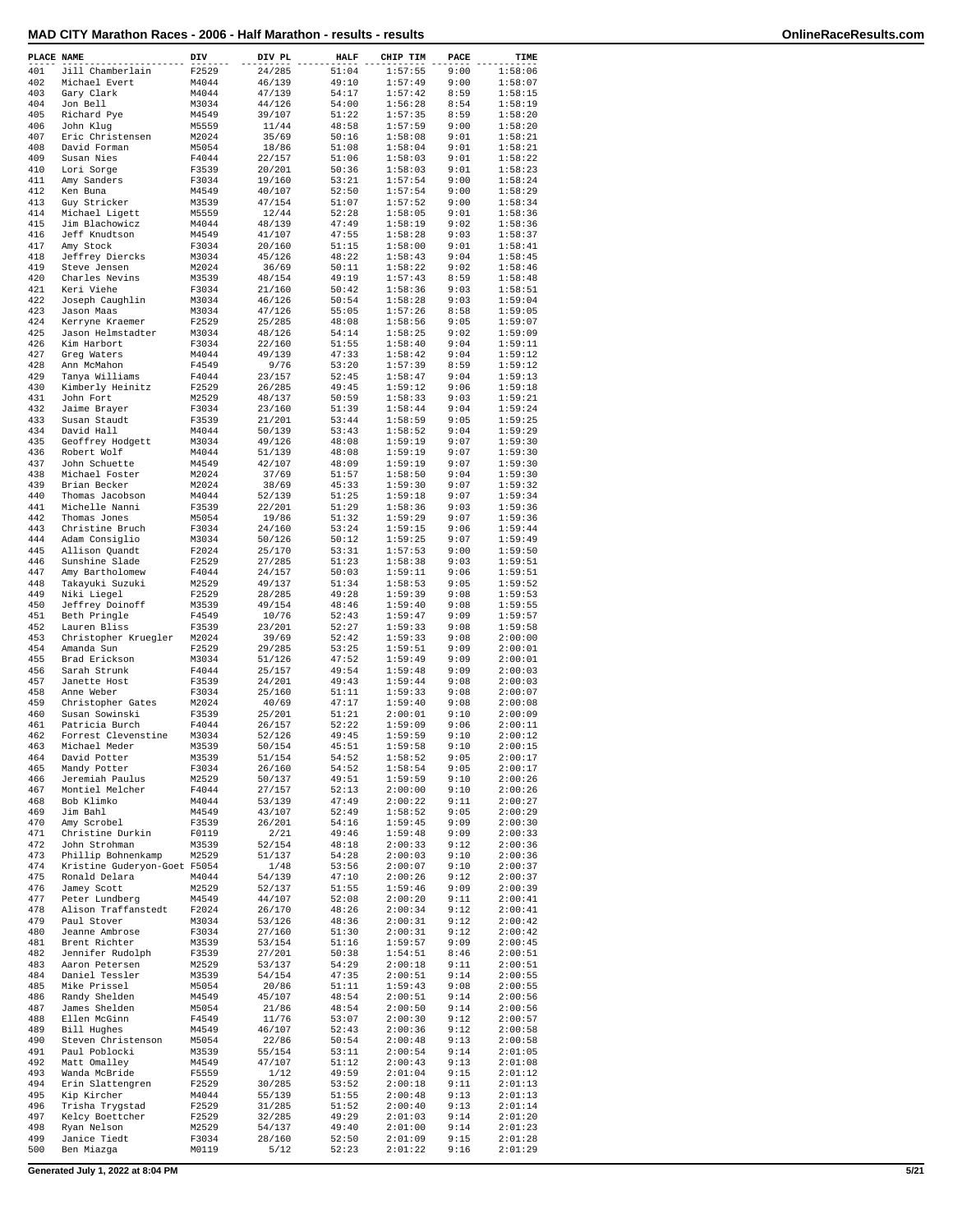|  | MAD CITY Marathon Races - 2006 - Half Marathon - results - results |  |  |  |  |
|--|--------------------------------------------------------------------|--|--|--|--|
|--|--------------------------------------------------------------------|--|--|--|--|

| PLACE NAME |                                     | DIV            | DIV PL           | <b>HALF</b>    | CHIP TIM           | PACE         | TIME               |
|------------|-------------------------------------|----------------|------------------|----------------|--------------------|--------------|--------------------|
| 401        | Jill Chamberlain                    | F2529          | 24/285           | 51:04          | 1:57:55            | 9:00         | 1:58:06            |
| 402        | Michael Evert                       | M4044          | 46/139           | 49:10          | 1:57:49            | 9:00         | 1:58:07            |
| 403        | Gary Clark                          | M4044          | 47/139           | 54:17          | 1:57:42            | 8:59         | 1:58:15            |
| 404        | Jon Bell                            | M3034          | 44/126           | 54:00          | 1:56:28            | 8:54         | 1:58:19            |
| 405<br>406 | Richard Pye                         | M4549          | 39/107           | 51:22          | 1:57:35            | 8:59         | 1:58:20            |
| 407        | John Klug<br>Eric Christensen       | M5559<br>M2024 | 11/44<br>35/69   | 48:58<br>50:16 | 1:57:59<br>1:58:08 | 9:00<br>9:01 | 1:58:20<br>1:58:21 |
| 408        | David Forman                        | M5054          | 18/86            | 51:08          | 1:58:04            | 9:01         | 1:58:21            |
| 409        | Susan Nies                          | F4044          | 22/157           | 51:06          | 1:58:03            | 9:01         | 1:58:22            |
| 410        | Lori Sorge                          | F3539          | 20/201           | 50:36          | 1:58:03            | 9:01         | 1:58:23            |
| 411        | Amy Sanders                         | F3034          | 19/160           | 53:21          | 1:57:54            | 9:00         | 1:58:24            |
| 412        | Ken Buna                            | M4549          | 40/107           | 52:50          | 1:57:54            | 9:00         | 1:58:29            |
| 413        | Guy Stricker                        | M3539          | 47/154           | 51:07          | 1:57:52            | 9:00         | 1:58:34            |
| 414        | Michael Ligett                      | M5559          | 12/44            | 52:28          | 1:58:05            | 9:01         | 1:58:36            |
| 415        | Jim Blachowicz                      | M4044          | 48/139           | 47:49          | 1:58:19            | 9:02         | 1:58:36            |
| 416        | Jeff Knudtson                       | M4549          | 41/107           | 47:55          | 1:58:28            | 9:03         | 1:58:37            |
| 417        | Amy Stock                           | F3034          | 20/160           | 51:15          | 1:58:00            | 9:01         | 1:58:41            |
| 418<br>419 | Jeffrey Diercks<br>Steve Jensen     | M3034<br>M2024 | 45/126<br>36/69  | 48:22<br>50:11 | 1:58:43<br>1:58:22 | 9:04<br>9:02 | 1:58:45<br>1:58:46 |
| 420        | Charles Nevins                      | M3539          | 48/154           | 49:19          | 1:57:43            | 8:59         | 1:58:48            |
| 421        | Keri Viehe                          | F3034          | 21/160           | 50:42          | 1:58:36            | 9:03         | 1:58:51            |
| 422        | Joseph Caughlin                     | M3034          | 46/126           | 50:54          | 1:58:28            | 9:03         | 1:59:04            |
| 423        | Jason Maas                          | M3034          | 47/126           | 55:05          | 1:57:26            | 8:58         | 1:59:05            |
| 424        | Kerryne Kraemer                     | F2529          | 25/285           | 48:08          | 1:58:56            | 9:05         | 1:59:07            |
| 425        | Jason Helmstadter                   | M3034          | 48/126           | 54:14          | 1:58:25            | 9:02         | 1:59:09            |
| 426        | Kim Harbort                         | F3034          | 22/160           | 51:55          | 1:58:40            | 9:04         | 1:59:11            |
| 427        | Greg Waters                         | M4044          | 49/139           | 47:33          | 1:58:42            | 9:04         | 1:59:12            |
| 428        | Ann McMahon                         | F4549          | 9/76             | 53:20          | 1:57:39            | 8:59         | 1:59:12            |
| 429        | Tanya Williams                      | F4044          | 23/157           | 52:45          | 1:58:47            | 9:04         | 1:59:13            |
| 430        | Kimberly Heinitz                    | F2529          | 26/285           | 49:45<br>50:59 | 1:59:12            | 9:06         | 1:59:18            |
| 431<br>432 | John Fort<br>Jaime Brayer           | M2529<br>F3034 | 48/137<br>23/160 | 51:39          | 1:58:33<br>1:58:44 | 9:03<br>9:04 | 1:59:21<br>1:59:24 |
| 433        | Susan Staudt                        | F3539          | 21/201           | 53:44          | 1:58:59            | 9:05         | 1:59:25            |
| 434        | David Hall                          | M4044          | 50/139           | 53:43          | 1:58:52            | 9:04         | 1:59:29            |
| 435        | Geoffrey Hodgett                    | M3034          | 49/126           | 48:08          | 1:59:19            | 9:07         | 1:59:30            |
| 436        | Robert Wolf                         | M4044          | 51/139           | 48:08          | 1:59:19            | 9:07         | 1:59:30            |
| 437        | John Schuette                       | M4549          | 42/107           | 48:09          | 1:59:19            | 9:07         | 1:59:30            |
| 438        | Michael Foster                      | M2024          | 37/69            | 51:57          | 1:58:50            | 9:04         | 1:59:30            |
| 439        | Brian Becker                        | M2024          | 38/69            | 45:33          | 1:59:30            | 9:07         | 1:59:32            |
| 440        | Thomas Jacobson                     | M4044          | 52/139           | 51:25          | 1:59:18            | 9:07         | 1:59:34            |
| 441        | Michelle Nanni                      | F3539          | 22/201           | 51:29          | 1:58:36            | 9:03         | 1:59:36            |
| 442<br>443 | Thomas Jones<br>Christine Bruch     | M5054<br>F3034 | 19/86<br>24/160  | 51:32<br>53:24 | 1:59:29<br>1:59:15 | 9:07<br>9:06 | 1:59:36<br>1:59:44 |
| 444        | Adam Consiglio                      | M3034          | 50/126           | 50:12          | 1:59:25            | 9:07         | 1:59:49            |
| 445        | Allison Quandt                      | F2024          | 25/170           | 53:31          | 1:57:53            | 9:00         | 1:59:50            |
| 446        | Sunshine Slade                      | F2529          | 27/285           | 51:23          | 1:58:38            | 9:03         | 1:59:51            |
| 447        | Amy Bartholomew                     | F4044          | 24/157           | 50:03          | 1:59:11            | 9:06         | 1:59:51            |
| 448        | Takayuki Suzuki                     | M2529          | 49/137           | 51:34          | 1:58:53            | 9:05         | 1:59:52            |
| 449        | Niki Liegel                         | F2529          | 28/285           | 49:28          | 1:59:39            | 9:08         | 1:59:53            |
| 450        | Jeffrey Doinoff                     | M3539          | 49/154           | 48:46          | 1:59:40            | 9:08         | 1:59:55            |
| 451        | Beth Pringle                        | F4549          | 10/76            | 52:43          | 1:59:47            | 9:09         | 1:59:57            |
| 452        | Lauren Bliss                        | F3539          | 23/201           | 52:27          | 1:59:33            | 9:08         | 1:59:58            |
| 453<br>454 | Christopher Kruegler<br>Amanda Sun  | M2024<br>F2529 | 39/69<br>29/285  | 52:42<br>53:25 | 1:59:33<br>1:59:51 | 9:08<br>9:09 | 2:00:00<br>2:00:01 |
| 455        | Brad Erickson                       | M3034          | 51/126           | 47:52          | 1:59:49            | 9:09         | 2:00:01            |
| 456        | Sarah Strunk                        | F4044          | 25/157           | 49:54          | 1:59:48            | 9:09         | 2:00:03            |
| 457        | Janette Host                        | F3539          | 24/201           | 49:43          | 1:59:44            | 9:08         | 2:00:03            |
| 458        | Anne Weber                          | F3034          | 25/160           | 51:11          | 1:59:33            | 9:08         | 2:00:07            |
| 459        | Christopher Gates                   | M2024          | 40/69            | 47:17          | 1:59:40            | 9:08         | 2:00:08            |
| 460        | Susan Sowinski                      | F3539          | 25/201           | 51:21          | 2:00:01            | 9:10         | 2:00:09            |
| 461        | Patricia Burch                      | F4044          | 26/157           | 52:22          | 1:59:09            | 9:06         | 2:00:11            |
| 462        | Forrest Clevenstine                 | M3034          | 52/126           | 49:45          | 1:59:59            | 9:10         | 2:00:12            |
| 463        | Michael Meder                       | M3539          | 50/154           | 45:51          | 1:59:58            | 9:10         | 2:00:15            |
| 464        | David Potter                        | M3539          | 51/154           | 54:52          | 1:58:52            | 9:05         | 2:00:17            |
| 465<br>466 | Mandy Potter<br>Jeremiah Paulus     | F3034<br>M2529 | 26/160<br>50/137 | 54:52<br>49:51 | 1:58:54<br>1:59:59 | 9:05<br>9:10 | 2:00:17<br>2:00:26 |
| 467        | Montiel Melcher                     | F4044          | 27/157           | 52:13          | 2:00:00            | 9:10         | 2:00:26            |
| 468        | Bob Klimko                          | M4044          | 53/139           | 47:49          | 2:00:22            | 9:11         | 2:00:27            |
| 469        | Jim Bahl                            | M4549          | 43/107           | 52:49          | 1:58:52            | 9:05         | 2:00:29            |
| 470        | Amy Scrobel                         | F3539          | 26/201           | 54:16          | 1:59:45            | 9:09         | 2:00:30            |
| 471        | Christine Durkin                    | F0119          | 2/21             | 49:46          | 1:59:48            | 9:09         | 2:00:33            |
| 472        | John Strohman                       | M3539          | 52/154           | 48:18          | 2:00:33            | 9:12         | 2:00:36            |
| 473        | Phillip Bohnenkamp                  | M2529          | 51/137           | 54:28          | 2:00:03            | 9:10         | 2:00:36            |
| 474        | Kristine Guderyon-Goet F5054        |                | 1/48             | 53:56          | 2:00:07            | 9:10         | 2:00:37            |
| 475        | Ronald Delara                       | M4044          | 54/139           | 47:10          | 2:00:26            | 9:12         | 2:00:37            |
| 476<br>477 | Jamey Scott<br>Peter Lundberg       | M2529          | 52/137           | 51:55<br>52:08 | 1:59:46<br>2:00:20 | 9:09<br>9:11 | 2:00:39            |
| 478        | Alison Traffanstedt                 | M4549<br>F2024 | 44/107<br>26/170 | 48:26          | 2:00:34            | 9:12         | 2:00:41<br>2:00:41 |
| 479        | Paul Stover                         | M3034          | 53/126           | 48:36          | 2:00:31            | 9:12         | 2:00:42            |
| 480        | Jeanne Ambrose                      | F3034          | 27/160           | 51:30          | 2:00:31            | 9:12         | 2:00:42            |
| 481        | Brent Richter                       | M3539          | 53/154           | 51:16          | 1:59:57            | 9:09         | 2:00:45            |
| 482        | Jennifer Rudolph                    | F3539          | 27/201           | 50:38          | 1:54:51            | 8:46         | 2:00:51            |
| 483        | Aaron Petersen                      | M2529          | 53/137           | 54:29          | 2:00:18            | 9:11         | 2:00:51            |
| 484        | Daniel Tessler                      | M3539          | 54/154           | 47:35          | 2:00:51            | 9:14         | 2:00:55            |
| 485        | Mike Prissel                        | M5054          | 20/86            | 51:11          | 1:59:43            | 9:08         | 2:00:55            |
| 486        | Randy Shelden                       | M4549          | 45/107           | 48:54          | 2:00:51            | 9:14         | 2:00:56            |
| 487        | James Shelden                       | M5054          | 21/86            | 48:54          | 2:00:50            | 9:14         | 2:00:56            |
| 488        | Ellen McGinn                        | F4549          | 11/76            | 53:07          | 2:00:30            | 9:12         | 2:00:57            |
| 489<br>490 | Bill Hughes                         | M4549          | 46/107           | 52:43          | 2:00:36            | 9:12         | 2:00:58            |
| 491        | Steven Christenson<br>Paul Poblocki | M5054<br>M3539 | 22/86<br>55/154  | 50:54<br>53:11 | 2:00:48<br>2:00:54 | 9:13<br>9:14 | 2:00:58<br>2:01:05 |
| 492        | Matt Omalley                        | M4549          | 47/107           | 51:12          | 2:00:43            | 9:13         | 2:01:08            |
| 493        | Wanda McBride                       | F5559          | 1/12             | 49:59          | 2:01:04            | 9:15         | 2:01:12            |
| 494        | Erin Slattengren                    | F2529          | 30/285           | 53:52          | 2:00:18            | 9:11         | 2:01:13            |
| 495        | Kip Kircher                         | M4044          | 55/139           | 51:55          | 2:00:48            | 9:13         | 2:01:13            |
| 496        | Trisha Trygstad                     | F2529          | 31/285           | 51:52          | 2:00:40            | 9:13         | 2:01:14            |
| 497        | Kelcy Boettcher                     | F2529          | 32/285           | 49:29          | 2:01:03            | 9:14         | 2:01:20            |
| 498        | Ryan Nelson                         | M2529          | 54/137           | 49:40          | 2:01:00            | 9:14         | 2:01:23            |
| 499        | Janice Tiedt                        | F3034          | 28/160           | 52:50          | 2:01:09            | 9:15         | 2:01:28            |
| 500        | Ben Miazga                          | M0119          | 5/12             | 52:23          | 2:01:22            | 9:16         | 2:01:29            |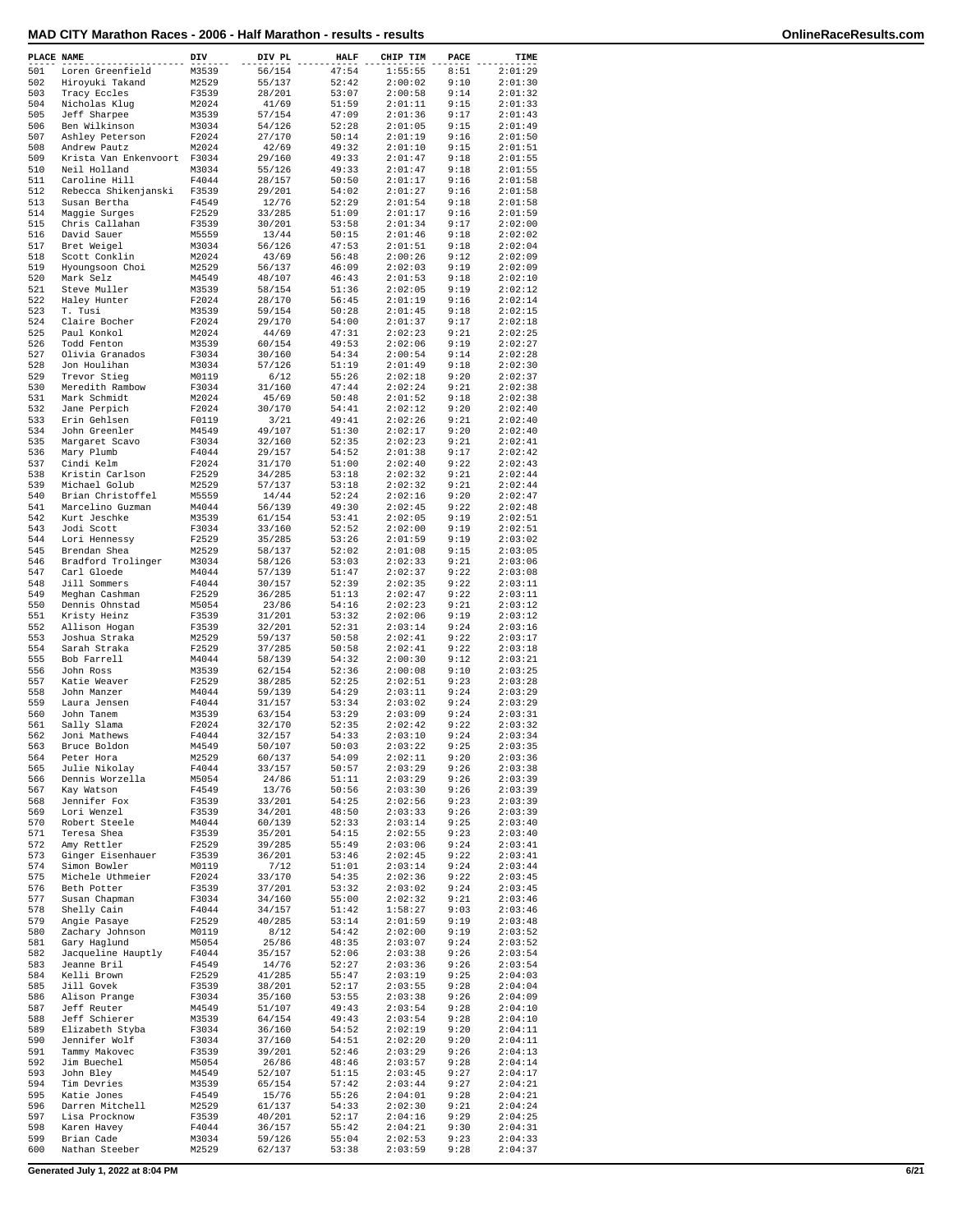| 501<br>47:54<br>1:55:55<br>8:51<br>2:01:29<br>Loren Greenfield<br>M3539<br>56/154<br>502<br>Hiroyuki Takand<br>M2529<br>55/137<br>52:42<br>2:00:02<br>9:10<br>2:01:30<br>503<br>Tracy Eccles<br>F3539<br>28/201<br>53:07<br>2:00:58<br>9:14<br>2:01:32<br>504<br>Nicholas Klug<br>M2024<br>41/69<br>51:59<br>2:01:11<br>9:15<br>2:01:33<br>505<br>Jeff Sharpee<br>M3539<br>57/154<br>47:09<br>2:01:36<br>9:17<br>2:01:43<br>506<br>Ben Wilkinson<br>M3034<br>54/126<br>2:01:05<br>9:15<br>2:01:49<br>52:28<br>507<br>Ashley Peterson<br>F2024<br>27/170<br>50:14<br>2:01:19<br>9:16<br>2:01:50<br>508<br>Andrew Pautz<br>M2024<br>42/69<br>49:32<br>2:01:10<br>9:15<br>2:01:51<br>509<br>Krista Van Enkenvoort<br>F3034<br>29/160<br>49:33<br>2:01:47<br>9:18<br>2:01:55<br>510<br>Neil Holland<br>M3034<br>55/126<br>49:33<br>2:01:47<br>9:18<br>2:01:55<br>511<br>Caroline Hill<br>F4044<br>28/157<br>50:50<br>2:01:17<br>9:16<br>2:01:58<br>512<br>Rebecca Shikenjanski<br>F3539<br>54:02<br>2:01:27<br>9:16<br>2:01:58<br>29/201<br>513<br>Susan Bertha<br>F4549<br>12/76<br>52:29<br>2:01:54<br>9:18<br>2:01:58<br>514<br>F2529<br>33/285<br>51:09<br>2:01:17<br>9:16<br>2:01:59<br>Maggie Surges<br>515<br>Chris Callahan<br>F3539<br>30/201<br>53:58<br>2:01:34<br>9:17<br>2:02:00<br>516<br>David Sauer<br>M5559<br>13/44<br>50:15<br>2:01:46<br>9:18<br>2:02:02<br>517<br>Bret Weigel<br>M3034<br>56/126<br>47:53<br>2:01:51<br>9:18<br>2:02:04<br>518<br>M2024<br>56:48<br>2:00:26<br>9:12<br>2:02:09<br>Scott Conklin<br>43/69<br>519<br>Hyoungsoon Choi<br>M2529<br>56/137<br>46:09<br>2:02:03<br>9:19<br>2:02:09<br>520<br>Mark Selz<br>M4549<br>48/107<br>46:43<br>2:01:53<br>9:18<br>2:02:10<br>521<br>M3539<br>58/154<br>2:02:05<br>9:19<br>2:02:12<br>Steve Muller<br>51:36<br>522<br>Haley Hunter<br>F2024<br>28/170<br>56:45<br>2:01:19<br>9:16<br>2:02:14<br>523<br>T. Tusi<br>M3539<br>59/154<br>50:28<br>2:01:45<br>9:18<br>2:02:15<br>524<br>Claire Bocher<br>F2024<br>54:00<br>2:01:37<br>9:17<br>2:02:18<br>29/170<br>525<br>Paul Konkol<br>M2024<br>44/69<br>47:31<br>2:02:23<br>9:21<br>2:02:25<br>526<br>Todd Fenton<br>M3539<br>60/154<br>49:53<br>2:02:06<br>9:19<br>2:02:27<br>527<br>Olivia Granados<br>54:34<br>2:00:54<br>9:14<br>2:02:28<br>F3034<br>30/160<br>528<br>Jon Houlihan<br>M3034<br>57/126<br>51:19<br>2:01:49<br>9:18<br>2:02:30<br>529<br>Trevor Stieg<br>M0119<br>6/12<br>55:26<br>2:02:18<br>9:20<br>2:02:37<br>530<br>Meredith Rambow<br>47:44<br>2:02:24<br>9:21<br>2:02:38<br>F3034<br>31/160<br>531<br>Mark Schmidt<br>M2024<br>45/69<br>50:48<br>2:01:52<br>9:18<br>2:02:38<br>532<br>Jane Perpich<br>F2024<br>30/170<br>54:41<br>2:02:12<br>9:20<br>2:02:40<br>533<br>Erin Gehlsen<br>F0119<br>49:41<br>2:02:26<br>9:21<br>2:02:40<br>3/21<br>534<br>John Greenler<br>M4549<br>49/107<br>51:30<br>2:02:17<br>9:20<br>2:02:40<br>535<br>Margaret Scavo<br>F3034<br>32/160<br>52:35<br>2:02:23<br>9:21<br>2:02:41<br>536<br>F4044<br>29/157<br>54:52<br>2:01:38<br>9:17<br>2:02:42<br>Mary Plumb<br>537<br>Cindi Kelm<br>F2024<br>31/170<br>51:00<br>2:02:40<br>9:22<br>2:02:43<br>538<br>Kristin Carlson<br>F2529<br>34/285<br>53:18<br>2:02:32<br>9:21<br>2:02:44<br>539<br>Michael Golub<br>M2529<br>57/137<br>53:18<br>2:02:32<br>9:21<br>2:02:44<br>540<br>Brian Christoffel<br>M5559<br>14/44<br>52:24<br>2:02:16<br>9:20<br>2:02:47<br>541<br>Marcelino Guzman<br>M4044<br>56/139<br>49:30<br>2:02:45<br>9:22<br>2:02:48<br>542<br>Kurt Jeschke<br>M3539<br>53:41<br>2:02:05<br>9:19<br>2:02:51<br>61/154<br>543<br>Jodi Scott<br>F3034<br>33/160<br>52:52<br>2:02:00<br>9:19<br>2:02:51<br>544<br>Lori Hennessy<br>F2529<br>35/285<br>53:26<br>2:01:59<br>9:19<br>2:03:02<br>545<br>M2529<br>52:02<br>2:01:08<br>9:15<br>2:03:05<br>Brendan Shea<br>58/137<br>546<br>Bradford Trolinger<br>M3034<br>58/126<br>53:03<br>2:02:33<br>9:21<br>2:03:06<br>547<br>Carl Gloede<br>M4044<br>57/139<br>51:47<br>2:02:37<br>9:22<br>2:03:08<br>548<br>Jill Sommers<br>F4044<br>9:22<br>2:03:11<br>30/157<br>52:39<br>2:02:35<br>549<br>Meghan Cashman<br>F2529<br>36/285<br>51:13<br>2:02:47<br>9:22<br>2:03:11<br>550<br>Dennis Ohnstad<br>M5054<br>23/86<br>54:16<br>2:02:23<br>9:21<br>2:03:12<br>551<br>31/201<br>53:32<br>2:02:06<br>9:19<br>2:03:12<br>Kristy Heinz<br>F3539<br>552<br>F3539<br>32/201<br>52:31<br>2:03:14<br>9:24<br>2:03:16<br>Allison Hogan<br>553<br>Joshua Straka<br>M2529<br>59/137<br>50:58<br>2:02:41<br>9:22<br>2:03:17<br>554<br>F2529<br>50:58<br>2:02:41<br>9:22<br>2:03:18<br>Sarah Straka<br>37/285<br>555<br>Bob Farrell<br>M4044<br>58/139<br>54:32<br>2:00:30<br>9:12<br>2:03:21<br>556<br>John Ross<br>M3539<br>62/154<br>52:36<br>2:00:08<br>9:10<br>2:03:25<br>557<br>Katie Weaver<br>F2529<br>2:02:51<br>9:23<br>2:03:28<br>38/285<br>52:25<br>558<br>John Manzer<br>M4044<br>59/139<br>54:29<br>2:03:11<br>9:24<br>2:03:29<br>559<br>Laura Jensen<br>F4044<br>31/157<br>53:34<br>2:03:02<br>9:24<br>2:03:29<br>560<br>9:24<br>2:03:31<br>John Tanem<br>M3539<br>63/154<br>53:29<br>2:03:09<br>561<br>Sally Slama<br>F2024<br>32/170<br>52:35<br>2:02:42<br>9:22<br>2:03:32<br>562<br>Joni Mathews<br>F4044<br>32/157<br>54:33<br>2:03:10<br>9:24<br>2:03:34<br>563<br>Bruce Boldon<br>M4549<br>50/107<br>50:03<br>2:03:22<br>9:25<br>2:03:35<br>564<br>M2529<br>60/137<br>54:09<br>2:02:11<br>9:20<br>2:03:36<br>Peter Hora<br>565<br>Julie Nikolay<br>F4044<br>33/157<br>50:57<br>2:03:29<br>9:26<br>2:03:38<br>566<br>Dennis Worzella<br>M5054<br>51:11<br>2:03:29<br>9:26<br>2:03:39<br>24/86<br>567<br>Kay Watson<br>F4549<br>13/76<br>50:56<br>2:03:30<br>9:26<br>2:03:39<br>568<br>Jennifer Fox<br>F3539<br>33/201<br>54:25<br>2:02:56<br>9:23<br>2:03:39<br>569<br>Lori Wenzel<br>2:03:39<br>F3539<br>34/201<br>48:50<br>2:03:33<br>9:26<br>570<br>Robert Steele<br>M4044<br>60/139<br>52:33<br>2:03:14<br>9:25<br>2:03:40<br>571<br>Teresa Shea<br>F3539<br>35/201<br>54:15<br>2:02:55<br>9:23<br>2:03:40<br>572<br>Amy Rettler<br>55:49<br>9:24<br>2:03:41<br>F2529<br>39/285<br>2:03:06<br>573<br>Ginger Eisenhauer<br>F3539<br>36/201<br>53:46<br>2:02:45<br>9:22<br>2:03:41<br>574<br>Simon Bowler<br>M0119<br>7/12<br>51:01<br>2:03:14<br>9:24<br>2:03:44<br>575<br>Michele Uthmeier<br>9:22<br>2:03:45<br>F2024<br>33/170<br>54:35<br>2:02:36<br>576<br>Beth Potter<br>37/201<br>53:32<br>2:03:02<br>9:24<br>2:03:45<br>F3539<br>577<br>Susan Chapman<br>F3034<br>34/160<br>55:00<br>2:02:32<br>9:21<br>2:03:46<br>578<br>9:03<br>2:03:46<br>Shelly Cain<br>F4044<br>34/157<br>51:42<br>1:58:27<br>579<br>F2529<br>40/285<br>53:14<br>2:01:59<br>9:19<br>2:03:48<br>Angie Pasaye<br>580<br>Zachary Johnson<br>M0119<br>8/12<br>54:42<br>2:02:00<br>9:19<br>2:03:52<br>581<br>Gary Haglund<br>2:03:52<br>M5054<br>25/86<br>48:35<br>2:03:07<br>9:24<br>582<br>Jacqueline Hauptly<br>F4044<br>35/157<br>52:06<br>2:03:38<br>9:26<br>2:03:54<br>583<br>Jeanne Bril<br>F4549<br>14/76<br>52:27<br>2:03:36<br>9:26<br>2:03:54<br>584<br>Kelli Brown<br>F2529<br>41/285<br>55:47<br>2:03:19<br>9:25<br>2:04:03<br>585<br>Jill Govek<br>F3539<br>38/201<br>52:17<br>2:03:55<br>9:28<br>2:04:04<br>586<br>Alison Prange<br>F3034<br>35/160<br>53:55<br>2:03:38<br>9:26<br>2:04:09<br>M4549<br>2:04:10<br>587<br>Jeff Reuter<br>51/107<br>49:43<br>2:03:54<br>9:28<br>588<br>Jeff Schierer<br>64/154<br>49:43<br>2:03:54<br>9:28<br>2:04:10<br>M3539<br>589<br>Elizabeth Styba<br>F3034<br>36/160<br>54:52<br>2:02:19<br>9:20<br>2:04:11<br>590<br>Jennifer Wolf<br>2:04:11<br>F3034<br>37/160<br>54:51<br>2:02:20<br>9:20<br>591<br>Tammy Makovec<br>F3539<br>39/201<br>52:46<br>2:03:29<br>9:26<br>2:04:13<br>592<br>Jim Buechel<br>M5054<br>26/86<br>48:46<br>2:03:57<br>9:28<br>2:04:14<br>593<br>2:04:17<br>John Bley<br>M4549<br>52/107<br>51:15<br>2:03:45<br>9:27<br>594<br>Tim Devries<br>65/154<br>57:42<br>2:03:44<br>9:27<br>2:04:21<br>M3539<br>595<br>Katie Jones<br>F4549<br>15/76<br>55:26<br>2:04:01<br>9:28<br>2:04:21<br>596<br>2:04:24<br>Darren Mitchell<br>M2529<br>61/137<br>54:33<br>2:02:30<br>9:21<br>597<br>Lisa Procknow<br>F3539<br>40/201<br>52:17<br>2:04:16<br>9:29<br>2:04:25<br>598<br>Karen Havey<br>F4044<br>36/157<br>55:42<br>2:04:21<br>9:30<br>2:04:31<br>599<br>Brian Cade<br>M3034<br>59/126<br>55:04<br>2:02:53<br>9:23<br>2:04:33<br>600<br>Nathan Steeber<br>62/137<br>2:03:59<br>2:04:37<br>M2529<br>53:38<br>9:28 | PLACE NAME | DIV | DIV PL | <b>HALF</b> | CHIP TIM | PACE | TIME |
|-----------------------------------------------------------------------------------------------------------------------------------------------------------------------------------------------------------------------------------------------------------------------------------------------------------------------------------------------------------------------------------------------------------------------------------------------------------------------------------------------------------------------------------------------------------------------------------------------------------------------------------------------------------------------------------------------------------------------------------------------------------------------------------------------------------------------------------------------------------------------------------------------------------------------------------------------------------------------------------------------------------------------------------------------------------------------------------------------------------------------------------------------------------------------------------------------------------------------------------------------------------------------------------------------------------------------------------------------------------------------------------------------------------------------------------------------------------------------------------------------------------------------------------------------------------------------------------------------------------------------------------------------------------------------------------------------------------------------------------------------------------------------------------------------------------------------------------------------------------------------------------------------------------------------------------------------------------------------------------------------------------------------------------------------------------------------------------------------------------------------------------------------------------------------------------------------------------------------------------------------------------------------------------------------------------------------------------------------------------------------------------------------------------------------------------------------------------------------------------------------------------------------------------------------------------------------------------------------------------------------------------------------------------------------------------------------------------------------------------------------------------------------------------------------------------------------------------------------------------------------------------------------------------------------------------------------------------------------------------------------------------------------------------------------------------------------------------------------------------------------------------------------------------------------------------------------------------------------------------------------------------------------------------------------------------------------------------------------------------------------------------------------------------------------------------------------------------------------------------------------------------------------------------------------------------------------------------------------------------------------------------------------------------------------------------------------------------------------------------------------------------------------------------------------------------------------------------------------------------------------------------------------------------------------------------------------------------------------------------------------------------------------------------------------------------------------------------------------------------------------------------------------------------------------------------------------------------------------------------------------------------------------------------------------------------------------------------------------------------------------------------------------------------------------------------------------------------------------------------------------------------------------------------------------------------------------------------------------------------------------------------------------------------------------------------------------------------------------------------------------------------------------------------------------------------------------------------------------------------------------------------------------------------------------------------------------------------------------------------------------------------------------------------------------------------------------------------------------------------------------------------------------------------------------------------------------------------------------------------------------------------------------------------------------------------------------------------------------------------------------------------------------------------------------------------------------------------------------------------------------------------------------------------------------------------------------------------------------------------------------------------------------------------------------------------------------------------------------------------------------------------------------------------------------------------------------------------------------------------------------------------------------------------------------------------------------------------------------------------------------------------------------------------------------------------------------------------------------------------------------------------------------------------------------------------------------------------------------------------------------------------------------------------------------------------------------------------------------------------------------------------------------------------------------------------------------------------------------------------------------------------------------------------------------------------------------------------------------------------------------------------------------------------------------------------------------------------------------------------------------------------------------------------------------------------------------------------------------------------------------------------------------------------------------------------------------------------------------------------------------------------------------------------------------------------------------------------------------------------------------------------------------------------------------------------------------------------------------------------------------------------------------------------------------------------------------------------------------------------------------------------------------------------------------------------------------------------------------------------------------------------------------------------------------------------------------------------------------------------------------------------------------------------------------------------------------------------------------------------------------------------------------------------------------------------------------------------------------------------------------------------------------------------------------------------------------------------------------------------------------------------------------------------------------------------------------------------------------------------------------------------------------------------------------------------------------------------------------------------------------------------------------------------------------------------------------------------------------------------------------------------------------------------------------------------------------------------------------|------------|-----|--------|-------------|----------|------|------|
|                                                                                                                                                                                                                                                                                                                                                                                                                                                                                                                                                                                                                                                                                                                                                                                                                                                                                                                                                                                                                                                                                                                                                                                                                                                                                                                                                                                                                                                                                                                                                                                                                                                                                                                                                                                                                                                                                                                                                                                                                                                                                                                                                                                                                                                                                                                                                                                                                                                                                                                                                                                                                                                                                                                                                                                                                                                                                                                                                                                                                                                                                                                                                                                                                                                                                                                                                                                                                                                                                                                                                                                                                                                                                                                                                                                                                                                                                                                                                                                                                                                                                                                                                                                                                                                                                                                                                                                                                                                                                                                                                                                                                                                                                                                                                                                                                                                                                                                                                                                                                                                                                                                                                                                                                                                                                                                                                                                                                                                                                                                                                                                                                                                                                                                                                                                                                                                                                                                                                                                                                                                                                                                                                                                                                                                                                                                                                                                                                                                                                                                                                                                                                                                                                                                                                                                                                                                                                                                                                                                                                                                                                                                                                                                                                                                                                                                                                                                                                                                                                                                                                                                                                                                                                                                                                                                                                                                                                                                                                                                                                                                                                                                                                                                                                                                                                                                                                                                                                                                                       |            |     |        |             |          |      |      |
|                                                                                                                                                                                                                                                                                                                                                                                                                                                                                                                                                                                                                                                                                                                                                                                                                                                                                                                                                                                                                                                                                                                                                                                                                                                                                                                                                                                                                                                                                                                                                                                                                                                                                                                                                                                                                                                                                                                                                                                                                                                                                                                                                                                                                                                                                                                                                                                                                                                                                                                                                                                                                                                                                                                                                                                                                                                                                                                                                                                                                                                                                                                                                                                                                                                                                                                                                                                                                                                                                                                                                                                                                                                                                                                                                                                                                                                                                                                                                                                                                                                                                                                                                                                                                                                                                                                                                                                                                                                                                                                                                                                                                                                                                                                                                                                                                                                                                                                                                                                                                                                                                                                                                                                                                                                                                                                                                                                                                                                                                                                                                                                                                                                                                                                                                                                                                                                                                                                                                                                                                                                                                                                                                                                                                                                                                                                                                                                                                                                                                                                                                                                                                                                                                                                                                                                                                                                                                                                                                                                                                                                                                                                                                                                                                                                                                                                                                                                                                                                                                                                                                                                                                                                                                                                                                                                                                                                                                                                                                                                                                                                                                                                                                                                                                                                                                                                                                                                                                                                                       |            |     |        |             |          |      |      |
|                                                                                                                                                                                                                                                                                                                                                                                                                                                                                                                                                                                                                                                                                                                                                                                                                                                                                                                                                                                                                                                                                                                                                                                                                                                                                                                                                                                                                                                                                                                                                                                                                                                                                                                                                                                                                                                                                                                                                                                                                                                                                                                                                                                                                                                                                                                                                                                                                                                                                                                                                                                                                                                                                                                                                                                                                                                                                                                                                                                                                                                                                                                                                                                                                                                                                                                                                                                                                                                                                                                                                                                                                                                                                                                                                                                                                                                                                                                                                                                                                                                                                                                                                                                                                                                                                                                                                                                                                                                                                                                                                                                                                                                                                                                                                                                                                                                                                                                                                                                                                                                                                                                                                                                                                                                                                                                                                                                                                                                                                                                                                                                                                                                                                                                                                                                                                                                                                                                                                                                                                                                                                                                                                                                                                                                                                                                                                                                                                                                                                                                                                                                                                                                                                                                                                                                                                                                                                                                                                                                                                                                                                                                                                                                                                                                                                                                                                                                                                                                                                                                                                                                                                                                                                                                                                                                                                                                                                                                                                                                                                                                                                                                                                                                                                                                                                                                                                                                                                                                                       |            |     |        |             |          |      |      |
|                                                                                                                                                                                                                                                                                                                                                                                                                                                                                                                                                                                                                                                                                                                                                                                                                                                                                                                                                                                                                                                                                                                                                                                                                                                                                                                                                                                                                                                                                                                                                                                                                                                                                                                                                                                                                                                                                                                                                                                                                                                                                                                                                                                                                                                                                                                                                                                                                                                                                                                                                                                                                                                                                                                                                                                                                                                                                                                                                                                                                                                                                                                                                                                                                                                                                                                                                                                                                                                                                                                                                                                                                                                                                                                                                                                                                                                                                                                                                                                                                                                                                                                                                                                                                                                                                                                                                                                                                                                                                                                                                                                                                                                                                                                                                                                                                                                                                                                                                                                                                                                                                                                                                                                                                                                                                                                                                                                                                                                                                                                                                                                                                                                                                                                                                                                                                                                                                                                                                                                                                                                                                                                                                                                                                                                                                                                                                                                                                                                                                                                                                                                                                                                                                                                                                                                                                                                                                                                                                                                                                                                                                                                                                                                                                                                                                                                                                                                                                                                                                                                                                                                                                                                                                                                                                                                                                                                                                                                                                                                                                                                                                                                                                                                                                                                                                                                                                                                                                                                                       |            |     |        |             |          |      |      |
|                                                                                                                                                                                                                                                                                                                                                                                                                                                                                                                                                                                                                                                                                                                                                                                                                                                                                                                                                                                                                                                                                                                                                                                                                                                                                                                                                                                                                                                                                                                                                                                                                                                                                                                                                                                                                                                                                                                                                                                                                                                                                                                                                                                                                                                                                                                                                                                                                                                                                                                                                                                                                                                                                                                                                                                                                                                                                                                                                                                                                                                                                                                                                                                                                                                                                                                                                                                                                                                                                                                                                                                                                                                                                                                                                                                                                                                                                                                                                                                                                                                                                                                                                                                                                                                                                                                                                                                                                                                                                                                                                                                                                                                                                                                                                                                                                                                                                                                                                                                                                                                                                                                                                                                                                                                                                                                                                                                                                                                                                                                                                                                                                                                                                                                                                                                                                                                                                                                                                                                                                                                                                                                                                                                                                                                                                                                                                                                                                                                                                                                                                                                                                                                                                                                                                                                                                                                                                                                                                                                                                                                                                                                                                                                                                                                                                                                                                                                                                                                                                                                                                                                                                                                                                                                                                                                                                                                                                                                                                                                                                                                                                                                                                                                                                                                                                                                                                                                                                                                                       |            |     |        |             |          |      |      |
|                                                                                                                                                                                                                                                                                                                                                                                                                                                                                                                                                                                                                                                                                                                                                                                                                                                                                                                                                                                                                                                                                                                                                                                                                                                                                                                                                                                                                                                                                                                                                                                                                                                                                                                                                                                                                                                                                                                                                                                                                                                                                                                                                                                                                                                                                                                                                                                                                                                                                                                                                                                                                                                                                                                                                                                                                                                                                                                                                                                                                                                                                                                                                                                                                                                                                                                                                                                                                                                                                                                                                                                                                                                                                                                                                                                                                                                                                                                                                                                                                                                                                                                                                                                                                                                                                                                                                                                                                                                                                                                                                                                                                                                                                                                                                                                                                                                                                                                                                                                                                                                                                                                                                                                                                                                                                                                                                                                                                                                                                                                                                                                                                                                                                                                                                                                                                                                                                                                                                                                                                                                                                                                                                                                                                                                                                                                                                                                                                                                                                                                                                                                                                                                                                                                                                                                                                                                                                                                                                                                                                                                                                                                                                                                                                                                                                                                                                                                                                                                                                                                                                                                                                                                                                                                                                                                                                                                                                                                                                                                                                                                                                                                                                                                                                                                                                                                                                                                                                                                                       |            |     |        |             |          |      |      |
|                                                                                                                                                                                                                                                                                                                                                                                                                                                                                                                                                                                                                                                                                                                                                                                                                                                                                                                                                                                                                                                                                                                                                                                                                                                                                                                                                                                                                                                                                                                                                                                                                                                                                                                                                                                                                                                                                                                                                                                                                                                                                                                                                                                                                                                                                                                                                                                                                                                                                                                                                                                                                                                                                                                                                                                                                                                                                                                                                                                                                                                                                                                                                                                                                                                                                                                                                                                                                                                                                                                                                                                                                                                                                                                                                                                                                                                                                                                                                                                                                                                                                                                                                                                                                                                                                                                                                                                                                                                                                                                                                                                                                                                                                                                                                                                                                                                                                                                                                                                                                                                                                                                                                                                                                                                                                                                                                                                                                                                                                                                                                                                                                                                                                                                                                                                                                                                                                                                                                                                                                                                                                                                                                                                                                                                                                                                                                                                                                                                                                                                                                                                                                                                                                                                                                                                                                                                                                                                                                                                                                                                                                                                                                                                                                                                                                                                                                                                                                                                                                                                                                                                                                                                                                                                                                                                                                                                                                                                                                                                                                                                                                                                                                                                                                                                                                                                                                                                                                                                                       |            |     |        |             |          |      |      |
|                                                                                                                                                                                                                                                                                                                                                                                                                                                                                                                                                                                                                                                                                                                                                                                                                                                                                                                                                                                                                                                                                                                                                                                                                                                                                                                                                                                                                                                                                                                                                                                                                                                                                                                                                                                                                                                                                                                                                                                                                                                                                                                                                                                                                                                                                                                                                                                                                                                                                                                                                                                                                                                                                                                                                                                                                                                                                                                                                                                                                                                                                                                                                                                                                                                                                                                                                                                                                                                                                                                                                                                                                                                                                                                                                                                                                                                                                                                                                                                                                                                                                                                                                                                                                                                                                                                                                                                                                                                                                                                                                                                                                                                                                                                                                                                                                                                                                                                                                                                                                                                                                                                                                                                                                                                                                                                                                                                                                                                                                                                                                                                                                                                                                                                                                                                                                                                                                                                                                                                                                                                                                                                                                                                                                                                                                                                                                                                                                                                                                                                                                                                                                                                                                                                                                                                                                                                                                                                                                                                                                                                                                                                                                                                                                                                                                                                                                                                                                                                                                                                                                                                                                                                                                                                                                                                                                                                                                                                                                                                                                                                                                                                                                                                                                                                                                                                                                                                                                                                                       |            |     |        |             |          |      |      |
|                                                                                                                                                                                                                                                                                                                                                                                                                                                                                                                                                                                                                                                                                                                                                                                                                                                                                                                                                                                                                                                                                                                                                                                                                                                                                                                                                                                                                                                                                                                                                                                                                                                                                                                                                                                                                                                                                                                                                                                                                                                                                                                                                                                                                                                                                                                                                                                                                                                                                                                                                                                                                                                                                                                                                                                                                                                                                                                                                                                                                                                                                                                                                                                                                                                                                                                                                                                                                                                                                                                                                                                                                                                                                                                                                                                                                                                                                                                                                                                                                                                                                                                                                                                                                                                                                                                                                                                                                                                                                                                                                                                                                                                                                                                                                                                                                                                                                                                                                                                                                                                                                                                                                                                                                                                                                                                                                                                                                                                                                                                                                                                                                                                                                                                                                                                                                                                                                                                                                                                                                                                                                                                                                                                                                                                                                                                                                                                                                                                                                                                                                                                                                                                                                                                                                                                                                                                                                                                                                                                                                                                                                                                                                                                                                                                                                                                                                                                                                                                                                                                                                                                                                                                                                                                                                                                                                                                                                                                                                                                                                                                                                                                                                                                                                                                                                                                                                                                                                                                                       |            |     |        |             |          |      |      |
|                                                                                                                                                                                                                                                                                                                                                                                                                                                                                                                                                                                                                                                                                                                                                                                                                                                                                                                                                                                                                                                                                                                                                                                                                                                                                                                                                                                                                                                                                                                                                                                                                                                                                                                                                                                                                                                                                                                                                                                                                                                                                                                                                                                                                                                                                                                                                                                                                                                                                                                                                                                                                                                                                                                                                                                                                                                                                                                                                                                                                                                                                                                                                                                                                                                                                                                                                                                                                                                                                                                                                                                                                                                                                                                                                                                                                                                                                                                                                                                                                                                                                                                                                                                                                                                                                                                                                                                                                                                                                                                                                                                                                                                                                                                                                                                                                                                                                                                                                                                                                                                                                                                                                                                                                                                                                                                                                                                                                                                                                                                                                                                                                                                                                                                                                                                                                                                                                                                                                                                                                                                                                                                                                                                                                                                                                                                                                                                                                                                                                                                                                                                                                                                                                                                                                                                                                                                                                                                                                                                                                                                                                                                                                                                                                                                                                                                                                                                                                                                                                                                                                                                                                                                                                                                                                                                                                                                                                                                                                                                                                                                                                                                                                                                                                                                                                                                                                                                                                                                                       |            |     |        |             |          |      |      |
|                                                                                                                                                                                                                                                                                                                                                                                                                                                                                                                                                                                                                                                                                                                                                                                                                                                                                                                                                                                                                                                                                                                                                                                                                                                                                                                                                                                                                                                                                                                                                                                                                                                                                                                                                                                                                                                                                                                                                                                                                                                                                                                                                                                                                                                                                                                                                                                                                                                                                                                                                                                                                                                                                                                                                                                                                                                                                                                                                                                                                                                                                                                                                                                                                                                                                                                                                                                                                                                                                                                                                                                                                                                                                                                                                                                                                                                                                                                                                                                                                                                                                                                                                                                                                                                                                                                                                                                                                                                                                                                                                                                                                                                                                                                                                                                                                                                                                                                                                                                                                                                                                                                                                                                                                                                                                                                                                                                                                                                                                                                                                                                                                                                                                                                                                                                                                                                                                                                                                                                                                                                                                                                                                                                                                                                                                                                                                                                                                                                                                                                                                                                                                                                                                                                                                                                                                                                                                                                                                                                                                                                                                                                                                                                                                                                                                                                                                                                                                                                                                                                                                                                                                                                                                                                                                                                                                                                                                                                                                                                                                                                                                                                                                                                                                                                                                                                                                                                                                                                                       |            |     |        |             |          |      |      |
|                                                                                                                                                                                                                                                                                                                                                                                                                                                                                                                                                                                                                                                                                                                                                                                                                                                                                                                                                                                                                                                                                                                                                                                                                                                                                                                                                                                                                                                                                                                                                                                                                                                                                                                                                                                                                                                                                                                                                                                                                                                                                                                                                                                                                                                                                                                                                                                                                                                                                                                                                                                                                                                                                                                                                                                                                                                                                                                                                                                                                                                                                                                                                                                                                                                                                                                                                                                                                                                                                                                                                                                                                                                                                                                                                                                                                                                                                                                                                                                                                                                                                                                                                                                                                                                                                                                                                                                                                                                                                                                                                                                                                                                                                                                                                                                                                                                                                                                                                                                                                                                                                                                                                                                                                                                                                                                                                                                                                                                                                                                                                                                                                                                                                                                                                                                                                                                                                                                                                                                                                                                                                                                                                                                                                                                                                                                                                                                                                                                                                                                                                                                                                                                                                                                                                                                                                                                                                                                                                                                                                                                                                                                                                                                                                                                                                                                                                                                                                                                                                                                                                                                                                                                                                                                                                                                                                                                                                                                                                                                                                                                                                                                                                                                                                                                                                                                                                                                                                                                                       |            |     |        |             |          |      |      |
|                                                                                                                                                                                                                                                                                                                                                                                                                                                                                                                                                                                                                                                                                                                                                                                                                                                                                                                                                                                                                                                                                                                                                                                                                                                                                                                                                                                                                                                                                                                                                                                                                                                                                                                                                                                                                                                                                                                                                                                                                                                                                                                                                                                                                                                                                                                                                                                                                                                                                                                                                                                                                                                                                                                                                                                                                                                                                                                                                                                                                                                                                                                                                                                                                                                                                                                                                                                                                                                                                                                                                                                                                                                                                                                                                                                                                                                                                                                                                                                                                                                                                                                                                                                                                                                                                                                                                                                                                                                                                                                                                                                                                                                                                                                                                                                                                                                                                                                                                                                                                                                                                                                                                                                                                                                                                                                                                                                                                                                                                                                                                                                                                                                                                                                                                                                                                                                                                                                                                                                                                                                                                                                                                                                                                                                                                                                                                                                                                                                                                                                                                                                                                                                                                                                                                                                                                                                                                                                                                                                                                                                                                                                                                                                                                                                                                                                                                                                                                                                                                                                                                                                                                                                                                                                                                                                                                                                                                                                                                                                                                                                                                                                                                                                                                                                                                                                                                                                                                                                                       |            |     |        |             |          |      |      |
|                                                                                                                                                                                                                                                                                                                                                                                                                                                                                                                                                                                                                                                                                                                                                                                                                                                                                                                                                                                                                                                                                                                                                                                                                                                                                                                                                                                                                                                                                                                                                                                                                                                                                                                                                                                                                                                                                                                                                                                                                                                                                                                                                                                                                                                                                                                                                                                                                                                                                                                                                                                                                                                                                                                                                                                                                                                                                                                                                                                                                                                                                                                                                                                                                                                                                                                                                                                                                                                                                                                                                                                                                                                                                                                                                                                                                                                                                                                                                                                                                                                                                                                                                                                                                                                                                                                                                                                                                                                                                                                                                                                                                                                                                                                                                                                                                                                                                                                                                                                                                                                                                                                                                                                                                                                                                                                                                                                                                                                                                                                                                                                                                                                                                                                                                                                                                                                                                                                                                                                                                                                                                                                                                                                                                                                                                                                                                                                                                                                                                                                                                                                                                                                                                                                                                                                                                                                                                                                                                                                                                                                                                                                                                                                                                                                                                                                                                                                                                                                                                                                                                                                                                                                                                                                                                                                                                                                                                                                                                                                                                                                                                                                                                                                                                                                                                                                                                                                                                                                                       |            |     |        |             |          |      |      |
|                                                                                                                                                                                                                                                                                                                                                                                                                                                                                                                                                                                                                                                                                                                                                                                                                                                                                                                                                                                                                                                                                                                                                                                                                                                                                                                                                                                                                                                                                                                                                                                                                                                                                                                                                                                                                                                                                                                                                                                                                                                                                                                                                                                                                                                                                                                                                                                                                                                                                                                                                                                                                                                                                                                                                                                                                                                                                                                                                                                                                                                                                                                                                                                                                                                                                                                                                                                                                                                                                                                                                                                                                                                                                                                                                                                                                                                                                                                                                                                                                                                                                                                                                                                                                                                                                                                                                                                                                                                                                                                                                                                                                                                                                                                                                                                                                                                                                                                                                                                                                                                                                                                                                                                                                                                                                                                                                                                                                                                                                                                                                                                                                                                                                                                                                                                                                                                                                                                                                                                                                                                                                                                                                                                                                                                                                                                                                                                                                                                                                                                                                                                                                                                                                                                                                                                                                                                                                                                                                                                                                                                                                                                                                                                                                                                                                                                                                                                                                                                                                                                                                                                                                                                                                                                                                                                                                                                                                                                                                                                                                                                                                                                                                                                                                                                                                                                                                                                                                                                                       |            |     |        |             |          |      |      |
|                                                                                                                                                                                                                                                                                                                                                                                                                                                                                                                                                                                                                                                                                                                                                                                                                                                                                                                                                                                                                                                                                                                                                                                                                                                                                                                                                                                                                                                                                                                                                                                                                                                                                                                                                                                                                                                                                                                                                                                                                                                                                                                                                                                                                                                                                                                                                                                                                                                                                                                                                                                                                                                                                                                                                                                                                                                                                                                                                                                                                                                                                                                                                                                                                                                                                                                                                                                                                                                                                                                                                                                                                                                                                                                                                                                                                                                                                                                                                                                                                                                                                                                                                                                                                                                                                                                                                                                                                                                                                                                                                                                                                                                                                                                                                                                                                                                                                                                                                                                                                                                                                                                                                                                                                                                                                                                                                                                                                                                                                                                                                                                                                                                                                                                                                                                                                                                                                                                                                                                                                                                                                                                                                                                                                                                                                                                                                                                                                                                                                                                                                                                                                                                                                                                                                                                                                                                                                                                                                                                                                                                                                                                                                                                                                                                                                                                                                                                                                                                                                                                                                                                                                                                                                                                                                                                                                                                                                                                                                                                                                                                                                                                                                                                                                                                                                                                                                                                                                                                                       |            |     |        |             |          |      |      |
|                                                                                                                                                                                                                                                                                                                                                                                                                                                                                                                                                                                                                                                                                                                                                                                                                                                                                                                                                                                                                                                                                                                                                                                                                                                                                                                                                                                                                                                                                                                                                                                                                                                                                                                                                                                                                                                                                                                                                                                                                                                                                                                                                                                                                                                                                                                                                                                                                                                                                                                                                                                                                                                                                                                                                                                                                                                                                                                                                                                                                                                                                                                                                                                                                                                                                                                                                                                                                                                                                                                                                                                                                                                                                                                                                                                                                                                                                                                                                                                                                                                                                                                                                                                                                                                                                                                                                                                                                                                                                                                                                                                                                                                                                                                                                                                                                                                                                                                                                                                                                                                                                                                                                                                                                                                                                                                                                                                                                                                                                                                                                                                                                                                                                                                                                                                                                                                                                                                                                                                                                                                                                                                                                                                                                                                                                                                                                                                                                                                                                                                                                                                                                                                                                                                                                                                                                                                                                                                                                                                                                                                                                                                                                                                                                                                                                                                                                                                                                                                                                                                                                                                                                                                                                                                                                                                                                                                                                                                                                                                                                                                                                                                                                                                                                                                                                                                                                                                                                                                                       |            |     |        |             |          |      |      |
|                                                                                                                                                                                                                                                                                                                                                                                                                                                                                                                                                                                                                                                                                                                                                                                                                                                                                                                                                                                                                                                                                                                                                                                                                                                                                                                                                                                                                                                                                                                                                                                                                                                                                                                                                                                                                                                                                                                                                                                                                                                                                                                                                                                                                                                                                                                                                                                                                                                                                                                                                                                                                                                                                                                                                                                                                                                                                                                                                                                                                                                                                                                                                                                                                                                                                                                                                                                                                                                                                                                                                                                                                                                                                                                                                                                                                                                                                                                                                                                                                                                                                                                                                                                                                                                                                                                                                                                                                                                                                                                                                                                                                                                                                                                                                                                                                                                                                                                                                                                                                                                                                                                                                                                                                                                                                                                                                                                                                                                                                                                                                                                                                                                                                                                                                                                                                                                                                                                                                                                                                                                                                                                                                                                                                                                                                                                                                                                                                                                                                                                                                                                                                                                                                                                                                                                                                                                                                                                                                                                                                                                                                                                                                                                                                                                                                                                                                                                                                                                                                                                                                                                                                                                                                                                                                                                                                                                                                                                                                                                                                                                                                                                                                                                                                                                                                                                                                                                                                                                                       |            |     |        |             |          |      |      |
|                                                                                                                                                                                                                                                                                                                                                                                                                                                                                                                                                                                                                                                                                                                                                                                                                                                                                                                                                                                                                                                                                                                                                                                                                                                                                                                                                                                                                                                                                                                                                                                                                                                                                                                                                                                                                                                                                                                                                                                                                                                                                                                                                                                                                                                                                                                                                                                                                                                                                                                                                                                                                                                                                                                                                                                                                                                                                                                                                                                                                                                                                                                                                                                                                                                                                                                                                                                                                                                                                                                                                                                                                                                                                                                                                                                                                                                                                                                                                                                                                                                                                                                                                                                                                                                                                                                                                                                                                                                                                                                                                                                                                                                                                                                                                                                                                                                                                                                                                                                                                                                                                                                                                                                                                                                                                                                                                                                                                                                                                                                                                                                                                                                                                                                                                                                                                                                                                                                                                                                                                                                                                                                                                                                                                                                                                                                                                                                                                                                                                                                                                                                                                                                                                                                                                                                                                                                                                                                                                                                                                                                                                                                                                                                                                                                                                                                                                                                                                                                                                                                                                                                                                                                                                                                                                                                                                                                                                                                                                                                                                                                                                                                                                                                                                                                                                                                                                                                                                                                                       |            |     |        |             |          |      |      |
|                                                                                                                                                                                                                                                                                                                                                                                                                                                                                                                                                                                                                                                                                                                                                                                                                                                                                                                                                                                                                                                                                                                                                                                                                                                                                                                                                                                                                                                                                                                                                                                                                                                                                                                                                                                                                                                                                                                                                                                                                                                                                                                                                                                                                                                                                                                                                                                                                                                                                                                                                                                                                                                                                                                                                                                                                                                                                                                                                                                                                                                                                                                                                                                                                                                                                                                                                                                                                                                                                                                                                                                                                                                                                                                                                                                                                                                                                                                                                                                                                                                                                                                                                                                                                                                                                                                                                                                                                                                                                                                                                                                                                                                                                                                                                                                                                                                                                                                                                                                                                                                                                                                                                                                                                                                                                                                                                                                                                                                                                                                                                                                                                                                                                                                                                                                                                                                                                                                                                                                                                                                                                                                                                                                                                                                                                                                                                                                                                                                                                                                                                                                                                                                                                                                                                                                                                                                                                                                                                                                                                                                                                                                                                                                                                                                                                                                                                                                                                                                                                                                                                                                                                                                                                                                                                                                                                                                                                                                                                                                                                                                                                                                                                                                                                                                                                                                                                                                                                                                                       |            |     |        |             |          |      |      |
|                                                                                                                                                                                                                                                                                                                                                                                                                                                                                                                                                                                                                                                                                                                                                                                                                                                                                                                                                                                                                                                                                                                                                                                                                                                                                                                                                                                                                                                                                                                                                                                                                                                                                                                                                                                                                                                                                                                                                                                                                                                                                                                                                                                                                                                                                                                                                                                                                                                                                                                                                                                                                                                                                                                                                                                                                                                                                                                                                                                                                                                                                                                                                                                                                                                                                                                                                                                                                                                                                                                                                                                                                                                                                                                                                                                                                                                                                                                                                                                                                                                                                                                                                                                                                                                                                                                                                                                                                                                                                                                                                                                                                                                                                                                                                                                                                                                                                                                                                                                                                                                                                                                                                                                                                                                                                                                                                                                                                                                                                                                                                                                                                                                                                                                                                                                                                                                                                                                                                                                                                                                                                                                                                                                                                                                                                                                                                                                                                                                                                                                                                                                                                                                                                                                                                                                                                                                                                                                                                                                                                                                                                                                                                                                                                                                                                                                                                                                                                                                                                                                                                                                                                                                                                                                                                                                                                                                                                                                                                                                                                                                                                                                                                                                                                                                                                                                                                                                                                                                                       |            |     |        |             |          |      |      |
|                                                                                                                                                                                                                                                                                                                                                                                                                                                                                                                                                                                                                                                                                                                                                                                                                                                                                                                                                                                                                                                                                                                                                                                                                                                                                                                                                                                                                                                                                                                                                                                                                                                                                                                                                                                                                                                                                                                                                                                                                                                                                                                                                                                                                                                                                                                                                                                                                                                                                                                                                                                                                                                                                                                                                                                                                                                                                                                                                                                                                                                                                                                                                                                                                                                                                                                                                                                                                                                                                                                                                                                                                                                                                                                                                                                                                                                                                                                                                                                                                                                                                                                                                                                                                                                                                                                                                                                                                                                                                                                                                                                                                                                                                                                                                                                                                                                                                                                                                                                                                                                                                                                                                                                                                                                                                                                                                                                                                                                                                                                                                                                                                                                                                                                                                                                                                                                                                                                                                                                                                                                                                                                                                                                                                                                                                                                                                                                                                                                                                                                                                                                                                                                                                                                                                                                                                                                                                                                                                                                                                                                                                                                                                                                                                                                                                                                                                                                                                                                                                                                                                                                                                                                                                                                                                                                                                                                                                                                                                                                                                                                                                                                                                                                                                                                                                                                                                                                                                                                                       |            |     |        |             |          |      |      |
|                                                                                                                                                                                                                                                                                                                                                                                                                                                                                                                                                                                                                                                                                                                                                                                                                                                                                                                                                                                                                                                                                                                                                                                                                                                                                                                                                                                                                                                                                                                                                                                                                                                                                                                                                                                                                                                                                                                                                                                                                                                                                                                                                                                                                                                                                                                                                                                                                                                                                                                                                                                                                                                                                                                                                                                                                                                                                                                                                                                                                                                                                                                                                                                                                                                                                                                                                                                                                                                                                                                                                                                                                                                                                                                                                                                                                                                                                                                                                                                                                                                                                                                                                                                                                                                                                                                                                                                                                                                                                                                                                                                                                                                                                                                                                                                                                                                                                                                                                                                                                                                                                                                                                                                                                                                                                                                                                                                                                                                                                                                                                                                                                                                                                                                                                                                                                                                                                                                                                                                                                                                                                                                                                                                                                                                                                                                                                                                                                                                                                                                                                                                                                                                                                                                                                                                                                                                                                                                                                                                                                                                                                                                                                                                                                                                                                                                                                                                                                                                                                                                                                                                                                                                                                                                                                                                                                                                                                                                                                                                                                                                                                                                                                                                                                                                                                                                                                                                                                                                                       |            |     |        |             |          |      |      |
|                                                                                                                                                                                                                                                                                                                                                                                                                                                                                                                                                                                                                                                                                                                                                                                                                                                                                                                                                                                                                                                                                                                                                                                                                                                                                                                                                                                                                                                                                                                                                                                                                                                                                                                                                                                                                                                                                                                                                                                                                                                                                                                                                                                                                                                                                                                                                                                                                                                                                                                                                                                                                                                                                                                                                                                                                                                                                                                                                                                                                                                                                                                                                                                                                                                                                                                                                                                                                                                                                                                                                                                                                                                                                                                                                                                                                                                                                                                                                                                                                                                                                                                                                                                                                                                                                                                                                                                                                                                                                                                                                                                                                                                                                                                                                                                                                                                                                                                                                                                                                                                                                                                                                                                                                                                                                                                                                                                                                                                                                                                                                                                                                                                                                                                                                                                                                                                                                                                                                                                                                                                                                                                                                                                                                                                                                                                                                                                                                                                                                                                                                                                                                                                                                                                                                                                                                                                                                                                                                                                                                                                                                                                                                                                                                                                                                                                                                                                                                                                                                                                                                                                                                                                                                                                                                                                                                                                                                                                                                                                                                                                                                                                                                                                                                                                                                                                                                                                                                                                                       |            |     |        |             |          |      |      |
|                                                                                                                                                                                                                                                                                                                                                                                                                                                                                                                                                                                                                                                                                                                                                                                                                                                                                                                                                                                                                                                                                                                                                                                                                                                                                                                                                                                                                                                                                                                                                                                                                                                                                                                                                                                                                                                                                                                                                                                                                                                                                                                                                                                                                                                                                                                                                                                                                                                                                                                                                                                                                                                                                                                                                                                                                                                                                                                                                                                                                                                                                                                                                                                                                                                                                                                                                                                                                                                                                                                                                                                                                                                                                                                                                                                                                                                                                                                                                                                                                                                                                                                                                                                                                                                                                                                                                                                                                                                                                                                                                                                                                                                                                                                                                                                                                                                                                                                                                                                                                                                                                                                                                                                                                                                                                                                                                                                                                                                                                                                                                                                                                                                                                                                                                                                                                                                                                                                                                                                                                                                                                                                                                                                                                                                                                                                                                                                                                                                                                                                                                                                                                                                                                                                                                                                                                                                                                                                                                                                                                                                                                                                                                                                                                                                                                                                                                                                                                                                                                                                                                                                                                                                                                                                                                                                                                                                                                                                                                                                                                                                                                                                                                                                                                                                                                                                                                                                                                                                                       |            |     |        |             |          |      |      |
|                                                                                                                                                                                                                                                                                                                                                                                                                                                                                                                                                                                                                                                                                                                                                                                                                                                                                                                                                                                                                                                                                                                                                                                                                                                                                                                                                                                                                                                                                                                                                                                                                                                                                                                                                                                                                                                                                                                                                                                                                                                                                                                                                                                                                                                                                                                                                                                                                                                                                                                                                                                                                                                                                                                                                                                                                                                                                                                                                                                                                                                                                                                                                                                                                                                                                                                                                                                                                                                                                                                                                                                                                                                                                                                                                                                                                                                                                                                                                                                                                                                                                                                                                                                                                                                                                                                                                                                                                                                                                                                                                                                                                                                                                                                                                                                                                                                                                                                                                                                                                                                                                                                                                                                                                                                                                                                                                                                                                                                                                                                                                                                                                                                                                                                                                                                                                                                                                                                                                                                                                                                                                                                                                                                                                                                                                                                                                                                                                                                                                                                                                                                                                                                                                                                                                                                                                                                                                                                                                                                                                                                                                                                                                                                                                                                                                                                                                                                                                                                                                                                                                                                                                                                                                                                                                                                                                                                                                                                                                                                                                                                                                                                                                                                                                                                                                                                                                                                                                                                                       |            |     |        |             |          |      |      |
|                                                                                                                                                                                                                                                                                                                                                                                                                                                                                                                                                                                                                                                                                                                                                                                                                                                                                                                                                                                                                                                                                                                                                                                                                                                                                                                                                                                                                                                                                                                                                                                                                                                                                                                                                                                                                                                                                                                                                                                                                                                                                                                                                                                                                                                                                                                                                                                                                                                                                                                                                                                                                                                                                                                                                                                                                                                                                                                                                                                                                                                                                                                                                                                                                                                                                                                                                                                                                                                                                                                                                                                                                                                                                                                                                                                                                                                                                                                                                                                                                                                                                                                                                                                                                                                                                                                                                                                                                                                                                                                                                                                                                                                                                                                                                                                                                                                                                                                                                                                                                                                                                                                                                                                                                                                                                                                                                                                                                                                                                                                                                                                                                                                                                                                                                                                                                                                                                                                                                                                                                                                                                                                                                                                                                                                                                                                                                                                                                                                                                                                                                                                                                                                                                                                                                                                                                                                                                                                                                                                                                                                                                                                                                                                                                                                                                                                                                                                                                                                                                                                                                                                                                                                                                                                                                                                                                                                                                                                                                                                                                                                                                                                                                                                                                                                                                                                                                                                                                                                                       |            |     |        |             |          |      |      |
|                                                                                                                                                                                                                                                                                                                                                                                                                                                                                                                                                                                                                                                                                                                                                                                                                                                                                                                                                                                                                                                                                                                                                                                                                                                                                                                                                                                                                                                                                                                                                                                                                                                                                                                                                                                                                                                                                                                                                                                                                                                                                                                                                                                                                                                                                                                                                                                                                                                                                                                                                                                                                                                                                                                                                                                                                                                                                                                                                                                                                                                                                                                                                                                                                                                                                                                                                                                                                                                                                                                                                                                                                                                                                                                                                                                                                                                                                                                                                                                                                                                                                                                                                                                                                                                                                                                                                                                                                                                                                                                                                                                                                                                                                                                                                                                                                                                                                                                                                                                                                                                                                                                                                                                                                                                                                                                                                                                                                                                                                                                                                                                                                                                                                                                                                                                                                                                                                                                                                                                                                                                                                                                                                                                                                                                                                                                                                                                                                                                                                                                                                                                                                                                                                                                                                                                                                                                                                                                                                                                                                                                                                                                                                                                                                                                                                                                                                                                                                                                                                                                                                                                                                                                                                                                                                                                                                                                                                                                                                                                                                                                                                                                                                                                                                                                                                                                                                                                                                                                                       |            |     |        |             |          |      |      |
|                                                                                                                                                                                                                                                                                                                                                                                                                                                                                                                                                                                                                                                                                                                                                                                                                                                                                                                                                                                                                                                                                                                                                                                                                                                                                                                                                                                                                                                                                                                                                                                                                                                                                                                                                                                                                                                                                                                                                                                                                                                                                                                                                                                                                                                                                                                                                                                                                                                                                                                                                                                                                                                                                                                                                                                                                                                                                                                                                                                                                                                                                                                                                                                                                                                                                                                                                                                                                                                                                                                                                                                                                                                                                                                                                                                                                                                                                                                                                                                                                                                                                                                                                                                                                                                                                                                                                                                                                                                                                                                                                                                                                                                                                                                                                                                                                                                                                                                                                                                                                                                                                                                                                                                                                                                                                                                                                                                                                                                                                                                                                                                                                                                                                                                                                                                                                                                                                                                                                                                                                                                                                                                                                                                                                                                                                                                                                                                                                                                                                                                                                                                                                                                                                                                                                                                                                                                                                                                                                                                                                                                                                                                                                                                                                                                                                                                                                                                                                                                                                                                                                                                                                                                                                                                                                                                                                                                                                                                                                                                                                                                                                                                                                                                                                                                                                                                                                                                                                                                                       |            |     |        |             |          |      |      |
|                                                                                                                                                                                                                                                                                                                                                                                                                                                                                                                                                                                                                                                                                                                                                                                                                                                                                                                                                                                                                                                                                                                                                                                                                                                                                                                                                                                                                                                                                                                                                                                                                                                                                                                                                                                                                                                                                                                                                                                                                                                                                                                                                                                                                                                                                                                                                                                                                                                                                                                                                                                                                                                                                                                                                                                                                                                                                                                                                                                                                                                                                                                                                                                                                                                                                                                                                                                                                                                                                                                                                                                                                                                                                                                                                                                                                                                                                                                                                                                                                                                                                                                                                                                                                                                                                                                                                                                                                                                                                                                                                                                                                                                                                                                                                                                                                                                                                                                                                                                                                                                                                                                                                                                                                                                                                                                                                                                                                                                                                                                                                                                                                                                                                                                                                                                                                                                                                                                                                                                                                                                                                                                                                                                                                                                                                                                                                                                                                                                                                                                                                                                                                                                                                                                                                                                                                                                                                                                                                                                                                                                                                                                                                                                                                                                                                                                                                                                                                                                                                                                                                                                                                                                                                                                                                                                                                                                                                                                                                                                                                                                                                                                                                                                                                                                                                                                                                                                                                                                                       |            |     |        |             |          |      |      |
|                                                                                                                                                                                                                                                                                                                                                                                                                                                                                                                                                                                                                                                                                                                                                                                                                                                                                                                                                                                                                                                                                                                                                                                                                                                                                                                                                                                                                                                                                                                                                                                                                                                                                                                                                                                                                                                                                                                                                                                                                                                                                                                                                                                                                                                                                                                                                                                                                                                                                                                                                                                                                                                                                                                                                                                                                                                                                                                                                                                                                                                                                                                                                                                                                                                                                                                                                                                                                                                                                                                                                                                                                                                                                                                                                                                                                                                                                                                                                                                                                                                                                                                                                                                                                                                                                                                                                                                                                                                                                                                                                                                                                                                                                                                                                                                                                                                                                                                                                                                                                                                                                                                                                                                                                                                                                                                                                                                                                                                                                                                                                                                                                                                                                                                                                                                                                                                                                                                                                                                                                                                                                                                                                                                                                                                                                                                                                                                                                                                                                                                                                                                                                                                                                                                                                                                                                                                                                                                                                                                                                                                                                                                                                                                                                                                                                                                                                                                                                                                                                                                                                                                                                                                                                                                                                                                                                                                                                                                                                                                                                                                                                                                                                                                                                                                                                                                                                                                                                                                                       |            |     |        |             |          |      |      |
|                                                                                                                                                                                                                                                                                                                                                                                                                                                                                                                                                                                                                                                                                                                                                                                                                                                                                                                                                                                                                                                                                                                                                                                                                                                                                                                                                                                                                                                                                                                                                                                                                                                                                                                                                                                                                                                                                                                                                                                                                                                                                                                                                                                                                                                                                                                                                                                                                                                                                                                                                                                                                                                                                                                                                                                                                                                                                                                                                                                                                                                                                                                                                                                                                                                                                                                                                                                                                                                                                                                                                                                                                                                                                                                                                                                                                                                                                                                                                                                                                                                                                                                                                                                                                                                                                                                                                                                                                                                                                                                                                                                                                                                                                                                                                                                                                                                                                                                                                                                                                                                                                                                                                                                                                                                                                                                                                                                                                                                                                                                                                                                                                                                                                                                                                                                                                                                                                                                                                                                                                                                                                                                                                                                                                                                                                                                                                                                                                                                                                                                                                                                                                                                                                                                                                                                                                                                                                                                                                                                                                                                                                                                                                                                                                                                                                                                                                                                                                                                                                                                                                                                                                                                                                                                                                                                                                                                                                                                                                                                                                                                                                                                                                                                                                                                                                                                                                                                                                                                                       |            |     |        |             |          |      |      |
|                                                                                                                                                                                                                                                                                                                                                                                                                                                                                                                                                                                                                                                                                                                                                                                                                                                                                                                                                                                                                                                                                                                                                                                                                                                                                                                                                                                                                                                                                                                                                                                                                                                                                                                                                                                                                                                                                                                                                                                                                                                                                                                                                                                                                                                                                                                                                                                                                                                                                                                                                                                                                                                                                                                                                                                                                                                                                                                                                                                                                                                                                                                                                                                                                                                                                                                                                                                                                                                                                                                                                                                                                                                                                                                                                                                                                                                                                                                                                                                                                                                                                                                                                                                                                                                                                                                                                                                                                                                                                                                                                                                                                                                                                                                                                                                                                                                                                                                                                                                                                                                                                                                                                                                                                                                                                                                                                                                                                                                                                                                                                                                                                                                                                                                                                                                                                                                                                                                                                                                                                                                                                                                                                                                                                                                                                                                                                                                                                                                                                                                                                                                                                                                                                                                                                                                                                                                                                                                                                                                                                                                                                                                                                                                                                                                                                                                                                                                                                                                                                                                                                                                                                                                                                                                                                                                                                                                                                                                                                                                                                                                                                                                                                                                                                                                                                                                                                                                                                                                                       |            |     |        |             |          |      |      |
|                                                                                                                                                                                                                                                                                                                                                                                                                                                                                                                                                                                                                                                                                                                                                                                                                                                                                                                                                                                                                                                                                                                                                                                                                                                                                                                                                                                                                                                                                                                                                                                                                                                                                                                                                                                                                                                                                                                                                                                                                                                                                                                                                                                                                                                                                                                                                                                                                                                                                                                                                                                                                                                                                                                                                                                                                                                                                                                                                                                                                                                                                                                                                                                                                                                                                                                                                                                                                                                                                                                                                                                                                                                                                                                                                                                                                                                                                                                                                                                                                                                                                                                                                                                                                                                                                                                                                                                                                                                                                                                                                                                                                                                                                                                                                                                                                                                                                                                                                                                                                                                                                                                                                                                                                                                                                                                                                                                                                                                                                                                                                                                                                                                                                                                                                                                                                                                                                                                                                                                                                                                                                                                                                                                                                                                                                                                                                                                                                                                                                                                                                                                                                                                                                                                                                                                                                                                                                                                                                                                                                                                                                                                                                                                                                                                                                                                                                                                                                                                                                                                                                                                                                                                                                                                                                                                                                                                                                                                                                                                                                                                                                                                                                                                                                                                                                                                                                                                                                                                                       |            |     |        |             |          |      |      |
|                                                                                                                                                                                                                                                                                                                                                                                                                                                                                                                                                                                                                                                                                                                                                                                                                                                                                                                                                                                                                                                                                                                                                                                                                                                                                                                                                                                                                                                                                                                                                                                                                                                                                                                                                                                                                                                                                                                                                                                                                                                                                                                                                                                                                                                                                                                                                                                                                                                                                                                                                                                                                                                                                                                                                                                                                                                                                                                                                                                                                                                                                                                                                                                                                                                                                                                                                                                                                                                                                                                                                                                                                                                                                                                                                                                                                                                                                                                                                                                                                                                                                                                                                                                                                                                                                                                                                                                                                                                                                                                                                                                                                                                                                                                                                                                                                                                                                                                                                                                                                                                                                                                                                                                                                                                                                                                                                                                                                                                                                                                                                                                                                                                                                                                                                                                                                                                                                                                                                                                                                                                                                                                                                                                                                                                                                                                                                                                                                                                                                                                                                                                                                                                                                                                                                                                                                                                                                                                                                                                                                                                                                                                                                                                                                                                                                                                                                                                                                                                                                                                                                                                                                                                                                                                                                                                                                                                                                                                                                                                                                                                                                                                                                                                                                                                                                                                                                                                                                                                                       |            |     |        |             |          |      |      |
|                                                                                                                                                                                                                                                                                                                                                                                                                                                                                                                                                                                                                                                                                                                                                                                                                                                                                                                                                                                                                                                                                                                                                                                                                                                                                                                                                                                                                                                                                                                                                                                                                                                                                                                                                                                                                                                                                                                                                                                                                                                                                                                                                                                                                                                                                                                                                                                                                                                                                                                                                                                                                                                                                                                                                                                                                                                                                                                                                                                                                                                                                                                                                                                                                                                                                                                                                                                                                                                                                                                                                                                                                                                                                                                                                                                                                                                                                                                                                                                                                                                                                                                                                                                                                                                                                                                                                                                                                                                                                                                                                                                                                                                                                                                                                                                                                                                                                                                                                                                                                                                                                                                                                                                                                                                                                                                                                                                                                                                                                                                                                                                                                                                                                                                                                                                                                                                                                                                                                                                                                                                                                                                                                                                                                                                                                                                                                                                                                                                                                                                                                                                                                                                                                                                                                                                                                                                                                                                                                                                                                                                                                                                                                                                                                                                                                                                                                                                                                                                                                                                                                                                                                                                                                                                                                                                                                                                                                                                                                                                                                                                                                                                                                                                                                                                                                                                                                                                                                                                                       |            |     |        |             |          |      |      |
|                                                                                                                                                                                                                                                                                                                                                                                                                                                                                                                                                                                                                                                                                                                                                                                                                                                                                                                                                                                                                                                                                                                                                                                                                                                                                                                                                                                                                                                                                                                                                                                                                                                                                                                                                                                                                                                                                                                                                                                                                                                                                                                                                                                                                                                                                                                                                                                                                                                                                                                                                                                                                                                                                                                                                                                                                                                                                                                                                                                                                                                                                                                                                                                                                                                                                                                                                                                                                                                                                                                                                                                                                                                                                                                                                                                                                                                                                                                                                                                                                                                                                                                                                                                                                                                                                                                                                                                                                                                                                                                                                                                                                                                                                                                                                                                                                                                                                                                                                                                                                                                                                                                                                                                                                                                                                                                                                                                                                                                                                                                                                                                                                                                                                                                                                                                                                                                                                                                                                                                                                                                                                                                                                                                                                                                                                                                                                                                                                                                                                                                                                                                                                                                                                                                                                                                                                                                                                                                                                                                                                                                                                                                                                                                                                                                                                                                                                                                                                                                                                                                                                                                                                                                                                                                                                                                                                                                                                                                                                                                                                                                                                                                                                                                                                                                                                                                                                                                                                                                                       |            |     |        |             |          |      |      |
|                                                                                                                                                                                                                                                                                                                                                                                                                                                                                                                                                                                                                                                                                                                                                                                                                                                                                                                                                                                                                                                                                                                                                                                                                                                                                                                                                                                                                                                                                                                                                                                                                                                                                                                                                                                                                                                                                                                                                                                                                                                                                                                                                                                                                                                                                                                                                                                                                                                                                                                                                                                                                                                                                                                                                                                                                                                                                                                                                                                                                                                                                                                                                                                                                                                                                                                                                                                                                                                                                                                                                                                                                                                                                                                                                                                                                                                                                                                                                                                                                                                                                                                                                                                                                                                                                                                                                                                                                                                                                                                                                                                                                                                                                                                                                                                                                                                                                                                                                                                                                                                                                                                                                                                                                                                                                                                                                                                                                                                                                                                                                                                                                                                                                                                                                                                                                                                                                                                                                                                                                                                                                                                                                                                                                                                                                                                                                                                                                                                                                                                                                                                                                                                                                                                                                                                                                                                                                                                                                                                                                                                                                                                                                                                                                                                                                                                                                                                                                                                                                                                                                                                                                                                                                                                                                                                                                                                                                                                                                                                                                                                                                                                                                                                                                                                                                                                                                                                                                                                                       |            |     |        |             |          |      |      |
|                                                                                                                                                                                                                                                                                                                                                                                                                                                                                                                                                                                                                                                                                                                                                                                                                                                                                                                                                                                                                                                                                                                                                                                                                                                                                                                                                                                                                                                                                                                                                                                                                                                                                                                                                                                                                                                                                                                                                                                                                                                                                                                                                                                                                                                                                                                                                                                                                                                                                                                                                                                                                                                                                                                                                                                                                                                                                                                                                                                                                                                                                                                                                                                                                                                                                                                                                                                                                                                                                                                                                                                                                                                                                                                                                                                                                                                                                                                                                                                                                                                                                                                                                                                                                                                                                                                                                                                                                                                                                                                                                                                                                                                                                                                                                                                                                                                                                                                                                                                                                                                                                                                                                                                                                                                                                                                                                                                                                                                                                                                                                                                                                                                                                                                                                                                                                                                                                                                                                                                                                                                                                                                                                                                                                                                                                                                                                                                                                                                                                                                                                                                                                                                                                                                                                                                                                                                                                                                                                                                                                                                                                                                                                                                                                                                                                                                                                                                                                                                                                                                                                                                                                                                                                                                                                                                                                                                                                                                                                                                                                                                                                                                                                                                                                                                                                                                                                                                                                                                                       |            |     |        |             |          |      |      |
|                                                                                                                                                                                                                                                                                                                                                                                                                                                                                                                                                                                                                                                                                                                                                                                                                                                                                                                                                                                                                                                                                                                                                                                                                                                                                                                                                                                                                                                                                                                                                                                                                                                                                                                                                                                                                                                                                                                                                                                                                                                                                                                                                                                                                                                                                                                                                                                                                                                                                                                                                                                                                                                                                                                                                                                                                                                                                                                                                                                                                                                                                                                                                                                                                                                                                                                                                                                                                                                                                                                                                                                                                                                                                                                                                                                                                                                                                                                                                                                                                                                                                                                                                                                                                                                                                                                                                                                                                                                                                                                                                                                                                                                                                                                                                                                                                                                                                                                                                                                                                                                                                                                                                                                                                                                                                                                                                                                                                                                                                                                                                                                                                                                                                                                                                                                                                                                                                                                                                                                                                                                                                                                                                                                                                                                                                                                                                                                                                                                                                                                                                                                                                                                                                                                                                                                                                                                                                                                                                                                                                                                                                                                                                                                                                                                                                                                                                                                                                                                                                                                                                                                                                                                                                                                                                                                                                                                                                                                                                                                                                                                                                                                                                                                                                                                                                                                                                                                                                                                                       |            |     |        |             |          |      |      |
|                                                                                                                                                                                                                                                                                                                                                                                                                                                                                                                                                                                                                                                                                                                                                                                                                                                                                                                                                                                                                                                                                                                                                                                                                                                                                                                                                                                                                                                                                                                                                                                                                                                                                                                                                                                                                                                                                                                                                                                                                                                                                                                                                                                                                                                                                                                                                                                                                                                                                                                                                                                                                                                                                                                                                                                                                                                                                                                                                                                                                                                                                                                                                                                                                                                                                                                                                                                                                                                                                                                                                                                                                                                                                                                                                                                                                                                                                                                                                                                                                                                                                                                                                                                                                                                                                                                                                                                                                                                                                                                                                                                                                                                                                                                                                                                                                                                                                                                                                                                                                                                                                                                                                                                                                                                                                                                                                                                                                                                                                                                                                                                                                                                                                                                                                                                                                                                                                                                                                                                                                                                                                                                                                                                                                                                                                                                                                                                                                                                                                                                                                                                                                                                                                                                                                                                                                                                                                                                                                                                                                                                                                                                                                                                                                                                                                                                                                                                                                                                                                                                                                                                                                                                                                                                                                                                                                                                                                                                                                                                                                                                                                                                                                                                                                                                                                                                                                                                                                                                                       |            |     |        |             |          |      |      |
|                                                                                                                                                                                                                                                                                                                                                                                                                                                                                                                                                                                                                                                                                                                                                                                                                                                                                                                                                                                                                                                                                                                                                                                                                                                                                                                                                                                                                                                                                                                                                                                                                                                                                                                                                                                                                                                                                                                                                                                                                                                                                                                                                                                                                                                                                                                                                                                                                                                                                                                                                                                                                                                                                                                                                                                                                                                                                                                                                                                                                                                                                                                                                                                                                                                                                                                                                                                                                                                                                                                                                                                                                                                                                                                                                                                                                                                                                                                                                                                                                                                                                                                                                                                                                                                                                                                                                                                                                                                                                                                                                                                                                                                                                                                                                                                                                                                                                                                                                                                                                                                                                                                                                                                                                                                                                                                                                                                                                                                                                                                                                                                                                                                                                                                                                                                                                                                                                                                                                                                                                                                                                                                                                                                                                                                                                                                                                                                                                                                                                                                                                                                                                                                                                                                                                                                                                                                                                                                                                                                                                                                                                                                                                                                                                                                                                                                                                                                                                                                                                                                                                                                                                                                                                                                                                                                                                                                                                                                                                                                                                                                                                                                                                                                                                                                                                                                                                                                                                                                                       |            |     |        |             |          |      |      |
|                                                                                                                                                                                                                                                                                                                                                                                                                                                                                                                                                                                                                                                                                                                                                                                                                                                                                                                                                                                                                                                                                                                                                                                                                                                                                                                                                                                                                                                                                                                                                                                                                                                                                                                                                                                                                                                                                                                                                                                                                                                                                                                                                                                                                                                                                                                                                                                                                                                                                                                                                                                                                                                                                                                                                                                                                                                                                                                                                                                                                                                                                                                                                                                                                                                                                                                                                                                                                                                                                                                                                                                                                                                                                                                                                                                                                                                                                                                                                                                                                                                                                                                                                                                                                                                                                                                                                                                                                                                                                                                                                                                                                                                                                                                                                                                                                                                                                                                                                                                                                                                                                                                                                                                                                                                                                                                                                                                                                                                                                                                                                                                                                                                                                                                                                                                                                                                                                                                                                                                                                                                                                                                                                                                                                                                                                                                                                                                                                                                                                                                                                                                                                                                                                                                                                                                                                                                                                                                                                                                                                                                                                                                                                                                                                                                                                                                                                                                                                                                                                                                                                                                                                                                                                                                                                                                                                                                                                                                                                                                                                                                                                                                                                                                                                                                                                                                                                                                                                                                                       |            |     |        |             |          |      |      |
|                                                                                                                                                                                                                                                                                                                                                                                                                                                                                                                                                                                                                                                                                                                                                                                                                                                                                                                                                                                                                                                                                                                                                                                                                                                                                                                                                                                                                                                                                                                                                                                                                                                                                                                                                                                                                                                                                                                                                                                                                                                                                                                                                                                                                                                                                                                                                                                                                                                                                                                                                                                                                                                                                                                                                                                                                                                                                                                                                                                                                                                                                                                                                                                                                                                                                                                                                                                                                                                                                                                                                                                                                                                                                                                                                                                                                                                                                                                                                                                                                                                                                                                                                                                                                                                                                                                                                                                                                                                                                                                                                                                                                                                                                                                                                                                                                                                                                                                                                                                                                                                                                                                                                                                                                                                                                                                                                                                                                                                                                                                                                                                                                                                                                                                                                                                                                                                                                                                                                                                                                                                                                                                                                                                                                                                                                                                                                                                                                                                                                                                                                                                                                                                                                                                                                                                                                                                                                                                                                                                                                                                                                                                                                                                                                                                                                                                                                                                                                                                                                                                                                                                                                                                                                                                                                                                                                                                                                                                                                                                                                                                                                                                                                                                                                                                                                                                                                                                                                                                                       |            |     |        |             |          |      |      |
|                                                                                                                                                                                                                                                                                                                                                                                                                                                                                                                                                                                                                                                                                                                                                                                                                                                                                                                                                                                                                                                                                                                                                                                                                                                                                                                                                                                                                                                                                                                                                                                                                                                                                                                                                                                                                                                                                                                                                                                                                                                                                                                                                                                                                                                                                                                                                                                                                                                                                                                                                                                                                                                                                                                                                                                                                                                                                                                                                                                                                                                                                                                                                                                                                                                                                                                                                                                                                                                                                                                                                                                                                                                                                                                                                                                                                                                                                                                                                                                                                                                                                                                                                                                                                                                                                                                                                                                                                                                                                                                                                                                                                                                                                                                                                                                                                                                                                                                                                                                                                                                                                                                                                                                                                                                                                                                                                                                                                                                                                                                                                                                                                                                                                                                                                                                                                                                                                                                                                                                                                                                                                                                                                                                                                                                                                                                                                                                                                                                                                                                                                                                                                                                                                                                                                                                                                                                                                                                                                                                                                                                                                                                                                                                                                                                                                                                                                                                                                                                                                                                                                                                                                                                                                                                                                                                                                                                                                                                                                                                                                                                                                                                                                                                                                                                                                                                                                                                                                                                                       |            |     |        |             |          |      |      |
|                                                                                                                                                                                                                                                                                                                                                                                                                                                                                                                                                                                                                                                                                                                                                                                                                                                                                                                                                                                                                                                                                                                                                                                                                                                                                                                                                                                                                                                                                                                                                                                                                                                                                                                                                                                                                                                                                                                                                                                                                                                                                                                                                                                                                                                                                                                                                                                                                                                                                                                                                                                                                                                                                                                                                                                                                                                                                                                                                                                                                                                                                                                                                                                                                                                                                                                                                                                                                                                                                                                                                                                                                                                                                                                                                                                                                                                                                                                                                                                                                                                                                                                                                                                                                                                                                                                                                                                                                                                                                                                                                                                                                                                                                                                                                                                                                                                                                                                                                                                                                                                                                                                                                                                                                                                                                                                                                                                                                                                                                                                                                                                                                                                                                                                                                                                                                                                                                                                                                                                                                                                                                                                                                                                                                                                                                                                                                                                                                                                                                                                                                                                                                                                                                                                                                                                                                                                                                                                                                                                                                                                                                                                                                                                                                                                                                                                                                                                                                                                                                                                                                                                                                                                                                                                                                                                                                                                                                                                                                                                                                                                                                                                                                                                                                                                                                                                                                                                                                                                                       |            |     |        |             |          |      |      |
|                                                                                                                                                                                                                                                                                                                                                                                                                                                                                                                                                                                                                                                                                                                                                                                                                                                                                                                                                                                                                                                                                                                                                                                                                                                                                                                                                                                                                                                                                                                                                                                                                                                                                                                                                                                                                                                                                                                                                                                                                                                                                                                                                                                                                                                                                                                                                                                                                                                                                                                                                                                                                                                                                                                                                                                                                                                                                                                                                                                                                                                                                                                                                                                                                                                                                                                                                                                                                                                                                                                                                                                                                                                                                                                                                                                                                                                                                                                                                                                                                                                                                                                                                                                                                                                                                                                                                                                                                                                                                                                                                                                                                                                                                                                                                                                                                                                                                                                                                                                                                                                                                                                                                                                                                                                                                                                                                                                                                                                                                                                                                                                                                                                                                                                                                                                                                                                                                                                                                                                                                                                                                                                                                                                                                                                                                                                                                                                                                                                                                                                                                                                                                                                                                                                                                                                                                                                                                                                                                                                                                                                                                                                                                                                                                                                                                                                                                                                                                                                                                                                                                                                                                                                                                                                                                                                                                                                                                                                                                                                                                                                                                                                                                                                                                                                                                                                                                                                                                                                                       |            |     |        |             |          |      |      |
|                                                                                                                                                                                                                                                                                                                                                                                                                                                                                                                                                                                                                                                                                                                                                                                                                                                                                                                                                                                                                                                                                                                                                                                                                                                                                                                                                                                                                                                                                                                                                                                                                                                                                                                                                                                                                                                                                                                                                                                                                                                                                                                                                                                                                                                                                                                                                                                                                                                                                                                                                                                                                                                                                                                                                                                                                                                                                                                                                                                                                                                                                                                                                                                                                                                                                                                                                                                                                                                                                                                                                                                                                                                                                                                                                                                                                                                                                                                                                                                                                                                                                                                                                                                                                                                                                                                                                                                                                                                                                                                                                                                                                                                                                                                                                                                                                                                                                                                                                                                                                                                                                                                                                                                                                                                                                                                                                                                                                                                                                                                                                                                                                                                                                                                                                                                                                                                                                                                                                                                                                                                                                                                                                                                                                                                                                                                                                                                                                                                                                                                                                                                                                                                                                                                                                                                                                                                                                                                                                                                                                                                                                                                                                                                                                                                                                                                                                                                                                                                                                                                                                                                                                                                                                                                                                                                                                                                                                                                                                                                                                                                                                                                                                                                                                                                                                                                                                                                                                                                                       |            |     |        |             |          |      |      |
|                                                                                                                                                                                                                                                                                                                                                                                                                                                                                                                                                                                                                                                                                                                                                                                                                                                                                                                                                                                                                                                                                                                                                                                                                                                                                                                                                                                                                                                                                                                                                                                                                                                                                                                                                                                                                                                                                                                                                                                                                                                                                                                                                                                                                                                                                                                                                                                                                                                                                                                                                                                                                                                                                                                                                                                                                                                                                                                                                                                                                                                                                                                                                                                                                                                                                                                                                                                                                                                                                                                                                                                                                                                                                                                                                                                                                                                                                                                                                                                                                                                                                                                                                                                                                                                                                                                                                                                                                                                                                                                                                                                                                                                                                                                                                                                                                                                                                                                                                                                                                                                                                                                                                                                                                                                                                                                                                                                                                                                                                                                                                                                                                                                                                                                                                                                                                                                                                                                                                                                                                                                                                                                                                                                                                                                                                                                                                                                                                                                                                                                                                                                                                                                                                                                                                                                                                                                                                                                                                                                                                                                                                                                                                                                                                                                                                                                                                                                                                                                                                                                                                                                                                                                                                                                                                                                                                                                                                                                                                                                                                                                                                                                                                                                                                                                                                                                                                                                                                                                                       |            |     |        |             |          |      |      |
|                                                                                                                                                                                                                                                                                                                                                                                                                                                                                                                                                                                                                                                                                                                                                                                                                                                                                                                                                                                                                                                                                                                                                                                                                                                                                                                                                                                                                                                                                                                                                                                                                                                                                                                                                                                                                                                                                                                                                                                                                                                                                                                                                                                                                                                                                                                                                                                                                                                                                                                                                                                                                                                                                                                                                                                                                                                                                                                                                                                                                                                                                                                                                                                                                                                                                                                                                                                                                                                                                                                                                                                                                                                                                                                                                                                                                                                                                                                                                                                                                                                                                                                                                                                                                                                                                                                                                                                                                                                                                                                                                                                                                                                                                                                                                                                                                                                                                                                                                                                                                                                                                                                                                                                                                                                                                                                                                                                                                                                                                                                                                                                                                                                                                                                                                                                                                                                                                                                                                                                                                                                                                                                                                                                                                                                                                                                                                                                                                                                                                                                                                                                                                                                                                                                                                                                                                                                                                                                                                                                                                                                                                                                                                                                                                                                                                                                                                                                                                                                                                                                                                                                                                                                                                                                                                                                                                                                                                                                                                                                                                                                                                                                                                                                                                                                                                                                                                                                                                                                                       |            |     |        |             |          |      |      |
|                                                                                                                                                                                                                                                                                                                                                                                                                                                                                                                                                                                                                                                                                                                                                                                                                                                                                                                                                                                                                                                                                                                                                                                                                                                                                                                                                                                                                                                                                                                                                                                                                                                                                                                                                                                                                                                                                                                                                                                                                                                                                                                                                                                                                                                                                                                                                                                                                                                                                                                                                                                                                                                                                                                                                                                                                                                                                                                                                                                                                                                                                                                                                                                                                                                                                                                                                                                                                                                                                                                                                                                                                                                                                                                                                                                                                                                                                                                                                                                                                                                                                                                                                                                                                                                                                                                                                                                                                                                                                                                                                                                                                                                                                                                                                                                                                                                                                                                                                                                                                                                                                                                                                                                                                                                                                                                                                                                                                                                                                                                                                                                                                                                                                                                                                                                                                                                                                                                                                                                                                                                                                                                                                                                                                                                                                                                                                                                                                                                                                                                                                                                                                                                                                                                                                                                                                                                                                                                                                                                                                                                                                                                                                                                                                                                                                                                                                                                                                                                                                                                                                                                                                                                                                                                                                                                                                                                                                                                                                                                                                                                                                                                                                                                                                                                                                                                                                                                                                                                                       |            |     |        |             |          |      |      |
|                                                                                                                                                                                                                                                                                                                                                                                                                                                                                                                                                                                                                                                                                                                                                                                                                                                                                                                                                                                                                                                                                                                                                                                                                                                                                                                                                                                                                                                                                                                                                                                                                                                                                                                                                                                                                                                                                                                                                                                                                                                                                                                                                                                                                                                                                                                                                                                                                                                                                                                                                                                                                                                                                                                                                                                                                                                                                                                                                                                                                                                                                                                                                                                                                                                                                                                                                                                                                                                                                                                                                                                                                                                                                                                                                                                                                                                                                                                                                                                                                                                                                                                                                                                                                                                                                                                                                                                                                                                                                                                                                                                                                                                                                                                                                                                                                                                                                                                                                                                                                                                                                                                                                                                                                                                                                                                                                                                                                                                                                                                                                                                                                                                                                                                                                                                                                                                                                                                                                                                                                                                                                                                                                                                                                                                                                                                                                                                                                                                                                                                                                                                                                                                                                                                                                                                                                                                                                                                                                                                                                                                                                                                                                                                                                                                                                                                                                                                                                                                                                                                                                                                                                                                                                                                                                                                                                                                                                                                                                                                                                                                                                                                                                                                                                                                                                                                                                                                                                                                                       |            |     |        |             |          |      |      |
|                                                                                                                                                                                                                                                                                                                                                                                                                                                                                                                                                                                                                                                                                                                                                                                                                                                                                                                                                                                                                                                                                                                                                                                                                                                                                                                                                                                                                                                                                                                                                                                                                                                                                                                                                                                                                                                                                                                                                                                                                                                                                                                                                                                                                                                                                                                                                                                                                                                                                                                                                                                                                                                                                                                                                                                                                                                                                                                                                                                                                                                                                                                                                                                                                                                                                                                                                                                                                                                                                                                                                                                                                                                                                                                                                                                                                                                                                                                                                                                                                                                                                                                                                                                                                                                                                                                                                                                                                                                                                                                                                                                                                                                                                                                                                                                                                                                                                                                                                                                                                                                                                                                                                                                                                                                                                                                                                                                                                                                                                                                                                                                                                                                                                                                                                                                                                                                                                                                                                                                                                                                                                                                                                                                                                                                                                                                                                                                                                                                                                                                                                                                                                                                                                                                                                                                                                                                                                                                                                                                                                                                                                                                                                                                                                                                                                                                                                                                                                                                                                                                                                                                                                                                                                                                                                                                                                                                                                                                                                                                                                                                                                                                                                                                                                                                                                                                                                                                                                                                                       |            |     |        |             |          |      |      |
|                                                                                                                                                                                                                                                                                                                                                                                                                                                                                                                                                                                                                                                                                                                                                                                                                                                                                                                                                                                                                                                                                                                                                                                                                                                                                                                                                                                                                                                                                                                                                                                                                                                                                                                                                                                                                                                                                                                                                                                                                                                                                                                                                                                                                                                                                                                                                                                                                                                                                                                                                                                                                                                                                                                                                                                                                                                                                                                                                                                                                                                                                                                                                                                                                                                                                                                                                                                                                                                                                                                                                                                                                                                                                                                                                                                                                                                                                                                                                                                                                                                                                                                                                                                                                                                                                                                                                                                                                                                                                                                                                                                                                                                                                                                                                                                                                                                                                                                                                                                                                                                                                                                                                                                                                                                                                                                                                                                                                                                                                                                                                                                                                                                                                                                                                                                                                                                                                                                                                                                                                                                                                                                                                                                                                                                                                                                                                                                                                                                                                                                                                                                                                                                                                                                                                                                                                                                                                                                                                                                                                                                                                                                                                                                                                                                                                                                                                                                                                                                                                                                                                                                                                                                                                                                                                                                                                                                                                                                                                                                                                                                                                                                                                                                                                                                                                                                                                                                                                                                                       |            |     |        |             |          |      |      |
|                                                                                                                                                                                                                                                                                                                                                                                                                                                                                                                                                                                                                                                                                                                                                                                                                                                                                                                                                                                                                                                                                                                                                                                                                                                                                                                                                                                                                                                                                                                                                                                                                                                                                                                                                                                                                                                                                                                                                                                                                                                                                                                                                                                                                                                                                                                                                                                                                                                                                                                                                                                                                                                                                                                                                                                                                                                                                                                                                                                                                                                                                                                                                                                                                                                                                                                                                                                                                                                                                                                                                                                                                                                                                                                                                                                                                                                                                                                                                                                                                                                                                                                                                                                                                                                                                                                                                                                                                                                                                                                                                                                                                                                                                                                                                                                                                                                                                                                                                                                                                                                                                                                                                                                                                                                                                                                                                                                                                                                                                                                                                                                                                                                                                                                                                                                                                                                                                                                                                                                                                                                                                                                                                                                                                                                                                                                                                                                                                                                                                                                                                                                                                                                                                                                                                                                                                                                                                                                                                                                                                                                                                                                                                                                                                                                                                                                                                                                                                                                                                                                                                                                                                                                                                                                                                                                                                                                                                                                                                                                                                                                                                                                                                                                                                                                                                                                                                                                                                                                                       |            |     |        |             |          |      |      |
|                                                                                                                                                                                                                                                                                                                                                                                                                                                                                                                                                                                                                                                                                                                                                                                                                                                                                                                                                                                                                                                                                                                                                                                                                                                                                                                                                                                                                                                                                                                                                                                                                                                                                                                                                                                                                                                                                                                                                                                                                                                                                                                                                                                                                                                                                                                                                                                                                                                                                                                                                                                                                                                                                                                                                                                                                                                                                                                                                                                                                                                                                                                                                                                                                                                                                                                                                                                                                                                                                                                                                                                                                                                                                                                                                                                                                                                                                                                                                                                                                                                                                                                                                                                                                                                                                                                                                                                                                                                                                                                                                                                                                                                                                                                                                                                                                                                                                                                                                                                                                                                                                                                                                                                                                                                                                                                                                                                                                                                                                                                                                                                                                                                                                                                                                                                                                                                                                                                                                                                                                                                                                                                                                                                                                                                                                                                                                                                                                                                                                                                                                                                                                                                                                                                                                                                                                                                                                                                                                                                                                                                                                                                                                                                                                                                                                                                                                                                                                                                                                                                                                                                                                                                                                                                                                                                                                                                                                                                                                                                                                                                                                                                                                                                                                                                                                                                                                                                                                                                                       |            |     |        |             |          |      |      |
|                                                                                                                                                                                                                                                                                                                                                                                                                                                                                                                                                                                                                                                                                                                                                                                                                                                                                                                                                                                                                                                                                                                                                                                                                                                                                                                                                                                                                                                                                                                                                                                                                                                                                                                                                                                                                                                                                                                                                                                                                                                                                                                                                                                                                                                                                                                                                                                                                                                                                                                                                                                                                                                                                                                                                                                                                                                                                                                                                                                                                                                                                                                                                                                                                                                                                                                                                                                                                                                                                                                                                                                                                                                                                                                                                                                                                                                                                                                                                                                                                                                                                                                                                                                                                                                                                                                                                                                                                                                                                                                                                                                                                                                                                                                                                                                                                                                                                                                                                                                                                                                                                                                                                                                                                                                                                                                                                                                                                                                                                                                                                                                                                                                                                                                                                                                                                                                                                                                                                                                                                                                                                                                                                                                                                                                                                                                                                                                                                                                                                                                                                                                                                                                                                                                                                                                                                                                                                                                                                                                                                                                                                                                                                                                                                                                                                                                                                                                                                                                                                                                                                                                                                                                                                                                                                                                                                                                                                                                                                                                                                                                                                                                                                                                                                                                                                                                                                                                                                                                                       |            |     |        |             |          |      |      |
|                                                                                                                                                                                                                                                                                                                                                                                                                                                                                                                                                                                                                                                                                                                                                                                                                                                                                                                                                                                                                                                                                                                                                                                                                                                                                                                                                                                                                                                                                                                                                                                                                                                                                                                                                                                                                                                                                                                                                                                                                                                                                                                                                                                                                                                                                                                                                                                                                                                                                                                                                                                                                                                                                                                                                                                                                                                                                                                                                                                                                                                                                                                                                                                                                                                                                                                                                                                                                                                                                                                                                                                                                                                                                                                                                                                                                                                                                                                                                                                                                                                                                                                                                                                                                                                                                                                                                                                                                                                                                                                                                                                                                                                                                                                                                                                                                                                                                                                                                                                                                                                                                                                                                                                                                                                                                                                                                                                                                                                                                                                                                                                                                                                                                                                                                                                                                                                                                                                                                                                                                                                                                                                                                                                                                                                                                                                                                                                                                                                                                                                                                                                                                                                                                                                                                                                                                                                                                                                                                                                                                                                                                                                                                                                                                                                                                                                                                                                                                                                                                                                                                                                                                                                                                                                                                                                                                                                                                                                                                                                                                                                                                                                                                                                                                                                                                                                                                                                                                                                                       |            |     |        |             |          |      |      |
|                                                                                                                                                                                                                                                                                                                                                                                                                                                                                                                                                                                                                                                                                                                                                                                                                                                                                                                                                                                                                                                                                                                                                                                                                                                                                                                                                                                                                                                                                                                                                                                                                                                                                                                                                                                                                                                                                                                                                                                                                                                                                                                                                                                                                                                                                                                                                                                                                                                                                                                                                                                                                                                                                                                                                                                                                                                                                                                                                                                                                                                                                                                                                                                                                                                                                                                                                                                                                                                                                                                                                                                                                                                                                                                                                                                                                                                                                                                                                                                                                                                                                                                                                                                                                                                                                                                                                                                                                                                                                                                                                                                                                                                                                                                                                                                                                                                                                                                                                                                                                                                                                                                                                                                                                                                                                                                                                                                                                                                                                                                                                                                                                                                                                                                                                                                                                                                                                                                                                                                                                                                                                                                                                                                                                                                                                                                                                                                                                                                                                                                                                                                                                                                                                                                                                                                                                                                                                                                                                                                                                                                                                                                                                                                                                                                                                                                                                                                                                                                                                                                                                                                                                                                                                                                                                                                                                                                                                                                                                                                                                                                                                                                                                                                                                                                                                                                                                                                                                                                                       |            |     |        |             |          |      |      |
|                                                                                                                                                                                                                                                                                                                                                                                                                                                                                                                                                                                                                                                                                                                                                                                                                                                                                                                                                                                                                                                                                                                                                                                                                                                                                                                                                                                                                                                                                                                                                                                                                                                                                                                                                                                                                                                                                                                                                                                                                                                                                                                                                                                                                                                                                                                                                                                                                                                                                                                                                                                                                                                                                                                                                                                                                                                                                                                                                                                                                                                                                                                                                                                                                                                                                                                                                                                                                                                                                                                                                                                                                                                                                                                                                                                                                                                                                                                                                                                                                                                                                                                                                                                                                                                                                                                                                                                                                                                                                                                                                                                                                                                                                                                                                                                                                                                                                                                                                                                                                                                                                                                                                                                                                                                                                                                                                                                                                                                                                                                                                                                                                                                                                                                                                                                                                                                                                                                                                                                                                                                                                                                                                                                                                                                                                                                                                                                                                                                                                                                                                                                                                                                                                                                                                                                                                                                                                                                                                                                                                                                                                                                                                                                                                                                                                                                                                                                                                                                                                                                                                                                                                                                                                                                                                                                                                                                                                                                                                                                                                                                                                                                                                                                                                                                                                                                                                                                                                                                                       |            |     |        |             |          |      |      |
|                                                                                                                                                                                                                                                                                                                                                                                                                                                                                                                                                                                                                                                                                                                                                                                                                                                                                                                                                                                                                                                                                                                                                                                                                                                                                                                                                                                                                                                                                                                                                                                                                                                                                                                                                                                                                                                                                                                                                                                                                                                                                                                                                                                                                                                                                                                                                                                                                                                                                                                                                                                                                                                                                                                                                                                                                                                                                                                                                                                                                                                                                                                                                                                                                                                                                                                                                                                                                                                                                                                                                                                                                                                                                                                                                                                                                                                                                                                                                                                                                                                                                                                                                                                                                                                                                                                                                                                                                                                                                                                                                                                                                                                                                                                                                                                                                                                                                                                                                                                                                                                                                                                                                                                                                                                                                                                                                                                                                                                                                                                                                                                                                                                                                                                                                                                                                                                                                                                                                                                                                                                                                                                                                                                                                                                                                                                                                                                                                                                                                                                                                                                                                                                                                                                                                                                                                                                                                                                                                                                                                                                                                                                                                                                                                                                                                                                                                                                                                                                                                                                                                                                                                                                                                                                                                                                                                                                                                                                                                                                                                                                                                                                                                                                                                                                                                                                                                                                                                                                                       |            |     |        |             |          |      |      |
|                                                                                                                                                                                                                                                                                                                                                                                                                                                                                                                                                                                                                                                                                                                                                                                                                                                                                                                                                                                                                                                                                                                                                                                                                                                                                                                                                                                                                                                                                                                                                                                                                                                                                                                                                                                                                                                                                                                                                                                                                                                                                                                                                                                                                                                                                                                                                                                                                                                                                                                                                                                                                                                                                                                                                                                                                                                                                                                                                                                                                                                                                                                                                                                                                                                                                                                                                                                                                                                                                                                                                                                                                                                                                                                                                                                                                                                                                                                                                                                                                                                                                                                                                                                                                                                                                                                                                                                                                                                                                                                                                                                                                                                                                                                                                                                                                                                                                                                                                                                                                                                                                                                                                                                                                                                                                                                                                                                                                                                                                                                                                                                                                                                                                                                                                                                                                                                                                                                                                                                                                                                                                                                                                                                                                                                                                                                                                                                                                                                                                                                                                                                                                                                                                                                                                                                                                                                                                                                                                                                                                                                                                                                                                                                                                                                                                                                                                                                                                                                                                                                                                                                                                                                                                                                                                                                                                                                                                                                                                                                                                                                                                                                                                                                                                                                                                                                                                                                                                                                                       |            |     |        |             |          |      |      |
|                                                                                                                                                                                                                                                                                                                                                                                                                                                                                                                                                                                                                                                                                                                                                                                                                                                                                                                                                                                                                                                                                                                                                                                                                                                                                                                                                                                                                                                                                                                                                                                                                                                                                                                                                                                                                                                                                                                                                                                                                                                                                                                                                                                                                                                                                                                                                                                                                                                                                                                                                                                                                                                                                                                                                                                                                                                                                                                                                                                                                                                                                                                                                                                                                                                                                                                                                                                                                                                                                                                                                                                                                                                                                                                                                                                                                                                                                                                                                                                                                                                                                                                                                                                                                                                                                                                                                                                                                                                                                                                                                                                                                                                                                                                                                                                                                                                                                                                                                                                                                                                                                                                                                                                                                                                                                                                                                                                                                                                                                                                                                                                                                                                                                                                                                                                                                                                                                                                                                                                                                                                                                                                                                                                                                                                                                                                                                                                                                                                                                                                                                                                                                                                                                                                                                                                                                                                                                                                                                                                                                                                                                                                                                                                                                                                                                                                                                                                                                                                                                                                                                                                                                                                                                                                                                                                                                                                                                                                                                                                                                                                                                                                                                                                                                                                                                                                                                                                                                                                                       |            |     |        |             |          |      |      |
|                                                                                                                                                                                                                                                                                                                                                                                                                                                                                                                                                                                                                                                                                                                                                                                                                                                                                                                                                                                                                                                                                                                                                                                                                                                                                                                                                                                                                                                                                                                                                                                                                                                                                                                                                                                                                                                                                                                                                                                                                                                                                                                                                                                                                                                                                                                                                                                                                                                                                                                                                                                                                                                                                                                                                                                                                                                                                                                                                                                                                                                                                                                                                                                                                                                                                                                                                                                                                                                                                                                                                                                                                                                                                                                                                                                                                                                                                                                                                                                                                                                                                                                                                                                                                                                                                                                                                                                                                                                                                                                                                                                                                                                                                                                                                                                                                                                                                                                                                                                                                                                                                                                                                                                                                                                                                                                                                                                                                                                                                                                                                                                                                                                                                                                                                                                                                                                                                                                                                                                                                                                                                                                                                                                                                                                                                                                                                                                                                                                                                                                                                                                                                                                                                                                                                                                                                                                                                                                                                                                                                                                                                                                                                                                                                                                                                                                                                                                                                                                                                                                                                                                                                                                                                                                                                                                                                                                                                                                                                                                                                                                                                                                                                                                                                                                                                                                                                                                                                                                                       |            |     |        |             |          |      |      |
|                                                                                                                                                                                                                                                                                                                                                                                                                                                                                                                                                                                                                                                                                                                                                                                                                                                                                                                                                                                                                                                                                                                                                                                                                                                                                                                                                                                                                                                                                                                                                                                                                                                                                                                                                                                                                                                                                                                                                                                                                                                                                                                                                                                                                                                                                                                                                                                                                                                                                                                                                                                                                                                                                                                                                                                                                                                                                                                                                                                                                                                                                                                                                                                                                                                                                                                                                                                                                                                                                                                                                                                                                                                                                                                                                                                                                                                                                                                                                                                                                                                                                                                                                                                                                                                                                                                                                                                                                                                                                                                                                                                                                                                                                                                                                                                                                                                                                                                                                                                                                                                                                                                                                                                                                                                                                                                                                                                                                                                                                                                                                                                                                                                                                                                                                                                                                                                                                                                                                                                                                                                                                                                                                                                                                                                                                                                                                                                                                                                                                                                                                                                                                                                                                                                                                                                                                                                                                                                                                                                                                                                                                                                                                                                                                                                                                                                                                                                                                                                                                                                                                                                                                                                                                                                                                                                                                                                                                                                                                                                                                                                                                                                                                                                                                                                                                                                                                                                                                                                                       |            |     |        |             |          |      |      |
|                                                                                                                                                                                                                                                                                                                                                                                                                                                                                                                                                                                                                                                                                                                                                                                                                                                                                                                                                                                                                                                                                                                                                                                                                                                                                                                                                                                                                                                                                                                                                                                                                                                                                                                                                                                                                                                                                                                                                                                                                                                                                                                                                                                                                                                                                                                                                                                                                                                                                                                                                                                                                                                                                                                                                                                                                                                                                                                                                                                                                                                                                                                                                                                                                                                                                                                                                                                                                                                                                                                                                                                                                                                                                                                                                                                                                                                                                                                                                                                                                                                                                                                                                                                                                                                                                                                                                                                                                                                                                                                                                                                                                                                                                                                                                                                                                                                                                                                                                                                                                                                                                                                                                                                                                                                                                                                                                                                                                                                                                                                                                                                                                                                                                                                                                                                                                                                                                                                                                                                                                                                                                                                                                                                                                                                                                                                                                                                                                                                                                                                                                                                                                                                                                                                                                                                                                                                                                                                                                                                                                                                                                                                                                                                                                                                                                                                                                                                                                                                                                                                                                                                                                                                                                                                                                                                                                                                                                                                                                                                                                                                                                                                                                                                                                                                                                                                                                                                                                                                                       |            |     |        |             |          |      |      |
|                                                                                                                                                                                                                                                                                                                                                                                                                                                                                                                                                                                                                                                                                                                                                                                                                                                                                                                                                                                                                                                                                                                                                                                                                                                                                                                                                                                                                                                                                                                                                                                                                                                                                                                                                                                                                                                                                                                                                                                                                                                                                                                                                                                                                                                                                                                                                                                                                                                                                                                                                                                                                                                                                                                                                                                                                                                                                                                                                                                                                                                                                                                                                                                                                                                                                                                                                                                                                                                                                                                                                                                                                                                                                                                                                                                                                                                                                                                                                                                                                                                                                                                                                                                                                                                                                                                                                                                                                                                                                                                                                                                                                                                                                                                                                                                                                                                                                                                                                                                                                                                                                                                                                                                                                                                                                                                                                                                                                                                                                                                                                                                                                                                                                                                                                                                                                                                                                                                                                                                                                                                                                                                                                                                                                                                                                                                                                                                                                                                                                                                                                                                                                                                                                                                                                                                                                                                                                                                                                                                                                                                                                                                                                                                                                                                                                                                                                                                                                                                                                                                                                                                                                                                                                                                                                                                                                                                                                                                                                                                                                                                                                                                                                                                                                                                                                                                                                                                                                                                                       |            |     |        |             |          |      |      |
|                                                                                                                                                                                                                                                                                                                                                                                                                                                                                                                                                                                                                                                                                                                                                                                                                                                                                                                                                                                                                                                                                                                                                                                                                                                                                                                                                                                                                                                                                                                                                                                                                                                                                                                                                                                                                                                                                                                                                                                                                                                                                                                                                                                                                                                                                                                                                                                                                                                                                                                                                                                                                                                                                                                                                                                                                                                                                                                                                                                                                                                                                                                                                                                                                                                                                                                                                                                                                                                                                                                                                                                                                                                                                                                                                                                                                                                                                                                                                                                                                                                                                                                                                                                                                                                                                                                                                                                                                                                                                                                                                                                                                                                                                                                                                                                                                                                                                                                                                                                                                                                                                                                                                                                                                                                                                                                                                                                                                                                                                                                                                                                                                                                                                                                                                                                                                                                                                                                                                                                                                                                                                                                                                                                                                                                                                                                                                                                                                                                                                                                                                                                                                                                                                                                                                                                                                                                                                                                                                                                                                                                                                                                                                                                                                                                                                                                                                                                                                                                                                                                                                                                                                                                                                                                                                                                                                                                                                                                                                                                                                                                                                                                                                                                                                                                                                                                                                                                                                                                                       |            |     |        |             |          |      |      |
|                                                                                                                                                                                                                                                                                                                                                                                                                                                                                                                                                                                                                                                                                                                                                                                                                                                                                                                                                                                                                                                                                                                                                                                                                                                                                                                                                                                                                                                                                                                                                                                                                                                                                                                                                                                                                                                                                                                                                                                                                                                                                                                                                                                                                                                                                                                                                                                                                                                                                                                                                                                                                                                                                                                                                                                                                                                                                                                                                                                                                                                                                                                                                                                                                                                                                                                                                                                                                                                                                                                                                                                                                                                                                                                                                                                                                                                                                                                                                                                                                                                                                                                                                                                                                                                                                                                                                                                                                                                                                                                                                                                                                                                                                                                                                                                                                                                                                                                                                                                                                                                                                                                                                                                                                                                                                                                                                                                                                                                                                                                                                                                                                                                                                                                                                                                                                                                                                                                                                                                                                                                                                                                                                                                                                                                                                                                                                                                                                                                                                                                                                                                                                                                                                                                                                                                                                                                                                                                                                                                                                                                                                                                                                                                                                                                                                                                                                                                                                                                                                                                                                                                                                                                                                                                                                                                                                                                                                                                                                                                                                                                                                                                                                                                                                                                                                                                                                                                                                                                                       |            |     |        |             |          |      |      |
|                                                                                                                                                                                                                                                                                                                                                                                                                                                                                                                                                                                                                                                                                                                                                                                                                                                                                                                                                                                                                                                                                                                                                                                                                                                                                                                                                                                                                                                                                                                                                                                                                                                                                                                                                                                                                                                                                                                                                                                                                                                                                                                                                                                                                                                                                                                                                                                                                                                                                                                                                                                                                                                                                                                                                                                                                                                                                                                                                                                                                                                                                                                                                                                                                                                                                                                                                                                                                                                                                                                                                                                                                                                                                                                                                                                                                                                                                                                                                                                                                                                                                                                                                                                                                                                                                                                                                                                                                                                                                                                                                                                                                                                                                                                                                                                                                                                                                                                                                                                                                                                                                                                                                                                                                                                                                                                                                                                                                                                                                                                                                                                                                                                                                                                                                                                                                                                                                                                                                                                                                                                                                                                                                                                                                                                                                                                                                                                                                                                                                                                                                                                                                                                                                                                                                                                                                                                                                                                                                                                                                                                                                                                                                                                                                                                                                                                                                                                                                                                                                                                                                                                                                                                                                                                                                                                                                                                                                                                                                                                                                                                                                                                                                                                                                                                                                                                                                                                                                                                                       |            |     |        |             |          |      |      |
|                                                                                                                                                                                                                                                                                                                                                                                                                                                                                                                                                                                                                                                                                                                                                                                                                                                                                                                                                                                                                                                                                                                                                                                                                                                                                                                                                                                                                                                                                                                                                                                                                                                                                                                                                                                                                                                                                                                                                                                                                                                                                                                                                                                                                                                                                                                                                                                                                                                                                                                                                                                                                                                                                                                                                                                                                                                                                                                                                                                                                                                                                                                                                                                                                                                                                                                                                                                                                                                                                                                                                                                                                                                                                                                                                                                                                                                                                                                                                                                                                                                                                                                                                                                                                                                                                                                                                                                                                                                                                                                                                                                                                                                                                                                                                                                                                                                                                                                                                                                                                                                                                                                                                                                                                                                                                                                                                                                                                                                                                                                                                                                                                                                                                                                                                                                                                                                                                                                                                                                                                                                                                                                                                                                                                                                                                                                                                                                                                                                                                                                                                                                                                                                                                                                                                                                                                                                                                                                                                                                                                                                                                                                                                                                                                                                                                                                                                                                                                                                                                                                                                                                                                                                                                                                                                                                                                                                                                                                                                                                                                                                                                                                                                                                                                                                                                                                                                                                                                                                                       |            |     |        |             |          |      |      |
|                                                                                                                                                                                                                                                                                                                                                                                                                                                                                                                                                                                                                                                                                                                                                                                                                                                                                                                                                                                                                                                                                                                                                                                                                                                                                                                                                                                                                                                                                                                                                                                                                                                                                                                                                                                                                                                                                                                                                                                                                                                                                                                                                                                                                                                                                                                                                                                                                                                                                                                                                                                                                                                                                                                                                                                                                                                                                                                                                                                                                                                                                                                                                                                                                                                                                                                                                                                                                                                                                                                                                                                                                                                                                                                                                                                                                                                                                                                                                                                                                                                                                                                                                                                                                                                                                                                                                                                                                                                                                                                                                                                                                                                                                                                                                                                                                                                                                                                                                                                                                                                                                                                                                                                                                                                                                                                                                                                                                                                                                                                                                                                                                                                                                                                                                                                                                                                                                                                                                                                                                                                                                                                                                                                                                                                                                                                                                                                                                                                                                                                                                                                                                                                                                                                                                                                                                                                                                                                                                                                                                                                                                                                                                                                                                                                                                                                                                                                                                                                                                                                                                                                                                                                                                                                                                                                                                                                                                                                                                                                                                                                                                                                                                                                                                                                                                                                                                                                                                                                                       |            |     |        |             |          |      |      |
|                                                                                                                                                                                                                                                                                                                                                                                                                                                                                                                                                                                                                                                                                                                                                                                                                                                                                                                                                                                                                                                                                                                                                                                                                                                                                                                                                                                                                                                                                                                                                                                                                                                                                                                                                                                                                                                                                                                                                                                                                                                                                                                                                                                                                                                                                                                                                                                                                                                                                                                                                                                                                                                                                                                                                                                                                                                                                                                                                                                                                                                                                                                                                                                                                                                                                                                                                                                                                                                                                                                                                                                                                                                                                                                                                                                                                                                                                                                                                                                                                                                                                                                                                                                                                                                                                                                                                                                                                                                                                                                                                                                                                                                                                                                                                                                                                                                                                                                                                                                                                                                                                                                                                                                                                                                                                                                                                                                                                                                                                                                                                                                                                                                                                                                                                                                                                                                                                                                                                                                                                                                                                                                                                                                                                                                                                                                                                                                                                                                                                                                                                                                                                                                                                                                                                                                                                                                                                                                                                                                                                                                                                                                                                                                                                                                                                                                                                                                                                                                                                                                                                                                                                                                                                                                                                                                                                                                                                                                                                                                                                                                                                                                                                                                                                                                                                                                                                                                                                                                                       |            |     |        |             |          |      |      |
|                                                                                                                                                                                                                                                                                                                                                                                                                                                                                                                                                                                                                                                                                                                                                                                                                                                                                                                                                                                                                                                                                                                                                                                                                                                                                                                                                                                                                                                                                                                                                                                                                                                                                                                                                                                                                                                                                                                                                                                                                                                                                                                                                                                                                                                                                                                                                                                                                                                                                                                                                                                                                                                                                                                                                                                                                                                                                                                                                                                                                                                                                                                                                                                                                                                                                                                                                                                                                                                                                                                                                                                                                                                                                                                                                                                                                                                                                                                                                                                                                                                                                                                                                                                                                                                                                                                                                                                                                                                                                                                                                                                                                                                                                                                                                                                                                                                                                                                                                                                                                                                                                                                                                                                                                                                                                                                                                                                                                                                                                                                                                                                                                                                                                                                                                                                                                                                                                                                                                                                                                                                                                                                                                                                                                                                                                                                                                                                                                                                                                                                                                                                                                                                                                                                                                                                                                                                                                                                                                                                                                                                                                                                                                                                                                                                                                                                                                                                                                                                                                                                                                                                                                                                                                                                                                                                                                                                                                                                                                                                                                                                                                                                                                                                                                                                                                                                                                                                                                                                                       |            |     |        |             |          |      |      |
|                                                                                                                                                                                                                                                                                                                                                                                                                                                                                                                                                                                                                                                                                                                                                                                                                                                                                                                                                                                                                                                                                                                                                                                                                                                                                                                                                                                                                                                                                                                                                                                                                                                                                                                                                                                                                                                                                                                                                                                                                                                                                                                                                                                                                                                                                                                                                                                                                                                                                                                                                                                                                                                                                                                                                                                                                                                                                                                                                                                                                                                                                                                                                                                                                                                                                                                                                                                                                                                                                                                                                                                                                                                                                                                                                                                                                                                                                                                                                                                                                                                                                                                                                                                                                                                                                                                                                                                                                                                                                                                                                                                                                                                                                                                                                                                                                                                                                                                                                                                                                                                                                                                                                                                                                                                                                                                                                                                                                                                                                                                                                                                                                                                                                                                                                                                                                                                                                                                                                                                                                                                                                                                                                                                                                                                                                                                                                                                                                                                                                                                                                                                                                                                                                                                                                                                                                                                                                                                                                                                                                                                                                                                                                                                                                                                                                                                                                                                                                                                                                                                                                                                                                                                                                                                                                                                                                                                                                                                                                                                                                                                                                                                                                                                                                                                                                                                                                                                                                                                                       |            |     |        |             |          |      |      |
|                                                                                                                                                                                                                                                                                                                                                                                                                                                                                                                                                                                                                                                                                                                                                                                                                                                                                                                                                                                                                                                                                                                                                                                                                                                                                                                                                                                                                                                                                                                                                                                                                                                                                                                                                                                                                                                                                                                                                                                                                                                                                                                                                                                                                                                                                                                                                                                                                                                                                                                                                                                                                                                                                                                                                                                                                                                                                                                                                                                                                                                                                                                                                                                                                                                                                                                                                                                                                                                                                                                                                                                                                                                                                                                                                                                                                                                                                                                                                                                                                                                                                                                                                                                                                                                                                                                                                                                                                                                                                                                                                                                                                                                                                                                                                                                                                                                                                                                                                                                                                                                                                                                                                                                                                                                                                                                                                                                                                                                                                                                                                                                                                                                                                                                                                                                                                                                                                                                                                                                                                                                                                                                                                                                                                                                                                                                                                                                                                                                                                                                                                                                                                                                                                                                                                                                                                                                                                                                                                                                                                                                                                                                                                                                                                                                                                                                                                                                                                                                                                                                                                                                                                                                                                                                                                                                                                                                                                                                                                                                                                                                                                                                                                                                                                                                                                                                                                                                                                                                                       |            |     |        |             |          |      |      |
|                                                                                                                                                                                                                                                                                                                                                                                                                                                                                                                                                                                                                                                                                                                                                                                                                                                                                                                                                                                                                                                                                                                                                                                                                                                                                                                                                                                                                                                                                                                                                                                                                                                                                                                                                                                                                                                                                                                                                                                                                                                                                                                                                                                                                                                                                                                                                                                                                                                                                                                                                                                                                                                                                                                                                                                                                                                                                                                                                                                                                                                                                                                                                                                                                                                                                                                                                                                                                                                                                                                                                                                                                                                                                                                                                                                                                                                                                                                                                                                                                                                                                                                                                                                                                                                                                                                                                                                                                                                                                                                                                                                                                                                                                                                                                                                                                                                                                                                                                                                                                                                                                                                                                                                                                                                                                                                                                                                                                                                                                                                                                                                                                                                                                                                                                                                                                                                                                                                                                                                                                                                                                                                                                                                                                                                                                                                                                                                                                                                                                                                                                                                                                                                                                                                                                                                                                                                                                                                                                                                                                                                                                                                                                                                                                                                                                                                                                                                                                                                                                                                                                                                                                                                                                                                                                                                                                                                                                                                                                                                                                                                                                                                                                                                                                                                                                                                                                                                                                                                                       |            |     |        |             |          |      |      |
|                                                                                                                                                                                                                                                                                                                                                                                                                                                                                                                                                                                                                                                                                                                                                                                                                                                                                                                                                                                                                                                                                                                                                                                                                                                                                                                                                                                                                                                                                                                                                                                                                                                                                                                                                                                                                                                                                                                                                                                                                                                                                                                                                                                                                                                                                                                                                                                                                                                                                                                                                                                                                                                                                                                                                                                                                                                                                                                                                                                                                                                                                                                                                                                                                                                                                                                                                                                                                                                                                                                                                                                                                                                                                                                                                                                                                                                                                                                                                                                                                                                                                                                                                                                                                                                                                                                                                                                                                                                                                                                                                                                                                                                                                                                                                                                                                                                                                                                                                                                                                                                                                                                                                                                                                                                                                                                                                                                                                                                                                                                                                                                                                                                                                                                                                                                                                                                                                                                                                                                                                                                                                                                                                                                                                                                                                                                                                                                                                                                                                                                                                                                                                                                                                                                                                                                                                                                                                                                                                                                                                                                                                                                                                                                                                                                                                                                                                                                                                                                                                                                                                                                                                                                                                                                                                                                                                                                                                                                                                                                                                                                                                                                                                                                                                                                                                                                                                                                                                                                                       |            |     |        |             |          |      |      |
|                                                                                                                                                                                                                                                                                                                                                                                                                                                                                                                                                                                                                                                                                                                                                                                                                                                                                                                                                                                                                                                                                                                                                                                                                                                                                                                                                                                                                                                                                                                                                                                                                                                                                                                                                                                                                                                                                                                                                                                                                                                                                                                                                                                                                                                                                                                                                                                                                                                                                                                                                                                                                                                                                                                                                                                                                                                                                                                                                                                                                                                                                                                                                                                                                                                                                                                                                                                                                                                                                                                                                                                                                                                                                                                                                                                                                                                                                                                                                                                                                                                                                                                                                                                                                                                                                                                                                                                                                                                                                                                                                                                                                                                                                                                                                                                                                                                                                                                                                                                                                                                                                                                                                                                                                                                                                                                                                                                                                                                                                                                                                                                                                                                                                                                                                                                                                                                                                                                                                                                                                                                                                                                                                                                                                                                                                                                                                                                                                                                                                                                                                                                                                                                                                                                                                                                                                                                                                                                                                                                                                                                                                                                                                                                                                                                                                                                                                                                                                                                                                                                                                                                                                                                                                                                                                                                                                                                                                                                                                                                                                                                                                                                                                                                                                                                                                                                                                                                                                                                                       |            |     |        |             |          |      |      |
|                                                                                                                                                                                                                                                                                                                                                                                                                                                                                                                                                                                                                                                                                                                                                                                                                                                                                                                                                                                                                                                                                                                                                                                                                                                                                                                                                                                                                                                                                                                                                                                                                                                                                                                                                                                                                                                                                                                                                                                                                                                                                                                                                                                                                                                                                                                                                                                                                                                                                                                                                                                                                                                                                                                                                                                                                                                                                                                                                                                                                                                                                                                                                                                                                                                                                                                                                                                                                                                                                                                                                                                                                                                                                                                                                                                                                                                                                                                                                                                                                                                                                                                                                                                                                                                                                                                                                                                                                                                                                                                                                                                                                                                                                                                                                                                                                                                                                                                                                                                                                                                                                                                                                                                                                                                                                                                                                                                                                                                                                                                                                                                                                                                                                                                                                                                                                                                                                                                                                                                                                                                                                                                                                                                                                                                                                                                                                                                                                                                                                                                                                                                                                                                                                                                                                                                                                                                                                                                                                                                                                                                                                                                                                                                                                                                                                                                                                                                                                                                                                                                                                                                                                                                                                                                                                                                                                                                                                                                                                                                                                                                                                                                                                                                                                                                                                                                                                                                                                                                                       |            |     |        |             |          |      |      |
|                                                                                                                                                                                                                                                                                                                                                                                                                                                                                                                                                                                                                                                                                                                                                                                                                                                                                                                                                                                                                                                                                                                                                                                                                                                                                                                                                                                                                                                                                                                                                                                                                                                                                                                                                                                                                                                                                                                                                                                                                                                                                                                                                                                                                                                                                                                                                                                                                                                                                                                                                                                                                                                                                                                                                                                                                                                                                                                                                                                                                                                                                                                                                                                                                                                                                                                                                                                                                                                                                                                                                                                                                                                                                                                                                                                                                                                                                                                                                                                                                                                                                                                                                                                                                                                                                                                                                                                                                                                                                                                                                                                                                                                                                                                                                                                                                                                                                                                                                                                                                                                                                                                                                                                                                                                                                                                                                                                                                                                                                                                                                                                                                                                                                                                                                                                                                                                                                                                                                                                                                                                                                                                                                                                                                                                                                                                                                                                                                                                                                                                                                                                                                                                                                                                                                                                                                                                                                                                                                                                                                                                                                                                                                                                                                                                                                                                                                                                                                                                                                                                                                                                                                                                                                                                                                                                                                                                                                                                                                                                                                                                                                                                                                                                                                                                                                                                                                                                                                                                                       |            |     |        |             |          |      |      |
|                                                                                                                                                                                                                                                                                                                                                                                                                                                                                                                                                                                                                                                                                                                                                                                                                                                                                                                                                                                                                                                                                                                                                                                                                                                                                                                                                                                                                                                                                                                                                                                                                                                                                                                                                                                                                                                                                                                                                                                                                                                                                                                                                                                                                                                                                                                                                                                                                                                                                                                                                                                                                                                                                                                                                                                                                                                                                                                                                                                                                                                                                                                                                                                                                                                                                                                                                                                                                                                                                                                                                                                                                                                                                                                                                                                                                                                                                                                                                                                                                                                                                                                                                                                                                                                                                                                                                                                                                                                                                                                                                                                                                                                                                                                                                                                                                                                                                                                                                                                                                                                                                                                                                                                                                                                                                                                                                                                                                                                                                                                                                                                                                                                                                                                                                                                                                                                                                                                                                                                                                                                                                                                                                                                                                                                                                                                                                                                                                                                                                                                                                                                                                                                                                                                                                                                                                                                                                                                                                                                                                                                                                                                                                                                                                                                                                                                                                                                                                                                                                                                                                                                                                                                                                                                                                                                                                                                                                                                                                                                                                                                                                                                                                                                                                                                                                                                                                                                                                                                                       |            |     |        |             |          |      |      |
|                                                                                                                                                                                                                                                                                                                                                                                                                                                                                                                                                                                                                                                                                                                                                                                                                                                                                                                                                                                                                                                                                                                                                                                                                                                                                                                                                                                                                                                                                                                                                                                                                                                                                                                                                                                                                                                                                                                                                                                                                                                                                                                                                                                                                                                                                                                                                                                                                                                                                                                                                                                                                                                                                                                                                                                                                                                                                                                                                                                                                                                                                                                                                                                                                                                                                                                                                                                                                                                                                                                                                                                                                                                                                                                                                                                                                                                                                                                                                                                                                                                                                                                                                                                                                                                                                                                                                                                                                                                                                                                                                                                                                                                                                                                                                                                                                                                                                                                                                                                                                                                                                                                                                                                                                                                                                                                                                                                                                                                                                                                                                                                                                                                                                                                                                                                                                                                                                                                                                                                                                                                                                                                                                                                                                                                                                                                                                                                                                                                                                                                                                                                                                                                                                                                                                                                                                                                                                                                                                                                                                                                                                                                                                                                                                                                                                                                                                                                                                                                                                                                                                                                                                                                                                                                                                                                                                                                                                                                                                                                                                                                                                                                                                                                                                                                                                                                                                                                                                                                                       |            |     |        |             |          |      |      |

**Generated July 1, 2022 at 8:04 PM 6/21**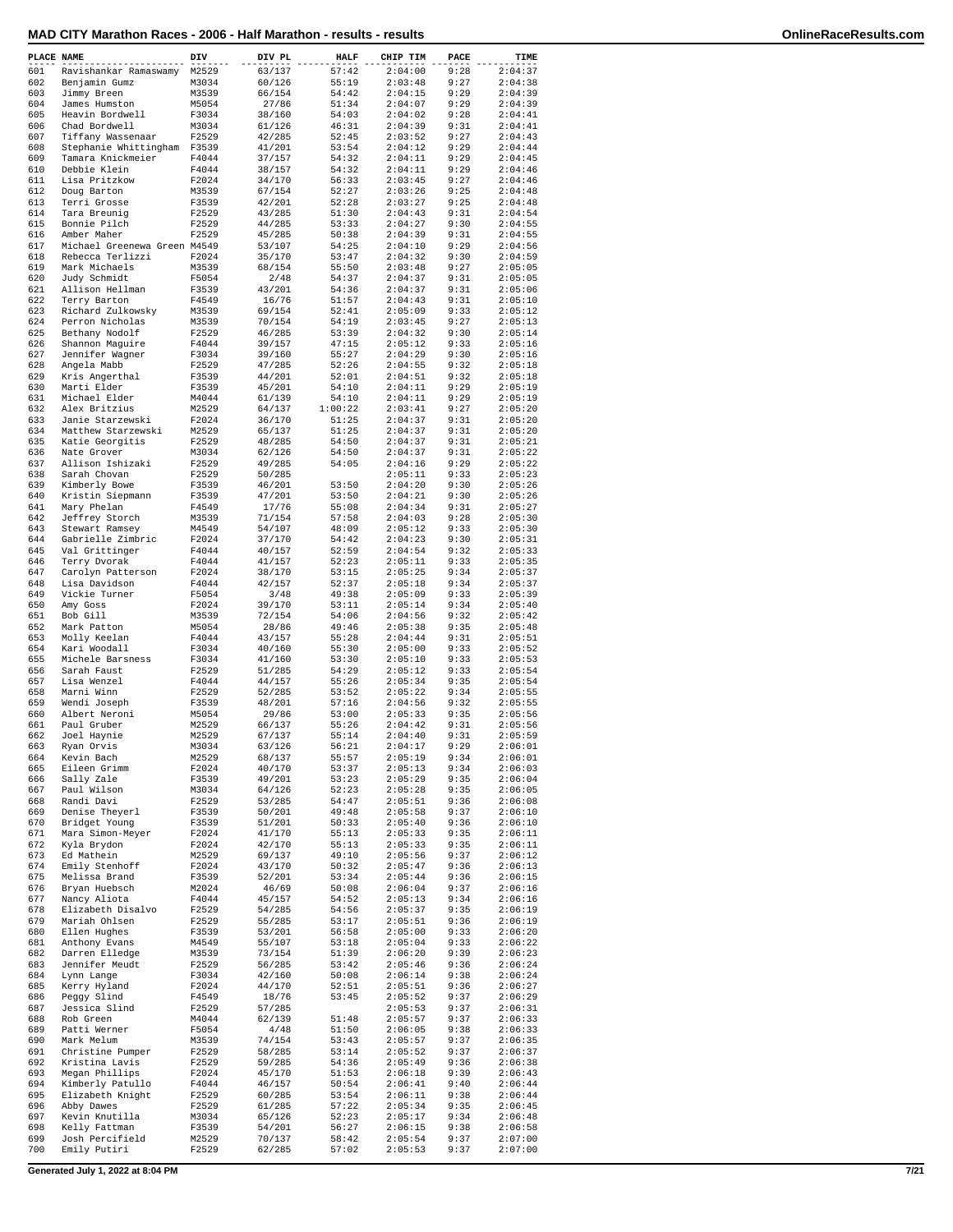| PLACE NAME |                                                  | DIV            | DIV PL           | <b>HALF</b>    | CHIP TIM           | PACE         | TIME               |
|------------|--------------------------------------------------|----------------|------------------|----------------|--------------------|--------------|--------------------|
| 601        | Ravishankar Ramaswamy                            | M2529          | 63/137           | 57:42          | 2:04:00            | 9:28         | 2:04:37            |
| 602        | Benjamin Gumz                                    | M3034          | 60/126           | 55:19          | 2:03:48            | 9:27         | 2:04:38            |
| 603        | Jimmy Breen                                      | M3539          | 66/154           | 54:42          | 2:04:15            | 9:29         | 2:04:39            |
| 604        | James Humston                                    | M5054          | 27/86            | 51:34          | 2:04:07            | 9:29         | 2:04:39            |
| 605        | Heavin Bordwell                                  | F3034          | 38/160           | 54:03          | 2:04:02            | 9:28         | 2:04:41            |
| 606<br>607 | Chad Bordwell                                    | M3034<br>F2529 | 61/126           | 46:31<br>52:45 | 2:04:39<br>2:03:52 | 9:31<br>9:27 | 2:04:41<br>2:04:43 |
| 608        | Tiffany Wassenaar<br>Stephanie Whittingham F3539 |                | 42/285<br>41/201 | 53:54          | 2:04:12            | 9:29         | 2:04:44            |
| 609        | Tamara Knickmeier                                | F4044          | 37/157           | 54:32          | 2:04:11            | 9:29         | 2:04:45            |
| 610        | Debbie Klein                                     | F4044          | 38/157           | 54:32          | 2:04:11            | 9:29         | 2:04:46            |
| 611        | Lisa Pritzkow                                    | F2024          | 34/170           | 56:33          | 2:03:45            | 9:27         | 2:04:46            |
| 612        | Doug Barton                                      | M3539          | 67/154           | 52:27          | 2:03:26            | 9:25         | 2:04:48            |
| 613        | Terri Grosse                                     | F3539          | 42/201           | 52:28          | 2:03:27            | 9:25         | 2:04:48            |
| 614        | Tara Breunig                                     | F2529          | 43/285           | 51:30          | 2:04:43            | 9:31         | 2:04:54            |
| 615        | Bonnie Pilch                                     | F2529          | 44/285           | 53:33          | 2:04:27            | 9:30         | 2:04:55            |
| 616        | Amber Maher                                      | F2529          | 45/285           | 50:38          | 2:04:39            | 9:31         | 2:04:55            |
| 617        | Michael Greenewa Green M4549                     |                | 53/107           | 54:25          | 2:04:10            | 9:29         | 2:04:56            |
| 618        | Rebecca Terlizzi                                 | F2024          | 35/170           | 53:47          | 2:04:32            | 9:30         | 2:04:59            |
| 619<br>620 | Mark Michaels                                    | M3539          | 68/154           | 55:50          | 2:03:48            | 9:27         | 2:05:05            |
| 621        | Judy Schmidt<br>Allison Hellman                  | F5054<br>F3539 | 2/48<br>43/201   | 54:37<br>54:36 | 2:04:37<br>2:04:37 | 9:31<br>9:31 | 2:05:05<br>2:05:06 |
| 622        | Terry Barton                                     | F4549          | 16/76            | 51:57          | 2:04:43            | 9:31         | 2:05:10            |
| 623        | Richard Zulkowsky                                | M3539          | 69/154           | 52:41          | 2:05:09            | 9:33         | 2:05:12            |
| 624        | Perron Nicholas                                  | M3539          | 70/154           | 54:19          | 2:03:45            | 9:27         | 2:05:13            |
| 625        | Bethany Nodolf                                   | F2529          | 46/285           | 53:39          | 2:04:32            | 9:30         | 2:05:14            |
| 626        | Shannon Maguire                                  | F4044          | 39/157           | 47:15          | 2:05:12            | 9:33         | 2:05:16            |
| 627        | Jennifer Wagner                                  | F3034          | 39/160           | 55:27          | 2:04:29            | 9:30         | 2:05:16            |
| 628        | Angela Mabb                                      | F2529          | 47/285           | 52:26          | 2:04:55            | 9:32         | 2:05:18            |
| 629        | Kris Angerthal                                   | F3539          | 44/201           | 52:01          | 2:04:51            | 9:32         | 2:05:18            |
| 630        | Marti Elder                                      | F3539          | 45/201           | 54:10          | 2:04:11            | 9:29         | 2:05:19            |
| 631        | Michael Elder                                    | M4044          | 61/139           | 54:10          | 2:04:11            | 9:29         | 2:05:19            |
| 632        | Alex Britzius                                    | M2529          | 64/137           | 1:00:22        | 2:03:41            | 9:27         | 2:05:20            |
| 633        | Janie Starzewski                                 | F2024          | 36/170           | 51:25          | 2:04:37            | 9:31         | 2:05:20            |
| 634        | Matthew Starzewski                               | M2529          | 65/137           | 51:25          | 2:04:37            | 9:31         | 2:05:20            |
| 635        | Katie Georgitis                                  | F2529          | 48/285           | 54:50          | 2:04:37            | 9:31         | 2:05:21            |
| 636        | Nate Grover                                      | M3034          | 62/126           | 54:50          | 2:04:37            | 9:31         | 2:05:22            |
| 637        | Allison Ishizaki                                 | F2529          | 49/285           | 54:05          | 2:04:16            | 9:29         | 2:05:22            |
| 638<br>639 | Sarah Chovan                                     | F2529<br>F3539 | 50/285           | 53:50          | 2:05:11<br>2:04:20 | 9:33<br>9:30 | 2:05:23<br>2:05:26 |
| 640        | Kimberly Bowe<br>Kristin Siepmann                |                | 46/201           | 53:50          | 2:04:21            | 9:30         |                    |
| 641        | Mary Phelan                                      | F3539<br>F4549 | 47/201<br>17/76  | 55:08          | 2:04:34            | 9:31         | 2:05:26<br>2:05:27 |
| 642        | Jeffrey Storch                                   | M3539          | 71/154           | 57:58          | 2:04:03            | 9:28         | 2:05:30            |
| 643        | Stewart Ramsey                                   | M4549          | 54/107           | 48:09          | 2:05:12            | 9:33         | 2:05:30            |
| 644        | Gabrielle Zimbric                                | F2024          | 37/170           | 54:42          | 2:04:23            | 9:30         | 2:05:31            |
| 645        | Val Grittinger                                   | F4044          | 40/157           | 52:59          | 2:04:54            | 9:32         | 2:05:33            |
| 646        | Terry Dvorak                                     | F4044          | 41/157           | 52:23          | 2:05:11            | 9:33         | 2:05:35            |
| 647        | Carolyn Patterson                                | F2024          | 38/170           | 53:15          | 2:05:25            | 9:34         | 2:05:37            |
| 648        | Lisa Davidson                                    | F4044          | 42/157           | 52:37          | 2:05:18            | 9:34         | 2:05:37            |
| 649        | Vickie Turner                                    | F5054          | 3/48             | 49:38          | 2:05:09            | 9:33         | 2:05:39            |
| 650        | Amy Goss                                         | F2024          | 39/170           | 53:11          | 2:05:14            | 9:34         | 2:05:40            |
| 651        | Bob Gill                                         | M3539          | 72/154           | 54:06          | 2:04:56            | 9:32         | 2:05:42            |
| 652        | Mark Patton                                      | M5054          | 28/86            | 49:46          | 2:05:38            | 9:35         | 2:05:48            |
| 653        | Molly Keelan                                     | F4044          | 43/157           | 55:28          | 2:04:44            | 9:31         | 2:05:51            |
| 654        | Kari Woodall                                     | F3034          | 40/160           | 55:30          | 2:05:00            | 9:33         | 2:05:52            |
| 655        | Michele Barsness                                 | F3034          | 41/160           | 53:30          | 2:05:10            | 9:33         | 2:05:53            |
| 656        | Sarah Faust                                      | F2529          | 51/285           | 54:29          | 2:05:12            | 9:33         | 2:05:54            |
| 657        | Lisa Wenzel                                      | F4044          | 44/157           | 55:26          | 2:05:34            | 9:35         | 2:05:54            |
| 658<br>659 | Marni Winn                                       | F2529          | 52/285<br>48/201 | 53:52          | 2:05:22            | 9:34         | 2:05:55            |
| 660        | Wendi Joseph<br>Albert Neroni                    | F3539<br>M5054 | 29/86            | 57:16<br>53:00 | 2:04:56<br>2:05:33 | 9:32<br>9:35 | 2:05:55<br>2:05:56 |
| 661        | Paul Gruber                                      | M2529          | 66/137           | 55:26          | 2:04:42            | 9:31         | 2:05:56            |
| 662        | Joel Haynie                                      | M2529          | 67/137           | 55:14          | 2:04:40            | 9:31         | 2:05:59            |
| 663        | Ryan Orvis                                       | M3034          | 63/126           | 56:21          | 2:04:17            | 9:29         | 2:06:01            |
| 664        | Kevin Bach                                       | M2529          | 68/137           | 55:57          | 2:05:19            | 9:34         | 2:06:01            |
| 665        | Eileen Grimm                                     | F2024          | 40/170           | 53:37          | 2:05:13            | 9:34         | 2:06:03            |
| 666        | Sally Zale                                       | F3539          | 49/201           | 53:23          | 2:05:29            | 9:35         | 2:06:04            |
| 667        | Paul Wilson                                      | M3034          | 64/126           | 52:23          | 2:05:28            | 9:35         | 2:06:05            |
| 668        | Randi Davi                                       | F2529          | 53/285           | 54:47          | 2:05:51            | 9:36         | 2:06:08            |
| 669        | Denise Theyerl                                   | F3539          | 50/201           | 49:48          | 2:05:58            | 9:37         | 2:06:10            |
| 670        | Bridget Young                                    | F3539          | 51/201           | 50:33          | 2:05:40            | 9:36         | 2:06:10            |
| 671        | Mara Simon-Meyer                                 | F2024          | 41/170           | 55:13          | 2:05:33            | 9:35         | 2:06:11            |
| 672        | Kyla Brydon                                      | F2024          | 42/170           | 55:13          | 2:05:33            | 9:35         | 2:06:11            |
| 673<br>674 | Ed Mathein<br>Emily Stenhoff                     | M2529<br>F2024 | 69/137<br>43/170 | 49:10<br>50:32 | 2:05:56<br>2:05:47 | 9:37<br>9:36 | 2:06:12<br>2:06:13 |
| 675        | Melissa Brand                                    | F3539          | 52/201           | 53:34          | 2:05:44            | 9:36         | 2:06:15            |
| 676        | Bryan Huebsch                                    | M2024          | 46/69            | 50:08          | 2:06:04            | 9:37         | 2:06:16            |
| 677        | Nancy Aliota                                     | F4044          | 45/157           | 54:52          | 2:05:13            | 9:34         | 2:06:16            |
| 678        | Elizabeth Disalvo                                | F2529          | 54/285           | 54:56          | 2:05:37            | 9:35         | 2:06:19            |
| 679        | Mariah Ohlsen                                    | F2529          | 55/285           | 53:17          | 2:05:51            | 9:36         | 2:06:19            |
| 680        | Ellen Hughes                                     | F3539          | 53/201           | 56:58          | 2:05:00            | 9:33         | 2:06:20            |
| 681        | Anthony Evans                                    | M4549          | 55/107           | 53:18          | 2:05:04            | 9:33         | 2:06:22            |
| 682        | Darren Elledge                                   | M3539          | 73/154           | 51:39          | 2:06:20            | 9:39         | 2:06:23            |
| 683        | Jennifer Meudt                                   | F2529          | 56/285           | 53:42          | 2:05:46            | 9:36         | 2:06:24            |
| 684        | Lynn Lange                                       | F3034          | 42/160           | 50:08          | 2:06:14            | 9:38         | 2:06:24            |
| 685        | Kerry Hyland                                     | F2024          | 44/170           | 52:51          | 2:05:51            | 9:36         | 2:06:27            |
| 686        | Peggy Slind                                      | F4549          | 18/76            | 53:45          | 2:05:52            | 9:37         | 2:06:29            |
| 687        | Jessica Slind                                    | F2529          | 57/285           |                | 2:05:53            | 9:37         | 2:06:31            |
| 688        | Rob Green                                        | M4044          | 62/139           | 51:48          | 2:05:57            | 9:37         | 2:06:33            |
| 689        | Patti Werner                                     | F5054          | 4/48             | 51:50          | 2:06:05            | 9:38         | 2:06:33            |
| 690        | Mark Melum                                       | M3539          | 74/154           | 53:43          | 2:05:57            | 9:37         | 2:06:35            |
| 691        | Christine Pumper                                 | F2529          | 58/285           | 53:14          | 2:05:52            | 9:37         | 2:06:37            |
| 692<br>693 | Kristina Lavis<br>Megan Phillips                 | F2529<br>F2024 | 59/285<br>45/170 | 54:36<br>51:53 | 2:05:49<br>2:06:18 | 9:36<br>9:39 | 2:06:38<br>2:06:43 |
| 694        | Kimberly Patullo                                 | F4044          | 46/157           | 50:54          | 2:06:41            | 9:40         | 2:06:44            |
| 695        | Elizabeth Knight                                 | F2529          | 60/285           | 53:54          | 2:06:11            | 9:38         | 2:06:44            |
| 696        | Abby Dawes                                       | F2529          | 61/285           | 57:22          | 2:05:34            | 9:35         | 2:06:45            |
| 697        | Kevin Knutilla                                   | M3034          | 65/126           | 52:23          | 2:05:17            | 9:34         | 2:06:48            |
| 698        | Kelly Fattman                                    | F3539          | 54/201           | 56:27          | 2:06:15            | 9:38         | 2:06:58            |
| 699        | Josh Percifield                                  | M2529          | 70/137           | 58:42          | 2:05:54            | 9:37         | 2:07:00            |
| 700        | Emily Putiri                                     | F2529          | 62/285           | 57:02          | 2:05:53            | 9:37         | 2:07:00            |

**Generated July 1, 2022 at 8:04 PM 7/21**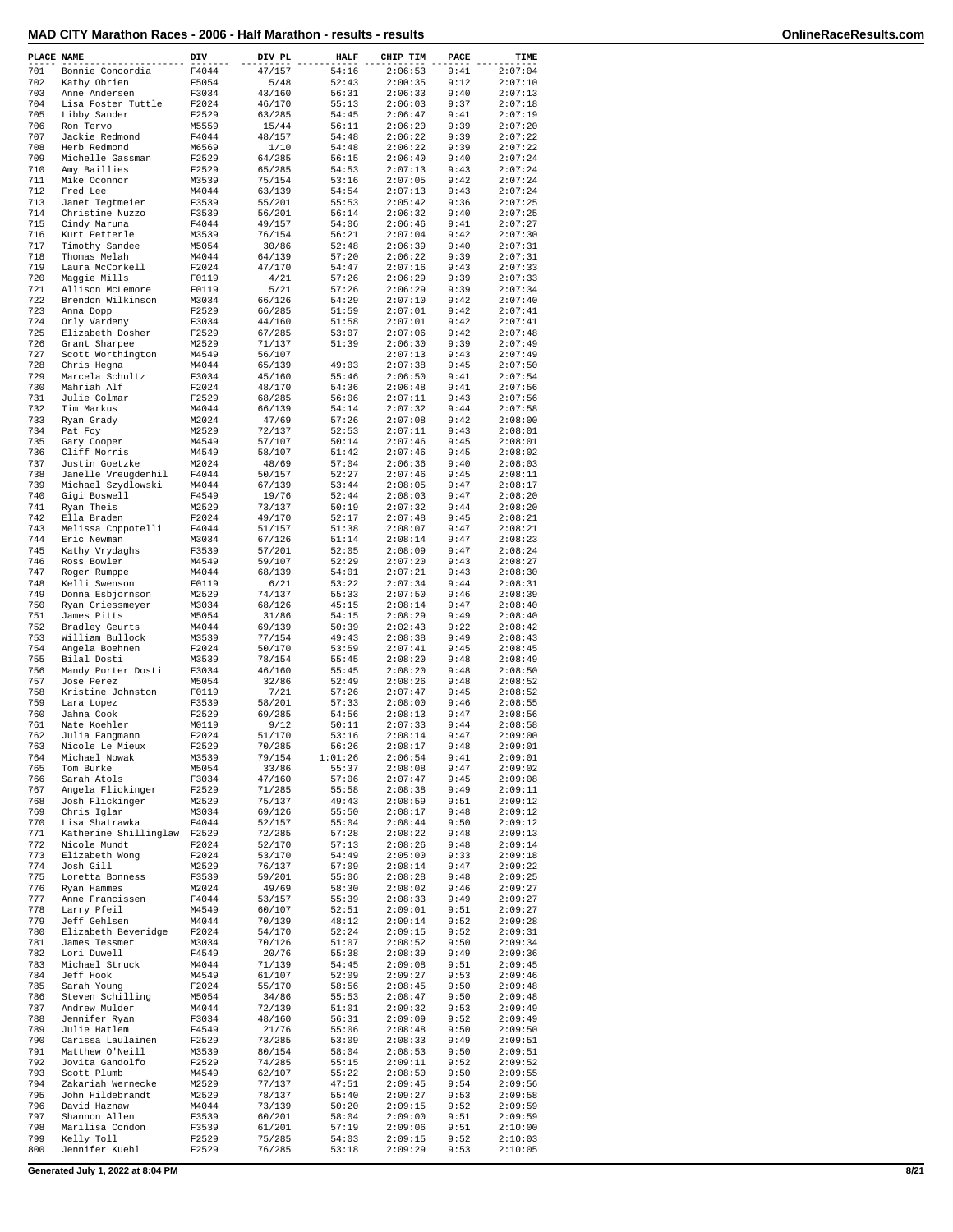| PLACE NAME |                                      | DIV            | DIV PL           | <b>HALF</b>      | CHIP TIM           | PACE         | TIME               |
|------------|--------------------------------------|----------------|------------------|------------------|--------------------|--------------|--------------------|
| 701        | Bonnie Concordia                     | F4044          | 47/157           | 54:16            | 2:06:53            | 9:41         | 2:07:04            |
| 702        | Kathy Obrien                         | F5054          | 5/48             | 52:43            | 2:00:35            | 9:12         | 2:07:10            |
| 703        | Anne Andersen                        | F3034          | 43/160           | 56:31            | 2:06:33            | 9:40         | 2:07:13            |
| 704<br>705 | Lisa Foster Tuttle<br>Libby Sander   | F2024<br>F2529 | 46/170<br>63/285 | 55:13<br>54:45   | 2:06:03<br>2:06:47 | 9:37<br>9:41 | 2:07:18<br>2:07:19 |
| 706        | Ron Tervo                            | M5559          | 15/44            | 56:11            | 2:06:20            | 9:39         | 2:07:20            |
| 707        | Jackie Redmond                       | F4044          | 48/157           | 54:48            | 2:06:22            | 9:39         | 2:07:22            |
| 708        | Herb Redmond                         | M6569          | 1/10             | 54:48            | 2:06:22            | 9:39         | 2:07:22            |
| 709<br>710 | Michelle Gassman<br>Amy Baillies     | F2529          | 64/285           | 56:15<br>54:53   | 2:06:40<br>2:07:13 | 9:40<br>9:43 | 2:07:24<br>2:07:24 |
| 711        | Mike Oconnor                         | F2529<br>M3539 | 65/285<br>75/154 | 53:16            | 2:07:05            | 9:42         | 2:07:24            |
| 712        | Fred Lee                             | M4044          | 63/139           | 54:54            | 2:07:13            | 9:43         | 2:07:24            |
| 713        | Janet Tegtmeier                      | F3539          | 55/201           | 55:53            | 2:05:42            | 9:36         | 2:07:25            |
| 714<br>715 | Christine Nuzzo<br>Cindy Maruna      | F3539<br>F4044 | 56/201<br>49/157 | 56:14<br>54:06   | 2:06:32<br>2:06:46 | 9:40<br>9:41 | 2:07:25<br>2:07:27 |
| 716        | Kurt Petterle                        | M3539          | 76/154           | 56:21            | 2:07:04            | 9:42         | 2:07:30            |
| 717        | Timothy Sandee                       | M5054          | 30/86            | 52:48            | 2:06:39            | 9:40         | 2:07:31            |
| 718        | Thomas Melah                         | M4044          | 64/139           | 57:20            | 2:06:22            | 9:39         | 2:07:31            |
| 719<br>720 | Laura McCorkell<br>Maggie Mills      | F2024<br>F0119 | 47/170<br>4/21   | 54:47<br>57:26   | 2:07:16<br>2:06:29 | 9:43<br>9:39 | 2:07:33<br>2:07:33 |
| 721        | Allison McLemore                     | F0119          | 5/21             | 57:26            | 2:06:29            | 9:39         | 2:07:34            |
| 722        | Brendon Wilkinson                    | M3034          | 66/126           | 54:29            | 2:07:10            | 9:42         | 2:07:40            |
| 723        | Anna Dopp                            | F2529          | 66/285           | 51:59            | 2:07:01            | 9:42         | 2:07:41            |
| 724<br>725 | Orly Vardeny<br>Elizabeth Dosher     | F3034<br>F2529 | 44/160<br>67/285 | 51:58<br>53:07   | 2:07:01<br>2:07:06 | 9:42<br>9:42 | 2:07:41<br>2:07:48 |
| 726        | Grant Sharpee                        | M2529          | 71/137           | 51:39            | 2:06:30            | 9:39         | 2:07:49            |
| 727        | Scott Worthington                    | M4549          | 56/107           |                  | 2:07:13            | 9:43         | 2:07:49            |
| 728        | Chris Hegna                          | M4044          | 65/139           | 49:03            | 2:07:38            | 9:45         | 2:07:50            |
| 729<br>730 | Marcela Schultz<br>Mahriah Alf       | F3034<br>F2024 | 45/160<br>48/170 | 55:46<br>54:36   | 2:06:50<br>2:06:48 | 9:41<br>9:41 | 2:07:54<br>2:07:56 |
| 731        | Julie Colmar                         | F2529          | 68/285           | 56:06            | 2:07:11            | 9:43         | 2:07:56            |
| 732        | Tim Markus                           | M4044          | 66/139           | 54:14            | 2:07:32            | 9:44         | 2:07:58            |
| 733        | Ryan Grady                           | M2024          | 47/69            | 57:26            | 2:07:08            | 9:42         | 2:08:00            |
| 734<br>735 | Pat Foy                              | M2529          | 72/137           | 52:53            | 2:07:11<br>2:07:46 | 9:43         | 2:08:01            |
| 736        | Gary Cooper<br>Cliff Morris          | M4549<br>M4549 | 57/107<br>58/107 | 50:14<br>51:42   | 2:07:46            | 9:45<br>9:45 | 2:08:01<br>2:08:02 |
| 737        | Justin Goetzke                       | M2024          | 48/69            | 57:04            | 2:06:36            | 9:40         | 2:08:03            |
| 738        | Janelle Vreugdenhil                  | F4044          | 50/157           | 52:27            | 2:07:46            | 9:45         | 2:08:11            |
| 739<br>740 | Michael Szydlowski                   | M4044          | 67/139           | 53:44<br>52:44   | 2:08:05            | 9:47<br>9:47 | 2:08:17            |
| 741        | Gigi Boswell<br>Ryan Theis           | F4549<br>M2529 | 19/76<br>73/137  | 50:19            | 2:08:03<br>2:07:32 | 9:44         | 2:08:20<br>2:08:20 |
| 742        | Ella Braden                          | F2024          | 49/170           | 52:17            | 2:07:48            | 9:45         | 2:08:21            |
| 743        | Melissa Coppotelli                   | F4044          | 51/157           | 51:38            | 2:08:07            | 9:47         | 2:08:21            |
| 744<br>745 | Eric Newman                          | M3034<br>F3539 | 67/126           | 51:14<br>52:05   | 2:08:14<br>2:08:09 | 9:47<br>9:47 | 2:08:23<br>2:08:24 |
| 746        | Kathy Vrydaghs<br>Ross Bowler        | M4549          | 57/201<br>59/107 | 52:29            | 2:07:20            | 9:43         | 2:08:27            |
| 747        | Roger Rumppe                         | M4044          | 68/139           | 54:01            | 2:07:21            | 9:43         | 2:08:30            |
| 748        | Kelli Swenson                        | F0119          | 6/21             | 53:22            | 2:07:34            | 9:44         | 2:08:31            |
| 749<br>750 | Donna Esbjornson<br>Ryan Griessmeyer | M2529<br>M3034 | 74/137<br>68/126 | 55:33<br>45:15   | 2:07:50<br>2:08:14 | 9:46<br>9:47 | 2:08:39<br>2:08:40 |
| 751        | James Pitts                          | M5054          | 31/86            | 54:15            | 2:08:29            | 9:49         | 2:08:40            |
| 752        | Bradley Geurts                       | M4044          | 69/139           | 50:39            | 2:02:43            | 9:22         | 2:08:42            |
| 753        | William Bullock                      | M3539          | 77/154           | 49:43            | 2:08:38            | 9:49         | 2:08:43            |
| 754<br>755 | Angela Boehnen<br>Bilal Dosti        | F2024<br>M3539 | 50/170<br>78/154 | 53:59<br>55:45   | 2:07:41<br>2:08:20 | 9:45<br>9:48 | 2:08:45<br>2:08:49 |
| 756        | Mandy Porter Dosti                   | F3034          | 46/160           | 55:45            | 2:08:20            | 9:48         | 2:08:50            |
| 757        | Jose Perez                           | M5054          | 32/86            | 52:49            | 2:08:26            | 9:48         | 2:08:52            |
| 758        | Kristine Johnston                    | F0119          | 7/21             | 57:26            | 2:07:47            | 9:45         | 2:08:52            |
| 759<br>760 | Lara Lopez<br>Jahna Cook             | F3539<br>F2529 | 58/201<br>69/285 | 57:33<br>54:56   | 2:08:00<br>2:08:13 | 9:46<br>9:47 | 2:08:55<br>2:08:56 |
| 761        | Nate Koehler                         | M0119          | 9/12             | 50:11            | 2:07:33            | 9:44         | 2:08:58            |
| 762        | Julia Fangmann                       | F2024          | 51/170           | 53:16            | 2:08:14            | 9:47         | 2:09:00            |
| 763        | Nicole Le Mieux                      | F2529          | 70/285           | 56:26            | 2:08:17            | 9:48         | 2:09:01            |
| 764<br>765 | Michael Nowak<br>Tom Burke           | M3539<br>M5054 | 79/154<br>33/86  | 1:01:26<br>55:37 | 2:06:54<br>2:08:08 | 9:41<br>9:47 | 2:09:01<br>2:09:02 |
| 766        | Sarah Atols                          | F3034          | 47/160           | 57:06            | 2:07:47            | 9:45         | 2:09:08            |
| 767        | Angela Flickinger                    | F2529          | 71/285           | 55:58            | 2:08:38            | 9:49         | 2:09:11            |
| 768        | Josh Flickinger                      | M2529          | 75/137           | 49:43            | 2:08:59            | 9:51         | 2:09:12            |
| 769<br>770 | Chris Iglar<br>Lisa Shatrawka        | M3034<br>F4044 | 69/126<br>52/157 | 55:50<br>55:04   | 2:08:17<br>2:08:44 | 9:48<br>9:50 | 2:09:12<br>2:09:12 |
| 771        | Katherine Shillinglaw                | F2529          | 72/285           | 57:28            | 2:08:22            | 9:48         | 2:09:13            |
| 772        | Nicole Mundt                         | F2024          | 52/170           | 57:13            | 2:08:26            | 9:48         | 2:09:14            |
| 773        | Elizabeth Wong                       | F2024          | 53/170           | 54:49            | 2:05:00            | 9:33         | 2:09:18            |
| 774<br>775 | Josh Gill<br>Loretta Bonness         | M2529<br>F3539 | 76/137<br>59/201 | 57:09<br>55:06   | 2:08:14<br>2:08:28 | 9:47<br>9:48 | 2:09:22<br>2:09:25 |
| 776        | Ryan Hammes                          | M2024          | 49/69            | 58:30            | 2:08:02            | 9:46         | 2:09:27            |
| 777        | Anne Francissen                      | F4044          | 53/157           | 55:39            | 2:08:33            | 9:49         | 2:09:27            |
| 778<br>779 | Larry Pfeil                          | M4549          | 60/107           | 52:51            | 2:09:01            | 9:51         | 2:09:27            |
| 780        | Jeff Gehlsen<br>Elizabeth Beveridge  | M4044<br>F2024 | 70/139<br>54/170 | 48:12<br>52:24   | 2:09:14<br>2:09:15 | 9:52<br>9:52 | 2:09:28<br>2:09:31 |
| 781        | James Tessmer                        | M3034          | 70/126           | 51:07            | 2:08:52            | 9:50         | 2:09:34            |
| 782        | Lori Duwell                          | F4549          | 20/76            | 55:38            | 2:08:39            | 9:49         | 2:09:36            |
| 783<br>784 | Michael Struck<br>Jeff Hook          | M4044<br>M4549 | 71/139<br>61/107 | 54:45<br>52:09   | 2:09:08<br>2:09:27 | 9:51<br>9:53 | 2:09:45<br>2:09:46 |
| 785        | Sarah Young                          | F2024          | 55/170           | 58:56            | 2:08:45            | 9:50         | 2:09:48            |
| 786        | Steven Schilling                     | M5054          | 34/86            | 55:53            | 2:08:47            | 9:50         | 2:09:48            |
| 787        | Andrew Mulder                        | M4044          | 72/139           | 51:01            | 2:09:32            | 9:53         | 2:09:49            |
| 788        | Jennifer Ryan<br>Julie Hatlem        | F3034          | 48/160           | 56:31            | 2:09:09            | 9:52         | 2:09:49            |
| 789<br>790 | Carissa Laulainen                    | F4549<br>F2529 | 21/76<br>73/285  | 55:06<br>53:09   | 2:08:48<br>2:08:33 | 9:50<br>9:49 | 2:09:50<br>2:09:51 |
| 791        | Matthew O'Neill                      | M3539          | 80/154           | 58:04            | 2:08:53            | 9:50         | 2:09:51            |
| 792        | Jovita Gandolfo                      | F2529          | 74/285           | 55:15            | 2:09:11            | 9:52         | 2:09:52            |
| 793<br>794 | Scott Plumb<br>Zakariah Wernecke     | M4549<br>M2529 | 62/107<br>77/137 | 55:22<br>47:51   | 2:08:50<br>2:09:45 | 9:50<br>9:54 | 2:09:55<br>2:09:56 |
| 795        | John Hildebrandt                     | M2529          | 78/137           | 55:40            | 2:09:27            | 9:53         | 2:09:58            |
| 796        | David Haznaw                         | M4044          | 73/139           | 50:20            | 2:09:15            | 9:52         | 2:09:59            |
| 797        | Shannon Allen                        | F3539          | 60/201           | 58:04            | 2:09:00            | 9:51         | 2:09:59            |
| 798<br>799 | Marilisa Condon<br>Kelly Toll        | F3539<br>F2529 | 61/201<br>75/285 | 57:19<br>54:03   | 2:09:06<br>2:09:15 | 9:51<br>9:52 | 2:10:00<br>2:10:03 |
| 800        | Jennifer Kuehl                       | F2529          | 76/285           | 53:18            | 2:09:29            | 9:53         | 2:10:05            |
|            |                                      |                |                  |                  |                    |              |                    |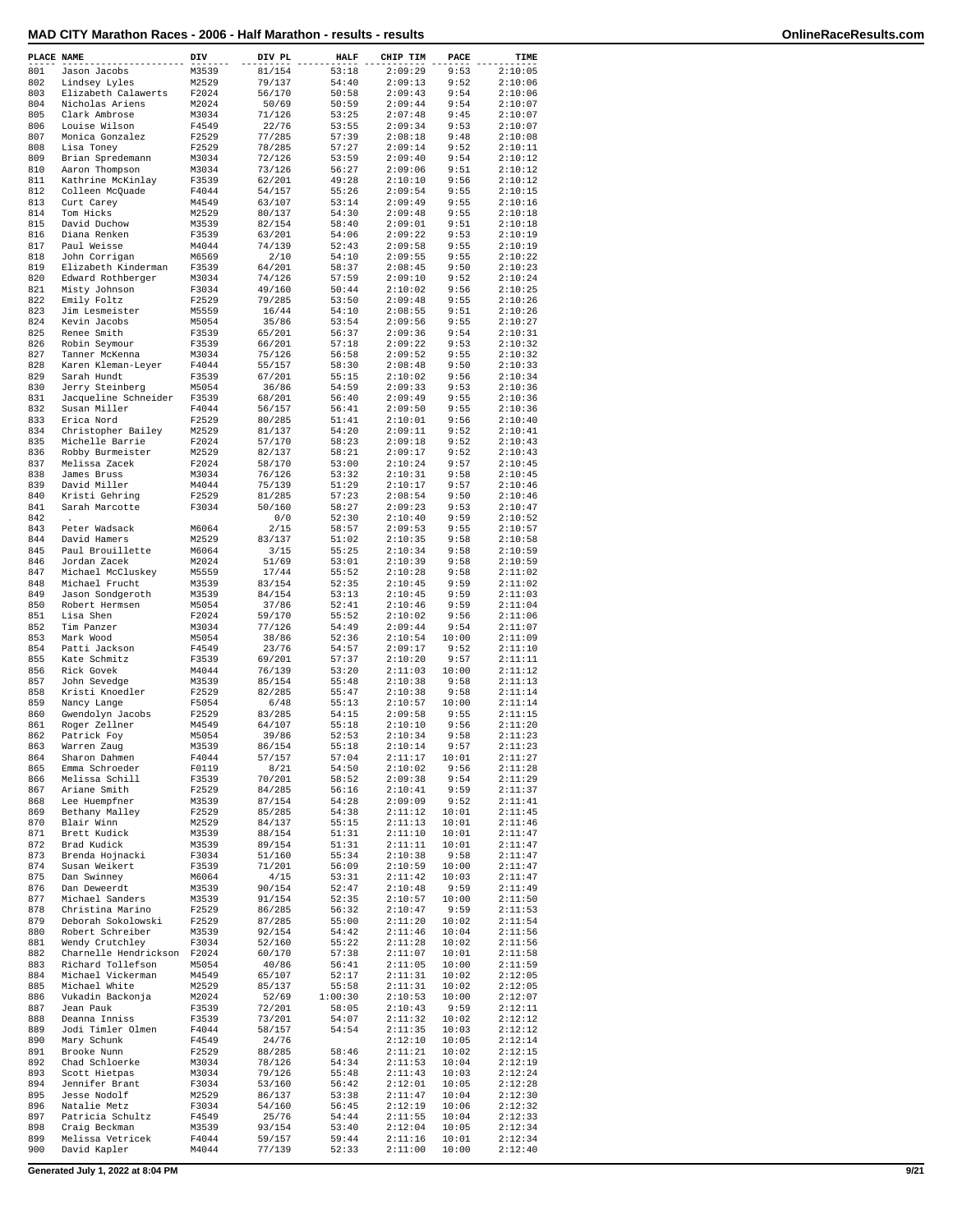| PLACE NAME |                                                  | DIV            | DIV PL           | <b>HALF</b>    | CHIP TIM           | PACE           | TIME               |
|------------|--------------------------------------------------|----------------|------------------|----------------|--------------------|----------------|--------------------|
| 801        | Jason Jacobs                                     | M3539          | 81/154           | 53:18          | 2:09:29            | 9:53           | 2:10:05            |
| 802<br>803 | Lindsey Lyles<br>Elizabeth Calawerts             | M2529<br>F2024 | 79/137<br>56/170 | 54:40<br>50:58 | 2:09:13<br>2:09:43 | 9:52<br>9:54   | 2:10:06<br>2:10:06 |
| 804        | Nicholas Ariens                                  | M2024          | 50/69            | 50:59          | 2:09:44            | 9:54           | 2:10:07            |
| 805        | Clark Ambrose                                    | M3034          | 71/126           | 53:25          | 2:07:48            | 9:45           | 2:10:07            |
| 806        | Louise Wilson                                    | F4549          | 22/76            | 53:55          | 2:09:34            | 9:53           | 2:10:07            |
| 807<br>808 | Monica Gonzalez<br>Lisa Toney                    | F2529<br>F2529 | 77/285<br>78/285 | 57:39<br>57:27 | 2:08:18<br>2:09:14 | 9:48<br>9:52   | 2:10:08<br>2:10:11 |
| 809        | Brian Spredemann                                 | M3034          | 72/126           | 53:59          | 2:09:40            | 9:54           | 2:10:12            |
| 810        | Aaron Thompson                                   | M3034          | 73/126           | 56:27          | 2:09:06            | 9:51           | 2:10:12            |
| 811<br>812 | Kathrine McKinlay<br>Colleen McQuade             | F3539<br>F4044 | 62/201<br>54/157 | 49:28<br>55:26 | 2:10:10<br>2:09:54 | 9:56<br>9:55   | 2:10:12<br>2:10:15 |
| 813        | Curt Carey                                       | M4549          | 63/107           | 53:14          | 2:09:49            | 9:55           | 2:10:16            |
| 814        | Tom Hicks                                        | M2529          | 80/137           | 54:30          | 2:09:48            | 9:55           | 2:10:18            |
| 815<br>816 | David Duchow<br>Diana Renken                     | M3539<br>F3539 | 82/154<br>63/201 | 58:40<br>54:06 | 2:09:01<br>2:09:22 | 9:51<br>9:53   | 2:10:18<br>2:10:19 |
| 817        | Paul Weisse                                      | M4044          | 74/139           | 52:43          | 2:09:58            | 9:55           | 2:10:19            |
| 818        | John Corrigan                                    | M6569          | 2/10             | 54:10          | 2:09:55            | 9:55           | 2:10:22            |
| 819        | Elizabeth Kinderman                              | F3539          | 64/201           | 58:37          | 2:08:45            | 9:50           | 2:10:23            |
| 820<br>821 | Edward Rothberger<br>Misty Johnson               | M3034<br>F3034 | 74/126<br>49/160 | 57:59<br>50:44 | 2:09:10<br>2:10:02 | 9:52<br>9:56   | 2:10:24<br>2:10:25 |
| 822        | Emily Foltz                                      | F2529          | 79/285           | 53:50          | 2:09:48            | 9:55           | 2:10:26            |
| 823        | Jim Lesmeister                                   | M5559          | 16/44            | 54:10          | 2:08:55            | 9:51           | 2:10:26            |
| 824<br>825 | Kevin Jacobs<br>Renee Smith                      | M5054<br>F3539 | 35/86<br>65/201  | 53:54<br>56:37 | 2:09:56<br>2:09:36 | 9:55<br>9:54   | 2:10:27<br>2:10:31 |
| 826        | Robin Seymour                                    | F3539          | 66/201           | 57:18          | 2:09:22            | 9:53           | 2:10:32            |
| 827        | Tanner McKenna                                   | M3034          | 75/126           | 56:58          | 2:09:52            | 9:55           | 2:10:32            |
| 828        | Karen Kleman-Leyer                               | F4044          | 55/157           | 58:30          | 2:08:48            | 9:50           | 2:10:33            |
| 829<br>830 | Sarah Hundt<br>Jerry Steinberg                   | F3539<br>M5054 | 67/201<br>36/86  | 55:15<br>54:59 | 2:10:02<br>2:09:33 | 9:56<br>9:53   | 2:10:34<br>2:10:36 |
| 831        | Jacqueline Schneider                             | F3539          | 68/201           | 56:40          | 2:09:49            | 9:55           | 2:10:36            |
| 832        | Susan Miller                                     | F4044          | 56/157           | 56:41          | 2:09:50            | 9:55           | 2:10:36            |
| 833        | Erica Nord                                       | F2529          | 80/285           | 51:41          | 2:10:01            | 9:56           | 2:10:40            |
| 834<br>835 | Christopher Bailey<br>Michelle Barrie            | M2529<br>F2024 | 81/137<br>57/170 | 54:20<br>58:23 | 2:09:11<br>2:09:18 | 9:52<br>9:52   | 2:10:41<br>2:10:43 |
| 836        | Robby Burmeister                                 | M2529          | 82/137           | 58:21          | 2:09:17            | 9:52           | 2:10:43            |
| 837        | Melissa Zacek                                    | F2024          | 58/170           | 53:00          | 2:10:24            | 9:57           | 2:10:45            |
| 838        | James Bruss                                      | M3034          | 76/126           | 53:32          | 2:10:31            | 9:58           | 2:10:45            |
| 839<br>840 | David Miller<br>Kristi Gehring                   | M4044<br>F2529 | 75/139<br>81/285 | 51:29<br>57:23 | 2:10:17<br>2:08:54 | 9:57<br>9:50   | 2:10:46<br>2:10:46 |
| 841        | Sarah Marcotte                                   | F3034          | 50/160           | 58:27          | 2:09:23            | 9:53           | 2:10:47            |
| 842        |                                                  |                | 0/0              | 52:30          | 2:10:40            | 9:59           | 2:10:52            |
| 843        | Peter Wadsack                                    | M6064          | 2/15             | 58:57          | 2:09:53            | 9:55           | 2:10:57            |
| 844<br>845 | David Hamers<br>Paul Brouillette                 | M2529<br>M6064 | 83/137<br>3/15   | 51:02<br>55:25 | 2:10:35<br>2:10:34 | 9:58<br>9:58   | 2:10:58<br>2:10:59 |
| 846        | Jordan Zacek                                     | M2024          | 51/69            | 53:01          | 2:10:39            | 9:58           | 2:10:59            |
| 847        | Michael McCluskey                                | M5559          | 17/44            | 55:52          | 2:10:28            | 9:58           | 2:11:02            |
| 848<br>849 | Michael Frucht                                   | M3539          | 83/154           | 52:35          | 2:10:45            | 9:59           | 2:11:02            |
| 850        | Jason Sondgeroth<br>Robert Hermsen               | M3539<br>M5054 | 84/154<br>37/86  | 53:13<br>52:41 | 2:10:45<br>2:10:46 | 9:59<br>9:59   | 2:11:03<br>2:11:04 |
| 851        | Lisa Shen                                        | F2024          | 59/170           | 55:52          | 2:10:02            | 9:56           | 2:11:06            |
| 852        | Tim Panzer                                       | M3034          | 77/126           | 54:49          | 2:09:44            | 9:54           | 2:11:07            |
| 853<br>854 | Mark Wood<br>Patti Jackson                       | M5054<br>F4549 | 38/86<br>23/76   | 52:36<br>54:57 | 2:10:54<br>2:09:17 | 10:00<br>9:52  | 2:11:09<br>2:11:10 |
| 855        | Kate Schmitz                                     | F3539          | 69/201           | 57:37          | 2:10:20            | 9:57           | 2:11:11            |
| 856        | Rick Govek                                       | M4044          | 76/139           | 53:20          | 2:11:03            | 10:00          | 2:11:12            |
| 857        | John Sevedge                                     | M3539          | 85/154           | 55:48          | 2:10:38            | 9:58           | 2:11:13            |
| 858<br>859 | Kristi Knoedler<br>Nancy Lange                   | F2529<br>F5054 | 82/285<br>6/48   | 55:47<br>55:13 | 2:10:38<br>2:10:57 | 9:58<br>10:00  | 2:11:14<br>2:11:14 |
| 860        | Gwendolyn Jacobs                                 | F2529          | 83/285           | 54:15          | 2:09:58            | 9:55           | 2:11:15            |
| 861        | Roger Zellner                                    | M4549          | 64/107           | 55:18          | 2:10:10            | 9:56           | 2:11:20            |
| 862        | Patrick Foy                                      | M5054          | 39/86            | 52:53          | 2:10:34            | 9:58           | 2:11:23            |
| 863<br>864 | Warren Zaug<br>Sharon Dahmen                     | M3539<br>F4044 | 86/154<br>57/157 | 55:18<br>57:04 | 2:10:14<br>2:11:17 | 9:57<br>10:01  | 2:11:23<br>2:11:27 |
| 865        | Emma Schroeder                                   | F0119          | 8/21             | 54:50          | 2:10:02            | 9:56           | 2:11:28            |
| 866        | Melissa Schill                                   | F3539          | 70/201           | 58:52          | 2:09:38            | 9:54           | 2:11:29            |
| 867        | Ariane Smith                                     | F2529          | 84/285           | 56:16          | 2:10:41            | 9:59           | 2:11:37            |
| 868<br>869 | Lee Huempfner<br>Bethany Malley                  | M3539<br>F2529 | 87/154<br>85/285 | 54:28<br>54:38 | 2:09:09<br>2:11:12 | 9:52<br>10:01  | 2:11:41<br>2:11:45 |
| 870        | Blair Winn                                       | M2529          | 84/137           | 55:15          | 2:11:13            | 10:01          | 2:11:46            |
| 871        | Brett Kudick                                     | M3539          | 88/154           | 51:31          | 2:11:10            | 10:01          | 2:11:47            |
| 872        | Brad Kudick                                      | M3539          | 89/154           | 51:31          | 2:11:11            | 10:01          | 2:11:47            |
| 873<br>874 | Brenda Hojnacki<br>Susan Weikert                 | F3034<br>F3539 | 51/160<br>71/201 | 55:34<br>56:09 | 2:10:38<br>2:10:59 | 9:58<br>10:00  | 2:11:47<br>2:11:47 |
| 875        | Dan Swinney                                      | M6064          | 4/15             | 53:31          | 2:11:42            | 10:03          | 2:11:47            |
| 876        | Dan Deweerdt                                     | M3539          | 90/154           | 52:47          | 2:10:48            | 9:59           | 2:11:49            |
| 877<br>878 | Michael Sanders<br>Christina Marino              | M3539<br>F2529 | 91/154<br>86/285 | 52:35<br>56:32 | 2:10:57<br>2:10:47 | 10:00<br>9:59  | 2:11:50<br>2:11:53 |
| 879        | Deborah Sokolowski                               | F2529          | 87/285           | 55:00          | 2:11:20            | 10:02          | 2:11:54            |
| 880        | Robert Schreiber                                 | M3539          | 92/154           | 54:42          | 2:11:46            | 10:04          | 2:11:56            |
| 881        | Wendy Crutchley                                  | F3034          | 52/160           | 55:22          | 2:11:28            | 10:02          | 2:11:56            |
| 882<br>883 | Charnelle Hendrickson F2024<br>Richard Tollefson | M5054          | 60/170           | 57:38          | 2:11:07            | 10:01          | 2:11:58            |
| 884        | Michael Vickerman                                | M4549          | 40/86<br>65/107  | 56:41<br>52:17 | 2:11:05<br>2:11:31 | 10:00<br>10:02 | 2:11:59<br>2:12:05 |
| 885        | Michael White                                    | M2529          | 85/137           | 55:58          | 2:11:31            | 10:02          | 2:12:05            |
| 886        | Vukadin Backonja                                 | M2024          | 52/69            | 1:00:30        | 2:10:53            | 10:00          | 2:12:07            |
| 887<br>888 | Jean Pauk<br>Deanna Inniss                       | F3539<br>F3539 | 72/201<br>73/201 | 58:05<br>54:07 | 2:10:43<br>2:11:32 | 9:59<br>10:02  | 2:12:11<br>2:12:12 |
| 889        | Jodi Timler Olmen                                | F4044          | 58/157           | 54:54          | 2:11:35            | 10:03          | 2:12:12            |
| 890        | Mary Schunk                                      | F4549          | 24/76            |                | 2:12:10            | 10:05          | 2:12:14            |
| 891        | Brooke Nunn                                      | F2529          | 88/285           | 58:46          | 2:11:21            | 10:02          | 2:12:15            |
| 892<br>893 | Chad Schloerke<br>Scott Hietpas                  | M3034<br>M3034 | 78/126<br>79/126 | 54:34<br>55:48 | 2:11:53<br>2:11:43 | 10:04<br>10:03 | 2:12:19<br>2:12:24 |
| 894        | Jennifer Brant                                   | F3034          | 53/160           | 56:42          | 2:12:01            | 10:05          | 2:12:28            |
| 895        | Jesse Nodolf                                     | M2529          | 86/137           | 53:38          | 2:11:47            | 10:04          | 2:12:30            |
| 896        | Natalie Metz                                     | F3034          | 54/160           | 56:45          | 2:12:19            | 10:06          | 2:12:32            |
| 897<br>898 | Patricia Schultz<br>Craig Beckman                | F4549<br>M3539 | 25/76<br>93/154  | 54:44<br>53:40 | 2:11:55<br>2:12:04 | 10:04<br>10:05 | 2:12:33<br>2:12:34 |
| 899        | Melissa Vetricek                                 | F4044          | 59/157           | 59:44          | 2:11:16            | 10:01          | 2:12:34            |
| 900        | David Kapler                                     | M4044          | 77/139           | 52:33          | 2:11:00            | 10:00          | 2:12:40            |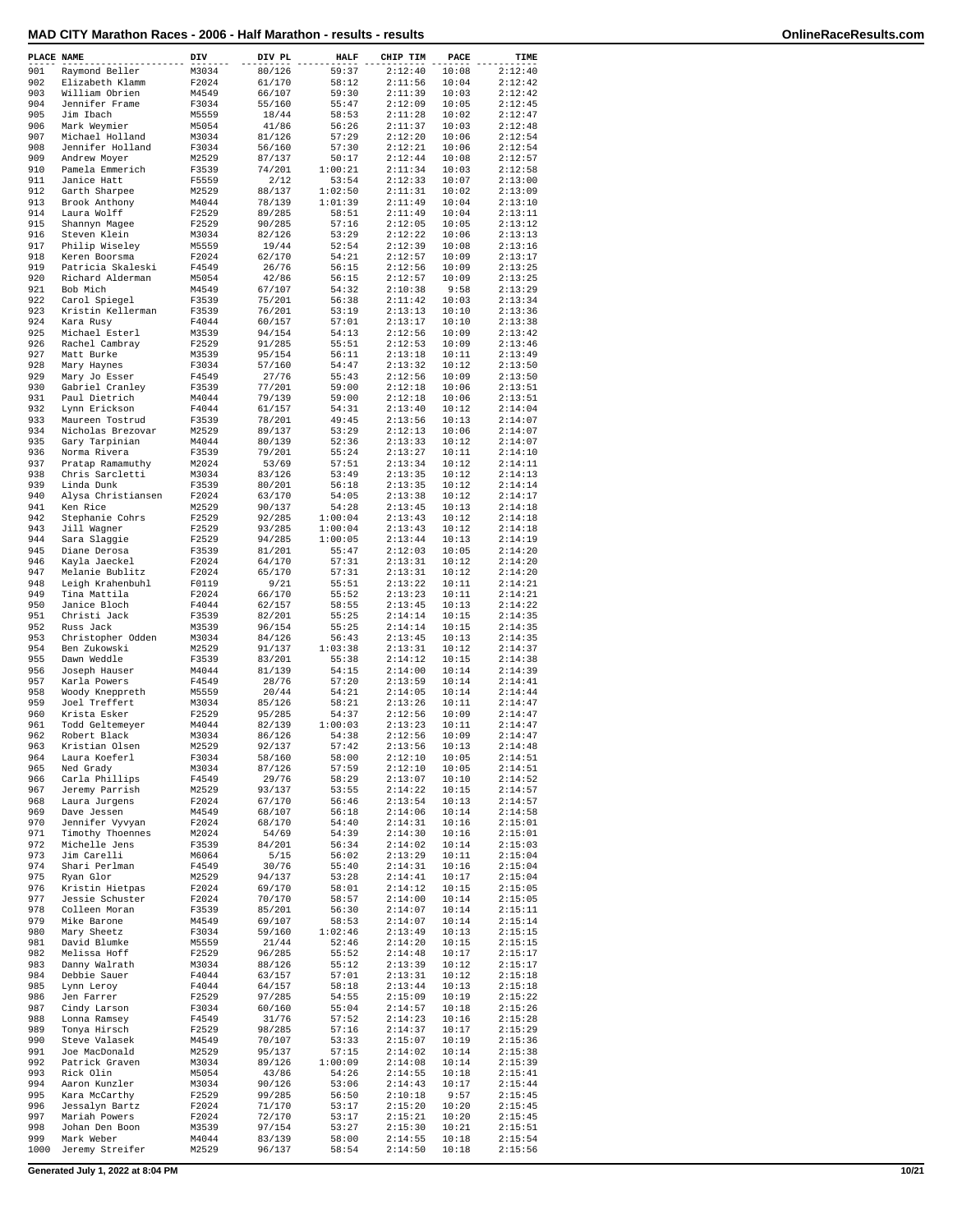| PLACE NAME |                                | DIV            | DIV PL           | <b>HALF</b>    | CHIP TIM           | PACE           | TIME               |
|------------|--------------------------------|----------------|------------------|----------------|--------------------|----------------|--------------------|
| 901        | Raymond Beller                 | M3034          | 80/126           | 59:37          | 2:12:40            | 10:08          | 2:12:40            |
| 902        | Elizabeth Klamm                | F2024          | 61/170           | 58:12          | 2:11:56            | 10:04          | 2:12:42            |
| 903        | William Obrien                 | M4549          | 66/107           | 59:30          | 2:11:39            | 10:03          | 2:12:42            |
| 904        | Jennifer Frame                 | F3034          | 55/160           | 55:47          | 2:12:09            | 10:05          | 2:12:45            |
| 905        | Jim Ibach                      | M5559          | 18/44            | 58:53          | 2:11:28            | 10:02          | 2:12:47            |
| 906        | Mark Weymier                   | M5054          | 41/86            | 56:26          | 2:11:37            | 10:03          | 2:12:48            |
| 907        | Michael Holland                | M3034          | 81/126           | 57:29          | 2:12:20            | 10:06          | 2:12:54            |
| 908        | Jennifer Holland               | F3034          | 56/160           | 57:30          | 2:12:21            | 10:06          | 2:12:54            |
| 909        | Andrew Moyer                   | M2529          | 87/137           | 50:17          | 2:12:44            | 10:08          | 2:12:57            |
| 910        | Pamela Emmerich                | F3539          | 74/201           | 1:00:21        | 2:11:34            | 10:03          | 2:12:58            |
| 911        | Janice Hatt                    | F5559          | 2/12             | 53:54          | 2:12:33            | 10:07          | 2:13:00            |
| 912        | Garth Sharpee                  | M2529          | 88/137           | 1:02:50        | 2:11:31            | 10:02          | 2:13:09            |
| 913        | Brook Anthony                  | M4044          | 78/139           | 1:01:39        | 2:11:49            | 10:04          | 2:13:10            |
| 914        | Laura Wolff                    | F2529          | 89/285           | 58:51          | 2:11:49            | 10:04          | 2:13:11            |
| 915        | Shannyn Magee                  | F2529          | 90/285           | 57:16          | 2:12:05            | 10:05          | 2:13:12            |
| 916        | Steven Klein                   | M3034          | 82/126           | 53:29          | 2:12:22            | 10:06          | 2:13:13            |
| 917        | Philip Wiseley                 | M5559          | 19/44            | 52:54          | 2:12:39            | 10:08          | 2:13:16            |
| 918        | Keren Boorsma                  | F2024          | 62/170           | 54:21          | 2:12:57            | 10:09          | 2:13:17            |
| 919        | Patricia Skaleski              | F4549          | 26/76            | 56:15          | 2:12:56            | 10:09          | 2:13:25            |
| 920        | Richard Alderman               | M5054          | 42/86            | 56:15          | 2:12:57            | 10:09          | 2:13:25            |
| 921        | Bob Mich                       | M4549          | 67/107           | 54:32          | 2:10:38            | 9:58           | 2:13:29            |
| 922        | Carol Spiegel                  | F3539          | 75/201           | 56:38          | 2:11:42            | 10:03          | 2:13:34            |
| 923        | Kristin Kellerman              | F3539          | 76/201           | 53:19          | 2:13:13            | 10:10          | 2:13:36            |
| 924        | Kara Rusy                      | F4044          | 60/157           | 57:01          | 2:13:17            | 10:10          | 2:13:38            |
| 925        | Michael Esterl                 | M3539          | 94/154           | 54:13          | 2:12:56            | 10:09          | 2:13:42            |
| 926        | Rachel Cambray                 | F2529          | 91/285           | 55:51          | 2:12:53            | 10:09          | 2:13:46            |
| 927        | Matt Burke                     | M3539          | 95/154           | 56:11          | 2:13:18            | 10:11          | 2:13:49            |
| 928        | Mary Haynes                    | F3034          | 57/160           | 54:47          | 2:13:32            | 10:12          | 2:13:50            |
| 929        | Mary Jo Esser                  | F4549          | 27/76            | 55:43          | 2:12:56            | 10:09          | 2:13:50            |
| 930        | Gabriel Cranley                | F3539          | 77/201           | 59:00          | 2:12:18            | 10:06          | 2:13:51            |
| 931        | Paul Dietrich                  | M4044          | 79/139           | 59:00          | 2:12:18            | 10:06          | 2:13:51            |
| 932        | Lynn Erickson                  | F4044          | 61/157           | 54:31          | 2:13:40            | 10:12          | 2:14:04            |
| 933        | Maureen Tostrud                | F3539          | 78/201           | 49:45          | 2:13:56            | 10:13          | 2:14:07            |
| 934        | Nicholas Brezovar              | M2529          | 89/137           | 53:29          | 2:12:13            | 10:06          | 2:14:07            |
| 935        | Gary Tarpinian                 | M4044          | 80/139           | 52:36          | 2:13:33            | 10:12          | 2:14:07            |
| 936        | Norma Rivera                   | F3539          | 79/201           | 55:24          | 2:13:27            | 10:11          | 2:14:10            |
| 937        | Pratap Ramamuthy               | M2024          | 53/69            | 57:51          | 2:13:34            | 10:12          | 2:14:11            |
| 938        | Chris Sarcletti                | M3034          | 83/126           | 53:49          | 2:13:35            | 10:12          | 2:14:13            |
| 939        | Linda Dunk                     | F3539          | 80/201           | 56:18          | 2:13:35            | 10:12          | 2:14:14            |
| 940        | Alysa Christiansen             | F2024          | 63/170           | 54:05          | 2:13:38            | 10:12          | 2:14:17            |
| 941        | Ken Rice                       | M2529          | 90/137           | 54:28          | 2:13:45            | 10:13          | 2:14:18            |
| 942        | Stephanie Cohrs                | F2529          | 92/285           | 1:00:04        | 2:13:43            | 10:12          | 2:14:18            |
| 943        | Jill Wagner                    | F2529          | 93/285           | 1:00:04        | 2:13:43            | 10:12          | 2:14:18            |
| 944        | Sara Slaggie                   | F2529          | 94/285           | 1:00:05        | 2:13:44            | 10:13          | 2:14:19            |
| 945        | Diane Derosa                   | F3539          | 81/201           | 55:47          | 2:12:03            | 10:05          | 2:14:20            |
| 946        | Kayla Jaeckel                  | F2024          | 64/170           | 57:31          | 2:13:31            | 10:12          | 2:14:20            |
| 947        | Melanie Bublitz                | F2024          | 65/170           | 57:31          | 2:13:31            | 10:12          | 2:14:20            |
| 948        | Leigh Krahenbuhl               | F0119          | 9/21             | 55:51          | 2:13:22            | 10:11          | 2:14:21            |
| 949        | Tina Mattila                   | F2024          | 66/170           | 55:52          | 2:13:23            | 10:11          | 2:14:21            |
| 950        | Janice Bloch                   | F4044          | 62/157           | 58:55          | 2:13:45            | 10:13          | 2:14:22            |
| 951        | Christi Jack                   | F3539          | 82/201           | 55:25          | 2:14:14            | 10:15          | 2:14:35            |
| 952        | Russ Jack                      | M3539          | 96/154           | 55:25          | 2:14:14            | 10:15          | 2:14:35            |
| 953        | Christopher Odden              | M3034          | 84/126           | 56:43          | 2:13:45            | 10:13          | 2:14:35            |
| 954        | Ben Zukowski                   | M2529          | 91/137           | 1:03:38        | 2:13:31            | 10:12          | 2:14:37            |
| 955        | Dawn Weddle                    | F3539          | 83/201           | 55:38          | 2:14:12            | 10:15          | 2:14:38            |
| 956        | Joseph Hauser                  | M4044          | 81/139           | 54:15          | 2:14:00            | 10:14          | 2:14:39            |
| 957        | Karla Powers                   | F4549          | 28/76            | 57:20          | 2:13:59            | 10:14          | 2:14:41            |
| 958        | Woody Kneppreth                | M5559          | 20/44            | 54:21          | 2:14:05            | 10:14          | 2:14:44            |
| 959        | Joel Treffert                  | M3034          | 85/126           | 58:21          | 2:13:26            | 10:11          | 2:14:47            |
| 960        | Krista Esker                   | F2529          | 95/285           | 54:37          | 2:12:56            | 10:09          | 2:14:47            |
| 961        |                                | M4044          |                  | 1:00:03        |                    | 10:11          | 2:14:47            |
| 962        | Todd Geltemeyer                |                | 82/139           |                | 2:13:23            |                | 2:14:47            |
| 963        | Robert Black<br>Kristian Olsen | M3034<br>M2529 | 86/126<br>92/137 | 54:38<br>57:42 | 2:12:56<br>2:13:56 | 10:09<br>10:13 | 2:14:48            |
|            |                                |                |                  |                |                    |                |                    |
| 964        | Laura Koeferl                  | F3034          | 58/160           | 58:00          | 2:12:10            | 10:05          | 2:14:51            |
| 965<br>966 | Ned Grady                      | M3034          | 87/126<br>29/76  | 57:59          | 2:12:10<br>2:13:07 | 10:05          | 2:14:51<br>2:14:52 |
|            | Carla Phillips                 | F4549          |                  | 58:29          |                    | 10:10          |                    |
| 967        | Jeremy Parrish                 | M2529          | 93/137           | 53:55          | 2:14:22            | 10:15          | 2:14:57            |
| 968        | Laura Jurgens                  | F2024          | 67/170           | 56:46          | 2:13:54            | 10:13          | 2:14:57            |
| 969        | Dave Jessen                    | M4549          | 68/107           | 56:18          | 2:14:06            | 10:14          | 2:14:58            |
| 970        | Jennifer Vyvyan                | F2024          | 68/170           | 54:40          | 2:14:31            | 10:16          | 2:15:01            |
| 971        | Timothy Thoennes               | M2024          | 54/69            | 54:39          | 2:14:30            | 10:16          | 2:15:01            |
| 972        | Michelle Jens                  | F3539          | 84/201           | 56:34          | 2:14:02            | 10:14          | 2:15:03            |
| 973        | Jim Carelli                    | M6064          | 5/15             | 56:02          | 2:13:29            | 10:11          | 2:15:04            |
| 974        | Shari Perlman                  | F4549          | 30/76            | 55:40          | 2:14:31            | 10:16          | 2:15:04            |
| 975        | Ryan Glor                      | M2529          | 94/137           | 53:28          | 2:14:41            | 10:17          | 2:15:04            |
| 976        | Kristin Hietpas                | F2024          | 69/170           | 58:01          | 2:14:12            | 10:15          | 2:15:05            |
| 977        | Jessie Schuster                | F2024          | 70/170           | 58:57          | 2:14:00            | 10:14          | 2:15:05            |
| 978        | Colleen Moran                  | F3539          | 85/201           | 56:30          | 2:14:07            | 10:14          | 2:15:11            |
| 979        | Mike Barone                    | M4549          | 69/107           | 58:53          | 2:14:07            | 10:14          | 2:15:14            |
| 980        | Mary Sheetz                    | F3034          | 59/160           | 1:02:46        | 2:13:49            | 10:13          | 2:15:15            |
| 981        | David Blumke                   | M5559          | 21/44            | 52:46          | 2:14:20            | 10:15          | 2:15:15            |
| 982        | Melissa Hoff                   | F2529          | 96/285           | 55:52          | 2:14:48            | 10:17          | 2:15:17            |
| 983        | Danny Walrath                  | M3034          | 88/126           | 55:12          | 2:13:39            | 10:12          | 2:15:17            |
| 984        | Debbie Sauer                   | F4044          | 63/157           | 57:01          | 2:13:31            | 10:12          | 2:15:18            |
| 985        | Lynn Leroy                     | F4044          | 64/157           | 58:18          | 2:13:44            | 10:13          | 2:15:18            |
| 986        | Jen Farrer                     | F2529          | 97/285           | 54:55          | 2:15:09            | 10:19          | 2:15:22            |
| 987        | Cindy Larson                   | F3034          | 60/160           | 55:04          | 2:14:57            | 10:18          | 2:15:26            |
| 988        | Lonna Ramsey                   | F4549          | 31/76            | 57:52          | 2:14:23            | 10:16          | 2:15:28            |
| 989        | Tonya Hirsch                   | F2529          | 98/285           | 57:16          | 2:14:37            | 10:17          | 2:15:29            |
| 990        | Steve Valasek                  | M4549          | 70/107           | 53:33          | 2:15:07            | 10:19          | 2:15:36            |
| 991        | Joe MacDonald                  | M2529          | 95/137           | 57:15          | 2:14:02            | 10:14          | 2:15:38            |
| 992        | Patrick Graven                 | M3034          | 89/126           | 1:00:09        | 2:14:08            | 10:14          | 2:15:39            |
| 993        | Rick Olin                      | M5054          | 43/86            | 54:26          | 2:14:55            | 10:18          | 2:15:41            |
| 994        | Aaron Kunzler                  | M3034          | 90/126           | 53:06          | 2:14:43            | 10:17          | 2:15:44            |
| 995        | Kara McCarthy                  | F2529          | 99/285           | 56:50          | 2:10:18            | 9:57           | 2:15:45            |
| 996        | Jessalyn Bartz                 | F2024          | 71/170           | 53:17          | 2:15:20            | 10:20          | 2:15:45            |
| 997        | Mariah Powers                  | F2024          | 72/170           | 53:17          | 2:15:21            | 10:20          | 2:15:45            |
| 998        | Johan Den Boon                 | M3539          | 97/154           | 53:27          | 2:15:30            | 10:21          | 2:15:51            |
| 999        | Mark Weber                     | M4044          | 83/139           | 58:00          | 2:14:55            | 10:18          | 2:15:54            |
| 1000       | Jeremy Streifer                | M2529          | 96/137           | 58:54          | 2:14:50            | 10:18          | 2:15:56            |

**Generated July 1, 2022 at 8:04 PM 10/21**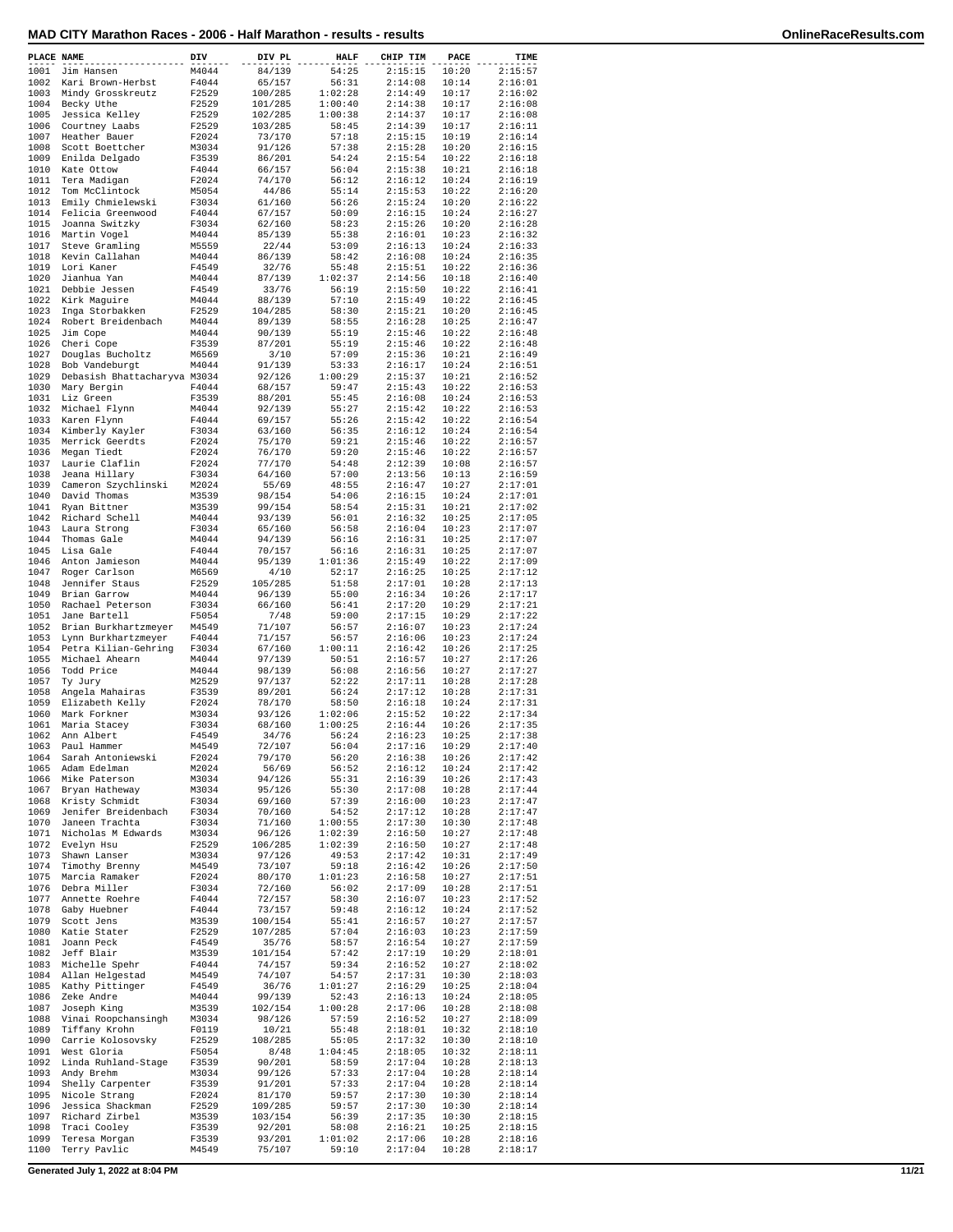| MAD CITY Marathon Races - 2006 - Half Marathon - results - results<br>OnlineRaceResults.com |
|---------------------------------------------------------------------------------------------|
|---------------------------------------------------------------------------------------------|

| OnlineRaceResults.com |
|-----------------------|
|-----------------------|

| PLACE NAME   |                                            | DIV            | DIV PL           | <b>HALF</b>      | CHIP TIM           | PACE           | TIME               |
|--------------|--------------------------------------------|----------------|------------------|------------------|--------------------|----------------|--------------------|
| 1001         | Jim Hansen                                 | M4044          | 84/139           | 54:25            | 2:15:15            | 10:20          | 2:15:57            |
| 1002         | Kari Brown-Herbst                          | F4044          | 65/157           | 56:31            | 2:14:08            | 10:14          | 2:16:01            |
| 1003         | Mindy Grosskreutz                          | F2529          | 100/285          | 1:02:28          | 2:14:49            | 10:17          | 2:16:02            |
|              | 1004 Becky Uthe                            | F2529          | 101/285          | 1:00:40          | 2:14:38            | 10:17          | 2:16:08            |
| 1005         | Jessica Kelley                             | F2529          | 102/285          | 1:00:38          | 2:14:37            | 10:17          | 2:16:08            |
| 1006         | Courtney Laabs                             | F2529          | 103/285          | 58:45            | 2:14:39            | 10:17          | 2:16:11            |
| 1007         | Heather Bauer                              | F2024          | 73/170           | 57:18            | 2:15:15            | 10:19          | 2:16:14            |
| 1008         | Scott Boettcher                            | M3034          | 91/126           | 57:38            | 2:15:28            | 10:20          | 2:16:15            |
| 1009         | Enilda Delgado                             | F3539          | 86/201           | 54:24            | 2:15:54            | 10:22          | 2:16:18            |
|              | 1010 Kate Ottow                            | F4044          | 66/157           | 56:04            | 2:15:38            | 10:21          | 2:16:18            |
| 1011         | Tera Madigan                               | F2024          | 74/170           | 56:12            | 2:16:12            | 10:24          | 2:16:19            |
| 1012         | Tom McClintock                             | M5054          | 44/86            | 55:14            | 2:15:53            | 10:22          | 2:16:20            |
|              | 1013 Emily Chmielewski                     | F3034          | 61/160           | 56:26            | 2:15:24            | 10:20          | 2:16:22            |
|              | 1014 Felicia Greenwood                     | F4044          | 67/157           | 50:09            | 2:16:15            | 10:24          | 2:16:27            |
| 1015         | Joanna Switzky                             | F3034          | 62/160           | 58:23            | 2:15:26            | 10:20          | 2:16:28            |
|              | 1016 Martin Vogel                          | M4044          | 85/139           | 55:38            | 2:16:01            | 10:23          | 2:16:32            |
| 1017         | Steve Gramling                             | M5559          | 22/44            | 53:09            | 2:16:13            | 10:24          | 2:16:33            |
| 1018         | Kevin Callahan                             | M4044          | 86/139           | 58:42            | 2:16:08            | 10:24          | 2:16:35            |
| 1019         | Lori Kaner                                 | F4549          | 32/76            | 55:48            | 2:15:51            | 10:22          | 2:16:36            |
| 1020         | Jianhua Yan                                | M4044          | 87/139           | 1:02:37          | 2:14:56            | 10:18          | 2:16:40            |
|              | 1021 Debbie Jessen                         | F4549          | 33/76            | 56:19            | 2:15:50            | 10:22          | 2:16:41            |
|              | 1022 Kirk Maguire                          | M4044          | 88/139           | 57:10            | 2:15:49            | 10:22          | 2:16:45            |
| 1023         | Inga Storbakken<br>1024 Robert Breidenbach | F2529<br>M4044 | 104/285          | 58:30            | 2:15:21            | 10:20<br>10:25 | 2:16:45<br>2:16:47 |
| 1025         | Jim Cope                                   | M4044          | 89/139<br>90/139 | 58:55<br>55:19   | 2:16:28<br>2:15:46 | 10:22          | 2:16:48            |
| 1026         | Cheri Cope                                 | F3539          | 87/201           | 55:19            | 2:15:46            | 10:22          | 2:16:48            |
|              | 1027 Douglas Bucholtz                      | M6569          | 3/10             | 57:09            | 2:15:36            | 10:21          | 2:16:49            |
|              | 1028 Bob Vandeburgt                        | M4044          | 91/139           | 53:33            | 2:16:17            | 10:24          | 2:16:51            |
| 1029         | Debasish Bhattacharyva M3034               |                | 92/126           | 1:00:29          | 2:15:37            | 10:21          | 2:16:52            |
| 1030         | Mary Bergin                                | F4044          | 68/157           | 59:47            | 2:15:43            | 10:22          | 2:16:53            |
| 1031         | Liz Green                                  | F3539          | 88/201           | 55:45            | 2:16:08            | 10:24          | 2:16:53            |
|              | 1032 Michael Flynn                         | M4044          | 92/139           | 55:27            | 2:15:42            | 10:22          | 2:16:53            |
|              | 1033 Karen Flynn                           | F4044          | 69/157           | 55:26            | 2:15:42            | 10:22          | 2:16:54            |
|              | 1034 Kimberly Kayler                       | F3034          | 63/160           | 56:35            | 2:16:12            | 10:24          | 2:16:54            |
| 1035         | Merrick Geerdts                            | F2024          | 75/170           | 59:21            | 2:15:46            | 10:22          | 2:16:57            |
| 1036         | Megan Tiedt                                | F2024          | 76/170           | 59:20            | 2:15:46            | 10:22          | 2:16:57            |
| 1037         | Laurie Claflin                             | F2024          | 77/170           | 54:48            | 2:12:39            | 10:08          | 2:16:57            |
| 1038         | Jeana Hillary                              | F3034          | 64/160           | 57:00            | 2:13:56            | 10:13          | 2:16:59            |
| 1039         | Cameron Szychlinski                        | M2024          | 55/69            | 48:55            | 2:16:47            | 10:27          | 2:17:01            |
| 1040         | David Thomas                               | M3539          | 98/154           | 54:06            | 2:16:15            | 10:24          | 2:17:01            |
| 1041         | Ryan Bittner                               | M3539          | 99/154           | 58:54            | 2:15:31            | 10:21          | 2:17:02            |
| 1042         | Richard Schell                             | M4044          | 93/139           | 56:01            | 2:16:32            | 10:25          | 2:17:05            |
| 1043         | Laura Strong                               | F3034          | 65/160           | 56:58            | 2:16:04            | 10:23          | 2:17:07            |
| 1044         | Thomas Gale                                | M4044          | 94/139           | 56:16            | 2:16:31            | 10:25          | 2:17:07            |
|              | 1045 Lisa Gale                             | F4044          | 70/157           | 56:16            | 2:16:31            | 10:25          | 2:17:07            |
| 1046         | Anton Jamieson                             | M4044          | 95/139           | 1:01:36          | 2:15:49            | 10:22          | 2:17:09            |
| 1047         | Roger Carlson                              | M6569          | 4/10             | 52:17            | 2:16:25            | 10:25          | 2:17:12            |
| 1048         | Jennifer Staus                             | F2529          | 105/285          | 51:58            | 2:17:01            | 10:28          | 2:17:13            |
| 1049         | Brian Garrow                               | M4044          | 96/139           | 55:00            | 2:16:34            | 10:26          | 2:17:17            |
| 1050         | Rachael Peterson                           | F3034          | 66/160           | 56:41            | 2:17:20            | 10:29          | 2:17:21            |
| 1051         | Jane Bartell                               | F5054          | 7/48             | 59:00            | 2:17:15            | 10:29          | 2:17:22            |
|              | 1052 Brian Burkhartzmeyer                  | M4549          | 71/107           | 56:57            | 2:16:07            | 10:23          | 2:17:24            |
| 1053         | Lynn Burkhartzmeyer                        | F4044          | 71/157           | 56:57            | 2:16:06            | 10:23          | 2:17:24            |
| 1054         | Petra Kilian-Gehring                       | F3034          | 67/160           | 1:00:11          | 2:16:42            | 10:26          | 2:17:25            |
| 1055         | Michael Ahearn                             | M4044          | 97/139           | 50:51            | 2:16:57            | 10:27          | 2:17:26            |
| 1056         | Todd Price                                 | M4044          | 98/139           | 56:08            | 2:16:56            | 10:27          | 2:17:27            |
| 1057         | Ty Jury                                    | M2529          | 97/137           | 52:22            | 2:17:11            | 10:28          | 2:17:28            |
| 1058         | Angela Mahairas                            | F3539          | 89/201           | 56:24            | 2:17:12            | 10:28          | 2:17:31            |
| 1059         | Elizabeth Kelly                            | F2024          | 78/170           | 58:50            | 2:16:18            | 10:24          | 2:17:31            |
| 1060         | Mark Forkner                               | M3034          | 93/126           | 1:02:06          | 2:15:52            | 10:22          | 2:17:34            |
| 1061         | Maria Stacey                               | F3034          | 68/160           | 1:00:25          | 2:16:44            | 10:26          | 2:17:35            |
| 1062         | Ann Albert                                 | F4549          | 34/76            | 56:24            | 2:16:23            | 10:25          | 2:17:38            |
| 1063         | Paul Hammer                                | M4549          | 72/107<br>79/170 | 56:04<br>56:20   | 2:17:16            | 10:29          | 2:17:40            |
| 1064<br>1065 | Sarah Antoniewski<br>Adam Edelman          | F2024<br>M2024 | 56/69            | 56:52            | 2:16:38<br>2:16:12 | 10:26<br>10:24 | 2:17:42<br>2:17:42 |
| 1066         | Mike Paterson                              | M3034          | 94/126           | 55:31            | 2:16:39            | 10:26          | 2:17:43            |
| 1067         | Bryan Hatheway                             | M3034          | 95/126           | 55:30            | 2:17:08            | 10:28          | 2:17:44            |
| 1068         | Kristy Schmidt                             | F3034          | 69/160           | 57:39            | 2:16:00            | 10:23          | 2:17:47            |
| 1069         | Jenifer Breidenbach                        | F3034          | 70/160           | 54:52            | 2:17:12            | 10:28          | 2:17:47            |
| 1070         | Janeen Trachta                             | F3034          | 71/160           | 1:00:55          | 2:17:30            | 10:30          | 2:17:48            |
| 1071         | Nicholas M Edwards                         | M3034          | 96/126           | 1:02:39          | 2:16:50            | 10:27          | 2:17:48            |
| 1072         | Evelyn Hsu                                 | F2529          | 106/285          | 1:02:39          | 2:16:50            | 10:27          | 2:17:48            |
| 1073         | Shawn Lanser                               | M3034          | 97/126           | 49:53            | 2:17:42            | 10:31          | 2:17:49            |
| 1074         | Timothy Brenny                             | M4549          | 73/107           | 59:18            | 2:16:42            | 10:26          | 2:17:50            |
| 1075         | Marcia Ramaker                             | F2024          | 80/170           | 1:01:23          | 2:16:58            | 10:27          | 2:17:51            |
| 1076         | Debra Miller                               | F3034          | 72/160           | 56:02            | 2:17:09            | 10:28          | 2:17:51            |
| 1077         | Annette Roehre                             | F4044          | 72/157           | 58:30            | 2:16:07            | 10:23          | 2:17:52            |
| 1078         | Gaby Huebner                               | F4044          | 73/157           | 59:48            | 2:16:12            | 10:24          | 2:17:52            |
| 1079         | Scott Jens                                 | M3539          | 100/154          | 55:41            | 2:16:57            | 10:27          | 2:17:57            |
| 1080         | Katie Stater                               | F2529          | 107/285          | 57:04            | 2:16:03            | 10:23          | 2:17:59            |
| 1081         | Joann Peck                                 | F4549          | 35/76            | 58:57            | 2:16:54            | 10:27          | 2:17:59            |
| 1082         | Jeff Blair                                 | M3539          | 101/154          | 57:42            | 2:17:19            | 10:29          | 2:18:01            |
| 1083         | Michelle Spehr                             | F4044          | 74/157           | 59:34            | 2:16:52            | 10:27          | 2:18:02            |
| 1084         | Allan Helgestad                            | M4549          | 74/107           | 54:57            | 2:17:31            | 10:30          | 2:18:03            |
| 1085         | Kathy Pittinger                            | F4549          | 36/76            | 1:01:27          | 2:16:29            | 10:25          | 2:18:04            |
| 1086         | Zeke Andre                                 | M4044          | 99/139           | 52:43            | 2:16:13            | 10:24          | 2:18:05            |
| 1087         | Joseph King                                | M3539          | 102/154          | 1:00:28          | 2:17:06            | 10:28          | 2:18:08            |
| 1088         | Vinai Roopchansingh                        | M3034          | 98/126           | 57:59            | 2:16:52            | 10:27          | 2:18:09            |
| 1089         | Tiffany Krohn                              | F0119          | 10/21            | 55:48            | 2:18:01            | 10:32          | 2:18:10            |
| 1090         | Carrie Kolosovsky                          | F2529          | 108/285          | 55:05            | 2:17:32            | 10:30          | 2:18:10            |
| 1091<br>1092 | West Gloria                                | F5054          | 8/48             | 1:04:45<br>58:59 | 2:18:05<br>2:17:04 | 10:32<br>10:28 | 2:18:11<br>2:18:13 |
| 1093         | Linda Ruhland-Stage<br>Andy Brehm          | F3539<br>M3034 | 90/201<br>99/126 | 57:33            | 2:17:04            | 10:28          | 2:18:14            |
| 1094         | Shelly Carpenter                           | F3539          | 91/201           | 57:33            | 2:17:04            | 10:28          | 2:18:14            |
| 1095         | Nicole Strang                              | F2024          | 81/170           | 59:57            | 2:17:30            | 10:30          | 2:18:14            |
| 1096         | Jessica Shackman                           | F2529          | 109/285          | 59:57            | 2:17:30            | 10:30          | 2:18:14            |
| 1097         | Richard Zirbel                             | M3539          | 103/154          | 56:39            | 2:17:35            | 10:30          | 2:18:15            |
| 1098         | Traci Cooley                               | F3539          | 92/201           | 58:08            | 2:16:21            | 10:25          | 2:18:15            |
| 1099         | Teresa Morgan                              | F3539          | 93/201           | 1:01:02          | 2:17:06            | 10:28          | 2:18:16            |
| 1100         | Terry Pavlic                               | M4549          | 75/107           | 59:10            | 2:17:04            | 10:28          | 2:18:17            |
|              |                                            |                |                  |                  |                    |                |                    |

**Generated July 1, 2022 at 8:04 PM 11/21**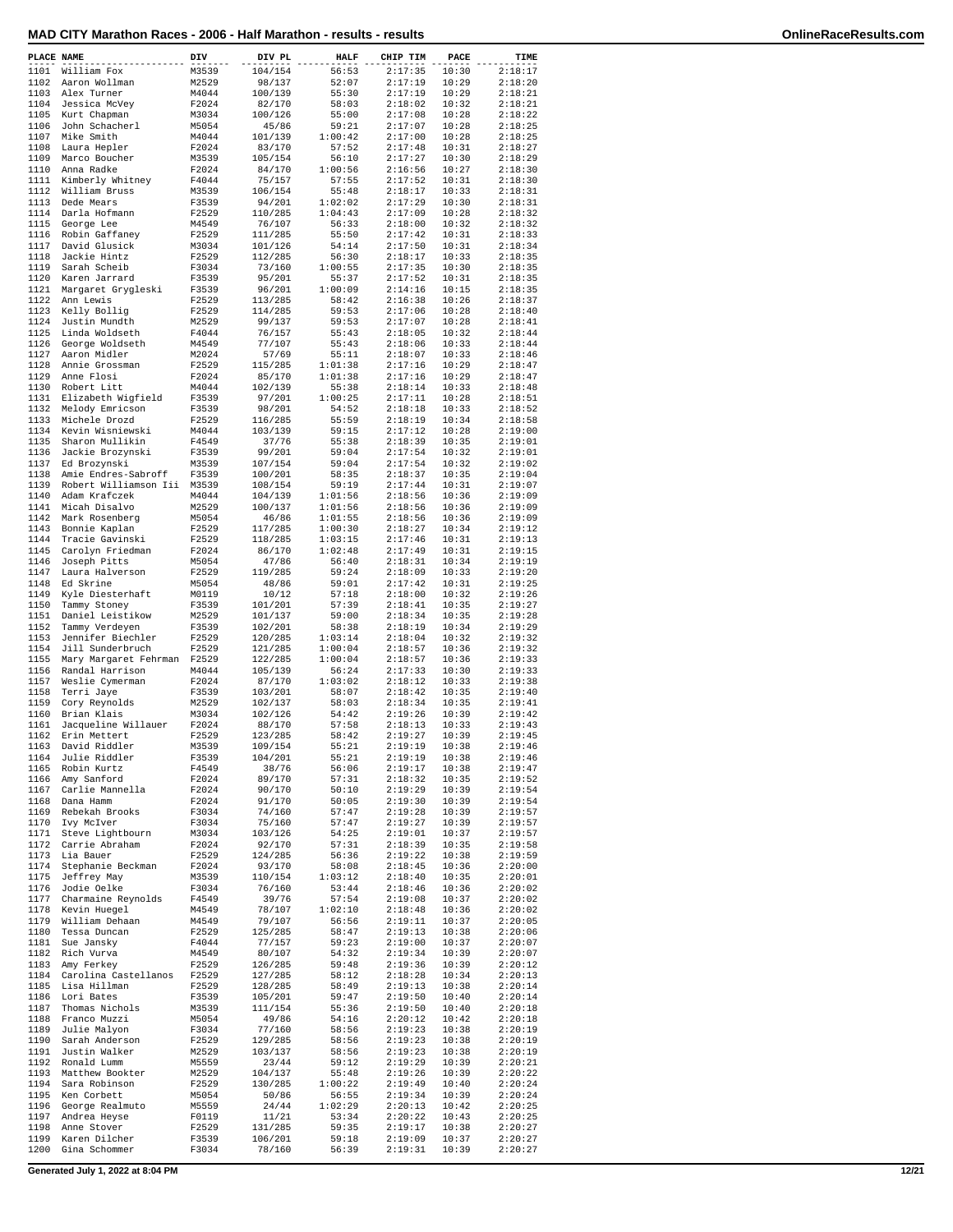| MAD CITY Marathon Races - 2006 - Half Marathon - results - results |  |  |  |
|--------------------------------------------------------------------|--|--|--|
|--------------------------------------------------------------------|--|--|--|

| PLACE NAME   |                                       | DIV            | DIV PL             | <b>HALF</b>      | CHIP TIM           | PACE           | TIME               |
|--------------|---------------------------------------|----------------|--------------------|------------------|--------------------|----------------|--------------------|
| 1101         | William Fox                           | M3539          | 104/154            | 56:53            | 2:17:35            | 10:30          | 2:18:17            |
| 1102         | Aaron Wollman                         | M2529          | 98/137             | 52:07            | 2:17:19            | 10:29          | 2:18:20            |
| 1103         | Alex Turner                           | M4044          | 100/139            | 55:30            | 2:17:19            | 10:29          | 2:18:21            |
| 1104         | Jessica McVey                         | F2024          | 82/170             | 58:03            | 2:18:02            | 10:32          | 2:18:21            |
| 1105         | Kurt Chapman                          | M3034          | 100/126            | 55:00            | 2:17:08            | 10:28          | 2:18:22            |
| 1106         | John Schacherl                        | M5054          | 45/86              | 59:21            | 2:17:07            | 10:28          | 2:18:25            |
| 1107         | Mike Smith                            | M4044          | 101/139            | 1:00:42          | 2:17:00            | 10:28          | 2:18:25            |
| 1108         | Laura Hepler                          | F2024          | 83/170             | 57:52            | 2:17:48            | 10:31          | 2:18:27            |
| 1109         | Marco Boucher                         | M3539          | 105/154            | 56:10            | 2:17:27            | 10:30          | 2:18:29            |
| 1110         | Anna Radke                            | F2024          | 84/170             | 1:00:56          | 2:16:56            | 10:27          | 2:18:30            |
| 1111         | Kimberly Whitney                      | F4044          | 75/157             | 57:55            | 2:17:52            | 10:31          | 2:18:30            |
| 1112<br>1113 | William Bruss                         | M3539<br>F3539 | 106/154            | 55:48<br>1:02:02 | 2:18:17<br>2:17:29 | 10:33<br>10:30 | 2:18:31<br>2:18:31 |
| 1114         | Dede Mears<br>Darla Hofmann           | F2529          | 94/201<br>110/285  | 1:04:43          | 2:17:09            | 10:28          | 2:18:32            |
| 1115         | George Lee                            | M4549          | 76/107             | 56:33            | 2:18:00            | 10:32          | 2:18:32            |
| 1116         | Robin Gaffaney                        | F2529          | 111/285            | 55:50            | 2:17:42            | 10:31          | 2:18:33            |
| 1117         | David Glusick                         | M3034          | 101/126            | 54:14            | 2:17:50            | 10:31          | 2:18:34            |
| 1118         | Jackie Hintz                          | F2529          | 112/285            | 56:30            | 2:18:17            | 10:33          | 2:18:35            |
| 1119         | Sarah Scheib                          | F3034          | 73/160             | 1:00:55          | 2:17:35            | 10:30          | 2:18:35            |
| 1120         | Karen Jarrard                         | F3539          | 95/201             | 55:37            | 2:17:52            | 10:31          | 2:18:35            |
| 1121         | Margaret Grygleski                    | F3539          | 96/201             | 1:00:09          | 2:14:16            | 10:15          | 2:18:35            |
| 1122         | Ann Lewis                             | F2529          | 113/285            | 58:42            | 2:16:38            | 10:26          | 2:18:37            |
| 1123         | Kelly Bollig                          | F2529          | 114/285            | 59:53            | 2:17:06            | 10:28          | 2:18:40            |
| 1124         | Justin Mundth                         | M2529          | 99/137             | 59:53            | 2:17:07            | 10:28          | 2:18:41            |
| 1125         | Linda Woldseth                        | F4044          | 76/157             | 55:43            | 2:18:05            | 10:32          | 2:18:44            |
| 1126         | George Woldseth                       | M4549          | 77/107             | 55:43            | 2:18:06            | 10:33          | 2:18:44            |
| 1127         | Aaron Midler                          | M2024          | 57/69              | 55:11            | 2:18:07            | 10:33          | 2:18:46            |
| 1128         | Annie Grossman                        | F2529          | 115/285            | 1:01:38          | 2:17:16            | 10:29          | 2:18:47            |
| 1129         | Anne Flosi                            | F2024          | 85/170             | 1:01:38          | 2:17:16            | 10:29<br>10:33 | 2:18:47            |
| 1130<br>1131 | Robert Litt                           | M4044<br>F3539 | 102/139            | 55:38<br>1:00:25 | 2:18:14<br>2:17:11 | 10:28          | 2:18:48<br>2:18:51 |
| 1132         | Elizabeth Wigfield<br>Melody Emricson | F3539          | 97/201<br>98/201   | 54:52            | 2:18:18            | 10:33          | 2:18:52            |
| 1133         | Michele Drozd                         | F2529          | 116/285            | 55:59            | 2:18:19            | 10:34          | 2:18:58            |
| 1134         | Kevin Wisniewski                      | M4044          | 103/139            | 59:15            | 2:17:12            | 10:28          | 2:19:00            |
| 1135         | Sharon Mullikin                       | F4549          | 37/76              | 55:38            | 2:18:39            | 10:35          | 2:19:01            |
| 1136         | Jackie Brozynski                      | F3539          | 99/201             | 59:04            | 2:17:54            | 10:32          | 2:19:01            |
| 1137         | Ed Brozynski                          | M3539          | 107/154            | 59:04            | 2:17:54            | 10:32          | 2:19:02            |
| 1138         | Amie Endres-Sabroff                   | F3539          | 100/201            | 58:35            | 2:18:37            | 10:35          | 2:19:04            |
| 1139         | Robert Williamson Iii                 | M3539          | 108/154            | 59:19            | 2:17:44            | 10:31          | 2:19:07            |
| 1140         | Adam Krafczek                         | M4044          | 104/139            | 1:01:56          | 2:18:56            | 10:36          | 2:19:09            |
| 1141         | Micah Disalvo                         | M2529          | 100/137            | 1:01:56          | 2:18:56            | 10:36          | 2:19:09            |
| 1142         | Mark Rosenberg                        | M5054          | 46/86              | 1:01:55          | 2:18:56            | 10:36          | 2:19:09            |
| 1143         | Bonnie Kaplan                         | F2529          | 117/285            | 1:00:30          | 2:18:27            | 10:34          | 2:19:12            |
| 1144         | Tracie Gavinski                       | F2529          | 118/285            | 1:03:15          | 2:17:46            | 10:31          | 2:19:13            |
| 1145         | Carolyn Friedman                      | F2024          | 86/170             | 1:02:48          | 2:17:49            | 10:31          | 2:19:15            |
| 1146         | Joseph Pitts                          | M5054          | 47/86              | 56:40            | 2:18:31            | 10:34          | 2:19:19            |
| 1147         | Laura Halverson                       | F2529          | 119/285            | 59:24            | 2:18:09            | 10:33          | 2:19:20            |
| 1148         | Ed Skrine                             | M5054          | 48/86              | 59:01            | 2:17:42            | 10:31          | 2:19:25            |
| 1149         | Kyle Diesterhaft                      | M0119          | 10/12              | 57:18            | 2:18:00            | 10:32          | 2:19:26            |
| 1150<br>1151 | Tammy Stoney                          | F3539<br>M2529 | 101/201<br>101/137 | 57:39<br>59:00   | 2:18:41<br>2:18:34 | 10:35<br>10:35 | 2:19:27<br>2:19:28 |
| 1152         | Daniel Leistikow<br>Tammy Verdeyen    | F3539          | 102/201            | 58:38            | 2:18:19            | 10:34          | 2:19:29            |
| 1153         | Jennifer Biechler                     | F2529          | 120/285            | 1:03:14          | 2:18:04            | 10:32          | 2:19:32            |
| 1154         | Jill Sunderbruch                      | F2529          | 121/285            | 1:00:04          | 2:18:57            | 10:36          | 2:19:32            |
| 1155         | Mary Margaret Fehrman                 | F2529          | 122/285            | 1:00:04          | 2:18:57            | 10:36          | 2:19:33            |
| 1156         | Randal Harrison                       | M4044          | 105/139            | 56:24            | 2:17:33            | 10:30          | 2:19:33            |
| 1157         | Weslie Cymerman                       | F2024          | 87/170             | 1:03:02          | 2:18:12            | 10:33          | 2:19:38            |
| 1158         | Terri Jaye                            | F3539          | 103/201            | 58:07            | 2:18:42            | 10:35          | 2:19:40            |
| 1159         | Cory Reynolds                         | M2529          | 102/137            | 58:03            | 2:18:34            | 10:35          | 2:19:41            |
| 1160         | Brian Klais                           | M3034          | 102/126            | 54:42            | 2:19:26            | 10:39          | 2:19:42            |
| 1161         | Jacqueline Willauer                   | F2024          | 88/170             | 57:58            | 2:18:13            | 10:33          | 2:19:43            |
| 1162         | Erin Mettert                          | F2529          | 123/285            | 58:42            | 2:19:27            | 10:39          | 2:19:45            |
| 1163         | David Riddler                         | M3539          | 109/154            | 55:21            | 2:19:19            | 10:38          | 2:19:46            |
| 1164         | Julie Riddler                         | F3539          | 104/201            | 55:21            | 2:19:19            | 10:38          | 2:19:46            |
| 1165<br>1166 | Robin Kurtz                           | F4549          | 38/76              | 56:06            | 2:19:17<br>2:18:32 | 10:38          | 2:19:47            |
| 1167         | Amy Sanford                           | F2024<br>F2024 | 89/170<br>90/170   | 57:31            | 2:19:29            | 10:35<br>10:39 | 2:19:52            |
| 1168         | Carlie Mannella<br>Dana Hamm          | F2024          | 91/170             | 50:10<br>50:05   | 2:19:30            | 10:39          | 2:19:54<br>2:19:54 |
| 1169         | Rebekah Brooks                        | F3034          | 74/160             | 57:47            | 2:19:28            | 10:39          | 2:19:57            |
| 1170         | Ivy McIver                            | F3034          | 75/160             | 57:47            | 2:19:27            | 10:39          | 2:19:57            |
| 1171         | Steve Lightbourn                      | M3034          | 103/126            | 54:25            | 2:19:01            | 10:37          | 2:19:57            |
| 1172         | Carrie Abraham                        | F2024          | 92/170             | 57:31            | 2:18:39            | 10:35          | 2:19:58            |
| 1173         | Lia Bauer                             | F2529          | 124/285            | 56:36            | 2:19:22            | 10:38          | 2:19:59            |
| 1174         | Stephanie Beckman                     | F2024          | 93/170             | 58:08            | 2:18:45            | 10:36          | 2:20:00            |
| 1175         | Jeffrey May                           | M3539          | 110/154            | 1:03:12          | 2:18:40            | 10:35          | 2:20:01            |
| 1176         | Jodie Oelke                           | F3034          | 76/160             | 53:44            | 2:18:46            | 10:36          | 2:20:02            |
| 1177         | Charmaine Reynolds                    | F4549          | 39/76              | 57:54            | 2:19:08            | 10:37          | 2:20:02            |
| 1178         | Kevin Huegel                          | M4549          | 78/107             | 1:02:10          | 2:18:48            | 10:36          | 2:20:02            |
| 1179         | William Dehaan                        | M4549          | 79/107             | 56:56            | 2:19:11            | 10:37          | 2:20:05            |
| 1180<br>1181 | Tessa Duncan                          | F2529<br>F4044 | 125/285            | 58:47<br>59:23   | 2:19:13            | 10:38          | 2:20:06            |
| 1182         | Sue Jansky<br>Rich Vurva              | M4549          | 77/157<br>80/107   | 54:32            | 2:19:00<br>2:19:34 | 10:37<br>10:39 | 2:20:07<br>2:20:07 |
| 1183         | Amy Ferkey                            | F2529          | 126/285            | 59:48            | 2:19:36            | 10:39          | 2:20:12            |
| 1184         | Carolina Castellanos                  | F2529          | 127/285            | 58:12            | 2:18:28            | 10:34          | 2:20:13            |
| 1185         | Lisa Hillman                          | F2529          | 128/285            | 58:49            | 2:19:13            | 10:38          | 2:20:14            |
| 1186         | Lori Bates                            | F3539          | 105/201            | 59:47            | 2:19:50            | 10:40          | 2:20:14            |
| 1187         | Thomas Nichols                        | M3539          | 111/154            | 55:36            | 2:19:50            | 10:40          | 2:20:18            |
| 1188         | Franco Muzzi                          | M5054          | 49/86              | 54:16            | 2:20:12            | 10:42          | 2:20:18            |
| 1189         | Julie Malyon                          | F3034          | 77/160             | 58:56            | 2:19:23            | 10:38          | 2:20:19            |
| 1190         | Sarah Anderson                        | F2529          | 129/285            | 58:56            | 2:19:23            | 10:38          | 2:20:19            |
| 1191         | Justin Walker                         | M2529          | 103/137            | 58:56            | 2:19:23            | 10:38          | 2:20:19            |
| 1192         | Ronald Lumm                           | M5559          | 23/44              | 59:12            | 2:19:29            | 10:39          | 2:20:21            |
| 1193         | Matthew Bookter                       | M2529          | 104/137            | 55:48            | 2:19:26            | 10:39          | 2:20:22            |
| 1194         | Sara Robinson                         | F2529          | 130/285            | 1:00:22          | 2:19:49            | 10:40          | 2:20:24            |
| 1195         | Ken Corbett                           | M5054          | 50/86              | 56:55            | 2:19:34            | 10:39          | 2:20:24            |
| 1196         | George Realmuto                       | M5559          | 24/44              | 1:02:29          | 2:20:13            | 10:42          | 2:20:25            |
| 1197         | Andrea Heyse                          | F0119          | 11/21              | 53:34            | 2:20:22            | 10:43          | 2:20:25            |
| 1198<br>1199 | Anne Stover<br>Karen Dilcher          | F2529<br>F3539 | 131/285<br>106/201 | 59:35<br>59:18   | 2:19:17<br>2:19:09 | 10:38<br>10:37 | 2:20:27<br>2:20:27 |
| 1200         | Gina Schommer                         | F3034          | 78/160             | 56:39            | 2:19:31            | 10:39          | 2:20:27            |
|              |                                       |                |                    |                  |                    |                |                    |

**Generated July 1, 2022 at 8:04 PM 12/21**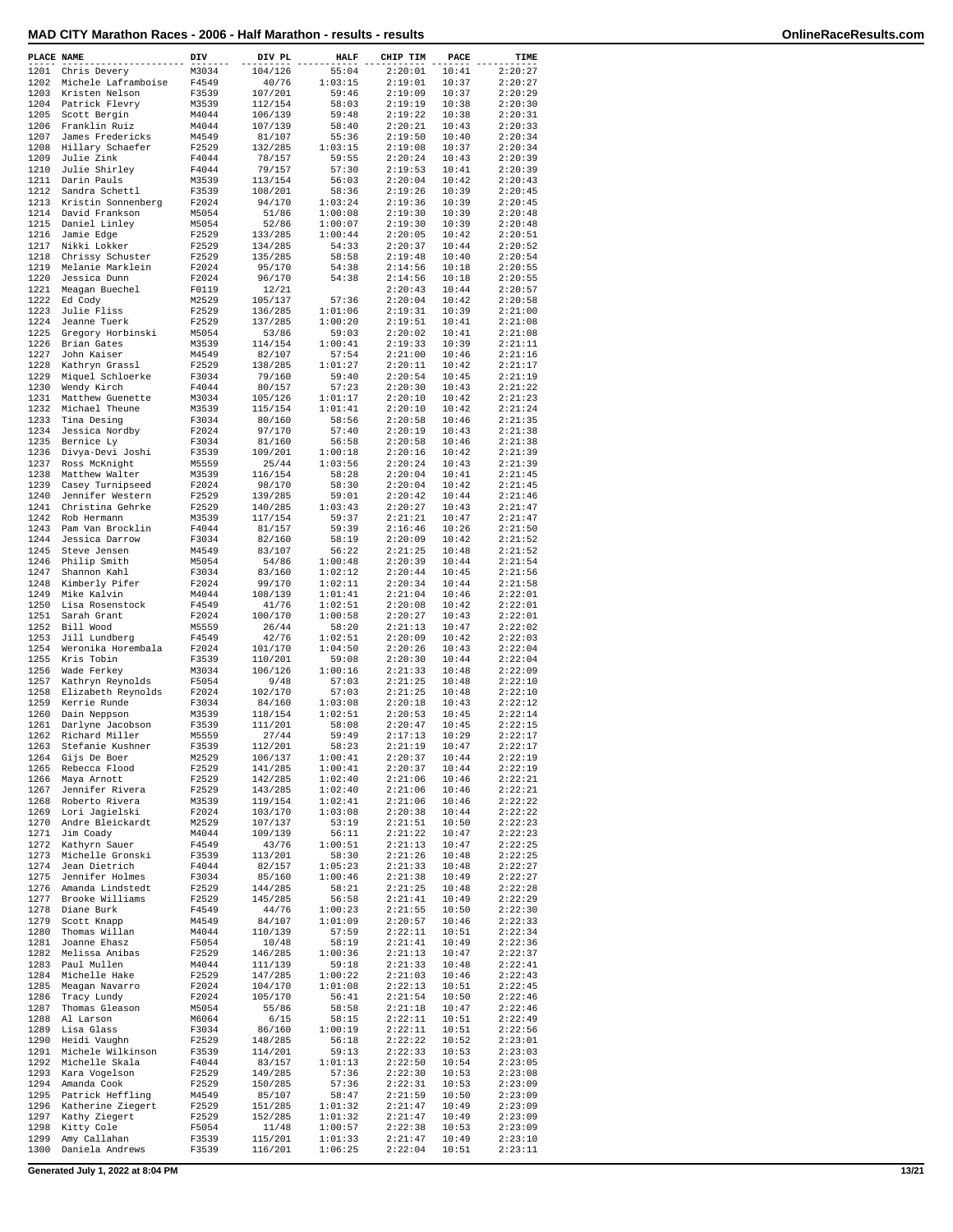| MAD CITY Marathon Races - 2006 - Half Marathon - results - results | OnlineRaceResults.com |
|--------------------------------------------------------------------|-----------------------|
|--------------------------------------------------------------------|-----------------------|

|  |  | OnlineRaceResults.com |
|--|--|-----------------------|

| PLACE NAME   |                                         | DIV            | DIV PL             | <b>HALF</b>        | CHIP TIM           | PACE           | TIME               |
|--------------|-----------------------------------------|----------------|--------------------|--------------------|--------------------|----------------|--------------------|
| 1201         | Chris Devery                            | M3034          | 104/126            | 55:04              | 2:20:01            | 10:41          | 2:20:27            |
| 1202         | Michele Laframboise                     | F4549          | 40/76              | 1:03:15            | 2:19:01            | 10:37          | 2:20:27            |
| 1203         | Kristen Nelson                          | F3539          | 107/201            | 59:46              | 2:19:09            | 10:37          | 2:20:29            |
| 1204         | Patrick Flevry                          | M3539          | 112/154            | 58:03              | 2:19:19            | 10:38          | 2:20:30            |
| 1205<br>1206 | Scott Bergin<br>Franklin Ruiz           | M4044<br>M4044 | 106/139<br>107/139 | 59:48<br>58:40     | 2:19:22<br>2:20:21 | 10:38<br>10:43 | 2:20:31<br>2:20:33 |
| 1207         | James Fredericks                        | M4549          | 81/107             | 55:36              | 2:19:50            | 10:40          | 2:20:34            |
| 1208         | Hillary Schaefer                        | F2529          | 132/285            | 1:03:15            | 2:19:08            | 10:37          | 2:20:34            |
| 1209         | Julie Zink                              | F4044          | 78/157             | 59:55              | 2:20:24            | 10:43          | 2:20:39            |
| 1210         | Julie Shirley                           | F4044          | 79/157             | 57:30              | 2:19:53            | 10:41          | 2:20:39            |
| 1211         | Darin Pauls                             | M3539          | 113/154            | 56:03              | 2:20:04            | 10:42          | 2:20:43            |
| 1212         | Sandra Schettl                          | F3539          | 108/201            | 58:36              | 2:19:26            | 10:39          | 2:20:45            |
| 1213         | Kristin Sonnenberg                      | F2024          | 94/170             | 1:03:24            | 2:19:36            | 10:39          | 2:20:45            |
| 1214<br>1215 | David Frankson<br>Daniel Linley         | M5054<br>M5054 | 51/86<br>52/86     | 1:00:08<br>1:00:07 | 2:19:30<br>2:19:30 | 10:39<br>10:39 | 2:20:48<br>2:20:48 |
| 1216         | Jamie Edge                              | F2529          | 133/285            | 1:00:44            | 2:20:05            | 10:42          | 2:20:51            |
| 1217         | Nikki Lokker                            | F2529          | 134/285            | 54:33              | 2:20:37            | 10:44          | 2:20:52            |
| 1218         | Chrissy Schuster                        | F2529          | 135/285            | 58:58              | 2:19:48            | 10:40          | 2:20:54            |
| 1219         | Melanie Marklein                        | F2024          | 95/170             | 54:38              | 2:14:56            | 10:18          | 2:20:55            |
| 1220         | Jessica Dunn                            | F2024          | 96/170             | 54:38              | 2:14:56            | 10:18          | 2:20:55            |
| 1221         | Meagan Buechel                          | F0119          | 12/21              |                    | 2:20:43            | 10:44          | 2:20:57            |
| 1222<br>1223 | Ed Cody<br>Julie Fliss                  | M2529<br>F2529 | 105/137<br>136/285 | 57:36<br>1:01:06   | 2:20:04<br>2:19:31 | 10:42<br>10:39 | 2:20:58<br>2:21:00 |
| 1224         | Jeanne Tuerk                            | F2529          | 137/285            | 1:00:20            | 2:19:51            | 10:41          | 2:21:08            |
| 1225         | Gregory Horbinski                       | M5054          | 53/86              | 59:03              | 2:20:02            | 10:41          | 2:21:08            |
| 1226         | Brian Gates                             | M3539          | 114/154            | 1:00:41            | 2:19:33            | 10:39          | 2:21:11            |
| 1227         | John Kaiser                             | M4549          | 82/107             | 57:54              | 2:21:00            | 10:46          | 2:21:16            |
| 1228         | Kathryn Grassl                          | F2529          | 138/285            | 1:01:27            | 2:20:11            | 10:42          | 2:21:17            |
| 1229         | Miquel Schloerke                        | F3034          | 79/160             | 59:40              | 2:20:54            | 10:45          | 2:21:19            |
| 1230<br>1231 | Wendy Kirch                             | F4044          | 80/157             | 57:23              | 2:20:30            | 10:43          | 2:21:22            |
| 1232         | Matthew Guenette<br>Michael Theune      | M3034<br>M3539 | 105/126<br>115/154 | 1:01:17<br>1:01:41 | 2:20:10<br>2:20:10 | 10:42<br>10:42 | 2:21:23<br>2:21:24 |
| 1233         | Tina Desing                             | F3034          | 80/160             | 58:56              | 2:20:58            | 10:46          | 2:21:35            |
| 1234         | Jessica Nordby                          | F2024          | 97/170             | 57:40              | 2:20:19            | 10:43          | 2:21:38            |
| 1235         | Bernice Ly                              | F3034          | 81/160             | 56:58              | 2:20:58            | 10:46          | 2:21:38            |
| 1236         | Divya-Devi Joshi                        | F3539          | 109/201            | 1:00:18            | 2:20:16            | 10:42          | 2:21:39            |
| 1237         | Ross McKnight                           | M5559          | 25/44              | 1:03:56            | 2:20:24            | 10:43          | 2:21:39            |
| 1238         | Matthew Walter                          | M3539          | 116/154            | 58:28              | 2:20:04            | 10:41          | 2:21:45            |
| 1239<br>1240 | Casey Turnipseed<br>Jennifer Western    | F2024<br>F2529 | 98/170<br>139/285  | 58:30<br>59:01     | 2:20:04<br>2:20:42 | 10:42<br>10:44 | 2:21:45<br>2:21:46 |
| 1241         | Christina Gehrke                        | F2529          | 140/285            | 1:03:43            | 2:20:27            | 10:43          | 2:21:47            |
|              | 1242 Rob Hermann                        | M3539          | 117/154            | 59:37              | 2:21:21            | 10:47          | 2:21:47            |
| 1243         | Pam Van Brocklin                        | F4044          | 81/157             | 59:39              | 2:16:46            | 10:26          | 2:21:50            |
| 1244         | Jessica Darrow                          | F3034          | 82/160             | 58:19              | 2:20:09            | 10:42          | 2:21:52            |
| 1245         | Steve Jensen                            | M4549          | 83/107             | 56:22              | 2:21:25            | 10:48          | 2:21:52            |
| 1246         | Philip Smith                            | M5054          | 54/86              | 1:00:48            | 2:20:39            | 10:44          | 2:21:54            |
| 1247<br>1248 | Shannon Kahl<br>Kimberly Pifer          | F3034          | 83/160<br>99/170   | 1:02:12<br>1:02:11 | 2:20:44<br>2:20:34 | 10:45          | 2:21:56<br>2:21:58 |
| 1249         | Mike Kalvin                             | F2024<br>M4044 | 108/139            | 1:01:41            | 2:21:04            | 10:44<br>10:46 | 2:22:01            |
| 1250         | Lisa Rosenstock                         | F4549          | 41/76              | 1:02:51            | 2:20:08            | 10:42          | 2:22:01            |
| 1251         | Sarah Grant                             | F2024          | 100/170            | 1:00:58            | 2:20:27            | 10:43          | 2:22:01            |
|              | 1252 Bill Wood                          | M5559          | 26/44              | 58:20              | 2:21:13            | 10:47          | 2:22:02            |
| 1253         | Jill Lundberg                           | F4549          | 42/76              | 1:02:51            | 2:20:09            | 10:42          | 2:22:03            |
| 1254         | Weronika Horembala                      | F2024          | 101/170            | 1:04:50            | 2:20:26            | 10:43          | 2:22:04            |
| 1255         | Kris Tobin                              | F3539          | 110/201            | 59:08              | 2:20:30            | 10:44          | 2:22:04            |
| 1256<br>1257 | Wade Ferkey<br>Kathryn Reynolds         | M3034<br>F5054 | 106/126<br>9/48    | 1:00:16<br>57:03   | 2:21:33<br>2:21:25 | 10:48<br>10:48 | 2:22:09<br>2:22:10 |
| 1258         | Elizabeth Reynolds                      | F2024          | 102/170            | 57:03              | 2:21:25            | 10:48          | 2:22:10            |
| 1259         | Kerrie Runde                            | F3034          | 84/160             | 1:03:08            | 2:20:18            | 10:43          | 2:22:12            |
| 1260         | Dain Neppson                            | M3539          | 118/154            | 1:02:51            | 2:20:53            | 10:45          | 2:22:14            |
| 1261         | Darlyne Jacobson                        | F3539          | 111/201            | 58:08              | 2:20:47            | 10:45          | 2:22:15            |
| 1262         | Richard Miller                          | M5559          | 27/44              | 59:49              | 2:17:13            | 10:29          | 2:22:17            |
| 1263         | Stefanie Kushner                        | F3539          | 112/201            | 58:23              | 2:21:19            | 10:47          | 2:22:17            |
|              | 1264 Gijs De Boer<br>1265 Rebecca Flood | M2529<br>F2529 | 106/137<br>141/285 | 1:00:41<br>1:00:41 | 2:20:37<br>2:20:37 | 10:44<br>10:44 | 2:22:19<br>2:22:19 |
|              | 1266 Maya Arnott                        | F2529          | 142/285            | 1:02:40            | 2:21:06            | 10:46          | 2:22:21            |
|              | 1267 Jennifer Rivera                    | F2529          | 143/285            | 1:02:40            | 2:21:06            | 10:46          | 2:22:21            |
|              | 1268 Roberto Rivera                     | M3539          | 119/154            | 1:02:41            | 2:21:06            | 10:46          | 2:22:22            |
| 1269         | Lori Jagielski                          | F2024          | 103/170            | 1:03:08            | 2:20:38            | 10:44          | 2:22:22            |
|              | 1270 Andre Bleickardt                   | M2529          | 107/137            | 53:19              | 2:21:51            | 10:50          | 2:22:23            |
| 1271         | Jim Coady<br>1272 Kathyrn Sauer         | M4044<br>F4549 | 109/139            | 56:11<br>1:00:51   | 2:21:22<br>2:21:13 | 10:47<br>10:47 | 2:22:23<br>2:22:25 |
|              | 1273 Michelle Gronski                   | F3539          | 43/76<br>113/201   | 58:30              | 2:21:26            | 10:48          | 2:22:25            |
| 1274         | Jean Dietrich                           | F4044          | 82/157             | 1:05:23            | 2:21:33            | 10:48          | 2:22:27            |
| 1275         | Jennifer Holmes                         | F3034          | 85/160             | 1:00:46            | 2:21:38            | 10:49          | 2:22:27            |
|              | 1276 Amanda Lindstedt                   | F2529          | 144/285            | 58:21              | 2:21:25            | 10:48          | 2:22:28            |
| 1277         | Brooke Williams                         | F2529          | 145/285            | 56:58              | 2:21:41            | 10:49          | 2:22:29            |
|              | 1278 Diane Burk                         | F4549          | 44/76              | 1:00:23            | 2:21:55            | 10:50          | 2:22:30            |
|              | 1279 Scott Knapp                        | M4549          | 84/107             | 1:01:09            | 2:20:57            | 10:46          | 2:22:33            |
| 1280         | Thomas Willan                           | M4044          | 110/139            | 57:59              | 2:22:11            | 10:51          | 2:22:34            |
| 1281         | Joanne Ehasz<br>1282 Melissa Anibas     | F5054<br>F2529 | 10/48<br>146/285   | 58:19<br>1:00:36   | 2:21:41<br>2:21:13 | 10:49<br>10:47 | 2:22:36<br>2:22:37 |
|              | 1283 Paul Mullen                        | M4044          | 111/139            | 59:18              | 2:21:33            | 10:48          | 2:22:41            |
|              | 1284 Michelle Hake                      | F2529          | 147/285            | 1:00:22            | 2:21:03            | 10:46          | 2:22:43            |
|              | 1285 Meagan Navarro                     | F2024          | 104/170            | 1:01:08            | 2:22:13            | 10:51          | 2:22:45            |
| 1286         | Tracy Lundy                             | F2024          | 105/170            | 56:41              | 2:21:54            | 10:50          | 2:22:46            |
| 1287         | Thomas Gleason                          | M5054          | 55/86              | 58:58              | 2:21:18            | 10:47          | 2:22:46            |
|              | 1288 Al Larson                          | M6064          | 6/15               | 58:15              | 2:22:11            | 10:51          | 2:22:49            |
| 1289         | Lisa Glass<br>1290 Heidi Vaughn         | F3034<br>F2529 | 86/160<br>148/285  | 1:00:19<br>56:18   | 2:22:11<br>2:22:22 | 10:51<br>10:52 | 2:22:56<br>2:23:01 |
|              | 1291 Michele Wilkinson                  | F3539          | 114/201            | 59:13              | 2:22:33            | 10:53          | 2:23:03            |
|              | 1292 Michelle Skala                     | F4044          | 83/157             | 1:01:13            | 2:22:50            | 10:54          | 2:23:05            |
|              | 1293 Kara Vogelson                      | F2529          | 149/285            | 57:36              | 2:22:30            | 10:53          | 2:23:08            |
|              | 1294 Amanda Cook                        | F2529          | 150/285            | 57:36              | 2:22:31            | 10:53          | 2:23:09            |
| 1295         | Patrick Heffling                        | M4549          | 85/107             | 58:47              | 2:21:59            | 10:50          | 2:23:09            |
| 1296<br>1297 | Katherine Ziegert                       | F2529          | 151/285            | 1:01:32            | 2:21:47            | 10:49<br>10:49 | 2:23:09            |
| 1298         | Kathy Ziegert<br>Kitty Cole             | F2529<br>F5054 | 152/285<br>11/48   | 1:01:32<br>1:00:57 | 2:21:47<br>2:22:38 | 10:53          | 2:23:09<br>2:23:09 |
| 1299         | Amy Callahan                            | F3539          | 115/201            | 1:01:33            | 2:21:47            | 10:49          | 2:23:10            |
| 1300         | Daniela Andrews                         | F3539          | 116/201            | 1:06:25            | 2:22:04            | 10:51          | 2:23:11            |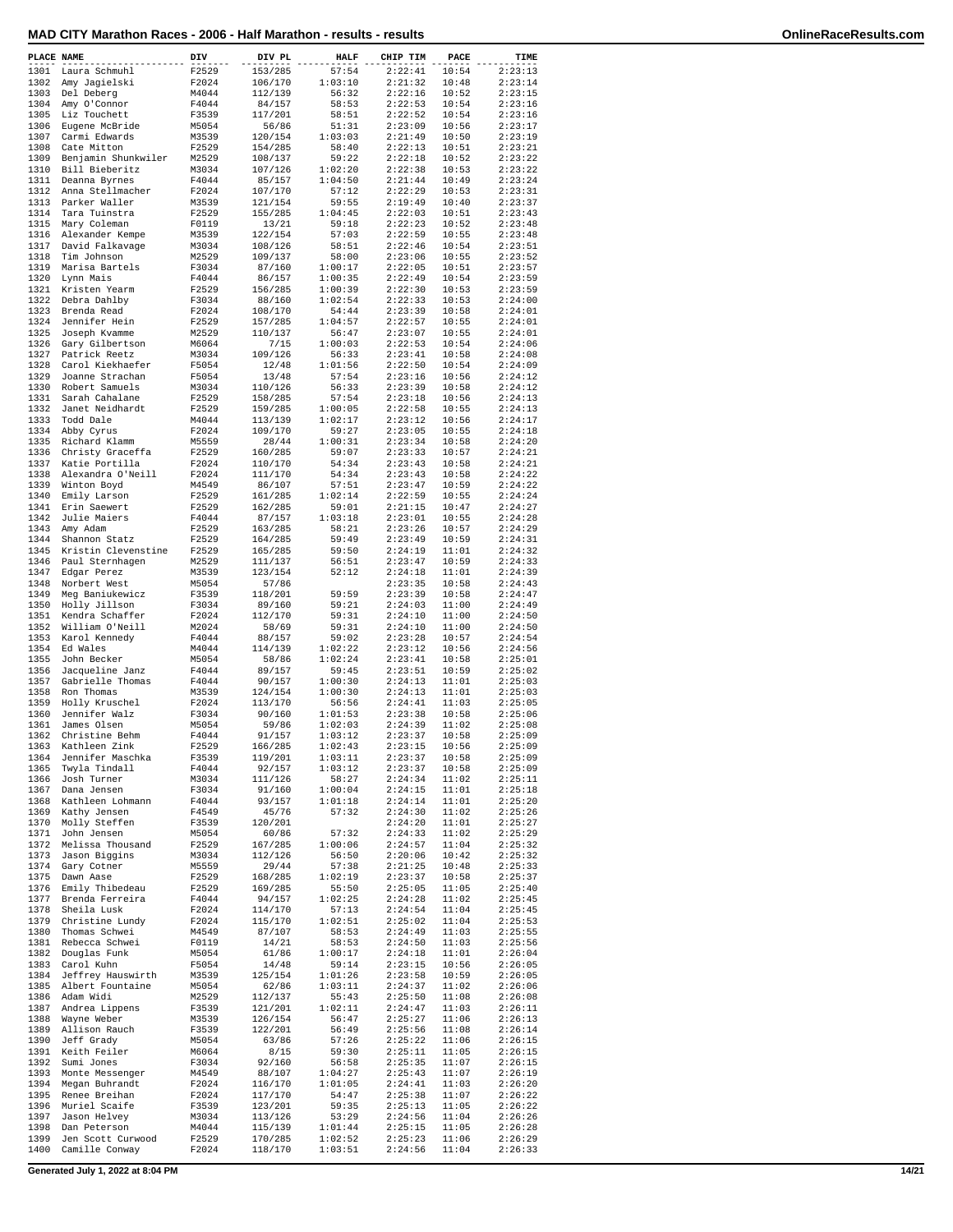| PLACE NAME   |                                     | DIV            | DIV PL             | <b>HALF</b>        | CHIP TIM           | PACE           | TIME               |
|--------------|-------------------------------------|----------------|--------------------|--------------------|--------------------|----------------|--------------------|
| 1301         | Laura Schmuhl                       | F2529          | 153/285            | 57:54              | 2:22:41            | 10:54          | 2:23:13            |
| 1302         | Amy Jaqielski                       | F2024          | 106/170            | 1:03:10            | 2:21:32            | 10:48          | 2:23:14            |
| 1303         | Del Deberg                          | M4044          | 112/139            | 56:32              | 2:22:16            | 10:52          | 2:23:15            |
| 1304<br>1305 | Amy O'Connor                        | F4044          | 84/157             | 58:53              | 2:22:53            | 10:54          | 2:23:16            |
| 1306         | Liz Touchett<br>Eugene McBride      | F3539<br>M5054 | 117/201<br>56/86   | 58:51<br>51:31     | 2:22:52<br>2:23:09 | 10:54<br>10:56 | 2:23:16<br>2:23:17 |
| 1307         | Carmi Edwards                       | M3539          | 120/154            | 1:03:03            | 2:21:49            | 10:50          | 2:23:19            |
| 1308         | Cate Mitton                         | F2529          | 154/285            | 58:40              | 2:22:13            | 10:51          | 2:23:21            |
| 1309         | Benjamin Shunkwiler                 | M2529          | 108/137            | 59:22              | 2:22:18            | 10:52          | 2:23:22            |
| 1310<br>1311 | Bill Bieberitz<br>Deanna Byrnes     | M3034<br>F4044 | 107/126<br>85/157  | 1:02:20<br>1:04:50 | 2:22:38<br>2:21:44 | 10:53<br>10:49 | 2:23:22<br>2:23:24 |
| 1312         | Anna Stellmacher                    | F2024          | 107/170            | 57:12              | 2:22:29            | 10:53          | 2:23:31            |
| 1313         | Parker Waller                       | M3539          | 121/154            | 59:55              | 2:19:49            | 10:40          | 2:23:37            |
| 1314         | Tara Tuinstra                       | F2529          | 155/285            | 1:04:45            | 2:22:03            | 10:51          | 2:23:43            |
| 1315<br>1316 | Mary Coleman<br>Alexander Kempe     | F0119<br>M3539 | 13/21<br>122/154   | 59:18<br>57:03     | 2:22:23<br>2:22:59 | 10:52<br>10:55 | 2:23:48<br>2:23:48 |
| 1317         | David Falkavage                     | M3034          | 108/126            | 58:51              | 2:22:46            | 10:54          | 2:23:51            |
| 1318         | Tim Johnson                         | M2529          | 109/137            | 58:00              | 2:23:06            | 10:55          | 2:23:52            |
| 1319         | Marisa Bartels                      | F3034          | 87/160             | 1:00:17            | 2:22:05            | 10:51          | 2:23:57            |
| 1320<br>1321 | Lynn Mais<br>Kristen Yearm          | F4044<br>F2529 | 86/157<br>156/285  | 1:00:35<br>1:00:39 | 2:22:49<br>2:22:30 | 10:54<br>10:53 | 2:23:59<br>2:23:59 |
| 1322         | Debra Dahlby                        | F3034          | 88/160             | 1:02:54            | 2:22:33            | 10:53          | 2:24:00            |
| 1323         | Brenda Read                         | F2024          | 108/170            | 54:44              | 2:23:39            | 10:58          | 2:24:01            |
| 1324         | Jennifer Hein                       | F2529          | 157/285            | 1:04:57            | 2:22:57            | 10:55          | 2:24:01            |
| 1325<br>1326 | Joseph Kvamme<br>Gary Gilbertson    | M2529<br>M6064 | 110/137<br>7/15    | 56:47<br>1:00:03   | 2:23:07<br>2:22:53 | 10:55<br>10:54 | 2:24:01<br>2:24:06 |
| 1327         | Patrick Reetz                       | M3034          | 109/126            | 56:33              | 2:23:41            | 10:58          | 2:24:08            |
| 1328         | Carol Kiekhaefer                    | F5054          | 12/48              | 1:01:56            | 2:22:50            | 10:54          | 2:24:09            |
| 1329         | Joanne Strachan                     | F5054          | 13/48              | 57:54              | 2:23:16            | 10:56          | 2:24:12            |
| 1330<br>1331 | Robert Samuels                      | M3034<br>F2529 | 110/126            | 56:33<br>57:54     | 2:23:39<br>2:23:18 | 10:58<br>10:56 | 2:24:12<br>2:24:13 |
| 1332         | Sarah Cahalane<br>Janet Neidhardt   | F2529          | 158/285<br>159/285 | 1:00:05            | 2:22:58            | 10:55          | 2:24:13            |
| 1333         | Todd Dale                           | M4044          | 113/139            | 1:02:17            | 2:23:12            | 10:56          | 2:24:17            |
| 1334         | Abby Cyrus                          | F2024          | 109/170            | 59:27              | 2:23:05            | 10:55          | 2:24:18            |
| 1335         | Richard Klamm                       | M5559          | 28/44              | 1:00:31            | 2:23:34            | 10:58          | 2:24:20            |
| 1336<br>1337 | Christy Graceffa<br>Katie Portilla  | F2529<br>F2024 | 160/285<br>110/170 | 59:07<br>54:34     | 2:23:33<br>2:23:43 | 10:57<br>10:58 | 2:24:21<br>2:24:21 |
| 1338         | Alexandra O'Neill                   | F2024          | 111/170            | 54:34              | 2:23:43            | 10:58          | 2:24:22            |
| 1339         | Winton Boyd                         | M4549          | 86/107             | 57:51              | 2:23:47            | 10:59          | 2:24:22            |
| 1340         | Emily Larson                        | F2529          | 161/285            | 1:02:14            | 2:22:59            | 10:55          | 2:24:24            |
| 1341<br>1342 | Erin Saewert<br>Julie Maiers        | F2529<br>F4044 | 162/285<br>87/157  | 59:01<br>1:03:18   | 2:21:15<br>2:23:01 | 10:47<br>10:55 | 2:24:27<br>2:24:28 |
| 1343         | Amy Adam                            | F2529          | 163/285            | 58:21              | 2:23:26            | 10:57          | 2:24:29            |
| 1344         | Shannon Statz                       | F2529          | 164/285            | 59:49              | 2:23:49            | 10:59          | 2:24:31            |
| 1345         | Kristin Clevenstine                 | F2529          | 165/285            | 59:50              | 2:24:19            | 11:01          | 2:24:32            |
| 1346<br>1347 | Paul Sternhagen<br>Edgar Perez      | M2529<br>M3539 | 111/137<br>123/154 | 56:51<br>52:12     | 2:23:47<br>2:24:18 | 10:59<br>11:01 | 2:24:33<br>2:24:39 |
| 1348         | Norbert West                        | M5054          | 57/86              |                    | 2:23:35            | 10:58          | 2:24:43            |
| 1349         | Meg Baniukewicz                     | F3539          | 118/201            | 59:59              | 2:23:39            | 10:58          | 2:24:47            |
| 1350         | Holly Jillson                       | F3034          | 89/160             | 59:21              | 2:24:03            | 11:00          | 2:24:49            |
| 1351<br>1352 | Kendra Schaffer<br>William O'Neill  | F2024<br>M2024 | 112/170<br>58/69   | 59:31<br>59:31     | 2:24:10<br>2:24:10 | 11:00<br>11:00 | 2:24:50<br>2:24:50 |
| 1353         | Karol Kennedy                       | F4044          | 88/157             | 59:02              | 2:23:28            | 10:57          | 2:24:54            |
| 1354         | Ed Wales                            | M4044          | 114/139            | 1:02:22            | 2:23:12            | 10:56          | 2:24:56            |
| 1355         | John Becker                         | M5054          | 58/86              | 1:02:24            | 2:23:41            | 10:58          | 2:25:01            |
| 1356<br>1357 | Jacqueline Janz<br>Gabrielle Thomas | F4044<br>F4044 | 89/157<br>90/157   | 59:45<br>1:00:30   | 2:23:51<br>2:24:13 | 10:59<br>11:01 | 2:25:02<br>2:25:03 |
| 1358         | Ron Thomas                          | M3539          | 124/154            | 1:00:30            | 2:24:13            | 11:01          | 2:25:03            |
| 1359         | Holly Kruschel                      | F2024          | 113/170            | 56:56              | 2:24:41            | 11:03          | 2:25:05            |
| 1360         | Jennifer Walz                       | F3034          | 90/160             | 1:01:53            | 2:23:38            | 10:58          | 2:25:06            |
| 1361<br>1362 | James Olsen<br>Christine Behm       | M5054<br>F4044 | 59/86<br>91/157    | 1:02:03<br>1:03:12 | 2:24:39<br>2:23:37 | 11:02<br>10:58 | 2:25:08<br>2:25:09 |
| 1363         | Kathleen Zink                       | F2529          | 166/285            | 1:02:43            | 2:23:15            | 10:56          | 2:25:09            |
| 1364         | Jennifer Maschka                    | F3539          | 119/201            | 1:03:11            | 2:23:37            | 10:58          | 2:25:09            |
| 1365         | Twyla Tindall                       | F4044          | 92/157             | 1:03:12            | 2:23:37            | 10:58          | 2:25:09            |
| 1366<br>1367 | Josh Turner<br>Dana Jensen          | M3034<br>F3034 | 111/126<br>91/160  | 58:27<br>1:00:04   | 2:24:34<br>2:24:15 | 11:02<br>11:01 | 2:25:11<br>2:25:18 |
| 1368         | Kathleen Lohmann                    | F4044          | 93/157             | 1:01:18            | 2:24:14            | 11:01          | 2:25:20            |
| 1369         | Kathy Jensen                        | F4549          | 45/76              | 57:32              | 2:24:30            | 11:02          | 2:25:26            |
| 1370         | Molly Steffen                       | F3539          | 120/201            |                    | 2:24:20            | 11:01          | 2:25:27            |
| 1371<br>1372 | John Jensen<br>Melissa Thousand     | M5054<br>F2529 | 60/86<br>167/285   | 57:32<br>1:00:06   | 2:24:33<br>2:24:57 | 11:02<br>11:04 | 2:25:29<br>2:25:32 |
| 1373         | Jason Biggins                       | M3034          | 112/126            | 56:50              | 2:20:06            | 10:42          | 2:25:32            |
| 1374         | Gary Cotner                         | M5559          | 29/44              | 57:38              | 2:21:25            | 10:48          | 2:25:33            |
| 1375         | Dawn Aase                           | F2529          | 168/285            | 1:02:19            | 2:23:37            | 10:58          | 2:25:37            |
| 1376<br>1377 | Emily Thibedeau<br>Brenda Ferreira  | F2529<br>F4044 | 169/285<br>94/157  | 55:50<br>1:02:25   | 2:25:05<br>2:24:28 | 11:05<br>11:02 | 2:25:40<br>2:25:45 |
| 1378         | Sheila Lusk                         | F2024          | 114/170            | 57:13              | 2:24:54            | 11:04          | 2:25:45            |
| 1379         | Christine Lundy                     | F2024          | 115/170            | 1:02:51            | 2:25:02            | 11:04          | 2:25:53            |
| 1380         | Thomas Schwei                       | M4549          | 87/107             | 58:53              | 2:24:49            | 11:03          | 2:25:55            |
| 1381<br>1382 | Rebecca Schwei<br>Douglas Funk      | F0119<br>M5054 | 14/21<br>61/86     | 58:53<br>1:00:17   | 2:24:50<br>2:24:18 | 11:03<br>11:01 | 2:25:56<br>2:26:04 |
| 1383         | Carol Kuhn                          | F5054          | 14/48              | 59:14              | 2:23:15            | 10:56          | 2:26:05            |
| 1384         | Jeffrey Hauswirth                   | M3539          | 125/154            | 1:01:26            | 2:23:58            | 10:59          | 2:26:05            |
| 1385         | Albert Fountaine                    | M5054          | 62/86              | 1:03:11            | 2:24:37            | 11:02          | 2:26:06            |
| 1386<br>1387 | Adam Widi<br>Andrea Lippens         | M2529<br>F3539 | 112/137<br>121/201 | 55:43<br>1:02:11   | 2:25:50<br>2:24:47 | 11:08<br>11:03 | 2:26:08<br>2:26:11 |
| 1388         | Wayne Weber                         | M3539          | 126/154            | 56:47              | 2:25:27            | 11:06          | 2:26:13            |
| 1389         | Allison Rauch                       | F3539          | 122/201            | 56:49              | 2:25:56            | 11:08          | 2:26:14            |
| 1390         | Jeff Grady                          | M5054          | 63/86              | 57:26              | 2:25:22            | 11:06          | 2:26:15            |
| 1391<br>1392 | Keith Feiler<br>Sumi Jones          | M6064<br>F3034 | 8/15<br>92/160     | 59:30<br>56:58     | 2:25:11<br>2:25:35 | 11:05<br>11:07 | 2:26:15<br>2:26:15 |
| 1393         | Monte Messenger                     | M4549          | 88/107             | 1:04:27            | 2:25:43            | 11:07          | 2:26:19            |
| 1394         | Megan Buhrandt                      | F2024          | 116/170            | 1:01:05            | 2:24:41            | 11:03          | 2:26:20            |
| 1395         | Renee Breihan                       | F2024          | 117/170            | 54:47              | 2:25:38            | 11:07          | 2:26:22            |
| 1396<br>1397 | Muriel Scaife<br>Jason Helvey       | F3539<br>M3034 | 123/201<br>113/126 | 59:35<br>53:29     | 2:25:13<br>2:24:56 | 11:05<br>11:04 | 2:26:22<br>2:26:26 |
| 1398         | Dan Peterson                        | M4044          | 115/139            | 1:01:44            | 2:25:15            | 11:05          | 2:26:28            |
| 1399         | Jen Scott Curwood                   | F2529          | 170/285            | 1:02:52            | 2:25:23            | 11:06          | 2:26:29            |
| 1400         | Camille Conway                      | F2024          | 118/170            | 1:03:51            | 2:24:56            | 11:04          | 2:26:33            |

**Generated July 1, 2022 at 8:04 PM 14/21**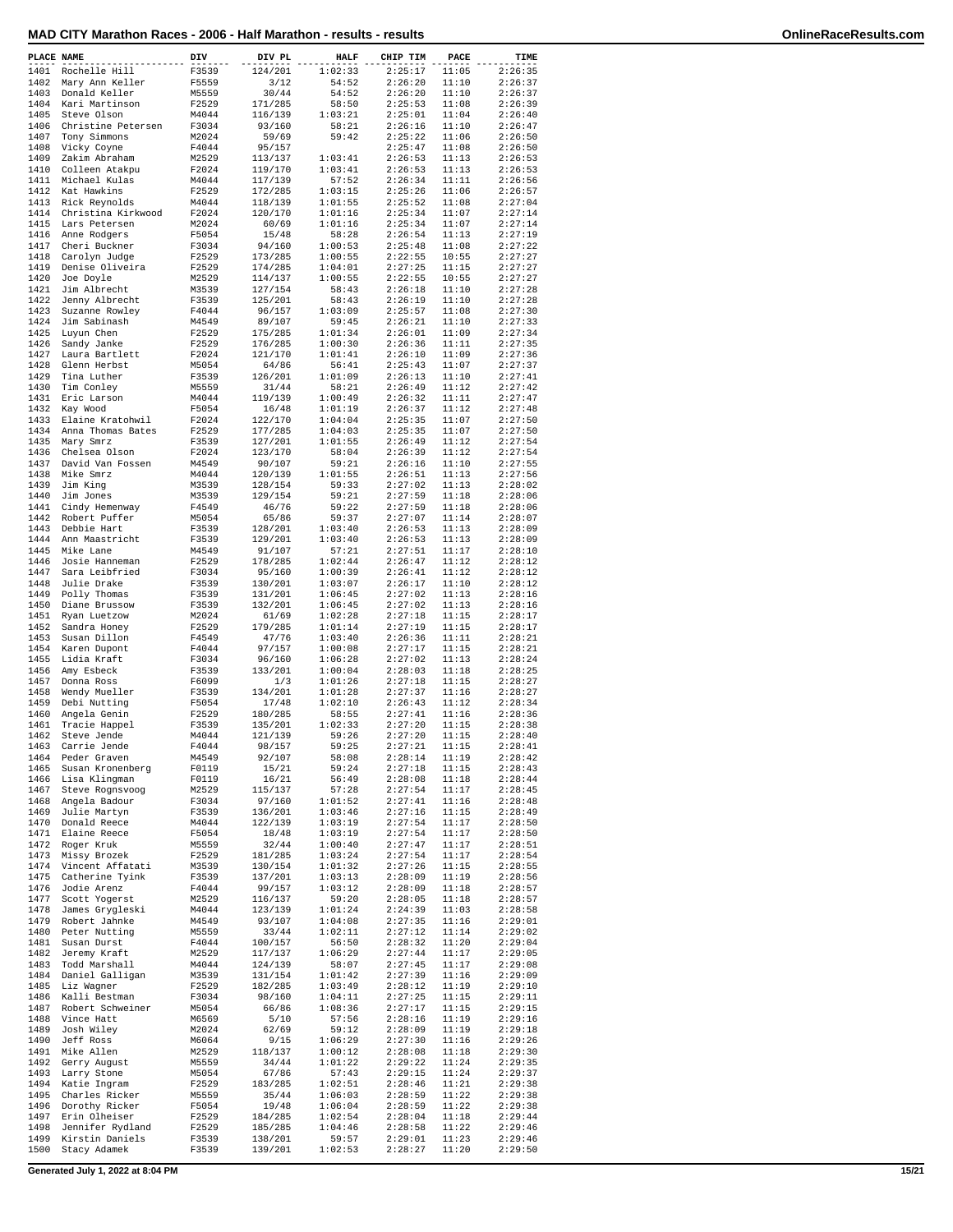| PLACE NAME   |                                   | DIV            | DIV PL             | <b>HALF</b>        | CHIP TIM           | PACE           | TIME               |
|--------------|-----------------------------------|----------------|--------------------|--------------------|--------------------|----------------|--------------------|
| 1401         | Rochelle Hill                     | F3539          | 124/201            | 1:02:33            | 2:25:17            | 11:05          | 2:26:35            |
| 1402         | Mary Ann Keller                   | F5559          | 3/12               | 54:52              | 2:26:20            | 11:10          | 2:26:37            |
| 1403         | Donald Keller                     | M5559          | 30/44              | 54:52              | 2:26:20            | 11:10          | 2:26:37            |
| 1404<br>1405 | Kari Martinson<br>Steve Olson     | F2529<br>M4044 | 171/285<br>116/139 | 58:50<br>1:03:21   | 2:25:53<br>2:25:01 | 11:08<br>11:04 | 2:26:39<br>2:26:40 |
| 1406         | Christine Petersen                | F3034          | 93/160             | 58:21              | 2:26:16            | 11:10          | 2:26:47            |
| 1407         | Tony Simmons                      | M2024          | 59/69              | 59:42              | 2:25:22            | 11:06          | 2:26:50            |
| 1408         | Vicky Coyne                       | F4044          | 95/157             |                    | 2:25:47            | 11:08          | 2:26:50            |
| 1409         | Zakim Abraham                     | M2529          | 113/137            | 1:03:41            | 2:26:53            | 11:13          | 2:26:53            |
| 1410<br>1411 | Colleen Atakpu<br>Michael Kulas   | F2024<br>M4044 | 119/170<br>117/139 | 1:03:41<br>57:52   | 2:26:53<br>2:26:34 | 11:13<br>11:11 | 2:26:53<br>2:26:56 |
| 1412         | Kat Hawkins                       | F2529          | 172/285            | 1:03:15            | 2:25:26            | 11:06          | 2:26:57            |
| 1413         | Rick Reynolds                     | M4044          | 118/139            | 1:01:55            | 2:25:52            | 11:08          | 2:27:04            |
| 1414         | Christina Kirkwood                | F2024          | 120/170            | 1:01:16            | 2:25:34            | 11:07          | 2:27:14            |
| 1415<br>1416 | Lars Petersen<br>Anne Rodgers     | M2024<br>F5054 | 60/69<br>15/48     | 1:01:16<br>58:28   | 2:25:34<br>2:26:54 | 11:07<br>11:13 | 2:27:14<br>2:27:19 |
| 1417         | Cheri Buckner                     | F3034          | 94/160             | 1:00:53            | 2:25:48            | 11:08          | 2:27:22            |
| 1418         | Carolyn Judge                     | F2529          | 173/285            | 1:00:55            | 2:22:55            | 10:55          | 2:27:27            |
| 1419         | Denise Oliveira                   | F2529          | 174/285            | 1:04:01            | 2:27:25            | 11:15          | 2:27:27            |
| 1420<br>1421 | Joe Doyle<br>Jim Albrecht         | M2529<br>M3539 | 114/137<br>127/154 | 1:00:55<br>58:43   | 2:22:55<br>2:26:18 | 10:55<br>11:10 | 2:27:27<br>2:27:28 |
| 1422         | Jenny Albrecht                    | F3539          | 125/201            | 58:43              | 2:26:19            | 11:10          | 2:27:28            |
| 1423         | Suzanne Rowley                    | F4044          | 96/157             | 1:03:09            | 2:25:57            | 11:08          | 2:27:30            |
| 1424         | Jim Sabinash                      | M4549          | 89/107             | 59:45              | 2:26:21            | 11:10          | 2:27:33            |
| 1425<br>1426 | Luyun Chen<br>Sandy Janke         | F2529<br>F2529 | 175/285<br>176/285 | 1:01:34<br>1:00:30 | 2:26:01<br>2:26:36 | 11:09<br>11:11 | 2:27:34<br>2:27:35 |
| 1427         | Laura Bartlett                    | F2024          | 121/170            | 1:01:41            | 2:26:10            | 11:09          | 2:27:36            |
| 1428         | Glenn Herbst                      | M5054          | 64/86              | 56:41              | 2:25:43            | 11:07          | 2:27:37            |
| 1429         | Tina Luther                       | F3539          | 126/201            | 1:01:09            | 2:26:13            | 11:10          | 2:27:41            |
| 1430<br>1431 | Tim Conley<br>Eric Larson         | M5559<br>M4044 | 31/44<br>119/139   | 58:21<br>1:00:49   | 2:26:49<br>2:26:32 | 11:12<br>11:11 | 2:27:42<br>2:27:47 |
| 1432         | Kay Wood                          | F5054          | 16/48              | 1:01:19            | 2:26:37            | 11:12          | 2:27:48            |
| 1433         | Elaine Kratohwil                  | F2024          | 122/170            | 1:04:04            | 2:25:35            | 11:07          | 2:27:50            |
| 1434         | Anna Thomas Bates                 | F2529          | 177/285            | 1:04:03            | 2:25:35            | 11:07          | 2:27:50            |
| 1435<br>1436 | Mary Smrz<br>Chelsea Olson        | F3539<br>F2024 | 127/201<br>123/170 | 1:01:55<br>58:04   | 2:26:49<br>2:26:39 | 11:12<br>11:12 | 2:27:54<br>2:27:54 |
| 1437         | David Van Fossen                  | M4549          | 90/107             | 59:21              | 2:26:16            | 11:10          | 2:27:55            |
| 1438         | Mike Smrz                         | M4044          | 120/139            | 1:01:55            | 2:26:51            | 11:13          | 2:27:56            |
| 1439         | Jim King                          | M3539          | 128/154            | 59:33              | 2:27:02            | 11:13          | 2:28:02            |
| 1440<br>1441 | Jim Jones                         | M3539          | 129/154            | 59:21              | 2:27:59<br>2:27:59 | 11:18          | 2:28:06            |
| 1442         | Cindy Hemenway<br>Robert Puffer   | F4549<br>M5054 | 46/76<br>65/86     | 59:22<br>59:37     | 2:27:07            | 11:18<br>11:14 | 2:28:06<br>2:28:07 |
| 1443         | Debbie Hart                       | F3539          | 128/201            | 1:03:40            | 2:26:53            | 11:13          | 2:28:09            |
| 1444         | Ann Maastricht                    | F3539          | 129/201            | 1:03:40            | 2:26:53            | 11:13          | 2:28:09            |
| 1445         | Mike Lane                         | M4549          | 91/107             | 57:21              | 2:27:51            | 11:17          | 2:28:10            |
| 1446<br>1447 | Josie Hanneman<br>Sara Leibfried  | F2529<br>F3034 | 178/285<br>95/160  | 1:02:44<br>1:00:39 | 2:26:47<br>2:26:41 | 11:12<br>11:12 | 2:28:12<br>2:28:12 |
| 1448         | Julie Drake                       | F3539          | 130/201            | 1:03:07            | 2:26:17            | 11:10          | 2:28:12            |
| 1449         | Polly Thomas                      | F3539          | 131/201            | 1:06:45            | 2:27:02            | 11:13          | 2:28:16            |
| 1450         | Diane Brussow                     | F3539          | 132/201            | 1:06:45            | 2:27:02            | 11:13          | 2:28:16            |
| 1451<br>1452 | Ryan Luetzow<br>Sandra Honey      | M2024<br>F2529 | 61/69<br>179/285   | 1:02:28<br>1:01:14 | 2:27:18<br>2:27:19 | 11:15<br>11:15 | 2:28:17<br>2:28:17 |
| 1453         | Susan Dillon                      | F4549          | 47/76              | 1:03:40            | 2:26:36            | 11:11          | 2:28:21            |
| 1454         | Karen Dupont                      | F4044          | 97/157             | 1:00:08            | 2:27:17            | 11:15          | 2:28:21            |
| 1455         | Lidia Kraft                       | F3034          | 96/160             | 1:06:28            | 2:27:02            | 11:13          | 2:28:24            |
| 1456<br>1457 | Amy Esbeck<br>Donna Ross          | F3539<br>F6099 | 133/201<br>1/3     | 1:00:04<br>1:01:26 | 2:28:03<br>2:27:18 | 11:18<br>11:15 | 2:28:25<br>2:28:27 |
| 1458         | Wendy Mueller                     | F3539          | 134/201            | 1:01:28            | 2:27:37            | 11:16          | 2:28:27            |
| 1459         | Debi Nutting                      | F5054          | 17/48              | 1:02:10            | 2:26:43            | 11:12          | 2:28:34            |
| 1460         | Angela Genin                      | F2529          | 180/285            | 58:55              | 2:27:41            | 11:16          | 2:28:36            |
| 1461<br>1462 | Tracie Happel<br>Steve Jende      | F3539<br>M4044 | 135/201<br>121/139 | 1:02:33<br>59:26   | 2:27:20<br>2:27:20 | 11:15<br>11:15 | 2:28:38<br>2:28:40 |
| 1463         | Carrie Jende                      | F4044          | 98/157             | 59:25              | 2:27:21            | 11:15          | 2:28:41            |
| 1464         | Peder Graven                      | M4549          | 92/107             | 58:08              | 2:28:14            | 11:19          | 2:28:42            |
| 1465         | Susan Kronenberg                  | F0119          | 15/21              | 59:24              | 2:27:18            | 11:15          | 2:28:43            |
| 1466<br>1467 | Lisa Klingman<br>Steve Rognsvoog  | F0119<br>M2529 | 16/21<br>115/137   | 56:49<br>57:28     | 2:28:08<br>2:27:54 | 11:18<br>11:17 | 2:28:44<br>2:28:45 |
| 1468         | Angela Badour                     | F3034          | 97/160             | 1:01:52            | 2:27:41            | 11:16          | 2:28:48            |
| 1469         | Julie Martyn                      | F3539          | 136/201            | 1:03:46            | 2:27:16            | 11:15          | 2:28:49            |
| 1470         | Donald Reece                      | M4044          | 122/139            | 1:03:19            | 2:27:54            | 11:17          | 2:28:50            |
| 1471<br>1472 | Elaine Reece<br>Roger Kruk        | F5054<br>M5559 | 18/48<br>32/44     | 1:03:19<br>1:00:40 | 2:27:54<br>2:27:47 | 11:17<br>11:17 | 2:28:50<br>2:28:51 |
| 1473         | Missy Brozek                      | F2529          | 181/285            | 1:03:24            | 2:27:54            | 11:17          | 2:28:54            |
| 1474         | Vincent Affatati                  | M3539          | 130/154            | 1:01:32            | 2:27:26            | 11:15          | 2:28:55            |
| 1475         | Catherine Tyink                   | F3539          | 137/201            | 1:03:13            | 2:28:09            | 11:19          | 2:28:56            |
| 1476<br>1477 | Jodie Arenz<br>Scott Yogerst      | F4044<br>M2529 | 99/157<br>116/137  | 1:03:12<br>59:20   | 2:28:09<br>2:28:05 | 11:18<br>11:18 | 2:28:57<br>2:28:57 |
| 1478         | James Grygleski                   | M4044          | 123/139            | 1:01:24            | 2:24:39            | 11:03          | 2:28:58            |
| 1479         | Robert Jahnke                     | M4549          | 93/107             | 1:04:08            | 2:27:35            | 11:16          | 2:29:01            |
| 1480         | Peter Nutting                     | M5559          | 33/44              | 1:02:11            | 2:27:12            | 11:14          | 2:29:02            |
| 1481<br>1482 | Susan Durst<br>Jeremy Kraft       | F4044<br>M2529 | 100/157<br>117/137 | 56:50<br>1:06:29   | 2:28:32<br>2:27:44 | 11:20<br>11:17 | 2:29:04<br>2:29:05 |
| 1483         | Todd Marshall                     | M4044          | 124/139            | 58:07              | 2:27:45            | 11:17          | 2:29:08            |
| 1484         | Daniel Galligan                   | M3539          | 131/154            | 1:01:42            | 2:27:39            | 11:16          | 2:29:09            |
| 1485         | Liz Wagner                        | F2529          | 182/285            | 1:03:49            | 2:28:12            | 11:19          | 2:29:10            |
| 1486<br>1487 | Kalli Bestman<br>Robert Schweiner | F3034<br>M5054 | 98/160<br>66/86    | 1:04:11<br>1:08:36 | 2:27:25<br>2:27:17 | 11:15<br>11:15 | 2:29:11<br>2:29:15 |
| 1488         | Vince Hatt                        | M6569          | 5/10               | 57:56              | 2:28:16            | 11:19          | 2:29:16            |
| 1489         | Josh Wiley                        | M2024          | 62/69              | 59:12              | 2:28:09            | 11:19          | 2:29:18            |
| 1490         | Jeff Ross                         | M6064          | 9/15               | 1:06:29            | 2:27:30            | 11:16          | 2:29:26            |
| 1491<br>1492 | Mike Allen<br>Gerry August        | M2529          | 118/137<br>34/44   | 1:00:12<br>1:01:22 | 2:28:08<br>2:29:22 | 11:18<br>11:24 | 2:29:30<br>2:29:35 |
| 1493         | Larry Stone                       | M5559<br>M5054 | 67/86              | 57:43              | 2:29:15            | 11:24          | 2:29:37            |
| 1494         | Katie Ingram                      | F2529          | 183/285            | 1:02:51            | 2:28:46            | 11:21          | 2:29:38            |
| 1495         | Charles Ricker                    | M5559          | 35/44              | 1:06:03            | 2:28:59            | 11:22          | 2:29:38            |
| 1496<br>1497 | Dorothy Ricker<br>Erin Olheiser   | F5054<br>F2529 | 19/48<br>184/285   | 1:06:04<br>1:02:54 | 2:28:59<br>2:28:04 | 11:22<br>11:18 | 2:29:38<br>2:29:44 |
| 1498         | Jennifer Rydland                  | F2529          | 185/285            | 1:04:46            | 2:28:58            | 11:22          | 2:29:46            |
| 1499         | Kirstin Daniels                   | F3539          | 138/201            | 59:57              | 2:29:01            | 11:23          | 2:29:46            |
| 1500         | Stacy Adamek                      | F3539          | 139/201            | 1:02:53            | 2:28:27            | 11:20          | 2:29:50            |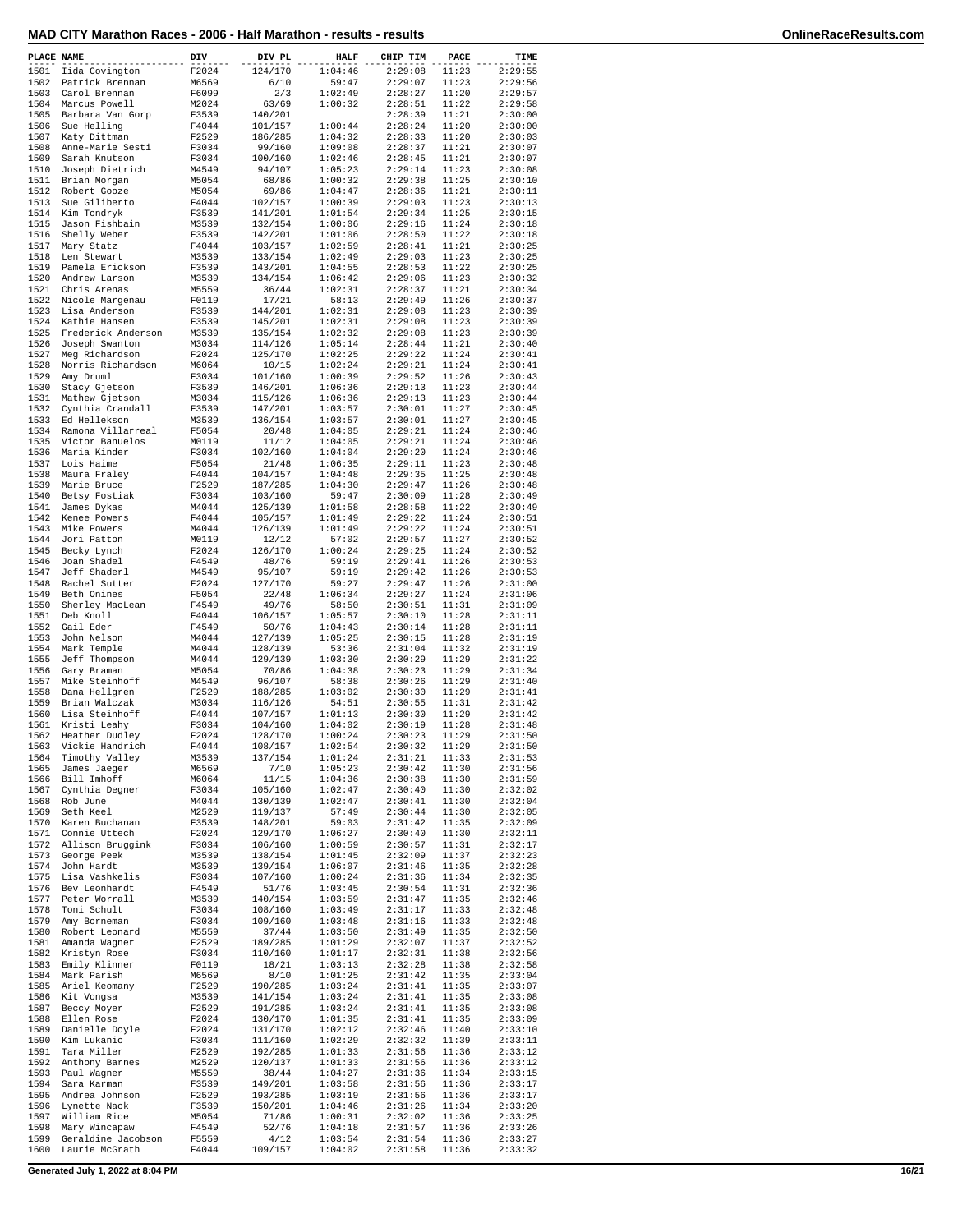| PLACE NAME |                      | DIV   | DIV PL  | <b>HALF</b> | CHIP TIM | PACE  | TIME    |
|------------|----------------------|-------|---------|-------------|----------|-------|---------|
| 1501       | Iida Covington       | F2024 | 124/170 | 1:04:46     | 2:29:08  | 11:23 | 2:29:55 |
|            | 1502 Patrick Brennan | M6569 | 6/10    | 59:47       | 2:29:07  | 11:23 | 2:29:56 |
| 1503       | Carol Brennan        | F6099 | 2/3     | 1:02:49     | 2:28:27  | 11:20 | 2:29:57 |
| 1504       | Marcus Powell        | M2024 | 63/69   | 1:00:32     | 2:28:51  | 11:22 | 2:29:58 |
| 1505       | Barbara Van Gorp     | F3539 | 140/201 |             | 2:28:39  | 11:21 | 2:30:00 |
|            |                      |       |         |             |          |       |         |
| 1506       | Sue Helling          | F4044 | 101/157 | 1:00:44     | 2:28:24  | 11:20 | 2:30:00 |
| 1507       | Katy Dittman         | F2529 | 186/285 | 1:04:32     | 2:28:33  | 11:20 | 2:30:03 |
| 1508       | Anne-Marie Sesti     | F3034 | 99/160  | 1:09:08     | 2:28:37  | 11:21 | 2:30:07 |
| 1509       | Sarah Knutson        | F3034 | 100/160 | 1:02:46     | 2:28:45  | 11:21 | 2:30:07 |
| 1510       | Joseph Dietrich      | M4549 | 94/107  | 1:05:23     | 2:29:14  | 11:23 | 2:30:08 |
| 1511       | Brian Morgan         | M5054 | 68/86   | 1:00:32     | 2:29:38  | 11:25 | 2:30:10 |
| 1512       | Robert Gooze         | M5054 | 69/86   | 1:04:47     | 2:28:36  | 11:21 | 2:30:11 |
| 1513       | Sue Giliberto        | F4044 | 102/157 | 1:00:39     | 2:29:03  | 11:23 | 2:30:13 |
|            |                      |       |         |             |          |       |         |
|            | 1514 Kim Tondryk     | F3539 | 141/201 | 1:01:54     | 2:29:34  | 11:25 | 2:30:15 |
| 1515       | Jason Fishbain       | M3539 | 132/154 | 1:00:06     | 2:29:16  | 11:24 | 2:30:18 |
| 1516       | Shelly Weber         | F3539 | 142/201 | 1:01:06     | 2:28:50  | 11:22 | 2:30:18 |
| 1517       | Mary Statz           | F4044 | 103/157 | 1:02:59     | 2:28:41  | 11:21 | 2:30:25 |
| 1518       | Len Stewart          | M3539 | 133/154 | 1:02:49     | 2:29:03  | 11:23 | 2:30:25 |
| 1519       | Pamela Erickson      | F3539 | 143/201 | 1:04:55     | 2:28:53  | 11:22 | 2:30:25 |
| 1520       | Andrew Larson        | M3539 | 134/154 | 1:06:42     | 2:29:06  | 11:23 | 2:30:32 |
| 1521       | Chris Arenas         | M5559 | 36/44   | 1:02:31     | 2:28:37  | 11:21 | 2:30:34 |
|            |                      |       |         |             |          |       |         |
| 1522       | Nicole Margenau      | F0119 | 17/21   | 58:13       | 2:29:49  | 11:26 | 2:30:37 |
| 1523       | Lisa Anderson        | F3539 | 144/201 | 1:02:31     | 2:29:08  | 11:23 | 2:30:39 |
| 1524       | Kathie Hansen        | F3539 | 145/201 | 1:02:31     | 2:29:08  | 11:23 | 2:30:39 |
| 1525       | Frederick Anderson   | M3539 | 135/154 | 1:02:32     | 2:29:08  | 11:23 | 2:30:39 |
| 1526       | Joseph Swanton       | M3034 | 114/126 | 1:05:14     | 2:28:44  | 11:21 | 2:30:40 |
| 1527       | Meg Richardson       | F2024 | 125/170 | 1:02:25     | 2:29:22  | 11:24 | 2:30:41 |
| 1528       | Norris Richardson    | M6064 | 10/15   | 1:02:24     | 2:29:21  | 11:24 | 2:30:41 |
| 1529       | Amy Druml            | F3034 | 101/160 | 1:00:39     | 2:29:52  | 11:26 | 2:30:43 |
| 1530       |                      | F3539 |         | 1:06:36     | 2:29:13  | 11:23 | 2:30:44 |
|            | Stacy Gjetson        |       | 146/201 |             |          |       |         |
| 1531       | Mathew Gjetson       | M3034 | 115/126 | 1:06:36     | 2:29:13  | 11:23 | 2:30:44 |
| 1532       | Cynthia Crandall     | F3539 | 147/201 | 1:03:57     | 2:30:01  | 11:27 | 2:30:45 |
| 1533       | Ed Hellekson         | M3539 | 136/154 | 1:03:57     | 2:30:01  | 11:27 | 2:30:45 |
| 1534       | Ramona Villarreal    | F5054 | 20/48   | 1:04:05     | 2:29:21  | 11:24 | 2:30:46 |
| 1535       | Victor Banuelos      | M0119 | 11/12   | 1:04:05     | 2:29:21  | 11:24 | 2:30:46 |
| 1536       | Maria Kinder         | F3034 | 102/160 | 1:04:04     | 2:29:20  | 11:24 | 2:30:46 |
| 1537       | Lois Haime           | F5054 | 21/48   | 1:06:35     | 2:29:11  | 11:23 | 2:30:48 |
| 1538       |                      | F4044 | 104/157 | 1:04:48     | 2:29:35  | 11:25 | 2:30:48 |
|            | Maura Fraley         |       |         |             |          |       |         |
| 1539       | Marie Bruce          | F2529 | 187/285 | 1:04:30     | 2:29:47  | 11:26 | 2:30:48 |
| 1540       | Betsy Fostiak        | F3034 | 103/160 | 59:47       | 2:30:09  | 11:28 | 2:30:49 |
| 1541       | James Dykas          | M4044 | 125/139 | 1:01:58     | 2:28:58  | 11:22 | 2:30:49 |
| 1542       | Kenee Powers         | F4044 | 105/157 | 1:01:49     | 2:29:22  | 11:24 | 2:30:51 |
| 1543       | Mike Powers          | M4044 | 126/139 | 1:01:49     | 2:29:22  | 11:24 | 2:30:51 |
| 1544       | Jori Patton          | M0119 | 12/12   | 57:02       | 2:29:57  | 11:27 | 2:30:52 |
| 1545       | Becky Lynch          | F2024 | 126/170 | 1:00:24     | 2:29:25  | 11:24 | 2:30:52 |
| 1546       | Joan Shadel          | F4549 | 48/76   | 59:19       | 2:29:41  | 11:26 | 2:30:53 |
|            |                      |       |         |             |          |       |         |
| 1547       | Jeff Shaderl         | M4549 | 95/107  | 59:19       | 2:29:42  | 11:26 | 2:30:53 |
| 1548       | Rachel Sutter        | F2024 | 127/170 | 59:27       | 2:29:47  | 11:26 | 2:31:00 |
| 1549       | Beth Onines          | F5054 | 22/48   | 1:06:34     | 2:29:27  | 11:24 | 2:31:06 |
| 1550       | Sherley MacLean      | F4549 | 49/76   | 58:50       | 2:30:51  | 11:31 | 2:31:09 |
| 1551       | Deb Knoll            | F4044 | 106/157 | 1:05:57     | 2:30:10  | 11:28 | 2:31:11 |
| 1552       | Gail Eder            | F4549 | 50/76   | 1:04:43     | 2:30:14  | 11:28 | 2:31:11 |
| 1553       | John Nelson          | M4044 | 127/139 | 1:05:25     | 2:30:15  | 11:28 | 2:31:19 |
| 1554       | Mark Temple          | M4044 | 128/139 | 53:36       | 2:31:04  | 11:32 | 2:31:19 |
|            |                      |       |         |             |          |       |         |
| 1555       | Jeff Thompson        | M4044 | 129/139 | 1:03:30     | 2:30:29  | 11:29 | 2:31:22 |
| 1556       | Gary Braman          | M5054 | 70/86   | 1:04:38     | 2:30:23  | 11:29 | 2:31:34 |
| 1557       | Mike Steinhoff       | M4549 | 96/107  | 58:38       | 2:30:26  | 11:29 | 2:31:40 |
| 1558       | Dana Hellgren        | F2529 | 188/285 | 1:03:02     | 2:30:30  | 11:29 | 2:31:41 |
| 1559       | Brian Walczak        | M3034 | 116/126 | 54:51       | 2:30:55  | 11:31 | 2:31:42 |
| 1560       | Lisa Steinhoff       | F4044 | 107/157 | 1:01:13     | 2:30:30  | 11:29 | 2:31:42 |
| 1561       | Kristi Leahy         | F3034 | 104/160 | 1:04:02     | 2:30:19  | 11:28 | 2:31:48 |
| 1562       | Heather Dudley       | F2024 | 128/170 | 1:00:24     | 2:30:23  | 11:29 | 2:31:50 |
|            |                      |       |         |             | 2:30:32  |       | 2:31:50 |
| 1563       | Vickie Handrich      | F4044 | 108/157 | 1:02:54     |          | 11:29 |         |
| 1564       | Timothy Valley       | M3539 | 137/154 | 1:01:24     | 2:31:21  | 11:33 | 2:31:53 |
| 1565       | James Jaeger         | M6569 | 7/10    | 1:05:23     | 2:30:42  | 11:30 | 2:31:56 |
| 1566       | Bill Imhoff          | M6064 | 11/15   | 1:04:36     | 2:30:38  | 11:30 | 2:31:59 |
| 1567       | Cynthia Degner       | F3034 | 105/160 | 1:02:47     | 2:30:40  | 11:30 | 2:32:02 |
| 1568       | Rob June             | M4044 | 130/139 | 1:02:47     | 2:30:41  | 11:30 | 2:32:04 |
| 1569       | Seth Keel            | M2529 | 119/137 | 57:49       | 2:30:44  | 11:30 | 2:32:05 |
| 1570       | Karen Buchanan       | F3539 | 148/201 | 59:03       | 2:31:42  | 11:35 | 2:32:09 |
| 1571       | Connie Uttech        | F2024 | 129/170 | 1:06:27     | 2:30:40  | 11:30 | 2:32:11 |
| 1572       | Allison Bruggink     | F3034 | 106/160 | 1:00:59     | 2:30:57  | 11:31 | 2:32:17 |
| 1573       | George Peek          | M3539 | 138/154 | 1:01:45     | 2:32:09  | 11:37 | 2:32:23 |
|            |                      |       |         |             |          |       |         |
| 1574       | John Hardt           | M3539 | 139/154 | 1:06:07     | 2:31:46  | 11:35 | 2:32:28 |
| 1575       | Lisa Vashkelis       | F3034 | 107/160 | 1:00:24     | 2:31:36  | 11:34 | 2:32:35 |
| 1576       | Bev Leonhardt        | F4549 | 51/76   | 1:03:45     | 2:30:54  | 11:31 | 2:32:36 |
| 1577       | Peter Worrall        | M3539 | 140/154 | 1:03:59     | 2:31:47  | 11:35 | 2:32:46 |
| 1578       | Toni Schult          | F3034 | 108/160 | 1:03:49     | 2:31:17  | 11:33 | 2:32:48 |
| 1579       | Amy Borneman         | F3034 | 109/160 | 1:03:48     | 2:31:16  | 11:33 | 2:32:48 |
| 1580       | Robert Leonard       | M5559 | 37/44   | 1:03:50     | 2:31:49  | 11:35 | 2:32:50 |
| 1581       |                      | F2529 | 189/285 |             | 2:32:07  | 11:37 | 2:32:52 |
|            | Amanda Wagner        |       |         | 1:01:29     |          |       |         |
| 1582       | Kristyn Rose         | F3034 | 110/160 | 1:01:17     | 2:32:31  | 11:38 | 2:32:56 |
| 1583       | Emily Klinner        | F0119 | 18/21   | 1:03:13     | 2:32:28  | 11:38 | 2:32:58 |
| 1584       | Mark Parish          | M6569 | 8/10    | 1:01:25     | 2:31:42  | 11:35 | 2:33:04 |
| 1585       | Ariel Keomany        | F2529 | 190/285 | 1:03:24     | 2:31:41  | 11:35 | 2:33:07 |
| 1586       | Kit Vongsa           | M3539 | 141/154 | 1:03:24     | 2:31:41  | 11:35 | 2:33:08 |
| 1587       | Beccy Moyer          | F2529 | 191/285 | 1:03:24     | 2:31:41  | 11:35 | 2:33:08 |
| 1588       | Ellen Rose           | F2024 | 130/170 | 1:01:35     | 2:31:41  | 11:35 | 2:33:09 |
| 1589       | Danielle Doyle       | F2024 | 131/170 | 1:02:12     | 2:32:46  | 11:40 | 2:33:10 |
|            |                      |       |         |             |          |       |         |
| 1590       | Kim Lukanic          | F3034 | 111/160 | 1:02:29     | 2:32:32  | 11:39 | 2:33:11 |
| 1591       | Tara Miller          | F2529 | 192/285 | 1:01:33     | 2:31:56  | 11:36 | 2:33:12 |
| 1592       | Anthony Barnes       | M2529 | 120/137 | 1:01:33     | 2:31:56  | 11:36 | 2:33:12 |
| 1593       | Paul Wagner          | M5559 | 38/44   | 1:04:27     | 2:31:36  | 11:34 | 2:33:15 |
| 1594       | Sara Karman          | F3539 | 149/201 | 1:03:58     | 2:31:56  | 11:36 | 2:33:17 |
| 1595       | Andrea Johnson       | F2529 | 193/285 | 1:03:19     | 2:31:56  | 11:36 | 2:33:17 |
| 1596       | Lynette Nack         | F3539 | 150/201 | 1:04:46     | 2:31:26  | 11:34 | 2:33:20 |
| 1597       | William Rice         | M5054 | 71/86   | 1:00:31     | 2:32:02  | 11:36 | 2:33:25 |
| 1598       | Mary Wincapaw        |       |         | 1:04:18     |          |       |         |
|            |                      | F4549 | 52/76   |             | 2:31:57  | 11:36 | 2:33:26 |
| 1599       | Geraldine Jacobson   | F5559 | 4/12    | 1:03:54     | 2:31:54  | 11:36 | 2:33:27 |
| 1600       | Laurie McGrath       | F4044 | 109/157 | 1:04:02     | 2:31:58  | 11:36 | 2:33:32 |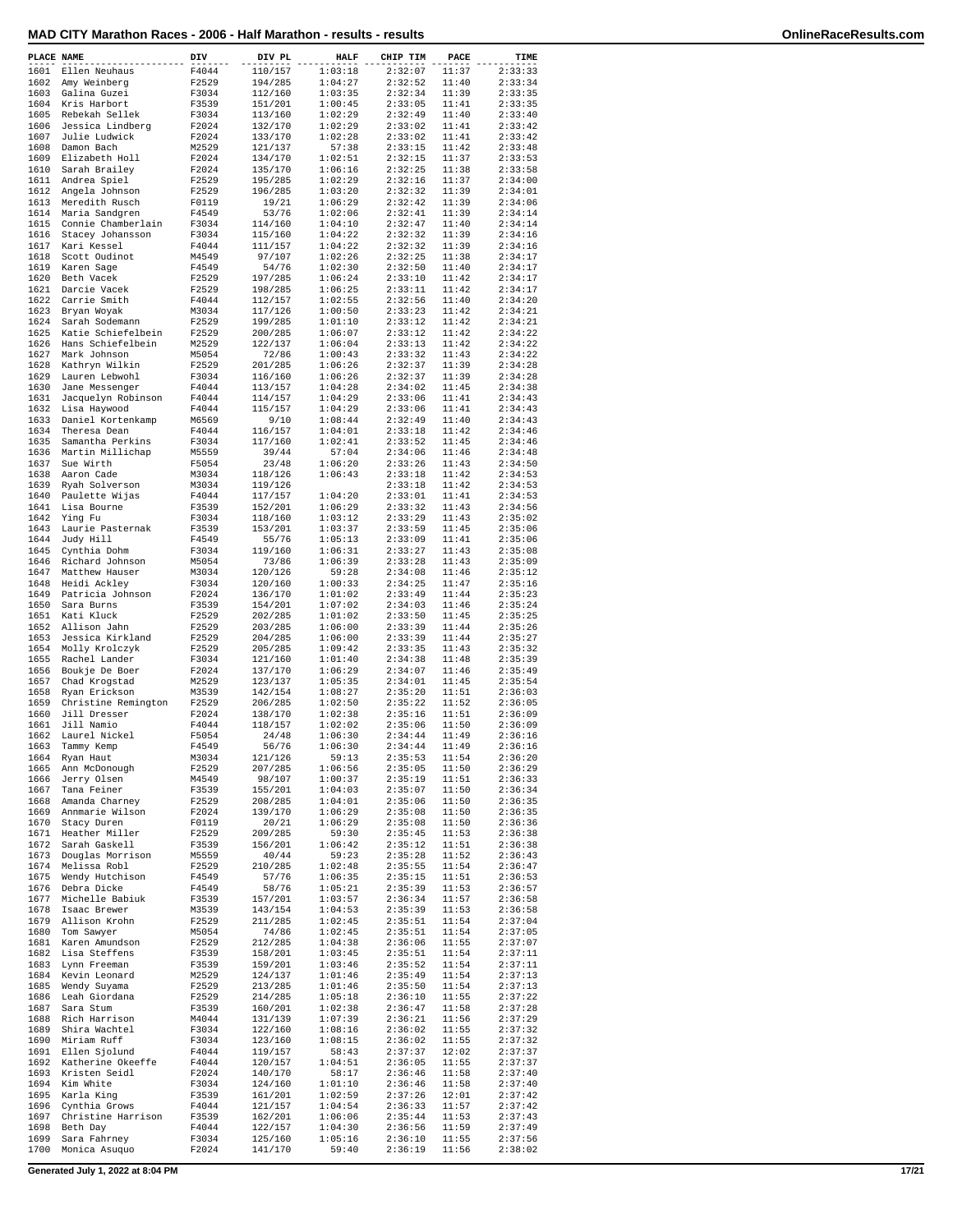| PLACE NAME |                     | DIV   | DIV PL  | <b>HALF</b> | CHIP TIM | PACE  | TIME    |
|------------|---------------------|-------|---------|-------------|----------|-------|---------|
| 1601       | Ellen Neuhaus       | F4044 | 110/157 | 1:03:18     | 2:32:07  | 11:37 | 2:33:33 |
| 1602       | Amy Weinberg        | F2529 | 194/285 | 1:04:27     | 2:32:52  | 11:40 | 2:33:34 |
| 1603       | Galina Guzei        | F3034 | 112/160 | 1:03:35     | 2:32:34  | 11:39 | 2:33:35 |
| 1604       | Kris Harbort        | F3539 | 151/201 | 1:00:45     | 2:33:05  | 11:41 | 2:33:35 |
| 1605       | Rebekah Sellek      | F3034 | 113/160 | 1:02:29     | 2:32:49  | 11:40 | 2:33:40 |
|            |                     |       |         |             |          |       |         |
| 1606       | Jessica Lindberg    | F2024 | 132/170 | 1:02:29     | 2:33:02  | 11:41 | 2:33:42 |
| 1607       | Julie Ludwick       | F2024 | 133/170 | 1:02:28     | 2:33:02  | 11:41 | 2:33:42 |
| 1608       | Damon Bach          | M2529 | 121/137 | 57:38       | 2:33:15  | 11:42 | 2:33:48 |
| 1609       | Elizabeth Holl      | F2024 | 134/170 | 1:02:51     | 2:32:15  | 11:37 | 2:33:53 |
| 1610       | Sarah Brailey       | F2024 | 135/170 | 1:06:16     | 2:32:25  | 11:38 | 2:33:58 |
| 1611       | Andrea Spiel        | F2529 | 195/285 | 1:02:29     | 2:32:16  | 11:37 | 2:34:00 |
| 1612       | Angela Johnson      | F2529 | 196/285 | 1:03:20     | 2:32:32  | 11:39 | 2:34:01 |
| 1613       |                     |       |         | 1:06:29     | 2:32:42  |       | 2:34:06 |
|            | Meredith Rusch      | F0119 | 19/21   |             |          | 11:39 |         |
| 1614       | Maria Sandgren      | F4549 | 53/76   | 1:02:06     | 2:32:41  | 11:39 | 2:34:14 |
| 1615       | Connie Chamberlain  | F3034 | 114/160 | 1:04:10     | 2:32:47  | 11:40 | 2:34:14 |
| 1616       | Stacey Johansson    | F3034 | 115/160 | 1:04:22     | 2:32:32  | 11:39 | 2:34:16 |
| 1617       | Kari Kessel         | F4044 | 111/157 | 1:04:22     | 2:32:32  | 11:39 | 2:34:16 |
| 1618       | Scott Oudinot       | M4549 | 97/107  | 1:02:26     | 2:32:25  | 11:38 | 2:34:17 |
| 1619       | Karen Sage          | F4549 | 54/76   | 1:02:30     | 2:32:50  | 11:40 | 2:34:17 |
| 1620       | Beth Vacek          | F2529 | 197/285 | 1:06:24     | 2:33:10  | 11:42 | 2:34:17 |
| 1621       | Darcie Vacek        | F2529 | 198/285 | 1:06:25     | 2:33:11  | 11:42 | 2:34:17 |
|            |                     |       |         |             |          |       |         |
| 1622       | Carrie Smith        | F4044 | 112/157 | 1:02:55     | 2:32:56  | 11:40 | 2:34:20 |
| 1623       | Bryan Woyak         | M3034 | 117/126 | 1:00:50     | 2:33:23  | 11:42 | 2:34:21 |
| 1624       | Sarah Sodemann      | F2529 | 199/285 | 1:01:10     | 2:33:12  | 11:42 | 2:34:21 |
| 1625       | Katie Schiefelbein  | F2529 | 200/285 | 1:06:07     | 2:33:12  | 11:42 | 2:34:22 |
| 1626       | Hans Schiefelbein   | M2529 | 122/137 | 1:06:04     | 2:33:13  | 11:42 | 2:34:22 |
| 1627       | Mark Johnson        | M5054 | 72/86   | 1:00:43     | 2:33:32  | 11:43 | 2:34:22 |
| 1628       | Kathryn Wilkin      | F2529 | 201/285 | 1:06:26     | 2:32:37  | 11:39 | 2:34:28 |
| 1629       | Lauren Lebwohl      | F3034 | 116/160 | 1:06:26     | 2:32:37  | 11:39 | 2:34:28 |
| 1630       |                     | F4044 | 113/157 | 1:04:28     | 2:34:02  | 11:45 | 2:34:38 |
|            | Jane Messenger      |       |         |             |          |       |         |
| 1631       | Jacquelyn Robinson  | F4044 | 114/157 | 1:04:29     | 2:33:06  | 11:41 | 2:34:43 |
| 1632       | Lisa Haywood        | F4044 | 115/157 | 1:04:29     | 2:33:06  | 11:41 | 2:34:43 |
| 1633       | Daniel Kortenkamp   | M6569 | 9/10    | 1:08:44     | 2:32:49  | 11:40 | 2:34:43 |
| 1634       | Theresa Dean        | F4044 | 116/157 | 1:04:01     | 2:33:18  | 11:42 | 2:34:46 |
| 1635       | Samantha Perkins    | F3034 | 117/160 | 1:02:41     | 2:33:52  | 11:45 | 2:34:46 |
| 1636       | Martin Millichap    | M5559 | 39/44   | 57:04       | 2:34:06  | 11:46 | 2:34:48 |
| 1637       | Sue Wirth           | F5054 | 23/48   | 1:06:20     | 2:33:26  | 11:43 | 2:34:50 |
| 1638       | Aaron Cade          | M3034 |         | 1:06:43     | 2:33:18  | 11:42 | 2:34:53 |
|            |                     |       | 118/126 |             |          |       |         |
| 1639       | Ryah Solverson      | M3034 | 119/126 |             | 2:33:18  | 11:42 | 2:34:53 |
| 1640       | Paulette Wijas      | F4044 | 117/157 | 1:04:20     | 2:33:01  | 11:41 | 2:34:53 |
| 1641       | Lisa Bourne         | F3539 | 152/201 | 1:06:29     | 2:33:32  | 11:43 | 2:34:56 |
| 1642       | Ying Fu             | F3034 | 118/160 | 1:03:12     | 2:33:29  | 11:43 | 2:35:02 |
| 1643       | Laurie Pasternak    | F3539 | 153/201 | 1:03:37     | 2:33:59  | 11:45 | 2:35:06 |
| 1644       | Judy Hill           | F4549 | 55/76   | 1:05:13     | 2:33:09  | 11:41 | 2:35:06 |
| 1645       | Cynthia Dohm        | F3034 | 119/160 | 1:06:31     | 2:33:27  | 11:43 | 2:35:08 |
| 1646       |                     | M5054 | 73/86   | 1:06:39     | 2:33:28  | 11:43 | 2:35:09 |
|            | Richard Johnson     |       |         |             |          |       |         |
| 1647       | Matthew Hauser      | M3034 | 120/126 | 59:28       | 2:34:08  | 11:46 | 2:35:12 |
| 1648       | Heidi Ackley        | F3034 | 120/160 | 1:00:33     | 2:34:25  | 11:47 | 2:35:16 |
| 1649       | Patricia Johnson    | F2024 | 136/170 | 1:01:02     | 2:33:49  | 11:44 | 2:35:23 |
| 1650       | Sara Burns          | F3539 | 154/201 | 1:07:02     | 2:34:03  | 11:46 | 2:35:24 |
| 1651       | Kati Kluck          | F2529 | 202/285 | 1:01:02     | 2:33:50  | 11:45 | 2:35:25 |
| 1652       | Allison Jahn        | F2529 | 203/285 | 1:06:00     | 2:33:39  | 11:44 | 2:35:26 |
| 1653       | Jessica Kirkland    | F2529 | 204/285 | 1:06:00     | 2:33:39  | 11:44 | 2:35:27 |
| 1654       | Molly Krolczyk      | F2529 | 205/285 | 1:09:42     | 2:33:35  | 11:43 | 2:35:32 |
|            |                     |       |         |             |          |       |         |
| 1655       | Rachel Lander       | F3034 | 121/160 | 1:01:40     | 2:34:38  | 11:48 | 2:35:39 |
| 1656       | Boukje De Boer      | F2024 | 137/170 | 1:06:29     | 2:34:07  | 11:46 | 2:35:49 |
| 1657       | Chad Krogstad       | M2529 | 123/137 | 1:05:35     | 2:34:01  | 11:45 | 2:35:54 |
| 1658       | Ryan Erickson       | M3539 | 142/154 | 1:08:27     | 2:35:20  | 11:51 | 2:36:03 |
| 1659       | Christine Remington | F2529 | 206/285 | 1:02:50     | 2:35:22  | 11:52 | 2:36:05 |
| 1660       | Jill Dresser        | F2024 | 138/170 | 1:02:38     | 2:35:16  | 11:51 | 2:36:09 |
| 1661       | Jill Namio          | F4044 | 118/157 | 1:02:02     | 2:35:06  | 11:50 | 2:36:09 |
| 1662       | Laurel Nickel       | F5054 | 24/48   | 1:06:30     | 2:34:44  | 11:49 | 2:36:16 |
|            | Tammy Kemp          |       |         |             |          |       |         |
| 1663       |                     | F4549 | 56/76   | 1:06:30     | 2:34:44  | 11:49 | 2:36:16 |
| 1664       | Ryan Haut           | M3034 | 121/126 | 59:13       | 2:35:53  | 11:54 | 2:36:20 |
| 1665       | Ann McDonough       | F2529 | 207/285 | 1:06:56     | 2:35:05  | 11:50 | 2:36:29 |
| 1666       | Jerry Olsen         | M4549 | 98/107  | 1:00:37     | 2:35:19  | 11:51 | 2:36:33 |
| 1667       | Tana Feiner         | F3539 | 155/201 | 1:04:03     | 2:35:07  | 11:50 | 2:36:34 |
| 1668       | Amanda Charney      | F2529 | 208/285 | 1:04:01     | 2:35:06  | 11:50 | 2:36:35 |
| 1669       | Annmarie Wilson     | F2024 | 139/170 | 1:06:29     | 2:35:08  | 11:50 | 2:36:35 |
| 1670       | Stacy Duren         | F0119 | 20/21   | 1:06:29     | 2:35:08  | 11:50 | 2:36:36 |
| 1671       | Heather Miller      | F2529 | 209/285 | 59:30       | 2:35:45  | 11:53 | 2:36:38 |
| 1672       | Sarah Gaskell       | F3539 | 156/201 | 1:06:42     | 2:35:12  | 11:51 | 2:36:38 |
|            |                     | M5559 |         |             | 2:35:28  |       | 2:36:43 |
| 1673       | Douglas Morrison    |       | 40/44   | 59:23       |          | 11:52 |         |
| 1674       | Melissa Robl        | F2529 | 210/285 | 1:02:48     | 2:35:55  | 11:54 | 2:36:47 |
| 1675       | Wendy Hutchison     | F4549 | 57/76   | 1:06:35     | 2:35:15  | 11:51 | 2:36:53 |
| 1676       | Debra Dicke         | F4549 | 58/76   | 1:05:21     | 2:35:39  | 11:53 | 2:36:57 |
| 1677       | Michelle Babiuk     | F3539 | 157/201 | 1:03:57     | 2:36:34  | 11:57 | 2:36:58 |
| 1678       | Isaac Brewer        | M3539 | 143/154 | 1:04:53     | 2:35:39  | 11:53 | 2:36:58 |
| 1679       | Allison Krohn       | F2529 | 211/285 | 1:02:45     | 2:35:51  | 11:54 | 2:37:04 |
| 1680       | Tom Sawyer          | M5054 | 74/86   | 1:02:45     | 2:35:51  | 11:54 | 2:37:05 |
|            | Karen Amundson      |       |         |             |          |       | 2:37:07 |
| 1681       |                     | F2529 | 212/285 | 1:04:38     | 2:36:06  | 11:55 |         |
| 1682       | Lisa Steffens       | F3539 | 158/201 | 1:03:45     | 2:35:51  | 11:54 | 2:37:11 |
| 1683       | Lynn Freeman        | F3539 | 159/201 | 1:03:46     | 2:35:52  | 11:54 | 2:37:11 |
| 1684       | Kevin Leonard       | M2529 | 124/137 | 1:01:46     | 2:35:49  | 11:54 | 2:37:13 |
| 1685       | Wendy Suyama        | F2529 | 213/285 | 1:01:46     | 2:35:50  | 11:54 | 2:37:13 |
| 1686       | Leah Giordana       | F2529 | 214/285 | 1:05:18     | 2:36:10  | 11:55 | 2:37:22 |
| 1687       | Sara Stum           | F3539 | 160/201 | 1:02:38     | 2:36:47  | 11:58 | 2:37:28 |
| 1688       | Rich Harrison       | M4044 | 131/139 | 1:07:39     | 2:36:21  | 11:56 | 2:37:29 |
| 1689       | Shira Wachtel       | F3034 | 122/160 | 1:08:16     | 2:36:02  | 11:55 | 2:37:32 |
|            |                     |       |         |             |          |       |         |
| 1690       | Miriam Ruff         | F3034 | 123/160 | 1:08:15     | 2:36:02  | 11:55 | 2:37:32 |
| 1691       | Ellen Sjolund       | F4044 | 119/157 | 58:43       | 2:37:37  | 12:02 | 2:37:37 |
| 1692       | Katherine Okeeffe   | F4044 | 120/157 | 1:04:51     | 2:36:05  | 11:55 | 2:37:37 |
| 1693       | Kristen Seidl       | F2024 | 140/170 | 58:17       | 2:36:46  | 11:58 | 2:37:40 |
| 1694       | Kim White           | F3034 | 124/160 | 1:01:10     | 2:36:46  | 11:58 | 2:37:40 |
| 1695       | Karla King          | F3539 | 161/201 | 1:02:59     | 2:37:26  | 12:01 | 2:37:42 |
| 1696       | Cynthia Grows       | F4044 | 121/157 | 1:04:54     | 2:36:33  | 11:57 | 2:37:42 |
| 1697       | Christine Harrison  | F3539 | 162/201 | 1:06:06     | 2:35:44  | 11:53 | 2:37:43 |
| 1698       | Beth Day            |       |         | 1:04:30     |          | 11:59 | 2:37:49 |
|            |                     | F4044 | 122/157 |             | 2:36:56  |       |         |
| 1699       | Sara Fahrney        | F3034 | 125/160 | 1:05:16     | 2:36:10  | 11:55 | 2:37:56 |
| 1700       | Monica Asuquo       | F2024 | 141/170 | 59:40       | 2:36:19  | 11:56 | 2:38:02 |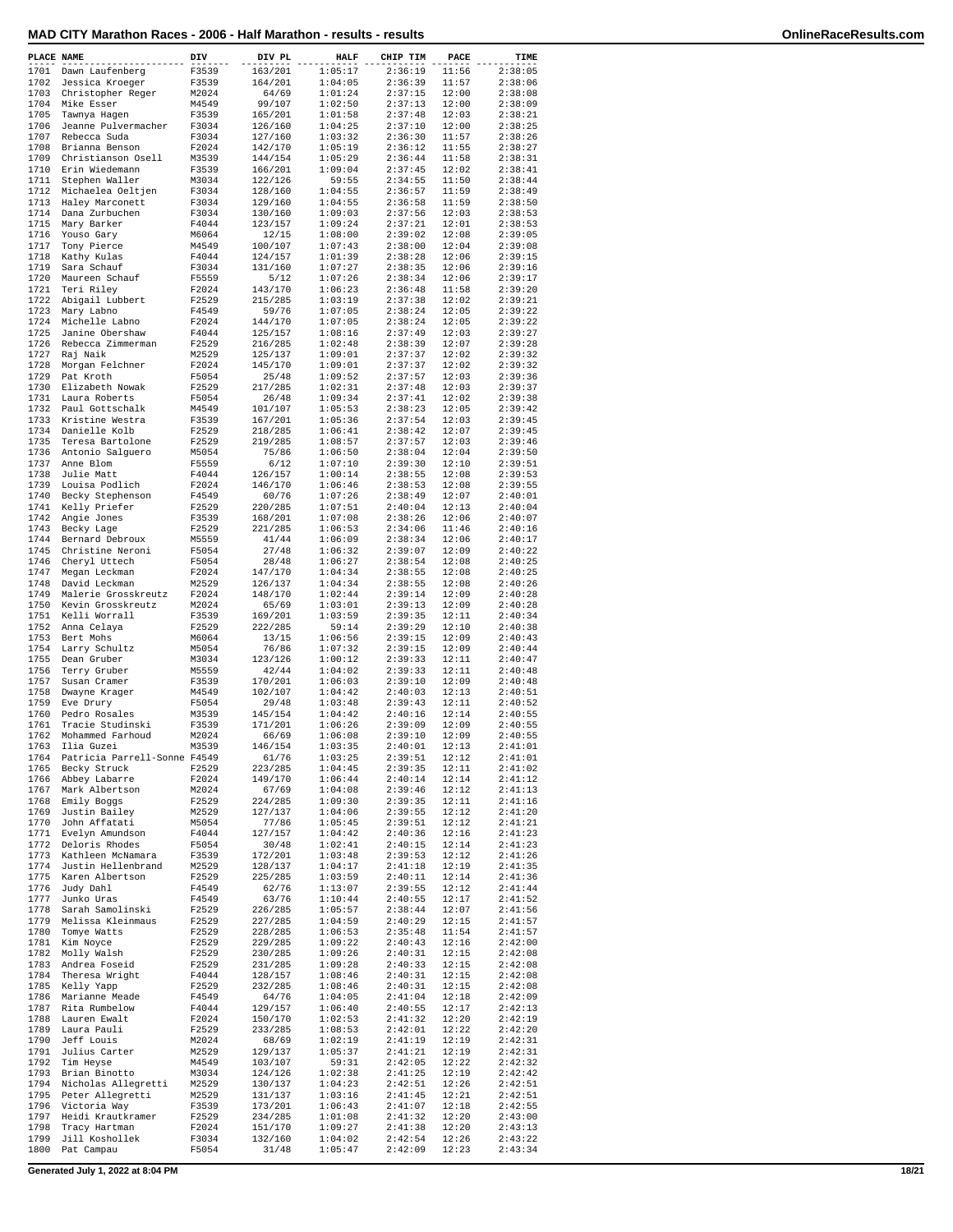| MAD CITY Marathon Races - 2006 - Half Marathon - results - results | OnlineRaceResults.com |
|--------------------------------------------------------------------|-----------------------|
|--------------------------------------------------------------------|-----------------------|

|  |  | OnlineRaceResults.com |
|--|--|-----------------------|

| PLACE NAME   | ----------                           | DIV            | DIV PL             | <b>HALF</b>        | CHIP TIM           | PACE           | TIME               |
|--------------|--------------------------------------|----------------|--------------------|--------------------|--------------------|----------------|--------------------|
| 1701         | Dawn Laufenberg                      | F3539          | 163/201            | 1:05:17            | 2:36:19            | 11:56          | 2:38:05            |
| 1702         | Jessica Kroeger                      | F3539          | 164/201            | 1:04:05            | 2:36:39            | 11:57          | 2:38:06            |
| 1703<br>1704 | Christopher Reger<br>Mike Esser      | M2024<br>M4549 | 64/69<br>99/107    | 1:01:24<br>1:02:50 | 2:37:15<br>2:37:13 | 12:00<br>12:00 | 2:38:08<br>2:38:09 |
| 1705         | Tawnya Hagen                         | F3539          | 165/201            | 1:01:58            | 2:37:48            | 12:03          | 2:38:21            |
| 1706         | Jeanne Pulvermacher                  | F3034          | 126/160            | 1:04:25            | 2:37:10            | 12:00          | 2:38:25            |
| 1707         | Rebecca Suda                         | F3034          | 127/160            | 1:03:32            | 2:36:30            | 11:57          | 2:38:26            |
| 1708         | Brianna Benson                       | F2024          | 142/170            | 1:05:19            | 2:36:12            | 11:55          | 2:38:27            |
| 1709<br>1710 | Christianson Osell<br>Erin Wiedemann | M3539<br>F3539 | 144/154<br>166/201 | 1:05:29<br>1:09:04 | 2:36:44<br>2:37:45 | 11:58<br>12:02 | 2:38:31<br>2:38:41 |
| 1711         | Stephen Waller                       | M3034          | 122/126            | 59:55              | 2:34:55            | 11:50          | 2:38:44            |
| 1712         | Michaelea Oeltjen                    | F3034          | 128/160            | 1:04:55            | 2:36:57            | 11:59          | 2:38:49            |
| 1713         | Haley Marconett                      | F3034          | 129/160            | 1:04:55            | 2:36:58            | 11:59          | 2:38:50            |
| 1714         | Dana Zurbuchen                       | F3034          | 130/160            | 1:09:03            | 2:37:56            | 12:03          | 2:38:53            |
| 1715<br>1716 | Mary Barker                          | F4044          | 123/157            | 1:09:24<br>1:08:00 | 2:37:21            | 12:01<br>12:08 | 2:38:53            |
| 1717         | Youso Gary<br>Tony Pierce            | M6064<br>M4549 | 12/15<br>100/107   | 1:07:43            | 2:39:02<br>2:38:00 | 12:04          | 2:39:05<br>2:39:08 |
| 1718         | Kathy Kulas                          | F4044          | 124/157            | 1:01:39            | 2:38:28            | 12:06          | 2:39:15            |
| 1719         | Sara Schauf                          | F3034          | 131/160            | 1:07:27            | 2:38:35            | 12:06          | 2:39:16            |
| 1720         | Maureen Schauf                       | F5559          | 5/12               | 1:07:26            | 2:38:34            | 12:06          | 2:39:17            |
| 1721<br>1722 | Teri Riley                           | F2024          | 143/170            | 1:06:23<br>1:03:19 | 2:36:48            | 11:58          | 2:39:20            |
| 1723         | Abigail Lubbert<br>Mary Labno        | F2529<br>F4549 | 215/285<br>59/76   | 1:07:05            | 2:37:38<br>2:38:24 | 12:02<br>12:05 | 2:39:21<br>2:39:22 |
| 1724         | Michelle Labno                       | F2024          | 144/170            | 1:07:05            | 2:38:24            | 12:05          | 2:39:22            |
| 1725         | Janine Obershaw                      | F4044          | 125/157            | 1:08:16            | 2:37:49            | 12:03          | 2:39:27            |
| 1726         | Rebecca Zimmerman                    | F2529          | 216/285            | 1:02:48            | 2:38:39            | 12:07          | 2:39:28            |
| 1727<br>1728 | Raj Naik                             | M2529          | 125/137            | 1:09:01<br>1:09:01 | 2:37:37            | 12:02          | 2:39:32            |
| 1729         | Morgan Felchner<br>Pat Kroth         | F2024<br>F5054 | 145/170<br>25/48   | 1:09:52            | 2:37:37<br>2:37:57 | 12:02<br>12:03 | 2:39:32<br>2:39:36 |
| 1730         | Elizabeth Nowak                      | F2529          | 217/285            | 1:02:31            | 2:37:48            | 12:03          | 2:39:37            |
| 1731         | Laura Roberts                        | F5054          | 26/48              | 1:09:34            | 2:37:41            | 12:02          | 2:39:38            |
| 1732         | Paul Gottschalk                      | M4549          | 101/107            | 1:05:53            | 2:38:23            | 12:05          | 2:39:42            |
| 1733         | Kristine Westra                      | F3539          | 167/201            | 1:05:36            | 2:37:54            | 12:03          | 2:39:45            |
| 1734<br>1735 | Danielle Kolb<br>Teresa Bartolone    | F2529<br>F2529 | 218/285<br>219/285 | 1:06:41<br>1:08:57 | 2:38:42<br>2:37:57 | 12:07<br>12:03 | 2:39:45<br>2:39:46 |
| 1736         | Antonio Salguero                     | M5054          | 75/86              | 1:06:50            | 2:38:04            | 12:04          | 2:39:50            |
| 1737         | Anne Blom                            | F5559          | 6/12               | 1:07:10            | 2:39:30            | 12:10          | 2:39:51            |
| 1738         | Julie Matt                           | F4044          | 126/157            | 1:00:14            | 2:38:55            | 12:08          | 2:39:53            |
| 1739         | Louisa Podlich                       | F2024          | 146/170            | 1:06:46            | 2:38:53            | 12:08          | 2:39:55            |
| 1740<br>1741 | Becky Stephenson<br>Kelly Priefer    | F4549<br>F2529 | 60/76<br>220/285   | 1:07:26<br>1:07:51 | 2:38:49<br>2:40:04 | 12:07<br>12:13 | 2:40:01<br>2:40:04 |
| 1742         | Angie Jones                          | F3539          | 168/201            | 1:07:08            | 2:38:26            | 12:06          | 2:40:07            |
| 1743         | Becky Lage                           | F2529          | 221/285            | 1:06:53            | 2:34:06            | 11:46          | 2:40:16            |
| 1744         | Bernard Debroux                      | M5559          | 41/44              | 1:06:09            | 2:38:34            | 12:06          | 2:40:17            |
| 1745         | Christine Neroni                     | F5054          | 27/48              | 1:06:32            | 2:39:07            | 12:09          | 2:40:22            |
| 1746<br>1747 | Cheryl Uttech<br>Megan Leckman       | F5054<br>F2024 | 28/48<br>147/170   | 1:06:27<br>1:04:34 | 2:38:54<br>2:38:55 | 12:08<br>12:08 | 2:40:25<br>2:40:25 |
| 1748         | David Leckman                        | M2529          | 126/137            | 1:04:34            | 2:38:55            | 12:08          | 2:40:26            |
| 1749         | Malerie Grosskreutz                  | F2024          | 148/170            | 1:02:44            | 2:39:14            | 12:09          | 2:40:28            |
| 1750         | Kevin Grosskreutz                    | M2024          | 65/69              | 1:03:01            | 2:39:13            | 12:09          | 2:40:28            |
| 1751         | Kelli Worrall                        | F3539          | 169/201            | 1:03:59            | 2:39:35            | 12:11          | 2:40:34            |
| 1752<br>1753 | Anna Celaya<br>Bert Mohs             | F2529<br>M6064 | 222/285<br>13/15   | 59:14<br>1:06:56   | 2:39:29<br>2:39:15 | 12:10<br>12:09 | 2:40:38<br>2:40:43 |
| 1754         | Larry Schultz                        | M5054          | 76/86              | 1:07:32            | 2:39:15            | 12:09          | 2:40:44            |
| 1755         | Dean Gruber                          | M3034          | 123/126            | 1:00:12            | 2:39:33            | 12:11          | 2:40:47            |
| 1756         | Terry Gruber                         | M5559          | 42/44              | 1:04:02            | 2:39:33            | 12:11          | 2:40:48            |
| 1757         | Susan Cramer                         | F3539          | 170/201            | 1:06:03            | 2:39:10            | 12:09          | 2:40:48            |
| 1758<br>1759 | Dwayne Krager                        | M4549          | 102/107            | 1:04:42            | 2:40:03<br>2:39:43 | 12:13<br>12:11 | 2:40:51<br>2:40:52 |
| 1760         | Eve Drury<br>Pedro Rosales           | F5054<br>M3539 | 29/48<br>145/154   | 1:03:48<br>1:04:42 | 2:40:16            | 12:14          | 2:40:55            |
| 1761         | Tracie Studinski                     | F3539          | 171/201            | 1:06:26            | 2:39:09            | 12:09          | 2:40:55            |
| 1762         | Mohammed Farhoud                     | M2024          | 66/69              | 1:06:08            | 2:39:10            | 12:09          | 2:40:55            |
| 1763         | Ilia Guzei                           | M3539          | 146/154            | 1:03:35            | 2:40:01            | 12:13          | 2:41:01            |
|              | 1764 Patricia Parrell-Sonne F4549    |                | 61/76              | 1:03:25            | 2:39:51            | 12:12          | 2:41:01<br>2:41:02 |
| 1766         | 1765 Becky Struck<br>Abbey Labarre   | F2529<br>F2024 | 223/285<br>149/170 | 1:04:45<br>1:06:44 | 2:39:35<br>2:40:14 | 12:11<br>12:14 | 2:41:12            |
| 1767         | Mark Albertson                       | M2024          | 67/69              | 1:04:08            | 2:39:46            | 12:12          | 2:41:13            |
| 1768         | Emily Boggs                          | F2529          | 224/285            | 1:09:30            | 2:39:35            | 12:11          | 2:41:16            |
| 1769         | Justin Bailey                        | M2529          | 127/137            | 1:04:06            | 2:39:55            | 12:12          | 2:41:20            |
| 1770         | John Affatati                        | M5054          | 77/86              | 1:05:45            | 2:39:51            | 12:12          | 2:41:21            |
| 1771<br>1772 | Evelyn Amundson<br>Deloris Rhodes    | F4044<br>F5054 | 127/157<br>30/48   | 1:04:42<br>1:02:41 | 2:40:36<br>2:40:15 | 12:16<br>12:14 | 2:41:23<br>2:41:23 |
| 1773         | Kathleen McNamara                    | F3539          | 172/201            | 1:03:48            | 2:39:53            | 12:12          | 2:41:26            |
| 1774         | Justin Hellenbrand                   | M2529          | 128/137            | 1:04:17            | 2:41:18            | 12:19          | 2:41:35            |
| 1775         | Karen Albertson                      | F2529          | 225/285            | 1:03:59            | 2:40:11            | 12:14          | 2:41:36            |
| 1776         | Judy Dahl                            | F4549          | 62/76              | 1:13:07            | 2:39:55            | 12:12          | 2:41:44            |
| 1777<br>1778 | Junko Uras<br>Sarah Samolinski       | F4549<br>F2529 | 63/76<br>226/285   | 1:10:44<br>1:05:57 | 2:40:55<br>2:38:44 | 12:17<br>12:07 | 2:41:52<br>2:41:56 |
| 1779         | Melissa Kleinmaus                    | F2529          | 227/285            | 1:04:59            | 2:40:29            | 12:15          | 2:41:57            |
| 1780         | Tomye Watts                          | F2529          | 228/285            | 1:06:53            | 2:35:48            | 11:54          | 2:41:57            |
| 1781         | Kim Noyce                            | F2529          | 229/285            | 1:09:22            | 2:40:43            | 12:16          | 2:42:00            |
| 1782         | Molly Walsh                          | F2529          | 230/285            | 1:09:26            | 2:40:31            | 12:15          | 2:42:08            |
| 1783<br>1784 | Andrea Foseid                        | F2529          | 231/285            | 1:09:28<br>1:08:46 | 2:40:33<br>2:40:31 | 12:15          | 2:42:08            |
| 1785         | Theresa Wright<br>Kelly Yapp         | F4044<br>F2529 | 128/157<br>232/285 | 1:08:46            | 2:40:31            | 12:15<br>12:15 | 2:42:08<br>2:42:08 |
| 1786         | Marianne Meade                       | F4549          | 64/76              | 1:04:05            | 2:41:04            | 12:18          | 2:42:09            |
| 1787         | Rita Rumbelow                        | F4044          | 129/157            | 1:06:40            | 2:40:55            | 12:17          | 2:42:13            |
| 1788         | Lauren Ewalt                         | F2024          | 150/170            | 1:02:53            | 2:41:32            | 12:20          | 2:42:19            |
| 1789<br>1790 | Laura Pauli                          | F2529          | 233/285            | 1:08:53            | 2:42:01            | 12:22          | 2:42:20            |
| 1791         | Jeff Louis<br>Julius Carter          | M2024<br>M2529 | 68/69<br>129/137   | 1:02:19<br>1:05:37 | 2:41:19<br>2:41:21 | 12:19<br>12:19 | 2:42:31<br>2:42:31 |
|              | 1792 Tim Heyse                       | M4549          | 103/107            | 59:31              | 2:42:05            | 12:22          | 2:42:32            |
| 1793         | Brian Binotto                        | M3034          | 124/126            | 1:02:38            | 2:41:25            | 12:19          | 2:42:42            |
|              | 1794 Nicholas Allegretti             | M2529          | 130/137            | 1:04:23            | 2:42:51            | 12:26          | 2:42:51            |
| 1795<br>1796 | Peter Allegretti                     | M2529          | 131/137            | 1:03:16            | 2:41:45            | 12:21          | 2:42:51            |
| 1797         | Victoria Way<br>Heidi Krautkramer    | F3539<br>F2529 | 173/201<br>234/285 | 1:06:43<br>1:01:08 | 2:41:07<br>2:41:32 | 12:18<br>12:20 | 2:42:55<br>2:43:00 |
| 1798         | Tracy Hartman                        | F2024          | 151/170            | 1:09:27            | 2:41:38            | 12:20          | 2:43:13            |
| 1799         | Jill Koshollek                       | F3034          | 132/160            | 1:04:02            | 2:42:54            | 12:26          | 2:43:22            |
| 1800         | Pat Campau                           | F5054          | 31/48              | 1:05:47            | 2:42:09            | 12:23          | 2:43:34            |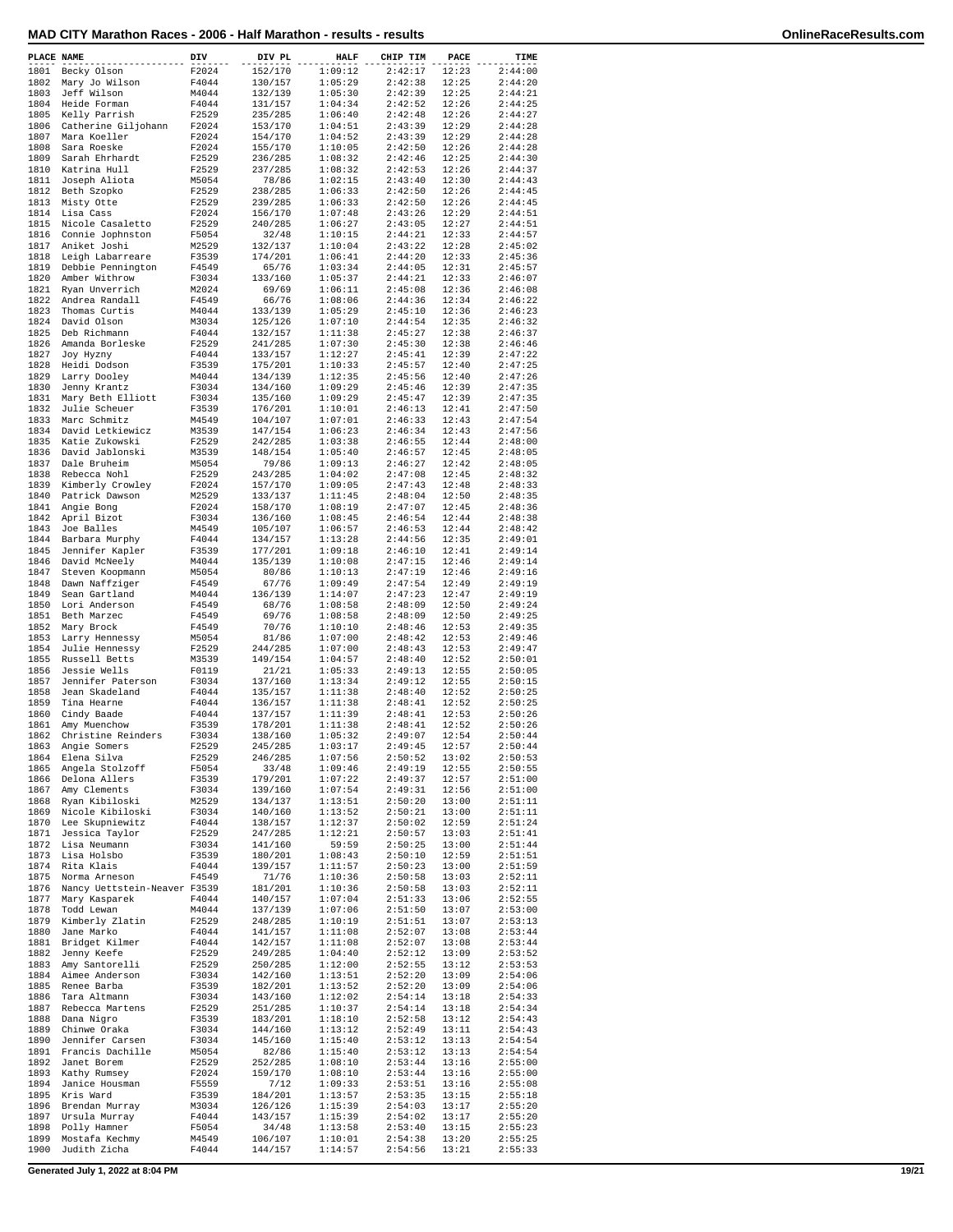| MAD CITY Marathon Races - 2006 - Half Marathon - results - results |  |  |  |
|--------------------------------------------------------------------|--|--|--|
|--------------------------------------------------------------------|--|--|--|

| PLACE NAME   |                                     | DIV            | DIV PL             | <b>HALF</b>        | CHIP TIM           | PACE           | TIME               |
|--------------|-------------------------------------|----------------|--------------------|--------------------|--------------------|----------------|--------------------|
| 1801         | Becky Olson                         | F2024          | 152/170            | 1:09:12            | 2:42:17            | 12:23          | 2:44:00            |
| 1802         | Mary Jo Wilson                      | F4044          | 130/157            | 1:05:29            | 2:42:38            | 12:25          | 2:44:20            |
| 1803         | Jeff Wilson                         | M4044          | 132/139            | 1:05:30            | 2:42:39            | 12:25          | 2:44:21            |
| 1804         | Heide Forman                        | F4044          | 131/157            | 1:04:34            | 2:42:52            | 12:26          | 2:44:25            |
| 1805<br>1806 | Kelly Parrish                       | F2529          | 235/285            | 1:06:40            | 2:42:48            | 12:26          | 2:44:27            |
| 1807         | Catherine Giljohann<br>Mara Koeller | F2024<br>F2024 | 153/170<br>154/170 | 1:04:51<br>1:04:52 | 2:43:39<br>2:43:39 | 12:29<br>12:29 | 2:44:28<br>2:44:28 |
| 1808         | Sara Roeske                         | F2024          | 155/170            | 1:10:05            | 2:42:50            | 12:26          | 2:44:28            |
| 1809         | Sarah Ehrhardt                      | F2529          | 236/285            | 1:08:32            | 2:42:46            | 12:25          | 2:44:30            |
| 1810         | Katrina Hull                        | F2529          | 237/285            | 1:08:32            | 2:42:53            | 12:26          | 2:44:37            |
| 1811         | Joseph Aliota                       | M5054          | 78/86              | 1:02:15            | 2:43:40            | 12:30          | 2:44:43            |
| 1812         | Beth Szopko                         | F2529          | 238/285            | 1:06:33            | 2:42:50            | 12:26          | 2:44:45            |
| 1813         | Misty Otte                          | F2529          | 239/285            | 1:06:33            | 2:42:50            | 12:26          | 2:44:45            |
| 1814         | Lisa Cass                           | F2024          | 156/170            | 1:07:48            | 2:43:26            | 12:29          | 2:44:51            |
| 1815         | Nicole Casaletto                    | F2529          | 240/285            | 1:06:27            | 2:43:05            | 12:27          | 2:44:51            |
| 1816         | Connie Jophnston                    | F5054          | 32/48              | 1:10:15            | 2:44:21            | 12:33          | 2:44:57            |
| 1817         | Aniket Joshi                        | M2529          | 132/137            | 1:10:04            | 2:43:22            | 12:28          | 2:45:02            |
| 1818         | Leigh Labarreare                    | F3539          | 174/201            | 1:06:41            | 2:44:20            | 12:33          | 2:45:36            |
| 1819         | Debbie Pennington                   | F4549          | 65/76              | 1:03:34            | 2:44:05            | 12:31          | 2:45:57            |
| 1820         | Amber Withrow                       | F3034          | 133/160            | 1:05:37            | 2:44:21            | 12:33          | 2:46:07            |
| 1821         | Ryan Unverrich                      | M2024          | 69/69              | 1:06:11            | 2:45:08            | 12:36          | 2:46:08            |
| 1822         | Andrea Randall                      | F4549          | 66/76              | 1:08:06            | 2:44:36            | 12:34          | 2:46:22            |
| 1823         | Thomas Curtis                       | M4044          | 133/139            | 1:05:29            | 2:45:10            | 12:36          | 2:46:23            |
| 1824         | David Olson                         | M3034          | 125/126            | 1:07:10            | 2:44:54            | 12:35          | 2:46:32            |
| 1825         | Deb Richmann                        | F4044          | 132/157            | 1:11:38            | 2:45:27            | 12:38          | 2:46:37            |
| 1826<br>1827 | Amanda Borleske                     | F2529<br>F4044 | 241/285<br>133/157 | 1:07:30<br>1:12:27 | 2:45:30<br>2:45:41 | 12:38<br>12:39 | 2:46:46<br>2:47:22 |
| 1828         | Joy Hyzny<br>Heidi Dodson           | F3539          | 175/201            | 1:10:33            | 2:45:57            | 12:40          | 2:47:25            |
| 1829         | Larry Dooley                        | M4044          | 134/139            | 1:12:35            | 2:45:56            | 12:40          | 2:47:26            |
| 1830         | Jenny Krantz                        | F3034          | 134/160            | 1:09:29            | 2:45:46            | 12:39          | 2:47:35            |
| 1831         | Mary Beth Elliott                   | F3034          | 135/160            | 1:09:29            | 2:45:47            | 12:39          | 2:47:35            |
| 1832         | Julie Scheuer                       | F3539          | 176/201            | 1:10:01            | 2:46:13            | 12:41          | 2:47:50            |
| 1833         | Marc Schmitz                        | M4549          | 104/107            | 1:07:01            | 2:46:33            | 12:43          | 2:47:54            |
| 1834         | David Letkiewicz                    | M3539          | 147/154            | 1:06:23            | 2:46:34            | 12:43          | 2:47:56            |
| 1835         | Katie Zukowski                      | F2529          | 242/285            | 1:03:38            | 2:46:55            | 12:44          | 2:48:00            |
| 1836         | David Jablonski                     | M3539          | 148/154            | 1:05:40            | 2:46:57            | 12:45          | 2:48:05            |
| 1837         | Dale Bruheim                        | M5054          | 79/86              | 1:09:13            | 2:46:27            | 12:42          | 2:48:05            |
| 1838         | Rebecca Nohl                        | F2529          | 243/285            | 1:04:02            | 2:47:08            | 12:45          | 2:48:32            |
| 1839         | Kimberly Crowley                    | F2024          | 157/170            | 1:09:05            | 2:47:43            | 12:48          | 2:48:33            |
| 1840         | Patrick Dawson                      | M2529          | 133/137            | 1:11:45            | 2:48:04            | 12:50          | 2:48:35            |
| 1841         | Angie Bong                          | F2024          | 158/170            | 1:08:19            | 2:47:07            | 12:45          | 2:48:36            |
| 1842         | April Bizot                         | F3034          | 136/160            | 1:08:45            | 2:46:54            | 12:44          | 2:48:38            |
| 1843         | Joe Balles                          | M4549          | 105/107            | 1:06:57            | 2:46:53            | 12:44          | 2:48:42            |
| 1844         | Barbara Murphy                      | F4044          | 134/157            | 1:13:28            | 2:44:56            | 12:35          | 2:49:01            |
| 1845         | Jennifer Kapler                     | F3539          | 177/201            | 1:09:18            | 2:46:10            | 12:41          | 2:49:14            |
| 1846         | David McNeely                       | M4044          | 135/139            | 1:10:08            | 2:47:15            | 12:46          | 2:49:14            |
| 1847         | Steven Koopmann                     | M5054          | 80/86              | 1:10:13            | 2:47:19            | 12:46          | 2:49:16            |
| 1848         | Dawn Naffziger                      | F4549          | 67/76              | 1:09:49            | 2:47:54            | 12:49          | 2:49:19            |
| 1849         | Sean Gartland                       | M4044          | 136/139            | 1:14:07            | 2:47:23            | 12:47          | 2:49:19            |
| 1850<br>1851 | Lori Anderson<br>Beth Marzec        | F4549<br>F4549 | 68/76<br>69/76     | 1:08:58<br>1:08:58 | 2:48:09<br>2:48:09 | 12:50<br>12:50 | 2:49:24<br>2:49:25 |
| 1852         | Mary Brock                          | F4549          | 70/76              | 1:10:10            | 2:48:46            | 12:53          | 2:49:35            |
| 1853         | Larry Hennessy                      | M5054          | 81/86              | 1:07:00            | 2:48:42            | 12:53          | 2:49:46            |
| 1854         | Julie Hennessy                      | F2529          | 244/285            | 1:07:00            | 2:48:43            | 12:53          | 2:49:47            |
| 1855         | Russell Betts                       | M3539          | 149/154            | 1:04:57            | 2:48:40            | 12:52          | 2:50:01            |
| 1856         | Jessie Wells                        | F0119          | 21/21              | 1:05:33            | 2:49:13            | 12:55          | 2:50:05            |
| 1857         | Jennifer Paterson                   | F3034          | 137/160            | 1:13:34            | 2:49:12            | 12:55          | 2:50:15            |
| 1858         | Jean Skadeland                      | F4044          | 135/157            | 1:11:38            | 2:48:40            | 12:52          | 2:50:25            |
| 1859         | Tina Hearne                         | F4044          | 136/157            | 1:11:38            | 2:48:41            | 12:52          | 2:50:25            |
| 1860         | Cindy Baade                         | F4044          | 137/157            | 1:11:39            | 2:48:41            | 12:53          | 2:50:26            |
| 1861         | Amy Muenchow                        | F3539          | 178/201            | 1:11:38            | 2:48:41            | 12:52          | 2:50:26            |
| 1862         | Christine Reinders                  | F3034          | 138/160            | 1:05:32            | 2:49:07            | 12:54          | 2:50:44            |
| 1863         | Angie Somers                        | F2529          | 245/285            | 1:03:17            | 2:49:45            | 12:57          | 2:50:44            |
| 1864         | Elena Silva                         | F2529          | 246/285            | 1:07:56            | 2:50:52            | 13:02          | 2:50:53            |
| 1865         | Angela Stolzoff                     | F5054          | 33/48              | 1:09:46            | 2:49:19            | 12:55          | 2:50:55            |
| 1866         | Delona Allers                       | F3539          | 179/201            | 1:07:22            | 2:49:37            | 12:57          | 2:51:00            |
| 1867         | Amy Clements                        | F3034          | 139/160            | 1:07:54            | 2:49:31            | 12:56          | 2:51:00            |
| 1868         | Ryan Kibiloski                      | M2529          | 134/137            | 1:13:51            | 2:50:20            | 13:00          | 2:51:11            |
| 1869<br>1870 | Nicole Kibiloski<br>Lee Skupniewitz | F3034<br>F4044 | 140/160<br>138/157 | 1:13:52<br>1:12:37 | 2:50:21<br>2:50:02 | 13:00<br>12:59 | 2:51:11<br>2:51:24 |
| 1871         | Jessica Taylor                      |                |                    |                    |                    | 13:03          | 2:51:41            |
| 1872         | Lisa Neumann                        | F2529<br>F3034 | 247/285<br>141/160 | 1:12:21<br>59:59   | 2:50:57<br>2:50:25 | 13:00          | 2:51:44            |
| 1873         | Lisa Holsbo                         | F3539          | 180/201            | 1:08:43            | 2:50:10            | 12:59          | 2:51:51            |
| 1874         | Rita Klais                          | F4044          | 139/157            | 1:11:57            | 2:50:23            | 13:00          | 2:51:59            |
| 1875         | Norma Arneson                       | F4549          | 71/76              | 1:10:36            | 2:50:58            | 13:03          | 2:52:11            |
| 1876         | Nancy Uettstein-Neaver F3539        |                | 181/201            | 1:10:36            | 2:50:58            | 13:03          | 2:52:11            |
| 1877         | Mary Kasparek                       | F4044          | 140/157            | 1:07:04            | 2:51:33            | 13:06          | 2:52:55            |
| 1878         | Todd Lewan                          | M4044          | 137/139            | 1:07:06            | 2:51:50            | 13:07          | 2:53:00            |
| 1879         | Kimberly Zlatin                     | F2529          | 248/285            | 1:10:19            | 2:51:51            | 13:07          | 2:53:13            |
| 1880         | Jane Marko                          | F4044          | 141/157            | 1:11:08            | 2:52:07            | 13:08          | 2:53:44            |
| 1881         | Bridget Kilmer                      | F4044          | 142/157            | 1:11:08            | 2:52:07            | 13:08          | 2:53:44            |
| 1882         | Jenny Keefe                         | F2529          | 249/285            | 1:04:40            | 2:52:12            | 13:09          | 2:53:52            |
| 1883         | Amy Santorelli                      | F2529          | 250/285            | 1:12:00            | 2:52:55            | 13:12          | 2:53:53            |
| 1884         | Aimee Anderson                      | F3034          | 142/160            | 1:13:51            | 2:52:20            | 13:09          | 2:54:06            |
| 1885         | Renee Barba                         | F3539          | 182/201            | 1:13:52            | 2:52:20            | 13:09          | 2:54:06            |
| 1886         | Tara Altmann                        | F3034          | 143/160            | 1:12:02            | 2:54:14            | 13:18          | 2:54:33            |
| 1887         | Rebecca Martens                     | F2529          | 251/285            | 1:10:37            | 2:54:14            | 13:18          | 2:54:34            |
| 1888         | Dana Nigro                          | F3539          | 183/201            | 1:18:10            | 2:52:58            | 13:12          | 2:54:43            |
| 1889<br>1890 | Chinwe Oraka<br>Jennifer Carsen     | F3034<br>F3034 | 144/160<br>145/160 | 1:13:12            | 2:52:49<br>2:53:12 | 13:11          | 2:54:43<br>2:54:54 |
| 1891         | Francis Dachille                    | M5054          | 82/86              | 1:15:40<br>1:15:40 | 2:53:12            | 13:13<br>13:13 | 2:54:54            |
| 1892         | Janet Borem                         | F2529          | 252/285            | 1:08:10            | 2:53:44            | 13:16          | 2:55:00            |
| 1893         | Kathy Rumsey                        | F2024          | 159/170            | 1:08:10            | 2:53:44            | 13:16          | 2:55:00            |
| 1894         | Janice Housman                      | F5559          | 7/12               | 1:09:33            | 2:53:51            | 13:16          | 2:55:08            |
| 1895         | Kris Ward                           | F3539          | 184/201            | 1:13:57            | 2:53:35            | 13:15          | 2:55:18            |
| 1896         | Brendan Murray                      | M3034          | 126/126            | 1:15:39            | 2:54:03            | 13:17          | 2:55:20            |
| 1897         | Ursula Murray                       | F4044          | 143/157            | 1:15:39            | 2:54:02            | 13:17          | 2:55:20            |
| 1898         | Polly Hamner                        | F5054          | 34/48              | 1:13:58            | 2:53:40            | 13:15          | 2:55:23            |
| 1899         | Mostafa Kechmy                      | M4549          | 106/107            | 1:10:01            | 2:54:38            | 13:20          | 2:55:25            |
| 1900         | Judith Zicha                        | F4044          | 144/157            | 1:14:57            | 2:54:56            | 13:21          | 2:55:33            |

**Generated July 1, 2022 at 8:04 PM 19/21**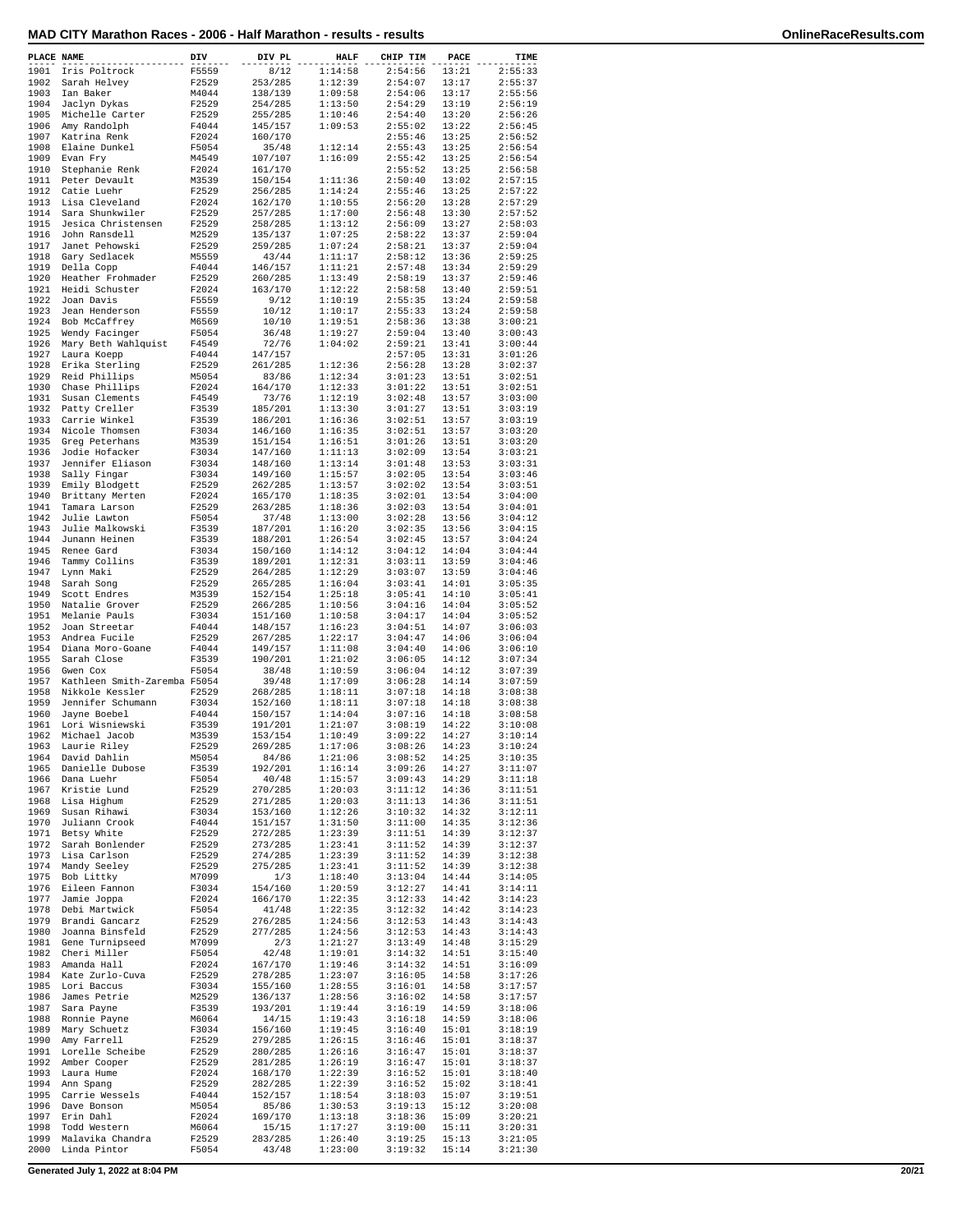| MAD CITY Marathon Races - 2006 - Half Marathon - results - results | OnlineRaceResults.com |
|--------------------------------------------------------------------|-----------------------|
|--------------------------------------------------------------------|-----------------------|

|  |  | OnlineRaceResults.com |
|--|--|-----------------------|

| PLACE NAME   |                                                 | DIV            | DIV PL             | <b>HALF</b>        | CHIP TIM           | PACE           | TIME               |
|--------------|-------------------------------------------------|----------------|--------------------|--------------------|--------------------|----------------|--------------------|
| 1901         | Iris Poltrock                                   | F5559          | 8/12               | 1:14:58            | 2:54:56            | 13:21          | 2:55:33            |
| 1902         | Sarah Helvey                                    | F2529          | 253/285            | 1:12:39            | 2:54:07            | 13:17          | 2:55:37            |
| 1903<br>1904 | Ian Baker<br>Jaclyn Dykas                       | M4044<br>F2529 | 138/139<br>254/285 | 1:09:58<br>1:13:50 | 2:54:06<br>2:54:29 | 13:17<br>13:19 | 2:55:56<br>2:56:19 |
| 1905         | Michelle Carter                                 | F2529          | 255/285            | 1:10:46            | 2:54:40            | 13:20          | 2:56:26            |
| 1906         | Amy Randolph                                    | F4044          | 145/157            | 1:09:53            | 2:55:02            | 13:22          | 2:56:45            |
| 1907         | Katrina Renk                                    | F2024          | 160/170            |                    | 2:55:46            | 13:25          | 2:56:52            |
| 1908         | Elaine Dunkel                                   | F5054          | 35/48              | 1:12:14            | 2:55:43            | 13:25          | 2:56:54            |
| 1909<br>1910 | Evan Fry                                        | M4549          | 107/107            | 1:16:09            | 2:55:42            | 13:25          | 2:56:54            |
| 1911         | Stephanie Renk<br>Peter Devault                 | F2024<br>M3539 | 161/170<br>150/154 | 1:11:36            | 2:55:52<br>2:50:40 | 13:25<br>13:02 | 2:56:58<br>2:57:15 |
| 1912         | Catie Luehr                                     | F2529          | 256/285            | 1:14:24            | 2:55:46            | 13:25          | 2:57:22            |
| 1913         | Lisa Cleveland                                  | F2024          | 162/170            | 1:10:55            | 2:56:20            | 13:28          | 2:57:29            |
| 1914         | Sara Shunkwiler                                 | F2529          | 257/285            | 1:17:00            | 2:56:48            | 13:30          | 2:57:52            |
| 1915<br>1916 | Jesica Christensen<br>John Ransdell             | F2529<br>M2529 | 258/285<br>135/137 | 1:13:12<br>1:07:25 | 2:56:09<br>2:58:22 | 13:27<br>13:37 | 2:58:03<br>2:59:04 |
| 1917         | Janet Pehowski                                  | F2529          | 259/285            | 1:07:24            | 2:58:21            | 13:37          | 2:59:04            |
| 1918         | Gary Sedlacek                                   | M5559          | 43/44              | 1:11:17            | 2:58:12            | 13:36          | 2:59:25            |
| 1919         | Della Copp                                      | F4044          | 146/157            | 1:11:21            | 2:57:48            | 13:34          | 2:59:29            |
| 1920         | Heather Frohmader                               | F2529          | 260/285            | 1:13:49            | 2:58:19            | 13:37          | 2:59:46            |
| 1921<br>1922 | Heidi Schuster<br>Joan Davis                    | F2024<br>F5559 | 163/170<br>9/12    | 1:12:22<br>1:10:19 | 2:58:58<br>2:55:35 | 13:40<br>13:24 | 2:59:51<br>2:59:58 |
| 1923         | Jean Henderson                                  | F5559          | 10/12              | 1:10:17            | 2:55:33            | 13:24          | 2:59:58            |
| 1924         | Bob McCaffrey                                   | M6569          | 10/10              | 1:19:51            | 2:58:36            | 13:38          | 3:00:21            |
| 1925         | Wendy Facinger                                  | F5054          | 36/48              | 1:19:27            | 2:59:04            | 13:40          | 3:00:43            |
| 1926<br>1927 | Mary Beth Wahlquist                             | F4549<br>F4044 | 72/76              | 1:04:02            | 2:59:21            | 13:41<br>13:31 | 3:00:44            |
| 1928         | Laura Koepp<br>Erika Sterling                   | F2529          | 147/157<br>261/285 | 1:12:36            | 2:57:05<br>2:56:28 | 13:28          | 3:01:26<br>3:02:37 |
| 1929         | Reid Phillips                                   | M5054          | 83/86              | 1:12:34            | 3:01:23            | 13:51          | 3:02:51            |
| 1930         | Chase Phillips                                  | F2024          | 164/170            | 1:12:33            | 3:01:22            | 13:51          | 3:02:51            |
| 1931         | Susan Clements                                  | F4549          | 73/76              | 1:12:19            | 3:02:48            | 13:57          | 3:03:00            |
| 1932         | Patty Creller                                   | F3539          | 185/201            | 1:13:30            | 3:01:27            | 13:51          | 3:03:19            |
| 1933<br>1934 | Carrie Winkel<br>Nicole Thomsen                 | F3539<br>F3034 | 186/201<br>146/160 | 1:16:36<br>1:16:35 | 3:02:51<br>3:02:51 | 13:57<br>13:57 | 3:03:19<br>3:03:20 |
| 1935         | Greg Peterhans                                  | M3539          | 151/154            | 1:16:51            | 3:01:26            | 13:51          | 3:03:20            |
| 1936         | Jodie Hofacker                                  | F3034          | 147/160            | 1:11:13            | 3:02:09            | 13:54          | 3:03:21            |
| 1937         | Jennifer Eliason                                | F3034          | 148/160            | 1:13:14            | 3:01:48            | 13:53          | 3:03:31            |
| 1938         | Sally Fingar                                    | F3034          | 149/160            | 1:15:57            | 3:02:05            | 13:54          | 3:03:46            |
| 1939<br>1940 | Emily Blodgett<br>Brittany Merten               | F2529<br>F2024 | 262/285<br>165/170 | 1:13:57<br>1:18:35 | 3:02:02<br>3:02:01 | 13:54<br>13:54 | 3:03:51<br>3:04:00 |
| 1941         | Tamara Larson                                   | F2529          | 263/285            | 1:18:36            | 3:02:03            | 13:54          | 3:04:01            |
| 1942         | Julie Lawton                                    | F5054          | 37/48              | 1:13:00            | 3:02:28            | 13:56          | 3:04:12            |
| 1943         | Julie Malkowski                                 | F3539          | 187/201            | 1:16:20            | 3:02:35            | 13:56          | 3:04:15            |
| 1944         | Junann Heinen                                   | F3539          | 188/201            | 1:26:54            | 3:02:45            | 13:57          | 3:04:24            |
| 1945<br>1946 | Renee Gard<br>Tammy Collins                     | F3034<br>F3539 | 150/160<br>189/201 | 1:14:12<br>1:12:31 | 3:04:12<br>3:03:11 | 14:04<br>13:59 | 3:04:44<br>3:04:46 |
| 1947         | Lynn Maki                                       | F2529          | 264/285            | 1:12:29            | 3:03:07            | 13:59          | 3:04:46            |
| 1948         | Sarah Song                                      | F2529          | 265/285            | 1:16:04            | 3:03:41            | 14:01          | 3:05:35            |
| 1949         | Scott Endres                                    | M3539          | 152/154            | 1:25:18            | 3:05:41            | 14:10          | 3:05:41            |
| 1950         | Natalie Grover                                  | F2529          | 266/285            | 1:10:56            | 3:04:16            | 14:04          | 3:05:52            |
| 1951<br>1952 | Melanie Pauls<br>Joan Streetar                  | F3034<br>F4044 | 151/160<br>148/157 | 1:10:58<br>1:16:23 | 3:04:17<br>3:04:51 | 14:04<br>14:07 | 3:05:52<br>3:06:03 |
| 1953         | Andrea Fucile                                   | F2529          | 267/285            | 1:22:17            | 3:04:47            | 14:06          | 3:06:04            |
| 1954         | Diana Moro-Goane                                | F4044          | 149/157            | 1:11:08            | 3:04:40            | 14:06          | 3:06:10            |
| 1955         | Sarah Close                                     | F3539          | 190/201            | 1:21:02            | 3:06:05            | 14:12          | 3:07:34            |
| 1956         | Gwen Cox                                        | F5054          | 38/48              | 1:10:59<br>1:17:09 | 3:06:04            | 14:12          | 3:07:39            |
| 1957<br>1958 | Kathleen Smith-Zaremba F5054<br>Nikkole Kessler | F2529          | 39/48<br>268/285   | 1:18:11            | 3:06:28<br>3:07:18 | 14:14<br>14:18 | 3:07:59<br>3:08:38 |
| 1959         | Jennifer Schumann                               | F3034          | 152/160            | 1:18:11            | 3:07:18            | 14:18          | 3:08:38            |
| 1960         | Jayne Boebel                                    | F4044          | 150/157            | 1:14:04            | 3:07:16            | 14:18          | 3:08:58            |
| 1961         | Lori Wisniewski                                 | F3539          | 191/201            | 1:21:07            | 3:08:19            | 14:22          | 3:10:08            |
| 1962         | Michael Jacob                                   | M3539          | 153/154            | 1:10:49<br>1:17:06 | 3:09:22<br>3:08:26 | 14:27          | 3:10:14            |
| 1963         | Laurie Riley<br>1964 David Dahlin               | F2529<br>M5054 | 269/285<br>84/86   | 1:21:06            | 3:08:52            | 14:23<br>14:25 | 3:10:24<br>3:10:35 |
|              | 1965 Danielle Dubose                            | F3539          | 192/201            | 1:16:14            | 3:09:26            | 14:27          | 3:11:07            |
| 1966         | Dana Luehr                                      | F5054          | 40/48              | 1:15:57            | 3:09:43            | 14:29          | 3:11:18            |
| 1967         | Kristie Lund                                    | F2529          | 270/285            | 1:20:03            | 3:11:12            | 14:36          | 3:11:51            |
|              | 1968 Lisa Highum                                | F2529          | 271/285            | 1:20:03            | 3:11:13            | 14:36          | 3:11:51            |
| 1969         | Susan Rihawi<br>1970 Juliann Crook              | F3034<br>F4044 | 153/160<br>151/157 | 1:12:26<br>1:31:50 | 3:10:32<br>3:11:00 | 14:32<br>14:35 | 3:12:11<br>3:12:36 |
|              | 1971 Betsy White                                | F2529          | 272/285            | 1:23:39            | 3:11:51            | 14:39          | 3:12:37            |
| 1972         | Sarah Bonlender                                 | F2529          | 273/285            | 1:23:41            | 3:11:52            | 14:39          | 3:12:37            |
| 1973         | Lisa Carlson                                    | F2529          | 274/285            | 1:23:39            | 3:11:52            | 14:39          | 3:12:38            |
|              | 1974 Mandy Seeley                               | F2529          | 275/285            | 1:23:41            | 3:11:52            | 14:39          | 3:12:38            |
| 1975         | Bob Littky                                      | M7099          | 1/3                | 1:18:40            | 3:13:04            | 14:44          | 3:14:05<br>3:14:11 |
| 1976<br>1977 | Eileen Fannon<br>Jamie Joppa                    | F3034<br>F2024 | 154/160<br>166/170 | 1:20:59<br>1:22:35 | 3:12:27<br>3:12:33 | 14:41<br>14:42 | 3:14:23            |
| 1978         | Debi Martwick                                   | F5054          | 41/48              | 1:22:35            | 3:12:32            | 14:42          | 3:14:23            |
| 1979         | Brandi Gancarz                                  | F2529          | 276/285            | 1:24:56            | 3:12:53            | 14:43          | 3:14:43            |
| 1980         | Joanna Binsfeld                                 | F2529          | 277/285            | 1:24:56            | 3:12:53            | 14:43          | 3:14:43            |
| 1981         | Gene Turnipseed                                 | M7099          | 2/3                | 1:21:27            | 3:13:49            | 14:48          | 3:15:29            |
|              | 1982 Cheri Miller<br>1983 Amanda Hall           | F5054<br>F2024 | 42/48<br>167/170   | 1:19:01<br>1:19:46 | 3:14:32<br>3:14:32 | 14:51<br>14:51 | 3:15:40<br>3:16:09 |
|              | 1984 Kate Zurlo-Cuva                            | F2529          | 278/285            | 1:23:07            | 3:16:05            | 14:58          | 3:17:26            |
| 1985         | Lori Baccus                                     | F3034          | 155/160            | 1:28:55            | 3:16:01            | 14:58          | 3:17:57            |
| 1986         | James Petrie                                    | M2529          | 136/137            | 1:28:56            | 3:16:02            | 14:58          | 3:17:57            |
| 1987         | Sara Payne                                      | F3539          | 193/201            | 1:19:44            | 3:16:19            | 14:59          | 3:18:06            |
|              | 1988 Ronnie Payne<br>1989 Mary Schuetz          | M6064<br>F3034 | 14/15<br>156/160   | 1:19:43<br>1:19:45 | 3:16:18<br>3:16:40 | 14:59<br>15:01 | 3:18:06<br>3:18:19 |
| 1990         | Amy Farrell                                     | F2529          | 279/285            | 1:26:15            | 3:16:46            | 15:01          | 3:18:37            |
| 1991         | Lorelle Scheibe                                 | F2529          | 280/285            | 1:26:16            | 3:16:47            | 15:01          | 3:18:37            |
|              | 1992 Amber Cooper                               | F2529          | 281/285            | 1:26:19            | 3:16:47            | 15:01          | 3:18:37            |
| 1993         | Laura Hume                                      | F2024          | 168/170            | 1:22:39            | 3:16:52            | 15:01          | 3:18:40            |
| 1995         | 1994 Ann Spang<br>Carrie Wessels                | F2529<br>F4044 | 282/285<br>152/157 | 1:22:39<br>1:18:54 | 3:16:52<br>3:18:03 | 15:02<br>15:07 | 3:18:41<br>3:19:51 |
| 1996         | Dave Bonson                                     | M5054          | 85/86              | 1:30:53            | 3:19:13            | 15:12          | 3:20:08            |
| 1997         | Erin Dahl                                       | F2024          | 169/170            | 1:13:18            | 3:18:36            | 15:09          | 3:20:21            |
| 1998         | Todd Western                                    | M6064          | 15/15              | 1:17:27            | 3:19:00            | 15:11          | 3:20:31            |
| 1999         | Malavika Chandra                                | F2529          | 283/285            | 1:26:40            | 3:19:25            | 15:13          | 3:21:05            |
| 2000         | Linda Pintor                                    | F5054          | 43/48              | 1:23:00            | 3:19:32            | 15:14          | 3:21:30            |

**Generated July 1, 2022 at 8:04 PM 20/21**